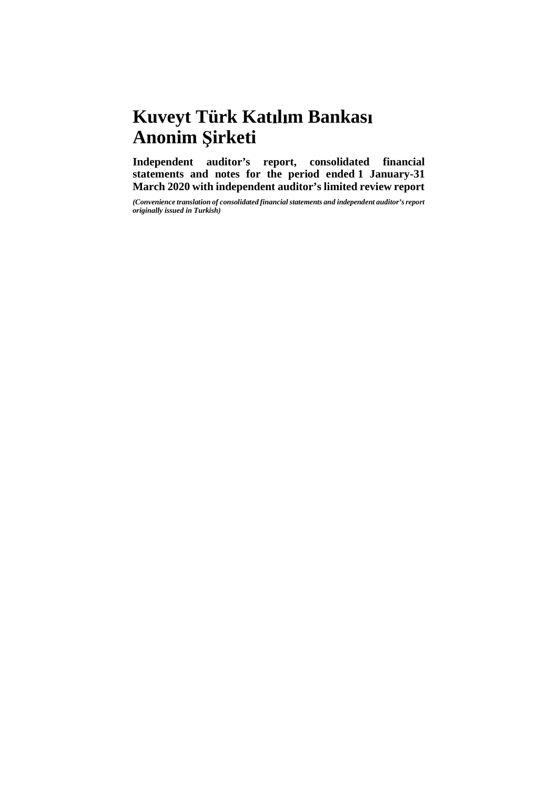# **Kuveyt Türk Katılım Bankası Anonim irketi**

**Independent auditor's report, consolidated financial statements and notes for the period ended 1 January-31 March 2020 with independent auditor's limited review report**

*(Convenience translation of consolidated financial statements and independent auditor's report originally issued in Turkish)*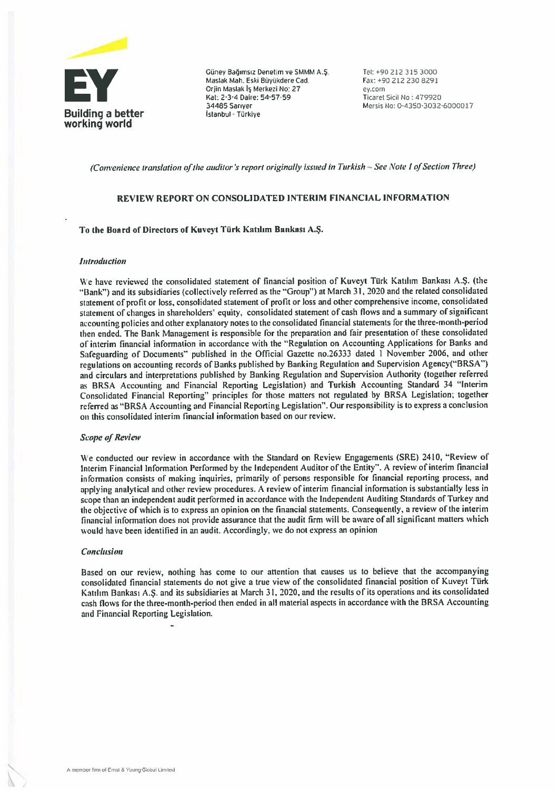

Euney Bağımsız Denetim ve SMMM A.Ş. Tel: +90 212 315 3000<br>Maslak Mah. Eski Büyükdere Cad. Fax: +90 212 230 8291<br>Orjin Maslak iş Merkezi No: 27 ey.com<br>Kat: 2-3-4 Daire: 54-57-59 Ticaret Sicil No: 479920

(Convenience translation of the auditor 's report originally issued in Turkish - See Note 1 of Section Three)

#### REVIEW REPORT ON CONSOLIDATED INTERIM FINANCİAL INFORMATİON

#### To the Board of Directors of Kuveyt Türk Katılım Bankası A.Ş.

#### **Introduction**

We have reviewed the consolidated statement of financial position of Kuveyt Türk Katılım Bankası A.Ş. (the "Bank") and its subsidiaries (collectively referred as the "Group") at March 31, 2020 and the related consolidated statement of profıt or loss. consolidated statement of profit or Ioss and other comprehensive income, consolidated statement of changes in shareholders' equity, consolidated statement of cash flows and a summary of significant accounting policies and other explanatory notes to the consolidated financial statements for the three-month-period then ended. The Bank Management is responsible for the preparation and fair presentation of these consolidated of interim financial information in accordance with the "Regulation on Accounting Applications for Banks and Safeguarding of Documenis" published in the Offıcial Gazetıe no.26333 dated <sup>1</sup> November 2006. and other regulations on accounting records of Banks published by Banking Regulation and Supervision Agency("BRSA") and circulars and interpretations published by Banking Regulation and Supervision Authority (together referred as BRSA Accounting and Financial Reporting Legislation) and Turkish Accounting Standard 34 "Interim Consolidated Financial Reporting" principles for those matters not regulated by BRSA Legislation; together referred as "BRSA Accounting and Financial Reporting Legislation". Our responsibility is to express a conclusion on this consolidated interim financial information based on our review.

#### **Scope of Review**

We conducted our review in accordance with the Standard on Review Engagements (SRE) 2410, "Review of Interim Financial information Performed by the independent Auditor of the Entity". <sup>A</sup> review of interim financial informaıion consists of making inquiries, primariiy of persons responsible for fınancial reporting process, and applying analytical and other review procedures. A review of interim financial information is substantially less in scope than an independent audit performed in accordance with the Independent Auditing Standards of Turkey and the objective ofwhich is to express an opinion on the fınancial statements. Consequentiy. <sup>a</sup> review of the interim financial information does not provide assurance that the audit firm will be aware of all significant matters which would have been identified in an audit. Accordingly, we do not express an opinion

#### Conclusion

Based on our review, nothing has come to our attention that causes us to believe that the accompanying consolidated financiai statements do not <sup>g</sup>ive <sup>a</sup> true view of the consoiidated fınancial position of Kuveyt Türk Katılım Bankası A.S. and its subsidiaries at March 31, 2020, and the results of its operations and its consolidated cash flows for the three-month-period then ended in ali material aspects in accordance with the BRSA Accounting and Financial Reporting Legislation.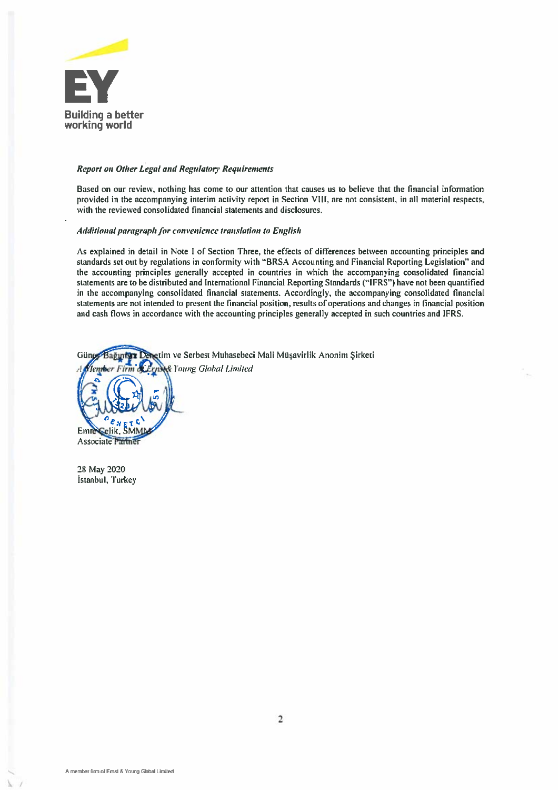

#### Report on Other Legal and Regıdatory Requirements

Based on our review, nothing has come to our attention that causes us to believe that the fınancial information provided in the accompanying interim activity report in Section VIII, are not consistent, in all material respects, with the reviewed consolidated fınancial statements and disclosures.

#### Additional paragraph for convenience translation to English

As explained in detail in Note 1 of Section Three, the effects of differences between accounting principles and standards set out by regulations in conformity with "BRSA Accounting and Financial Reporting Legislation" and the accounting principles generaliy accepted in countries in which the accompanying consolidated financial statements are to be distributed and International Financial Reporting Standards ("IFRS") have not been quantified in the accompanying consolidated fınancial statements. Accordingly, the accompanying consolidated financial statements are not intended to present the financial position, results of operations and changes in financial position and cash flows in accordance with the accounting principles generaliy accepted in such countries and IFRS.

etim ve Serbest Muhasebeci Mali Müşavirlik Anonim Sirketi Günos Bağıntsız **& Young Global Limited** omber Firm Emre Gelik, SM Associate Partne

2% May 2020 Istanbul, Turkey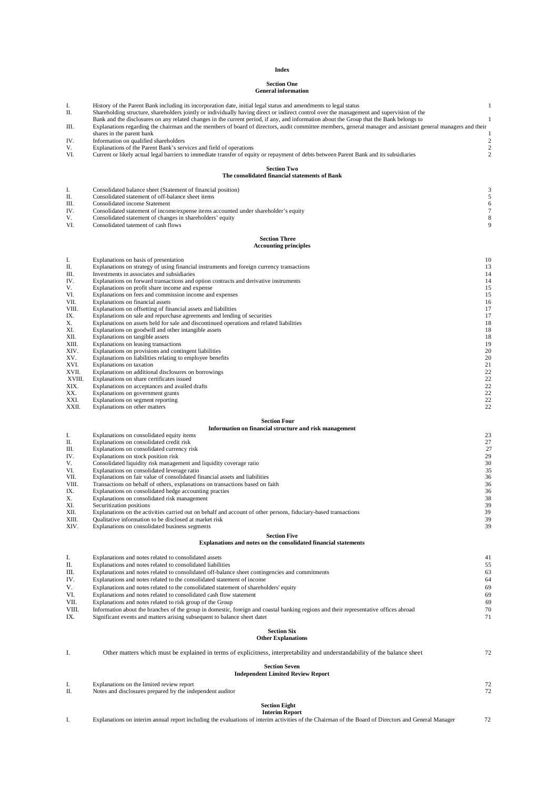#### **Index**

# **Section One General information**

| I.           | History of the Parent Bank including its incorporation date, initial legal status and amendments to legal status                                                     | $\mathbf{1}$            |
|--------------|----------------------------------------------------------------------------------------------------------------------------------------------------------------------|-------------------------|
| П.           | Shareholding structure, shareholders jointly or individually having direct or indirect control over the management and supervision of the                            |                         |
|              | Bank and the disclosures on any related changes in the current period, if any, and information about the Group that the Bank belongs to                              | 1                       |
| Ш.           | Explanations regarding the chairman and the members of board of directors, audit committee members, general manager and assistant general managers and their         |                         |
| IV.          | shares in the parent bank<br>Information on qualified shareholders                                                                                                   | $\overline{\mathbf{c}}$ |
| V.           | Explanations of the Parent Bank's services and field of operations                                                                                                   | $\overline{c}$          |
| VI.          | Current or likely actual legal barriers to immediate transfer of equity or repayment of debts between Parent Bank and its subsidiaries                               | $\overline{c}$          |
|              |                                                                                                                                                                      |                         |
|              | <b>Section Two</b>                                                                                                                                                   |                         |
|              | The consolidated financial statements of Bank                                                                                                                        |                         |
| I.           | Consolidated balance sheet (Statement of financial position)                                                                                                         | 3                       |
| П.           | Consolidated statement of off-balance sheet items                                                                                                                    | 5                       |
| Ш.           | Consolidated income Statement                                                                                                                                        | 6                       |
| IV.          | Consolidated statement of income/expense items accounted under shareholder's equity                                                                                  | 7                       |
| V.           | Consolidated statement of changes in shareholders' equity                                                                                                            | 8                       |
| VI.          | Consolidated tatement of cash flows                                                                                                                                  | 9                       |
|              | <b>Section Three</b>                                                                                                                                                 |                         |
|              | <b>Accounting principles</b>                                                                                                                                         |                         |
|              |                                                                                                                                                                      |                         |
| I.<br>П.     | Explanations on basis of presentation<br>Explanations on strategy of using financial instruments and foreign currency transactions                                   | 10<br>13                |
| Ш.           | Investments in associates and subsidiaries                                                                                                                           | 14                      |
| IV.          | Explanations on forward transactions and option contracts and derivative instruments                                                                                 | 14                      |
| V.           | Explanations on profit share income and expense                                                                                                                      | 15                      |
| VI.          | Explanations on fees and commission income and expenses                                                                                                              | 15                      |
| VII.         | Explanations on financial assets                                                                                                                                     | 16                      |
| VIII.<br>IX. | Explanations on offsetting of financial assets and liabilities                                                                                                       | 17<br>17                |
| Х.           | Explanations on sale and repurchase agreements and lending of securities<br>Explanations on assets held for sale and discontinued operations and related liabilities | 18                      |
| XI.          | Explanations on goodwill and other intangible assets                                                                                                                 | 18                      |
| XII.         | Explanations on tangible assets                                                                                                                                      | 18                      |
| XIII.        | Explanations on leasing transactions                                                                                                                                 | 19                      |
| XIV.         | Explanations on provisions and contingent liabilities                                                                                                                | 20                      |
| XV.<br>XVI.  | Explanations on liabilities relating to employee benefits<br>Explanations on taxation                                                                                | 20<br>21                |
| XVII.        | Explanations on additional disclosures on borrowings                                                                                                                 | 22                      |
| XVIII.       | Explanations on share certificates issued                                                                                                                            | 22                      |
| XIX.         | Explanations on acceptances and availed drafts                                                                                                                       | 22                      |
| XX.          | Explanations on government grants                                                                                                                                    | 22                      |
| XXI.         | Explanations on segment reporting                                                                                                                                    | 22                      |
| XXII.        | Explanations on other matters                                                                                                                                        | 22                      |
|              | <b>Section Four</b>                                                                                                                                                  |                         |
|              | Information on financial structure and risk management                                                                                                               |                         |
| I.           | Explanations on consolidated equity items                                                                                                                            | 23                      |
| П.           | Explanations on consolidated credit risk                                                                                                                             | 27                      |
| Ш.<br>IV.    | Explanations on consolidated currency risk                                                                                                                           | 27<br>29                |
| V.           | Explanations on stock position risk<br>Consolidated liquidity risk management and liquidity coverage ratio                                                           | 30                      |
| VI.          | Explanations on consolidated leverage ratio                                                                                                                          | 35                      |
| VII.         | Explanations on fair value of consolidated financial assets and liabilities                                                                                          | 36                      |
| VIII.        | Transactions on behalf of others, explanations on transactions based on faith                                                                                        | 36                      |
| IX.          | Explanations on consolidated hedge accounting practies                                                                                                               | 36                      |
| Х.<br>XI.    | Explanations on consolidated risk management<br>Securitization positions                                                                                             | 38<br>39                |
| XII.         | Explanations on the activities carried out on behalf and account of other persons, fiduciary-based transactions                                                      | 39                      |
| XIII.        | Qualitative information to be disclosed at market risk                                                                                                               | 39                      |
| XIV.         | Explanations on consolidated business segments                                                                                                                       | 39                      |
|              | <b>Section Five</b>                                                                                                                                                  |                         |
|              | Explanations and notes on the consolidated financial statements                                                                                                      |                         |
|              |                                                                                                                                                                      |                         |
| I.           | Explanations and notes related to consolidated assets                                                                                                                | 41                      |
| П.           | Explanations and notes related to consolidated liabilities                                                                                                           | 55                      |
| Ш.           | Explanations and notes related to consolidated off-balance sheet contingencies and commitments                                                                       | 63                      |
| IV.<br>V.    | Explanations and notes related to the consolidated statement of income<br>Explanations and notes related to the consolidated statement of shareholders' equity       | 64<br>69                |
| VI.          | Explanations and notes related to consolidated cash flow statement                                                                                                   | 69                      |
| VII.         | Explanations and notes related to risk group of the Group                                                                                                            | 69                      |
| VIII.        | Information about the branches of the group in domestic, foreign and coastal banking regions and their representative offices abroad                                 | 70                      |
| IX.          | Significant events and matters arising subsequent to balance sheet datet                                                                                             | 71                      |
|              |                                                                                                                                                                      |                         |
|              | <b>Section Six</b><br><b>Other Explanations</b>                                                                                                                      |                         |
|              |                                                                                                                                                                      |                         |
| I.           | Other matters which must be explained in terms of explicitness, interpretability and understandability of the balance sheet                                          | 72                      |
|              |                                                                                                                                                                      |                         |
|              | <b>Section Seven</b>                                                                                                                                                 |                         |
|              | <b>Independent Limited Review Report</b>                                                                                                                             |                         |
| I.           | Explanations on the limited review report                                                                                                                            | 72                      |
| П.           | Notes and disclosures prepared by the independent auditor                                                                                                            | 72                      |
|              | <b>Section Eight</b>                                                                                                                                                 |                         |
|              | <b>Interim Report</b>                                                                                                                                                |                         |
| I.           | Explanations on interim annual report including the evaluations of interim activities of the Chairman of the Board of Directors and General Manager                  | 72                      |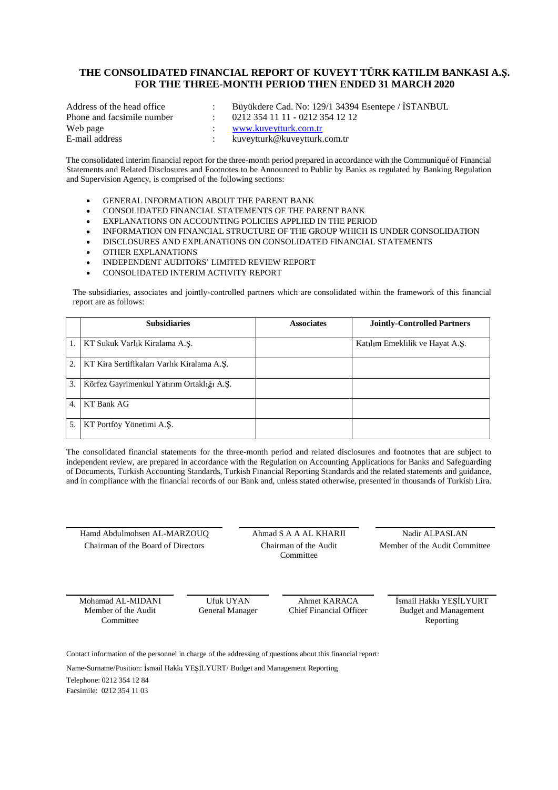# THE CONSOLIDATED FINANCIAL REPORT OF KUVEYT TÜRK KATILIM BANKASI A.S. **FOR THE THREE-MONTH PERIOD THEN ENDED 31 MARCH 2020**

| Address of the head office | Büyükdere Cad. No: 129/1 34394 Esentepe / ISTANBUL |
|----------------------------|----------------------------------------------------|
| Phone and facsimile number | 0212 354 11 11 - 0212 354 12 12                    |
| Web page                   | www.kuveytturk.com.tr                              |
| E-mail address             | kuveytturk@kuveytturk.com.tr                       |

The consolidated interim financial report for the three-month period prepared in accordance with the Communiqué of Financial Statements and Related Disclosures and Footnotes to be Announced to Public by Banks as regulated by Banking Regulation and Supervision Agency, is comprised of the following sections:

- GENERAL INFORMATION ABOUT THE PARENT BANK
- CONSOLIDATED FINANCIAL STATEMENTS OF THE PARENT BANK
- EXPLANATIONS ON ACCOUNTING POLICIES APPLIED IN THE PERIOD
- INFORMATION ON FINANCIAL STRUCTURE OF THE GROUP WHICH IS UNDER CONSOLIDATION
- DISCLOSURES AND EXPLANATIONS ON CONSOLIDATED FINANCIAL STATEMENTS
- OTHER EXPLANATIONS
- INDEPENDENT AUDITORS' LIMITED REVIEW REPORT
- CONSOLIDATED INTERIM ACTIVITY REPORT

The subsidiaries, associates and jointly-controlled partners which are consolidated within the framework of this financial report are as follows:

|    | <b>Subsidiaries</b>                        | <b>Associates</b> | <b>Jointly-Controlled Partners</b> |
|----|--------------------------------------------|-------------------|------------------------------------|
|    | KT Sukuk Varlık Kiralama A.Ş.              |                   | Katılım Emeklilik ve Hayat A.Ş.    |
| 2. | KT Kira Sertifikaları Varlık Kiralama A.Ş. |                   |                                    |
| 3. | Körfez Gayrimenkul Yatırım Ortaklığı A.S.  |                   |                                    |
| 4  | KT Bank AG                                 |                   |                                    |
| 5  | KT Portföy Yönetimi A.Ş.                   |                   |                                    |

The consolidated financial statements for the three-month period and related disclosures and footnotes that are subject to independent review, are prepared in accordance with the Regulation on Accounting Applications for Banks and Safeguarding of Documents, Turkish Accounting Standards, Turkish Financial Reporting Standards and the related statements and guidance, and in compliance with the financial records of our Bank and, unless stated otherwise, presented in thousands of Turkish Lira.

Hamd Abdulmohsen AL-MARZOUQ Ahmad S A A AL KHARJI Nadir ALPASLAN Chairman of the Board of Directors Chairman of the Audit

Committee

Member of the Audit Committee

Mohamad AL-MIDANI Ufuk UYAN Ahmet KARACA Ismail Hakkı YESİLYURT Member of the Audit Committee

General Manager Chief Financial Officer Budget and Management Reporting

Contact information of the personnel in charge of the addressing of questions about this financial report:

Name-Surname/Position: İsmail Hakkı YEŞİLYURT/ Budget and Management Reporting

Telephone: 0212 354 12 84 Facsimile: 0212 354 11 03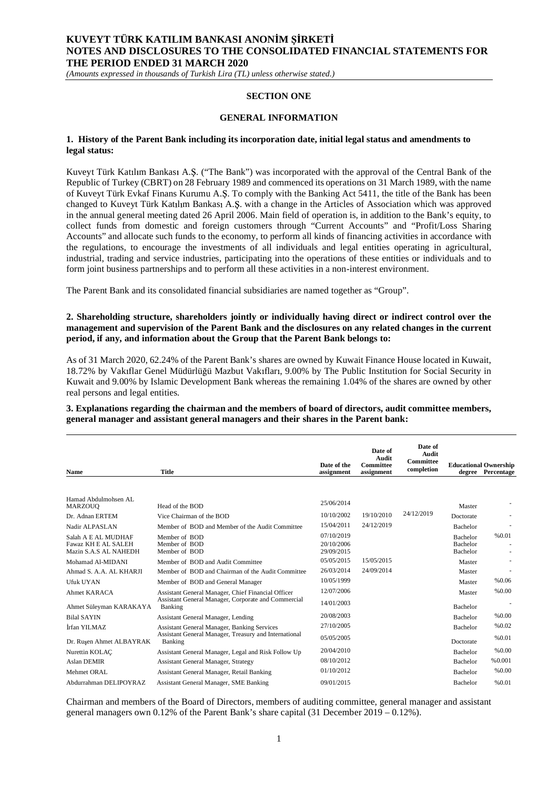*(Amounts expressed in thousands of Turkish Lira (TL) unless otherwise stated.)*

#### **SECTION ONE**

#### **GENERAL INFORMATION**

#### **1. History of the Parent Bank including its incorporation date, initial legal status and amendments to legal status:**

Kuveyt Türk Katılım Bankası A.Ş. ("The Bank") was incorporated with the approval of the Central Bank of the Republic of Turkey (CBRT) on 28 February 1989 and commenced its operations on 31 March 1989, with the name of Kuveyt Türk Evkaf Finans Kurumu A.S. To comply with the Banking Act 5411, the title of the Bank has been changed to Kuveyt Türk Katılım Bankası A.Ş. with a change in the Articles of Association which was approved in the annual general meeting dated 26 April 2006. Main field of operation is, in addition to the Bank's equity, to collect funds from domestic and foreign customers through "Current Accounts" and "Profit/Loss Sharing Accounts" and allocate such funds to the economy, to perform all kinds of financing activities in accordance with the regulations, to encourage the investments of all individuals and legal entities operating in agricultural, industrial, trading and service industries, participating into the operations of these entities or individuals and to form joint business partnerships and to perform all these activities in a non-interest environment.

The Parent Bank and its consolidated financial subsidiaries are named together as "Group".

#### **2. Shareholding structure, shareholders jointly or individually having direct or indirect control over the management and supervision of the Parent Bank and the disclosures on any related changes in the current period, if any, and information about the Group that the Parent Bank belongs to:**

As of 31 March 2020, 62.24% of the Parent Bank's shares are owned by Kuwait Finance House located in Kuwait, 18.72% by Vakıflar Genel Müdürlüğü Mazbut Vakıfları, 9.00% by The Public Institution for Social Security in Kuwait and 9.00% by Islamic Development Bank whereas the remaining 1.04% of the shares are owned by other real persons and legal entities.

**3. Explanations regarding the chairman and the members of board of directors, audit committee members, general manager and assistant general managers and their shares in the Parent bank:**

| <b>Name</b>                                  | <b>Title</b>                                                          | Date of the<br>assignment | Date of<br>Audit<br><b>Committee</b><br>assignment | Date of<br><b>Audit</b><br>Committee<br>completion |                             | <b>Educational Ownership</b><br>degree Percentage |
|----------------------------------------------|-----------------------------------------------------------------------|---------------------------|----------------------------------------------------|----------------------------------------------------|-----------------------------|---------------------------------------------------|
|                                              |                                                                       |                           |                                                    |                                                    |                             |                                                   |
| Hamad Abdulmohsen AL<br>MARZOUO              | Head of the BOD                                                       | 25/06/2014                |                                                    |                                                    | Master                      |                                                   |
| Dr. Adnan ERTEM                              | Vice Chairman of the BOD                                              | 10/10/2002                | 19/10/2010                                         | 24/12/2019                                         | Doctorate                   |                                                   |
| Nadir ALPASLAN                               | Member of BOD and Member of the Audit Committee                       | 15/04/2011                | 24/12/2019                                         |                                                    | <b>Bachelor</b>             |                                                   |
| Salah A E AL MUDHAF                          | Member of BOD                                                         | 07/10/2019                |                                                    |                                                    | <b>Bachelor</b>             | %0.01                                             |
| Fawaz KH E AL SALEH<br>Mazin S.A.S AL NAHEDH | Member of BOD<br>Member of BOD                                        | 20/10/2006<br>29/09/2015  |                                                    |                                                    | <b>Bachelor</b><br>Bachelor |                                                   |
| Mohamad Al-MIDANI                            | Member of BOD and Audit Committee                                     | 05/05/2015                | 15/05/2015                                         |                                                    | Master                      |                                                   |
| Ahmad S. A.A. AL KHARJI                      | Member of BOD and Chairman of the Audit Committee                     | 26/03/2014                | 24/09/2014                                         |                                                    | Master                      |                                                   |
| Ufuk UYAN                                    | Member of BOD and General Manager                                     | 10/05/1999                |                                                    |                                                    | Master                      | %0.06                                             |
| Ahmet KARACA                                 | Assistant General Manager, Chief Financial Officer                    | 12/07/2006                |                                                    |                                                    | Master                      | %0.00                                             |
| Ahmet Süleyman KARAKAYA                      | Assistant General Manager, Corporate and Commercial<br><b>Banking</b> | 14/01/2003                |                                                    |                                                    | <b>Bachelor</b>             |                                                   |
| <b>Bilal SAYIN</b>                           | <b>Assistant General Manager, Lending</b>                             | 20/08/2003                |                                                    |                                                    | <b>Bachelor</b>             | %0.00                                             |
| İrfan YILMAZ                                 | <b>Assistant General Manager, Banking Services</b>                    | 27/10/2005                |                                                    |                                                    | <b>Bachelor</b>             | %0.02                                             |
| Dr. Rusen Ahmet ALBAYRAK                     | Assistant General Manager, Treasury and International<br>Banking      | 05/05/2005                |                                                    |                                                    | Doctorate                   | %0.01                                             |
| Nurettin KOLAC                               | Assistant General Manager, Legal and Risk Follow Up                   | 20/04/2010                |                                                    |                                                    | <b>Bachelor</b>             | % 0.00                                            |
| <b>Aslan DEMIR</b>                           | <b>Assistant General Manager, Strategy</b>                            | 08/10/2012                |                                                    |                                                    | <b>Bachelor</b>             | %0.001                                            |
| Mehmet ORAL                                  | Assistant General Manager, Retail Banking                             | 01/10/2012                |                                                    |                                                    | <b>Bachelor</b>             | %0.00                                             |
| Abdurrahman DELIPOYRAZ                       | Assistant General Manager, SME Banking                                | 09/01/2015                |                                                    |                                                    | <b>Bachelor</b>             | %0.01                                             |

Chairman and members of the Board of Directors, members of auditing committee, general manager and assistant general managers own 0.12% of the Parent Bank's share capital  $(31$  December  $2019 - 0.12$ %).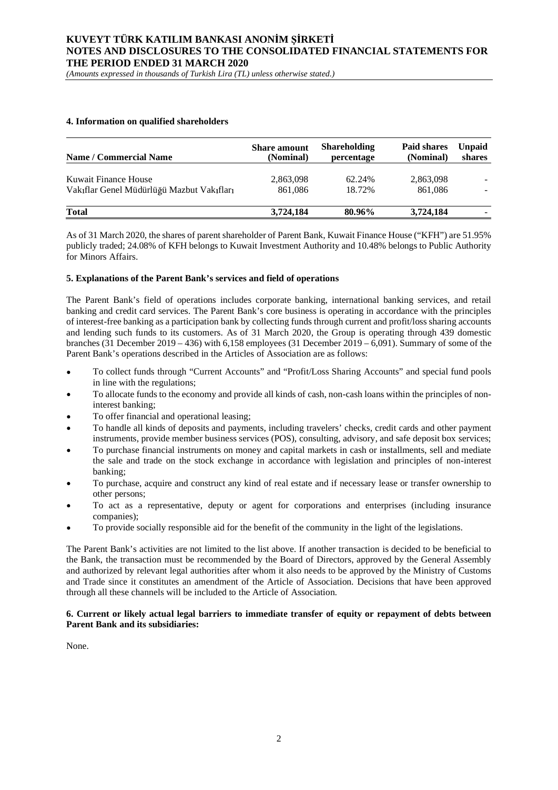*(Amounts expressed in thousands of Turkish Lira (TL) unless otherwise stated.)*

#### **4. Information on qualified shareholders**

| <b>Name / Commercial Name</b>             | <b>Share</b> amount<br>(Nominal) | <b>Shareholding</b><br>percentage | Paid shares<br>(Nominal) | <b>Unpaid</b><br>shares |
|-------------------------------------------|----------------------------------|-----------------------------------|--------------------------|-------------------------|
| Kuwait Finance House                      | 2,863,098                        | 62.24%                            | 2,863,098                |                         |
| Vakıflar Genel Müdürlüğü Mazbut Vakıfları | 861,086                          | 18.72%                            | 861.086                  |                         |
| <b>Total</b>                              | 3,724,184                        | 80.96%                            | 3,724,184                |                         |

As of 31 March 2020, the shares of parent shareholder of Parent Bank, Kuwait Finance House ("KFH") are 51.95% publicly traded; 24.08% of KFH belongs to Kuwait Investment Authority and 10.48% belongs to Public Authority for Minors Affairs.

#### **5. Explanations of the Parent Bank's services and field of operations**

The Parent Bank's field of operations includes corporate banking, international banking services, and retail banking and credit card services. The Parent Bank's core business is operating in accordance with the principles of interest-free banking as a participation bank by collecting funds through current and profit/loss sharing accounts and lending such funds to its customers. As of 31 March 2020, the Group is operating through 439 domestic branches (31 December 2019 – 436) with 6,158 employees (31 December 2019 – 6,091). Summary of some of the Parent Bank's operations described in the Articles of Association are as follows:

- To collect funds through "Current Accounts" and "Profit/Loss Sharing Accounts" and special fund pools in line with the regulations;
- To allocate funds to the economy and provide all kinds of cash, non-cash loans within the principles of noninterest banking;
- To offer financial and operational leasing;
- To handle all kinds of deposits and payments, including travelers' checks, credit cards and other payment instruments, provide member business services (POS), consulting, advisory, and safe deposit box services;
- To purchase financial instruments on money and capital markets in cash or installments, sell and mediate the sale and trade on the stock exchange in accordance with legislation and principles of non-interest banking;
- To purchase, acquire and construct any kind of real estate and if necessary lease or transfer ownership to other persons;
- To act as a representative, deputy or agent for corporations and enterprises (including insurance companies);
- To provide socially responsible aid for the benefit of the community in the light of the legislations.

The Parent Bank's activities are not limited to the list above. If another transaction is decided to be beneficial to the Bank, the transaction must be recommended by the Board of Directors, approved by the General Assembly and authorized by relevant legal authorities after whom it also needs to be approved by the Ministry of Customs and Trade since it constitutes an amendment of the Article of Association. Decisions that have been approved through all these channels will be included to the Article of Association.

#### **6. Current or likely actual legal barriers to immediate transfer of equity or repayment of debts between Parent Bank and its subsidiaries:**

None.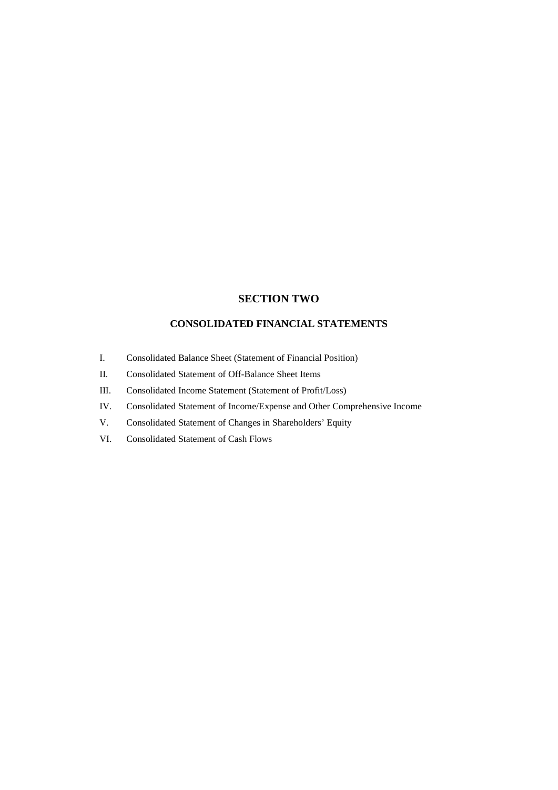# **SECTION TWO**

# **CONSOLIDATED FINANCIAL STATEMENTS**

- I. Consolidated Balance Sheet (Statement of Financial Position)
- II. Consolidated Statement of Off-Balance Sheet Items
- III. Consolidated Income Statement (Statement of Profit/Loss)
- IV. Consolidated Statement of Income/Expense and Other Comprehensive Income
- V. Consolidated Statement of Changes in Shareholders' Equity
- VI. Consolidated Statement of Cash Flows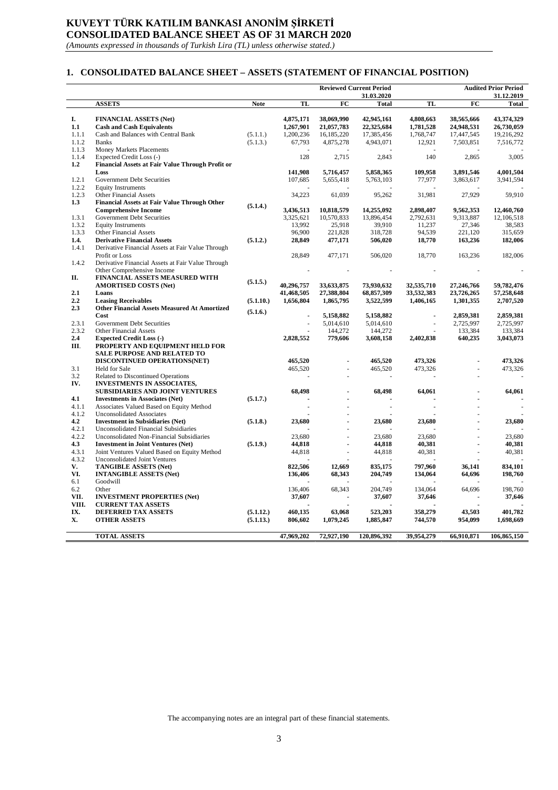# **KUVEYT TÜRK KATILIM BANKASI ANONİM ŞİRKETİ CONSOLIDATED BALANCE SHEET AS OF 31 MARCH 2020**

*(Amounts expressed in thousands of Turkish Lira (TL) unless otherwise stated.)*

### **1. CONSOLIDATED BALANCE SHEET – ASSETS (STATEMENT OF FINANCIAL POSITION)**

|                |                                                                    |             |                |                      | <b>Reviewed Current Period</b> | <b>Audited Prior Period</b> |                      |                            |
|----------------|--------------------------------------------------------------------|-------------|----------------|----------------------|--------------------------------|-----------------------------|----------------------|----------------------------|
|                | <b>ASSETS</b>                                                      | <b>Note</b> | TL             | FC                   | 31.03.2020<br><b>Total</b>     | TL                          | FC                   | 31.12.2019<br><b>Total</b> |
|                |                                                                    |             |                |                      |                                |                             |                      |                            |
| I.             | <b>FINANCIAL ASSETS (Net)</b>                                      |             | 4,875,171      | 38,069,990           | 42,945,161                     | 4,808,663                   | 38,565,666           | 43,374,329                 |
| 1.1            | <b>Cash and Cash Equivalents</b>                                   |             | 1,267,901      | 21,057,783           | 22,325,684                     | 1,781,528                   | 24,948,531           | 26,730,059                 |
| 1.1.1          | Cash and Balances with Central Bank                                | (5.1.1.)    | 1,200,236      | 16,185,220           | 17,385,456                     | 1,768,747                   | 17,447,545           | 19,216,292                 |
| 1.1.2          | <b>Banks</b>                                                       | (5.1.3.)    | 67,793         | 4,875,278            | 4,943,071                      | 12,921                      | 7,503,851            | 7,516,772                  |
| 1.1.3          | Money Markets Placements                                           |             |                |                      |                                |                             |                      |                            |
| 1.1.4          | Expected Credit Loss (-)                                           |             | 128            | 2,715                | 2,843                          | 140                         | 2,865                | 3,005                      |
| 1.2            | Financial Assets at Fair Value Through Profit or                   |             |                |                      |                                |                             |                      |                            |
|                | Loss                                                               |             | 141,908        | 5,716,457            | 5,858,365                      | 109,958                     | 3,891,546            | 4,001,504                  |
| 1.2.1          | <b>Government Debt Securities</b>                                  |             | 107,685        | 5,655,418            | 5,763,103                      | 77,977                      | 3,863,617            | 3,941,594                  |
| 1.2.2          | <b>Equity Instruments</b>                                          |             |                |                      |                                |                             |                      |                            |
| 1.2.3          | <b>Other Financial Assets</b>                                      |             | 34,223         | 61,039               | 95,262                         | 31,981                      | 27,929               | 59,910                     |
| 1.3            | <b>Financial Assets at Fair Value Through Other</b>                | (5.1.4.)    |                |                      |                                |                             |                      |                            |
|                | <b>Comprehensive Income</b>                                        |             | 3,436,513      | 10,818,579           | 14,255,092                     | 2,898,407                   | 9,562,353            | 12,460,760                 |
| 1.3.1          | Government Debt Securities                                         |             | 3,325,621      | 10,570,833           | 13,896,454                     | 2,792,631                   | 9,313,887            | 12,106,518                 |
| 1.3.2          | <b>Equity Instruments</b>                                          |             | 13,992         | 25,918               | 39,910                         | 11,237                      | 27,346               | 38,583                     |
| 1.3.3          | Other Financial Assets                                             |             | 96,900         | 221,828              | 318,728                        | 94,539                      | 221,120              | 315,659                    |
| 1.4.           | <b>Derivative Financial Assets</b>                                 | (5.1.2.)    | 28,849         | 477,171              | 506,020                        | 18,770                      | 163,236              | 182,006                    |
| 1.4.1          | Derivative Financial Assets at Fair Value Through                  |             |                |                      |                                |                             |                      |                            |
|                | Profit or Loss                                                     |             | 28,849         | 477,171              | 506,020                        | 18,770                      | 163,236              | 182,006                    |
| 1.4.2          | Derivative Financial Assets at Fair Value Through                  |             |                |                      |                                |                             |                      |                            |
|                | Other Comprehensive Income                                         |             |                |                      |                                |                             |                      |                            |
| П.             | FINANCIAL ASSETS MEASURED WITH                                     | (5.1.5.)    |                |                      |                                |                             |                      |                            |
|                | <b>AMORTISED COSTS (Net)</b>                                       |             | 40.296.757     | 33,633,875           | 73.930.632                     | 32,535,710                  | 27,246,766           | 59.782.476                 |
| 2.1            | Loans                                                              |             | 41,468,505     | 27,388,804           | 68,857,309                     | 33,532,383                  | 23,726,265           | 57,258,648                 |
| 2.2            | <b>Leasing Receivables</b>                                         | (5.1.10.)   | 1,656,804      | 1,865,795            | 3,522,599                      | 1,406,165                   | 1,301,355            | 2,707,520                  |
| 2.3            | <b>Other Financial Assets Measured At Amortized</b>                | (5.1.6.)    |                |                      |                                |                             |                      |                            |
|                | Cost                                                               |             | $\blacksquare$ | 5,158,882            | 5,158,882                      | ÷.                          | 2,859,381            | 2,859,381                  |
| 2.3.1<br>2.3.2 | <b>Government Debt Securities</b><br><b>Other Financial Assets</b> |             | ä,             | 5,014,610<br>144,272 | 5,014,610<br>144,272           |                             | 2,725,997<br>133,384 | 2,725,997<br>133,384       |
| 2,4            | <b>Expected Credit Loss (-)</b>                                    |             | 2,828,552      | 779,606              | 3,608,158                      | 2,402,838                   | 640,235              | 3,043,073                  |
| Ш.             | PROPERTY AND EQUIPMENT HELD FOR                                    |             |                |                      |                                |                             |                      |                            |
|                | SALE PURPOSE AND RELATED TO                                        |             |                |                      |                                |                             |                      |                            |
|                | DISCONTINUED OPERATIONS(NET)                                       |             | 465,520        |                      | 465,520                        | 473,326                     |                      | 473,326                    |
| 3.1            | Held for Sale                                                      |             | 465,520        | ÷,                   | 465,520                        | 473,326                     |                      | 473,326                    |
| 3.2            | Related to Discontinued Operations                                 |             |                |                      |                                |                             |                      |                            |
| IV.            | <b>INVESTMENTS IN ASSOCIATES,</b>                                  |             |                |                      |                                |                             |                      |                            |
|                | SUBSIDIARIES AND JOINT VENTURES                                    |             | 68,498         |                      | 68,498                         | 64,061                      |                      | 64,061                     |
| 4.1            | <b>Investments in Associates (Net)</b>                             | (5.1.7.)    |                |                      |                                |                             |                      |                            |
| 4.1.1          | Associates Valued Based on Equity Method                           |             |                |                      |                                |                             |                      |                            |
| 4.1.2          | <b>Unconsolidated Associates</b>                                   |             |                |                      |                                |                             |                      |                            |
| 4.2            | <b>Investment in Subsidiaries (Net)</b>                            | (5.1.8.)    | 23,680         |                      | 23,680                         | 23,680                      |                      | 23,680                     |
| 4.2.1          | Unconsolidated Financial Subsidiaries                              |             |                |                      |                                |                             |                      |                            |
| 4.2.2          | Unconsolidated Non-Financial Subsidiaries                          |             | 23,680         |                      | 23,680                         | 23,680                      |                      | 23,680                     |
| 4.3            | <b>Investment in Joint Ventures (Net)</b>                          | (5.1.9.)    | 44,818         |                      | 44,818                         | 40,381                      |                      | 40,381                     |
| 4.3.1          | Joint Ventures Valued Based on Equity Method                       |             | 44,818         |                      | 44,818                         | 40,381                      |                      | 40,381                     |
| 4.3.2          | <b>Unconsolidated Joint Ventures</b>                               |             |                |                      |                                |                             |                      |                            |
| V.             | <b>TANGIBLE ASSETS (Net)</b>                                       |             | 822,506        | 12,669               | 835,175                        | 797,960                     | 36,141               | 834,101                    |
| VI.            | <b>INTANGIBLE ASSETS (Net)</b>                                     |             | 136,406        | 68,343               | 204,749                        | 134,064                     | 64,696               | 198,760                    |
| 6.1            | Goodwill                                                           |             |                |                      |                                |                             |                      |                            |
| 6.2            | Other                                                              |             | 136,406        | 68,343               | 204,749                        | 134,064                     | 64,696               | 198.760                    |
| VII.           | <b>INVESTMENT PROPERTIES (Net)</b>                                 |             | 37,607         |                      | 37,607                         | 37,646                      |                      | 37,646                     |
| VIII.          | <b>CURRENT TAX ASSETS</b>                                          |             |                |                      |                                |                             |                      |                            |
| IX.            | <b>DEFERRED TAX ASSETS</b>                                         | (5.1.12.)   | 460,135        | 63,068               | 523,203                        | 358,279                     | 43,503               | 401,782                    |
| Х.             | <b>OTHER ASSETS</b>                                                | (5.1.13.)   | 806,602        | 1,079,245            | 1,885,847                      | 744,570                     | 954,099              | 1,698,669                  |
|                |                                                                    |             |                |                      |                                |                             |                      |                            |
|                | <b>TOTAL ASSETS</b>                                                |             | 47,969,202     | 72,927,190           | 120,896,392                    | 39,954,279                  | 66,910,871           | 106,865,150                |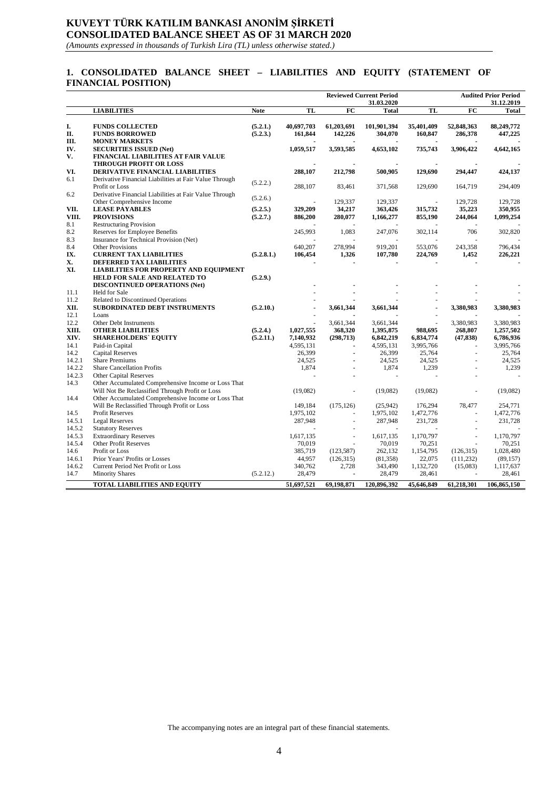# **KUVEYT TÜRK KATILIM BANKASI ANONİM ŞİRKETİ CONSOLIDATED BALANCE SHEET AS OF 31 MARCH 2020**

*(Amounts expressed in thousands of Turkish Lira (TL) unless otherwise stated.)*

### **1. CONSOLIDATED BALANCE SHEET – LIABILITIES AND EQUITY (STATEMENT OF FINANCIAL POSITION)**

|              |                                                                     |             |            |                 | <b>Reviewed Current Period</b> | <b>Audited Prior Period</b> |                 |             |
|--------------|---------------------------------------------------------------------|-------------|------------|-----------------|--------------------------------|-----------------------------|-----------------|-------------|
|              |                                                                     |             |            |                 | 31.03.2020                     |                             |                 | 31.12.2019  |
|              | <b>LIABILITIES</b>                                                  | <b>Note</b> | TL         | $\overline{FC}$ | <b>Total</b>                   | TL                          | $\overline{FC}$ | Total       |
| I.           | <b>FUNDS COLLECTED</b>                                              | (5.2.1.)    | 40,697,703 | 61,203,691      | 101,901,394                    | 35,401,409                  | 52,848,363      | 88,249,772  |
| П.           | <b>FUNDS BORROWED</b>                                               | (5.2.3.)    | 161,844    | 142,226         | 304,070                        | 160,847                     | 286,378         | 447,225     |
| Ш.           | <b>MONEY MARKETS</b>                                                |             |            |                 |                                |                             |                 |             |
| IV.          | <b>SECURITIES ISSUED (Net)</b>                                      |             | 1,059,517  | 3,593,585       | 4,653,102                      | 735,743                     | 3,906,422       | 4,642,165   |
| V.           | <b>FINANCIAL LIABILITIES AT FAIR VALUE</b>                          |             |            |                 |                                |                             |                 |             |
|              | <b>THROUGH PROFIT OR LOSS</b>                                       |             |            |                 |                                |                             |                 |             |
| VI.          | <b>DERIVATIVE FINANCIAL LIABILITIES</b>                             |             | 288,107    | 212,798         | 500,905                        | 129,690                     | 294,447         | 424,137     |
| 6.1          | Derivative Financial Liabilities at Fair Value Through              |             |            |                 |                                |                             |                 |             |
|              | Profit or Loss                                                      | (5.2.2.)    | 288,107    | 83,461          | 371,568                        | 129,690                     | 164,719         | 294,409     |
| 6.2          | Derivative Financial Liabilities at Fair Value Through              |             |            |                 |                                |                             |                 |             |
|              | Other Comprehensive Income                                          | (5.2.6.)    |            | 129,337         | 129,337                        |                             | 129,728         | 129,728     |
| VII.         | <b>LEASE PAYABLES</b>                                               | (5.2.5.)    | 329,209    | 34,217          | 363,426                        | 315,732                     | 35,223          | 350,955     |
| VIII.        | <b>PROVISIONS</b>                                                   | (5.2.7.)    | 886,200    | 280,077         | 1,166,277                      | 855,190                     | 244,064         | 1,099,254   |
| 8.1          | <b>Restructuring Provision</b>                                      |             |            |                 |                                |                             |                 |             |
| 8.2          | Reserves for Employee Benefits                                      |             | 245,993    | 1,083           | 247,076                        | 302,114                     | 706             | 302,820     |
| 8.3          | Insurance for Technical Provision (Net)                             |             |            |                 |                                |                             |                 |             |
| 8.4          | Other Provisions                                                    |             | 640,207    | 278,994         | 919,201                        | 553,076                     | 243,358         | 796,434     |
| IX.          | <b>CURRENT TAX LIABILITIES</b>                                      | (5.2.8.1.)  | 106,454    | 1,326           | 107,780                        | 224,769                     | 1,452           | 226,221     |
| X.           | <b>DEFERRED TAX LIABILITIES</b>                                     |             |            |                 |                                |                             |                 |             |
| XI.          | <b>LIABILITIES FOR PROPERTY AND EQUIPMENT</b>                       |             |            |                 |                                |                             |                 |             |
|              | HELD FOR SALE AND RELATED TO                                        | (5.2.9.)    |            |                 |                                |                             |                 |             |
|              | <b>DISCONTINUED OPERATIONS (Net)</b>                                |             |            |                 |                                |                             |                 |             |
| 11.1<br>11.2 | <b>Held for Sale</b>                                                |             |            |                 |                                |                             |                 |             |
| XII.         | Related to Discontinued Operations<br>SUBORDINATED DEBT INSTRUMENTS | (5.2.10.)   |            |                 |                                |                             | 3,380,983       |             |
| 12.1         | Loans                                                               |             |            | 3,661,344       | 3,661,344                      |                             |                 | 3,380,983   |
| 12.2         | Other Debt Instruments                                              |             |            | 3,661,344       | 3,661,344                      |                             | 3,380,983       | 3,380,983   |
| XIII.        | <b>OTHER LIABILITIES</b>                                            | (5.2.4.)    | 1,027,555  | 368,320         | 1,395,875                      | 988,695                     | 268,807         | 1,257,502   |
| XIV.         | <b>SHAREHOLDERS' EQUITY</b>                                         | (5.2.11.)   | 7,140,932  | (298, 713)      | 6,842,219                      | 6,834,774                   | (47, 838)       | 6,786,936   |
| 14.1         | Paid-in Capital                                                     |             | 4,595,131  | $\blacksquare$  | 4,595,131                      | 3,995,766                   |                 | 3,995,766   |
| 14.2         | <b>Capital Reserves</b>                                             |             | 26,399     |                 | 26,399                         | 25,764                      | ä,              | 25,764      |
| 14.2.1       | <b>Share Premiums</b>                                               |             | 24,525     | $\overline{a}$  | 24,525                         | 24,525                      |                 | 24,525      |
| 14.2.2       | <b>Share Cancellation Profits</b>                                   |             | 1,874      |                 | 1,874                          | 1,239                       |                 | 1,239       |
| 14.2.3       | <b>Other Capital Reserves</b>                                       |             |            |                 |                                |                             |                 |             |
| 14.3         | Other Accumulated Comprehensive Income or Loss That                 |             |            |                 |                                |                             |                 |             |
|              | Will Not Be Reclassified Through Profit or Loss                     |             | (19,082)   |                 | (19,082)                       | (19,082)                    |                 | (19,082)    |
| 14.4         | Other Accumulated Comprehensive Income or Loss That                 |             |            |                 |                                |                             |                 |             |
|              | Will Be Reclassified Through Profit or Loss                         |             | 149,184    | (175, 126)      | (25,942)                       | 176,294                     | 78,477          | 254,771     |
| 14.5         | <b>Profit Reserves</b>                                              |             | 1,975,102  |                 | 1,975,102                      | 1,472,776                   |                 | 1,472,776   |
| 14.5.1       | <b>Legal Reserves</b>                                               |             | 287,948    | ÷,              | 287,948                        | 231,728                     | ÷,              | 231,728     |
| 14.5.2       | <b>Statutory Reserves</b>                                           |             |            |                 |                                |                             |                 |             |
| 14.5.3       | <b>Extraordinary Reserves</b>                                       |             | 1,617,135  | ÷,              | 1,617,135                      | 1,170,797                   | ä,              | 1,170,797   |
| 14.5.4       | <b>Other Profit Reserves</b>                                        |             | 70,019     |                 | 70,019                         | 70,251                      |                 | 70,251      |
| 14.6         | Profit or Loss                                                      |             | 385,719    | (123, 587)      | 262,132                        | 1,154,795                   | (126,315)       | 1,028,480   |
| 14.6.1       | Prior Years' Profits or Losses                                      |             | 44,957     | (126, 315)      | (81, 358)                      | 22,075                      | (111, 232)      | (89, 157)   |
| 14.6.2       | Current Period Net Profit or Loss                                   |             | 340,762    | 2,728           | 343,490                        | 1,132,720                   | (15,083)        | 1,117,637   |
| 14.7         | <b>Minority Shares</b>                                              | (5.2.12.)   | 28,479     |                 | 28,479                         | 28,461                      |                 | 28,461      |
|              | <b>TOTAL LIABILITIES AND EQUITY</b>                                 |             | 51,697,521 | 69,198,871      | 120,896,392                    | 45,646,849                  | 61,218,301      | 106,865,150 |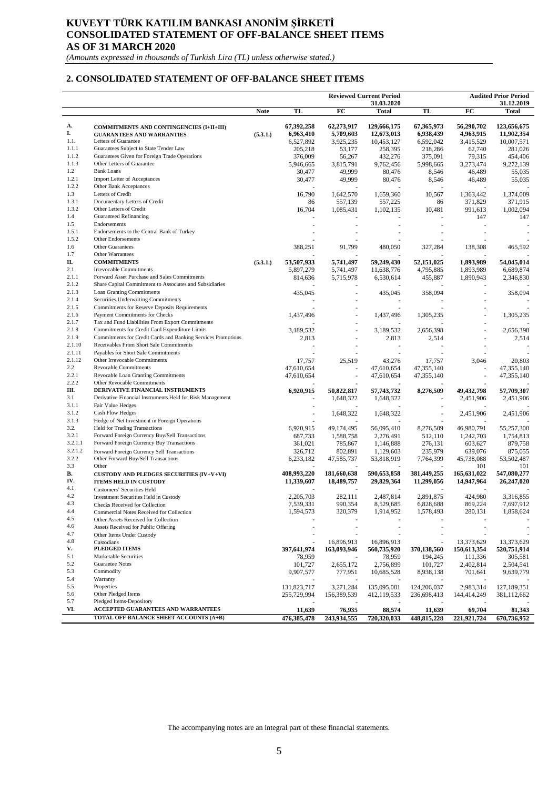## **KUVEYT TÜRK KATILIM BANKASI ANONİM ŞİRKETİ CONSOLIDATED STATEMENT OF OFF-BALANCE SHEET ITEMS AS OF 31 MARCH 2020**

*(Amounts expressed in thousands of Turkish Lira (TL) unless otherwise stated.)*

### **2. CONSOLIDATED STATEMENT OF OFF-BALANCE SHEET ITEMS**

|                |                                                                                             |             |                      |                    | <b>Reviewed Current Period</b> |                    |                      | <b>Audited Prior Period</b> |
|----------------|---------------------------------------------------------------------------------------------|-------------|----------------------|--------------------|--------------------------------|--------------------|----------------------|-----------------------------|
|                |                                                                                             | <b>Note</b> | TL                   | FC                 | 31.03.2020<br><b>Total</b>     | TL                 | FC                   | 31.12.2019<br><b>Total</b>  |
|                |                                                                                             |             |                      |                    |                                |                    |                      |                             |
| А.             | <b>COMMITMENTS AND CONTINGENCIES (I+II+III)</b>                                             |             | 67,392,258           | 62,273,917         | 129,666,175                    | 67,365,973         | 56,290,702           | 123,656,675                 |
| I.             | <b>GUARANTEES AND WARRANTIES</b>                                                            | (5.3.1.)    | 6,963,410            | 5,709,603          | 12,673,013                     | 6,938,439          | 4,963,915            | 11,902,354                  |
| 1.1.           | Letters of Guarantee                                                                        |             | 6,527,892            | 3,925,235          | 10,453,127                     | 6,592,042          | 3,415,529            | 10,007,571                  |
| 1.1.1<br>1.1.2 | Guarantees Subject to State Tender Law                                                      |             | 205,218              | 53,177             | 258,395                        | 218,286            | 62,740               | 281,026                     |
| 1.1.3          | Guarantees Given for Foreign Trade Operations<br>Other Letters of Guarantee                 |             | 376,009              | 56,267             | 432,276                        | 375,091            | 79,315               | 454,406                     |
| 1.2            | <b>Bank Loans</b>                                                                           |             | 5,946,665            | 3,815,791          | 9,762,456                      | 5,998,665          | 3,273,474            | 9,272,139                   |
| 1.2.1          | <b>Import Letter of Acceptances</b>                                                         |             | 30,477<br>30,477     | 49,999<br>49,999   | 80,476                         | 8,546<br>8,546     | 46,489               | 55,035<br>55,035            |
| 1.2.2          | Other Bank Acceptances                                                                      |             |                      |                    | 80,476                         |                    | 46,489               |                             |
| 1.3            | Letters of Credit                                                                           |             | 16,790               | 1,642,570          | 1,659,360                      | 10,567             | 1,363,442            | 1,374,009                   |
| 1.3.1          | Documentary Letters of Credit                                                               |             | 86                   | 557,139            | 557,225                        | 86                 | 371,829              | 371,915                     |
| 1.3.2          | Other Letters of Credit                                                                     |             | 16,704               | 1,085,431          | 1,102,135                      | 10,481             | 991,613              | 1,002,094                   |
| 1.4            | Guaranteed Refinancing                                                                      |             |                      |                    |                                |                    | 147                  | 147                         |
| 1.5            | Endorsements                                                                                |             |                      |                    |                                |                    |                      |                             |
| 1.5.1          | Endorsements to the Central Bank of Turkey                                                  |             |                      |                    |                                |                    |                      |                             |
| 1.5.2          | Other Endorsements                                                                          |             |                      |                    |                                |                    |                      |                             |
| 1.6            | Other Guarantees                                                                            |             | 388,251              | 91,799             | 480,050                        | 327,284            | 138,308              | 465,592                     |
| 1.7            | Other Warrantees                                                                            |             |                      |                    |                                |                    |                      |                             |
| П.             | <b>COMMITMENTS</b>                                                                          | (5.3.1.)    | 53,507,933           | 5,741,497          | 59,249,430                     | 52,151,025         | 1,893,989            | 54,045,014                  |
| 2.1            | <b>Irrevocable Commitments</b>                                                              |             | 5,897,279            | 5,741,497          | 11,638,776                     | 4,795,885          | 1,893,989            | 6,689,874                   |
| 2.1.1          | Forward Asset Purchase and Sales Commitments                                                |             | 814,636              | 5,715,978          | 6,530,614                      | 455,887            | 1,890,943            | 2,346,830                   |
| 2.1.2          | Share Capital Commitment to Associates and Subsidiaries                                     |             |                      |                    |                                |                    |                      |                             |
| 2.1.3          | Loan Granting Commitments                                                                   |             | 435,045              |                    | 435,045                        | 358,094            |                      | 358,094                     |
| 2.1.4<br>2.1.5 | Securities Underwriting Commitments<br>Commitments for Reserve Deposits Requirements        |             |                      |                    |                                |                    |                      |                             |
| 2.1.6          | Payment Commitments for Checks                                                              |             |                      |                    |                                |                    |                      |                             |
| 2.1.7          | Tax and Fund Liabilities From Export Commitments                                            |             | 1,437,496            |                    | 1,437,496                      | 1,305,235          |                      | 1,305,235                   |
| 2.1.8          | Commitments for Credit Card Expenditure Limits                                              |             | 3,189,532            |                    | 3,189,532                      | 2,656,398          |                      | 2,656,398                   |
| 2.1.9          | Commitments for Credit Cards and Banking Services Promotions                                |             | 2,813                |                    | 2,813                          | 2,514              |                      | 2,514                       |
| 2.1.10         | Receivables From Short Sale Commitments                                                     |             |                      |                    |                                |                    |                      |                             |
| 2.1.11         | Payables for Short Sale Commitments                                                         |             |                      |                    |                                |                    |                      |                             |
| 2.1.12         | Other Irrevocable Commitments                                                               |             | 17,757               | 25,519             | 43,276                         | 17,757             | 3,046                | 20,803                      |
| $2.2\,$        | Revocable Commitments                                                                       |             | 47,610,654           |                    | 47,610,654                     | 47, 355, 140       |                      | 47, 355, 140                |
| 2.2.1          | Revocable Loan Granting Commitments                                                         |             | 47,610,654           |                    | 47,610,654                     | 47, 355, 140       | J.                   | 47,355,140                  |
| 2.2.2          | Other Revocable Commitments                                                                 |             |                      |                    |                                |                    |                      |                             |
| Ш.             | DERIVATIVE FINANCIAL INSTRUMENTS                                                            |             | 6,920,915            | 50,822,817         | 57,743,732                     | 8,276,509          | 49, 432, 798         | 57,709,307                  |
| 3.1            | Derivative Financial Instruments Held for Risk Management                                   |             |                      | 1,648,322          | 1,648,322                      |                    | 2,451,906            | 2,451,906                   |
| 3.1.1          | Fair Value Hedges                                                                           |             |                      |                    |                                |                    |                      |                             |
| 3.1.2          | <b>Cash Flow Hedges</b>                                                                     |             |                      | 1,648,322          | 1,648,322                      |                    | 2,451,906            | 2,451,906                   |
| 3.1.3          | Hedge of Net Investment in Foreign Operations                                               |             |                      |                    |                                |                    |                      |                             |
| 3.2.<br>3.2.1  | Held for Trading Transactions                                                               |             | 6,920,915            | 49,174,495         | 56,095,410                     | 8,276,509          | 46,980,791           | 55,257,300                  |
| 3.2.1.1        | Forward Foreign Currency Buy/Sell Transactions<br>Forward Foreign Currency Buy Transactions |             | 687,733              | 1,588,758          | 2,276,491                      | 512,110            | 1,242,703            | 1,754,813                   |
| 3.2.1.2        |                                                                                             |             | 361,021              | 785,867<br>802,891 | 1,146,888                      | 276,131<br>235,979 | 603,627<br>639,076   | 879,758<br>875,055          |
| 3.2.2          | Forward Foreign Currency Sell Transactions<br>Other Forward Buy/Sell Transactions           |             | 326,712<br>6,233,182 | 47,585,737         | 1,129,603<br>53,818,919        | 7,764,399          | 45,738,088           | 53,502,487                  |
| 3.3            | Other                                                                                       |             |                      |                    |                                |                    | 101                  | 101                         |
| В.             | <b>CUSTODY AND PLEDGES SECURITIES (IV+V+VI)</b>                                             |             | 408,993,220          | 181,660,638        | 590,653,858                    | 381,449,255        | 165,631,022          | 547,080,277                 |
| IV.            | <b>ITEMS HELD IN CUSTODY</b>                                                                |             | 11,339,607           | 18,489,757         | 29,829,364                     | 11,299,056         | 14,947,964           | 26,247,020                  |
| 4.1            | Customers' Securities Held                                                                  |             |                      |                    |                                |                    |                      |                             |
| 4.2            | Investment Securities Held in Custody                                                       |             | 2,205,703            | 282,111            | 2,487,814                      | 2,891,875          | 424,980              | 3,316,855                   |
| 4.3            | Checks Received for Collection                                                              |             | 7,539,331            | 990,354            | 8,529,685                      | 6,828,688          | 869,224              | 7,697,912                   |
| 4.4            | Commercial Notes Received for Collection                                                    |             | 1,594,573            | 320,379            | 1,914,952                      | 1,578,493          | 280,131              | 1,858,624                   |
| 4.5            | Other Assets Received for Collection                                                        |             |                      |                    |                                |                    |                      |                             |
| 4.6            | Assets Received for Public Offering                                                         |             |                      |                    |                                |                    |                      |                             |
| 4.7            | Other Items Under Custody                                                                   |             |                      |                    |                                |                    |                      |                             |
| 4.8            | Custodians                                                                                  |             |                      | 16,896,913         | 16,896,913                     |                    | 13,373,629           | 13,373,629                  |
| V.             | <b>PLEDGED ITEMS</b>                                                                        |             | 397,641,974          | 163,093,946        | 560,735,920                    | 370,138,560        | 150,613,354          | 520,751,914                 |
| 5.1<br>5.2     | Marketable Securities<br>Guarantee Notes                                                    |             | 78,959               |                    | 78,959                         | 194,245            | 111,336              | 305,581                     |
| 5.3            | Commodity                                                                                   |             | 101,727              | 2,655,172          | 2,756,899                      | 101,727            | 2,402,814<br>701,641 | 2,504,541                   |
| 5.4            | Warranty                                                                                    |             | 9,907,577            | 777,951            | 10,685,528                     | 8,938,138          |                      | 9,639,779                   |
| 5.5            | Properties                                                                                  |             | 131,823,717          | 3,271,284          | 135,095,001                    | 124,206,037        | 2,983,314            | 127, 189, 351               |
| 5.6            | Other Pledged Items                                                                         |             | 255,729,994          | 156,389,539        | 412,119,533                    | 236,698,413        | 144,414,249          | 381, 112, 662               |
| 5.7            | Pledged Items-Depository                                                                    |             |                      |                    |                                |                    |                      |                             |
| VI.            | ACCEPTED GUARANTEES AND WARRANTEES                                                          |             | 11,639               | 76,935             | 88,574                         | 11,639             | 69,704               | 81,343                      |
|                | TOTAL OFF BALANCE SHEET ACCOUNTS (A+B)                                                      |             | 476,385,478          | 243,934,555        | 720,320,033                    | 448, 815, 228      | 221,921,724          | 670,736,952                 |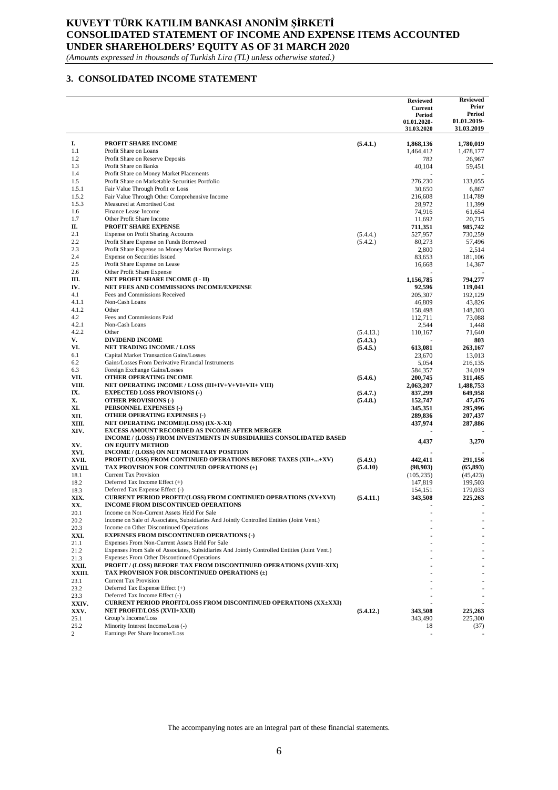## **KUVEYT TÜRK KATILIM BANKASI ANONİM ŞİRKETİ CONSOLIDATED STATEMENT OF INCOME AND EXPENSE ITEMS ACCOUNTED UNDER SHAREHOLDERS' EQUITY AS OF 31 MARCH 2020**

*(Amounts expressed in thousands of Turkish Lira (TL) unless otherwise stated.)*

#### **3. CONSOLIDATED INCOME STATEMENT**

|                |                                                                                                                                                    |                      | <b>Reviewed</b><br><b>Current</b><br>Period<br>01.01.2020-<br>31.03.2020 | <b>Reviewed</b><br>Prior<br>Period<br>01.01.2019-<br>31.03.2019 |
|----------------|----------------------------------------------------------------------------------------------------------------------------------------------------|----------------------|--------------------------------------------------------------------------|-----------------------------------------------------------------|
| I.             | <b>PROFIT SHARE INCOME</b>                                                                                                                         | (5.4.1.)             | 1,868,136                                                                | 1,780,019                                                       |
| 1.1            | Profit Share on Loans                                                                                                                              |                      | 1,464,412                                                                | 1,478,177                                                       |
| 1.2            | Profit Share on Reserve Deposits                                                                                                                   |                      | 782                                                                      | 26,967                                                          |
| 1.3            | Profit Share on Banks                                                                                                                              |                      | 40,104                                                                   | 59,451                                                          |
| 1.4            | Profit Share on Money Market Placements                                                                                                            |                      |                                                                          |                                                                 |
| 1.5            | Profit Share on Marketable Securities Portfolio                                                                                                    |                      | 276,230                                                                  | 133,055                                                         |
| 1.5.1          | Fair Value Through Profit or Loss                                                                                                                  |                      | 30,650                                                                   | 6,867                                                           |
| 1.5.2          | Fair Value Through Other Comprehensive Income                                                                                                      |                      | 216,608                                                                  | 114,789                                                         |
| 1.5.3          | Measured at Amortised Cost                                                                                                                         |                      | 28,972                                                                   | 11,399                                                          |
| 1.6<br>1.7     | Finance Lease Income<br>Other Profit Share Income                                                                                                  |                      | 74.916<br>11,692                                                         | 61,654<br>20,715                                                |
| П.             | <b>PROFIT SHARE EXPENSE</b>                                                                                                                        |                      | 711,351                                                                  | 985,742                                                         |
| 2.1            | <b>Expense on Profit Sharing Accounts</b>                                                                                                          | (5.4.4.)             | 527,957                                                                  | 730,259                                                         |
| 2.2            | Profit Share Expense on Funds Borrowed                                                                                                             | (5.4.2.)             | 80,273                                                                   | 57,496                                                          |
| 2.3            | Profit Share Expense on Money Market Borrowings                                                                                                    |                      | 2,800                                                                    | 2,514                                                           |
| 2.4            | Expense on Securities Issued                                                                                                                       |                      | 83,653                                                                   | 181,106                                                         |
| 2.5            | Profit Share Expense on Lease                                                                                                                      |                      | 16,668                                                                   | 14,367                                                          |
| 2.6            | Other Profit Share Expense                                                                                                                         |                      |                                                                          |                                                                 |
| Ш.             | NET PROFIT SHARE INCOME (I - II)                                                                                                                   |                      | 1,156,785                                                                | 794,277                                                         |
| IV.            | NET FEES AND COMMISSIONS INCOME/EXPENSE                                                                                                            |                      | 92,596                                                                   | 119,041                                                         |
| 4.1            | Fees and Commissions Received                                                                                                                      |                      | 205,307                                                                  | 192.129                                                         |
| 4.1.1          | Non-Cash Loans                                                                                                                                     |                      | 46,809                                                                   | 43,826                                                          |
| 4.1.2          | Other                                                                                                                                              |                      | 158,498                                                                  | 148,303                                                         |
| 4.2            | Fees and Commissions Paid                                                                                                                          |                      | 112,711                                                                  | 73,088                                                          |
| 4.2.1<br>4.2.2 | Non-Cash Loans<br>Other                                                                                                                            |                      | 2,544                                                                    | 1,448                                                           |
| V.             | <b>DIVIDEND INCOME</b>                                                                                                                             | (5.4.13.)            | 110,167                                                                  | 71,640<br>803                                                   |
| VI.            | <b>NET TRADING INCOME / LOSS</b>                                                                                                                   | (5.4.3.)<br>(5.4.5.) | 613,081                                                                  | 263,167                                                         |
| 6.1            | Capital Market Transaction Gains/Losses                                                                                                            |                      | 23,670                                                                   | 13,013                                                          |
| 6.2            | Gains/Losses From Derivative Financial Instruments                                                                                                 |                      | 5,054                                                                    | 216,135                                                         |
| 6.3            | Foreign Exchange Gains/Losses                                                                                                                      |                      | 584,357                                                                  | 34,019                                                          |
| VII.           | OTHER OPERATING INCOME                                                                                                                             | (5.4.6.)             | 200,745                                                                  | 311,465                                                         |
| VIII.          | NET OPERATING INCOME / LOSS (III+IV+V+VI+VII+ VIII)                                                                                                |                      | 2,063,207                                                                | 1,488,753                                                       |
| IX.            | <b>EXPECTED LOSS PROVISIONS (-)</b>                                                                                                                | (5.4.7.)             | 837,299                                                                  | 649,958                                                         |
| X.             | <b>OTHER PROVISIONS (-)</b>                                                                                                                        | (5.4.8.)             | 152,747                                                                  | 47,476                                                          |
| XI.            | PERSONNEL EXPENSES (-)                                                                                                                             |                      | 345,351                                                                  | 295,996                                                         |
| XII.           | <b>OTHER OPERATING EXPENSES (-)</b>                                                                                                                |                      | 289,836                                                                  | 207,437                                                         |
| XIII.          | NET OPERATING INCOME/(LOSS) (IX-X-XI)                                                                                                              |                      | 437,974                                                                  | 287,886                                                         |
| XIV.           | <b>EXCESS AMOUNT RECORDED AS INCOME AFTER MERGER</b>                                                                                               |                      |                                                                          |                                                                 |
|                | INCOME / (LOSS) FROM INVESTMENTS IN SUBSIDIARIES CONSOLIDATED BASED                                                                                |                      | 4,437                                                                    | 3,270                                                           |
| XV.<br>XVI.    | <b>ON EQUITY METHOD</b><br>INCOME / (LOSS) ON NET MONETARY POSITION                                                                                |                      |                                                                          |                                                                 |
| XVII.          | PROFIT/(LOSS) FROM CONTINUED OPERATIONS BEFORE TAXES (XII++XV)                                                                                     | (5.4.9.)             | 442,411                                                                  | 291,156                                                         |
| XVIII.         | TAX PROVISION FOR CONTINUED OPERATIONS $(\pm)$                                                                                                     | (5.4.10)             | (98, 903)                                                                | (65, 893)                                                       |
| 18.1           | <b>Current Tax Provision</b>                                                                                                                       |                      | (105, 235)                                                               | (45, 423)                                                       |
| 18.2           | Deferred Tax Income Effect (+)                                                                                                                     |                      | 147,819                                                                  | 199,503                                                         |
| 18.3           | Deferred Tax Expense Effect (-)                                                                                                                    |                      | 154,151                                                                  | 179,033                                                         |
| XIX.           | <b>CURRENT PERIOD PROFIT/(LOSS) FROM CONTINUED OPERATIONS (XV±XVI)</b>                                                                             | (5.4.11.)            | 343,508                                                                  | 225,263                                                         |
| XX.            | <b>INCOME FROM DISCONTINUED OPERATIONS</b>                                                                                                         |                      |                                                                          | $\blacksquare$                                                  |
| 20.1           | Income on Non-Current Assets Held For Sale                                                                                                         |                      |                                                                          |                                                                 |
| 20.2           | Income on Sale of Associates, Subsidiaries And Jointly Controlled Entities (Joint Vent.)                                                           |                      |                                                                          |                                                                 |
| 20.3           | Income on Other Discontinued Operations                                                                                                            |                      |                                                                          |                                                                 |
| XXI.           | <b>EXPENSES FROM DISCONTINUED OPERATIONS (-)</b>                                                                                                   |                      |                                                                          |                                                                 |
| 21.1           | Expenses From Non-Current Assets Held For Sale                                                                                                     |                      |                                                                          |                                                                 |
| 21.2           | Expenses From Sale of Associates, Subsidiaries And Jointly Controlled Entities (Joint Vent.)<br><b>Expenses From Other Discontinued Operations</b> |                      |                                                                          |                                                                 |
| 21.3<br>XXII.  | PROFIT / (LOSS) BEFORE TAX FROM DISCONTINUED OPERATIONS (XVIII-XIX)                                                                                |                      |                                                                          |                                                                 |
| XXIII.         | TAX PROVISION FOR DISCONTINUED OPERATIONS (±)                                                                                                      |                      |                                                                          |                                                                 |
| 23.1           | <b>Current Tax Provision</b>                                                                                                                       |                      |                                                                          |                                                                 |
| 23.2           | Deferred Tax Expense Effect (+)                                                                                                                    |                      |                                                                          |                                                                 |
| 23.3           | Deferred Tax Income Effect (-)                                                                                                                     |                      |                                                                          |                                                                 |
| XXIV.          | <b>CURRENT PERIOD PROFIT/LOSS FROM DISCONTINUED OPERATIONS (XX±XXI)</b>                                                                            |                      |                                                                          |                                                                 |
| XXV.           | <b>NET PROFIT/LOSS (XVII+XXII)</b>                                                                                                                 | (5.4.12.)            | 343,508                                                                  | 225,263                                                         |
| 25.1           | Group's Income/Loss                                                                                                                                |                      | 343,490                                                                  | 225,300                                                         |
| 25.2           | Minority Interest Income/Loss (-)                                                                                                                  |                      | 18                                                                       | (37)                                                            |
| $\overline{c}$ | Earnings Per Share Income/Loss                                                                                                                     |                      |                                                                          |                                                                 |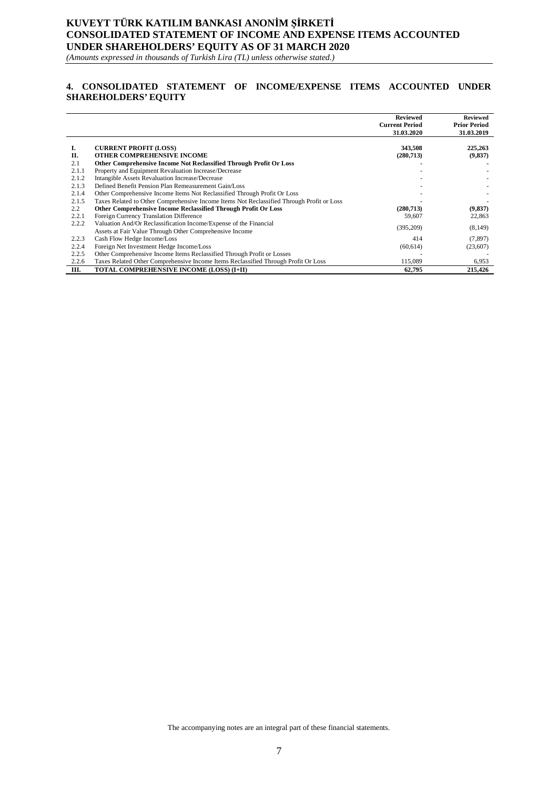# **KUVEYT TÜRK KATILIM BANKASI ANONİM ŞİRKETİ CONSOLIDATED STATEMENT OF INCOME AND EXPENSE ITEMS ACCOUNTED UNDER SHAREHOLDERS' EQUITY AS OF 31 MARCH 2020**

*(Amounts expressed in thousands of Turkish Lira (TL) unless otherwise stated.)*

## **4. CONSOLIDATED STATEMENT OF INCOME/EXPENSE ITEMS ACCOUNTED UNDER SHAREHOLDERS' EQUITY**

|       |                                                                                           | <b>Reviewed</b><br><b>Current Period</b> | <b>Reviewed</b><br><b>Prior Period</b> |
|-------|-------------------------------------------------------------------------------------------|------------------------------------------|----------------------------------------|
|       |                                                                                           | 31.03.2020                               | 31.03.2019                             |
| Ī.    | <b>CURRENT PROFIT (LOSS)</b>                                                              | 343,508                                  | 225,263                                |
| П.    | OTHER COMPREHENSIVE INCOME                                                                | (280,713)                                | (9,837)                                |
| 2.1   | Other Comprehensive Income Not Reclassified Through Profit Or Loss                        |                                          |                                        |
| 2.1.1 | Property and Equipment Revaluation Increase/Decrease                                      |                                          |                                        |
| 2.1.2 | Intangible Assets Revaluation Increase/Decrease                                           |                                          |                                        |
| 2.1.3 | Defined Benefit Pension Plan Remeasurement Gain/Loss                                      |                                          |                                        |
| 2.1.4 | Other Comprehensive Income Items Not Reclassified Through Profit Or Loss                  |                                          |                                        |
| 2.1.5 | Taxes Related to Other Comprehensive Income Items Not Reclassified Through Profit or Loss |                                          |                                        |
| 2.2   | Other Comprehensive Income Reclassified Through Profit Or Loss                            | (280,713)                                | (9, 837)                               |
| 2.2.1 | Foreign Currency Translation Difference                                                   | 59,607                                   | 22,863                                 |
| 2.2.2 | Valuation And/Or Reclassification Income/Expense of the Financial                         | (395,209)                                | (8,149)                                |
|       | Assets at Fair Value Through Other Comprehensive Income                                   |                                          |                                        |
| 2.2.3 | Cash Flow Hedge Income/Loss                                                               | 414                                      | (7, 897)                               |
| 2.2.4 | Foreign Net Investment Hedge Income/Loss                                                  | (60, 614)                                | (23,607)                               |
| 2.2.5 | Other Comprehensive Income Items Reclassified Through Profit or Losses                    |                                          |                                        |
| 2.2.6 | Taxes Related Other Comprehensive Income Items Reclassified Through Profit Or Loss        | 115,089                                  | 6,953                                  |
| III.  | TOTAL COMPREHENSIVE INCOME (LOSS) (I+II)                                                  | 62,795                                   | 215,426                                |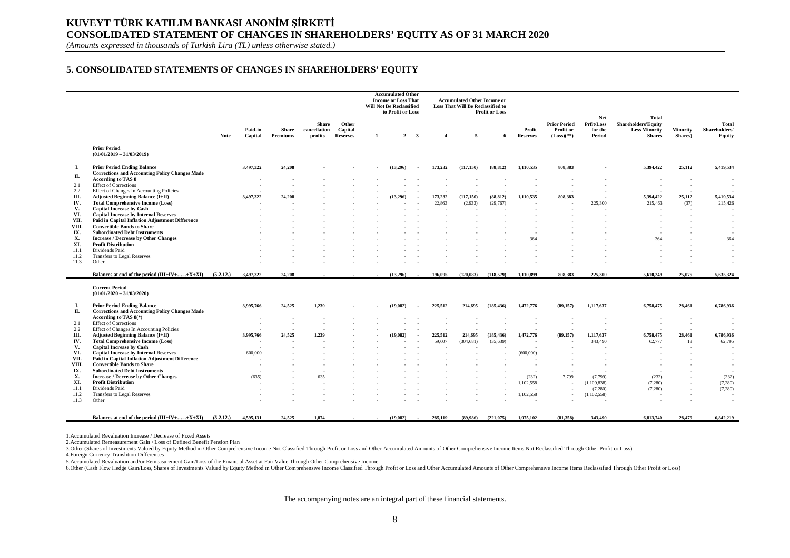# **KUVEYT TÜRK KATILIM BANKASI ANONİM ŞİRKETİ CONSOLIDATED STATEMENT OF CHANGES IN SHAREHOLDERS' EQUITY AS OF 31 MARCH 2020**

*(Amounts expressed in thousands of Turkish Lira (TL) unless otherwise stated.)*

### **5. CONSOLIDATED STATEMENTS OF CHANGES IN SHAREHOLDERS' EQUITY**

|              |                                                                                             |             |                    |                          |                                         |                                     |        | <b>Accumulated Other</b><br><b>Income or Loss That</b><br><b>Will Not Be Reclassified</b><br>to Profit or Loss |                         |                        | <b>Accumulated Other Income or</b><br>Loss That Will Be Reclassified to | <b>Profit or Loss</b>  |                           |                                                  | Net                             | Total                                                                |                     |                                         |
|--------------|---------------------------------------------------------------------------------------------|-------------|--------------------|--------------------------|-----------------------------------------|-------------------------------------|--------|----------------------------------------------------------------------------------------------------------------|-------------------------|------------------------|-------------------------------------------------------------------------|------------------------|---------------------------|--------------------------------------------------|---------------------------------|----------------------------------------------------------------------|---------------------|-----------------------------------------|
|              |                                                                                             | <b>Note</b> | Paid-in<br>Capital | <b>Share</b><br>Premiums | <b>Share</b><br>cancellation<br>profits | Other<br>Capital<br><b>Reserves</b> |        | $\overline{2}$                                                                                                 | $\overline{\mathbf{3}}$ | $\boldsymbol{\Lambda}$ | 5                                                                       | -6                     | Profit<br><b>Reserves</b> | <b>Prior Period</b><br>Profit or<br>$(Loss)(**)$ | Prfit/Loss<br>for the<br>Period | <b>Shareholders' Equity</b><br><b>Less Minority</b><br><b>Shares</b> | Minority<br>Shares) | <b>Total</b><br>Shareholders'<br>Equity |
|              | <b>Prior Period</b><br>$(01/01/2019 - 31/03/2019)$                                          |             |                    |                          |                                         |                                     |        |                                                                                                                |                         |                        |                                                                         |                        |                           |                                                  |                                 |                                                                      |                     |                                         |
| L.<br>П.     | <b>Prior Period Ending Balance</b><br><b>Corrections and Accounting Policy Changes Made</b> |             | 3,497,322          | 24,208                   |                                         |                                     |        | (13.296)                                                                                                       |                         | 173,232                | (117, 150)                                                              | (88.812)               | 1.110.535                 | 808,383                                          |                                 | 5.394.422                                                            | 25,112              | 5,419,534                               |
|              | According to TAS 8                                                                          |             | ٠                  |                          |                                         |                                     |        |                                                                                                                |                         |                        |                                                                         |                        |                           |                                                  |                                 |                                                                      |                     |                                         |
| 2.1          | <b>Effect of Corrections</b><br>Effect of Changes in Accounting Policies                    |             |                    |                          |                                         |                                     |        |                                                                                                                |                         |                        |                                                                         |                        |                           |                                                  |                                 |                                                                      |                     |                                         |
| 2.2<br>Ш.    | <b>Adjusted Beginning Balance (I+II)</b>                                                    |             | 3.497.322          | 24,208                   |                                         |                                     |        | (13.296)                                                                                                       |                         | 173.232                | (117, 150)                                                              | (88, 812)              | 1.110.535                 | 808.383                                          |                                 | 5,394,422                                                            | 25.112              | 5,419,534                               |
| IV.          | <b>Total Comprehensive Income (Loss)</b>                                                    |             |                    |                          |                                         |                                     |        |                                                                                                                |                         | 22,863                 | (2,933)                                                                 | (29,767)               |                           |                                                  | 225,300                         | 215,463                                                              | (37)                | 215,426                                 |
| V.           | <b>Capital Increase by Cash</b>                                                             |             |                    |                          |                                         |                                     |        |                                                                                                                |                         |                        |                                                                         |                        |                           |                                                  |                                 |                                                                      |                     |                                         |
| VI.          | <b>Capital Increase by Internal Reserves</b>                                                |             |                    |                          |                                         |                                     |        |                                                                                                                |                         |                        |                                                                         |                        |                           |                                                  |                                 |                                                                      |                     |                                         |
| VII.         | Paid in Capital Inflation Adjustment Difference                                             |             |                    |                          |                                         |                                     |        |                                                                                                                |                         |                        |                                                                         |                        |                           |                                                  |                                 |                                                                      |                     |                                         |
| VIII.        | <b>Convertible Bonds to Share</b>                                                           |             |                    |                          |                                         |                                     |        |                                                                                                                |                         |                        |                                                                         |                        |                           |                                                  |                                 |                                                                      |                     |                                         |
| IX.          | <b>Subordinated Debt Instruments</b>                                                        |             |                    |                          |                                         |                                     |        |                                                                                                                |                         |                        |                                                                         |                        |                           |                                                  |                                 |                                                                      |                     |                                         |
| Х.           | <b>Increase / Decrease by Other Changes</b>                                                 |             |                    |                          |                                         |                                     |        |                                                                                                                |                         |                        |                                                                         |                        | 364                       |                                                  |                                 | 364                                                                  |                     | 364                                     |
| XI.          | <b>Profit Distribution</b>                                                                  |             |                    |                          |                                         |                                     |        |                                                                                                                |                         |                        |                                                                         |                        |                           |                                                  |                                 |                                                                      |                     |                                         |
| 11.1         | Dividends Paid<br>Transfers to Legal Reserves                                               |             |                    |                          |                                         |                                     |        |                                                                                                                |                         |                        |                                                                         |                        |                           |                                                  |                                 |                                                                      |                     |                                         |
| 11.2<br>11.3 | Other                                                                                       |             |                    |                          |                                         |                                     |        |                                                                                                                |                         |                        |                                                                         |                        |                           |                                                  |                                 |                                                                      |                     |                                         |
|              |                                                                                             |             |                    |                          |                                         |                                     |        |                                                                                                                |                         |                        |                                                                         |                        |                           |                                                  |                                 |                                                                      |                     |                                         |
|              | Balances at end of the period $(III+IV++X+XI)$                                              | (5.2.12.)   | 3,497,322          | 24,208                   | $\sim$                                  | .                                   | $\sim$ | (13,296)                                                                                                       | $\sim$                  | 196,095                | (120, 083)                                                              | (118.579)              | 1.110.899                 | 808.383                                          | 225,300                         | 5,610,249                                                            | 25.075              | 5,635,324                               |
|              | <b>Current Period</b><br>$(01/01/2020 - 31/03/2020)$                                        |             |                    |                          |                                         |                                     |        |                                                                                                                |                         |                        |                                                                         |                        |                           |                                                  |                                 |                                                                      |                     |                                         |
| L.<br>П.     | <b>Prior Period Ending Balance</b><br><b>Corrections and Accounting Policy Changes Made</b> |             | 3,995,766          | 24,525                   | 1,239                                   |                                     |        | (19,082)                                                                                                       |                         | 225,512                | 214,695                                                                 | (185, 436)             | 1,472,776                 | (89, 157)                                        | 1,117,637                       | 6,758,475                                                            | 28,461              | 6,786,936                               |
|              | According to TAS 8(*)                                                                       |             |                    |                          |                                         |                                     |        |                                                                                                                |                         |                        |                                                                         |                        |                           |                                                  |                                 |                                                                      |                     |                                         |
| 2.1          | <b>Effect of Corrections</b>                                                                |             |                    |                          |                                         |                                     |        |                                                                                                                |                         |                        |                                                                         |                        |                           |                                                  |                                 |                                                                      |                     |                                         |
| 2.2<br>Ш.    | Effect of Changes In Accounting Policies<br><b>Adjusted Beginning Balance (I+II)</b>        |             |                    | 24.525                   | 1.239                                   |                                     |        |                                                                                                                |                         |                        |                                                                         |                        |                           |                                                  |                                 |                                                                      |                     |                                         |
| IV.          | <b>Total Comprehensive Income (Loss)</b>                                                    |             | 3,995,766          |                          |                                         |                                     |        | (19.082)                                                                                                       |                         | 225,512<br>59,607      | 214,695<br>(304.681)                                                    | (185, 436)<br>(35,639) | 1,472,776                 | (89, 157)                                        | 1,117,637<br>343,490            | 6,758,475<br>62,777                                                  | 28.461<br>18        | 6,786,936<br>62,795                     |
| V.           | <b>Capital Increase by Cash</b>                                                             |             |                    |                          |                                         |                                     |        |                                                                                                                |                         |                        |                                                                         |                        |                           |                                                  |                                 |                                                                      |                     |                                         |
| VI.          | <b>Capital Increase by Internal Reserves</b>                                                |             | 600,000            |                          |                                         |                                     |        |                                                                                                                |                         |                        |                                                                         |                        | (600,000)                 |                                                  |                                 |                                                                      |                     |                                         |
| VII.         | Paid in Capital Inflation Adjustment Difference                                             |             |                    |                          |                                         |                                     |        |                                                                                                                |                         |                        |                                                                         |                        |                           |                                                  |                                 |                                                                      |                     |                                         |
| VIII.        | <b>Convertible Bonds to Share</b>                                                           |             |                    |                          |                                         |                                     |        |                                                                                                                |                         |                        |                                                                         |                        |                           |                                                  |                                 |                                                                      |                     |                                         |
| IX.          | <b>Subordinated Debt Instruments</b>                                                        |             |                    |                          |                                         |                                     |        |                                                                                                                |                         |                        |                                                                         |                        |                           | $\overline{\phantom{a}}$                         |                                 |                                                                      |                     |                                         |
| Х.           | <b>Increase / Decrease by Other Changes</b>                                                 |             | (635)              |                          | 635                                     |                                     |        |                                                                                                                |                         |                        |                                                                         |                        | (232)                     | 7,799                                            | (7,799)                         | (232)                                                                |                     | (232)                                   |
| XI.          | <b>Profit Distribution</b>                                                                  |             |                    |                          |                                         |                                     |        |                                                                                                                |                         |                        |                                                                         |                        | 1,102,558                 |                                                  | (1, 109, 838)                   | (7,280)                                                              |                     | (7,280)                                 |
| 11.1         | Dividends Paid                                                                              |             |                    |                          |                                         |                                     |        |                                                                                                                |                         |                        |                                                                         |                        |                           |                                                  | (7,280)                         | (7,280)                                                              |                     | (7,280)                                 |
| 11.2         | Transfers to Legal Reserves                                                                 |             |                    |                          |                                         |                                     |        |                                                                                                                |                         |                        |                                                                         |                        | 1,102,558                 |                                                  | (1, 102, 558)                   |                                                                      |                     |                                         |
| 11.3         | Other                                                                                       |             |                    |                          |                                         |                                     |        |                                                                                                                |                         |                        |                                                                         |                        |                           |                                                  |                                 |                                                                      |                     |                                         |
|              |                                                                                             |             |                    |                          |                                         |                                     |        |                                                                                                                |                         |                        |                                                                         |                        |                           |                                                  |                                 |                                                                      |                     |                                         |
|              | Balances at end of the period $(III+IV++X+XI)$                                              | (5.2.12.)   | 4,595,131          | 24,525                   | 1,874                                   |                                     |        | (19,082)                                                                                                       | $\sim$                  | 285,119                | (89,986)                                                                | (221,075)              | 1,975,102                 | (81,358)                                         | 343,490                         | 6,813,740                                                            | 28,479              | 6,842,219                               |

1.Accumulated Revaluation Increase / Decrease of Fixed Assets

2.Accumulated Remeasurement Gain / Loss of Defined Benefit Pension Plan

3. Other (Shares of Investments Valued by Equity Method in Other Comprehensive Income Not Classified Through Profit or Loss and Other Accumulated Amounts of Other Comprehensive Income Items Not Reclassified Through Other P

4.Foreign Currency Translition Differences

5. Accumulated Revaluation and/or Remeasurement Gain/Loss of the Financial Asset at Fair Value Through Other Comprehensive Income<br>6.Other (Cash Flow Hedge Gain/Loss, Shares of Investments Valued by Equity Method in Other C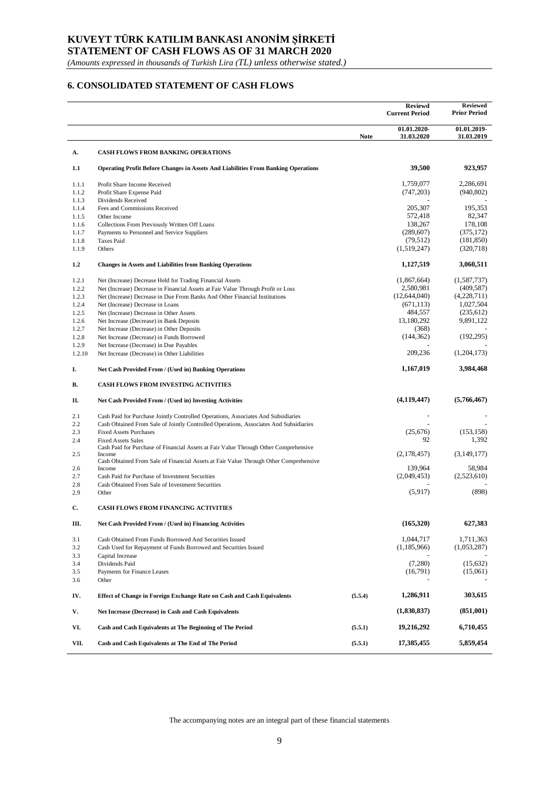# **KUVEYT TÜRK KATILIM BANKASI ANONİM ŞİRKETİ**

**STATEMENT OF CASH FLOWS AS OF 31 MARCH 2020**

*(Amounts expressed in thousands of Turkish Lira (TL) unless otherwise stated.)*

### **6. CONSOLIDATED STATEMENT OF CASH FLOWS**

|                |                                                                                                     |             | <b>Reviewd</b><br><b>Current Period</b> | <b>Reviewed</b><br><b>Prior Period</b> |
|----------------|-----------------------------------------------------------------------------------------------------|-------------|-----------------------------------------|----------------------------------------|
|                |                                                                                                     | <b>Note</b> | 01.01.2020-<br>31.03.2020               | 01.01.2019-<br>31.03.2019              |
| А.             | <b>CASH FLOWS FROM BANKING OPERATIONS</b>                                                           |             |                                         |                                        |
| 1.1            | <b>Operating Profit Before Changes in Assets And Liabilities From Banking Operations</b>            |             | 39,500                                  | 923,957                                |
| 1.1.1          | Profit Share Income Received                                                                        |             | 1,759,077                               | 2,286,691                              |
| 1.1.2          | Profit Share Expense Paid                                                                           |             | (747, 203)                              | (940, 802)                             |
| 1.1.3          | Dividends Received                                                                                  |             |                                         |                                        |
| 1.1.4          | Fees and Commissions Received                                                                       |             | 205,307                                 | 195,353                                |
| 1.1.5          | Other Income                                                                                        |             | 572,418<br>138,267                      | 82,347<br>178,108                      |
| 1.1.6<br>1.1.7 | Collections From Previously Written Off Loans<br>Payments to Personnel and Service Suppliers        |             | (289, 607)                              | (375, 172)                             |
| 1.1.8          | <b>Taxes Paid</b>                                                                                   |             | (79, 512)                               | (181, 850)                             |
| 1.1.9          | Others                                                                                              |             | (1,519,247)                             | (320,718)                              |
| 1.2            | <b>Changes in Assets and Liabilities from Banking Operations</b>                                    |             | 1,127,519                               | 3,060,511                              |
| 1.2.1          | Net (Increase) Decrease Held for Trading Financial Assets                                           |             | (1,867,664)                             | (1,587,737)                            |
| 1.2.2          | Net (Increase) Decrease in Financial Assets at Fair Value Through Profit or Loss                    |             | 2,580,981                               | (409, 587)                             |
| 1.2.3          | Net (Increase) Decrease in Due From Banks And Other Financial Institutions                          |             | (12,644,040)                            | (4,228,711)                            |
| 1.2.4          | Net (Increase) Decrease in Loans                                                                    |             | (671, 113)                              | 1,027,504                              |
| 1.2.5          | Net (Increase) Decrease in Other Assets                                                             |             | 484,557                                 | (235, 612)                             |
| 1.2.6          | Net Increase (Decrease) in Bank Deposits                                                            |             | 13,180,292                              | 9,891,122                              |
| 1.2.7          | Net Increase (Decrease) in Other Deposits                                                           |             | (368)                                   |                                        |
| 1.2.8          | Net Increase (Decrease) in Funds Borrowed                                                           |             | (144, 362)                              | (192, 295)                             |
| 1.2.9          | Net Increase (Decrease) in Due Payables                                                             |             |                                         |                                        |
| 1.2.10         | Net Increase (Decrease) in Other Liabilities                                                        |             | 209,236                                 | (1,204,173)                            |
| I.             | Net Cash Provided From / (Used in) Banking Operations                                               |             | 1,167,019                               | 3,984,468                              |
| В.             | <b>CASH FLOWS FROM INVESTING ACTIVITIES</b>                                                         |             |                                         |                                        |
| П.             | Net Cash Provided From / (Used in) Investing Activities                                             |             | (4, 119, 447)                           | (5,766,467)                            |
| 2.1            | Cash Paid for Purchase Jointly Controlled Operations, Associates And Subsidiaries                   |             |                                         |                                        |
| 2.2            | Cash Obtained From Sale of Jointly Controlled Operations, Associates And Subsidiaries               |             |                                         |                                        |
| 2.3            | <b>Fixed Assets Purchases</b>                                                                       |             | (25,676)                                | (153, 158)                             |
| 2.4            | <b>Fixed Assets Sales</b>                                                                           |             | 92                                      | 1,392                                  |
| 2.5            | Cash Paid for Purchase of Financial Assets at Fair Value Through Other Comprehensive<br>Income      |             | (2, 178, 457)                           | (3,149,177)                            |
|                | Cash Obtained From Sale of Financial Assets at Fair Value Through Other Comprehensive               |             |                                         |                                        |
| 2.6            | Income                                                                                              |             | 139,964                                 | 58,984                                 |
| 2.7            | Cash Paid for Purchase of Investment Securities<br>Cash Obtained From Sale of Investment Securities |             | (2,049,453)                             | (2,523,610)                            |
| 2.8<br>2.9     | Other                                                                                               |             | (5,917)                                 | (898)                                  |
|                |                                                                                                     |             |                                         |                                        |
| C.             | <b>CASH FLOWS FROM FINANCING ACTIVITIES</b>                                                         |             |                                         |                                        |
| Ш.             | Net Cash Provided From / (Used in) Financing Activities                                             |             | (165,320)                               | 627,383                                |
| 3.1            | Cash Obtained From Funds Borrowed And Securities Issued                                             |             | 1,044,717                               | 1,711,363                              |
| 3.2            | Cash Used for Repayment of Funds Borrowed and Securities Issued                                     |             | (1, 185, 966)                           | (1,053,287)                            |
| 3.3            | Capital Increase                                                                                    |             |                                         |                                        |
| 3.4            | Dividends Paid                                                                                      |             | (7,280)                                 | (15,632)                               |
| 3.5<br>3.6     | Payments for Finance Leases<br>Other                                                                |             | (16,791)                                | (15,061)                               |
| IV.            | Effect of Change in Foreign Exchange Rate on Cash and Cash Equivalents                              | (5.5.4)     | 1,286,911                               | 303,615                                |
| V.             | Net Increase (Decrease) in Cash and Cash Equivalents                                                |             | (1,830,837)                             | (851,001)                              |
|                |                                                                                                     |             |                                         |                                        |
| VI.            | Cash and Cash Equivalents at The Beginning of The Period                                            | (5.5.1)     | 19,216,292                              | 6,710,455                              |
| VII.           | Cash and Cash Equivalents at The End of The Period                                                  | (5.5.1)     | 17,385,455                              | 5,859,454                              |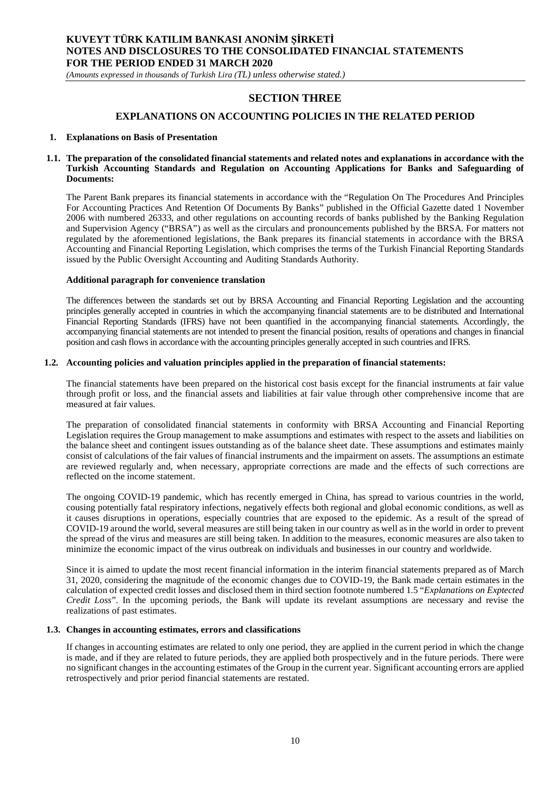*(Amounts expressed in thousands of Turkish Lira (TL) unless otherwise stated.)*

# **SECTION THREE**

### **EXPLANATIONS ON ACCOUNTING POLICIES IN THE RELATED PERIOD**

#### **1. Explanations on Basis of Presentation**

#### **1.1. The preparation of the consolidated financial statements and related notes and explanations in accordance with the Turkish Accounting Standards and Regulation on Accounting Applications for Banks and Safeguarding of Documents:**

The Parent Bank prepares its financial statements in accordance with the "Regulation On The Procedures And Principles For Accounting Practices And Retention Of Documents By Banks" published in the Official Gazette dated 1 November 2006 with numbered 26333, and other regulations on accounting records of banks published by the Banking Regulation and Supervision Agency ("BRSA") as well as the circulars and pronouncements published by the BRSA. For matters not regulated by the aforementioned legislations, the Bank prepares its financial statements in accordance with the BRSA Accounting and Financial Reporting Legislation, which comprises the terms of the Turkish Financial Reporting Standards issued by the Public Oversight Accounting and Auditing Standards Authority.

#### **Additional paragraph for convenience translation**

The differences between the standards set out by BRSA Accounting and Financial Reporting Legislation and the accounting principles generally accepted in countries in which the accompanying financial statements are to be distributed and International Financial Reporting Standards (IFRS) have not been quantified in the accompanying financial statements. Accordingly, the accompanying financial statements are not intended to present the financial position, results of operations and changes in financial position and cash flows in accordance with the accounting principles generally accepted in such countries and IFRS.

#### **1.2. Accounting policies and valuation principles applied in the preparation of financial statements:**

The financial statements have been prepared on the historical cost basis except for the financial instruments at fair value through profit or loss, and the financial assets and liabilities at fair value through other comprehensive income that are measured at fair values.

The preparation of consolidated financial statements in conformity with BRSA Accounting and Financial Reporting Legislation requires the Group management to make assumptions and estimates with respect to the assets and liabilities on the balance sheet and contingent issues outstanding as of the balance sheet date. These assumptions and estimates mainly consist of calculations of the fair values of financial instruments and the impairment on assets. The assumptions an estimate are reviewed regularly and, when necessary, appropriate corrections are made and the effects of such corrections are reflected on the income statement.

The ongoing COVID-19 pandemic, which has recently emerged in China, has spread to various countries in the world, cousing potentially fatal respiratory infections, negatively effects both regional and global economic conditions, as well as it causes disruptions in operations, especially countries that are exposed to the epidemic. As a result of the spread of COVID-19 around the world, several measures are still being taken in our country as well as in the world in order to prevent the spread of the virus and measures are still being taken. In addition to the measures, economic measures are also taken to minimize the economic impact of the virus outbreak on individuals and businesses in our country and worldwide.

Since it is aimed to update the most recent financial information in the interim financial statements prepared as of March 31, 2020, considering the magnitude of the economic changes due to COVID-19, the Bank made certain estimates in the calculation of expected credit losses and disclosed them in third section footnote numbered 1.5 "*Explanations on Exptected Credit Loss*". In the upcoming periods, the Bank will update its revelant assumptions are necessary and revise the realizations of past estimates.

#### **1.3. Changes in accounting estimates, errors and classifications**

If changes in accounting estimates are related to only one period, they are applied in the current period in which the change is made, and if they are related to future periods, they are applied both prospectively and in the future periods. There were no significant changes in the accounting estimates of the Group in the current year. Significant accounting errors are applied retrospectively and prior period financial statements are restated.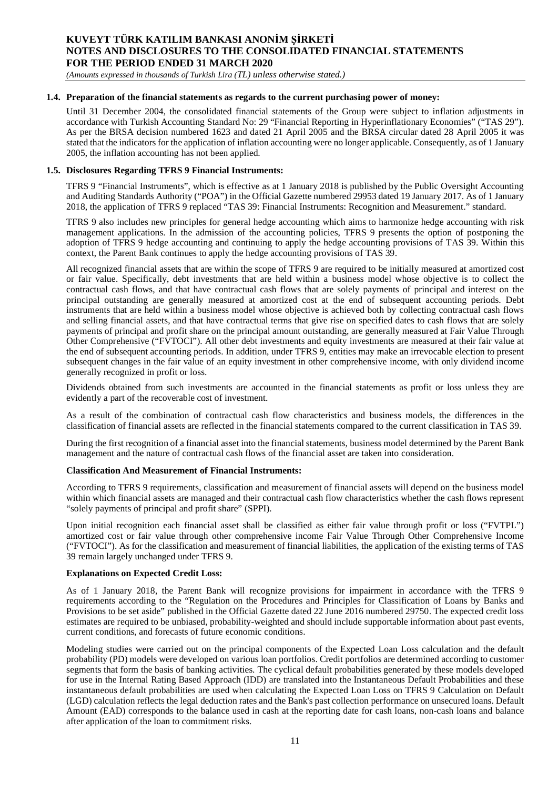*(Amounts expressed in thousands of Turkish Lira (TL) unless otherwise stated.)*

#### **1.4. Preparation of the financial statements as regards to the current purchasing power of money:**

Until 31 December 2004, the consolidated financial statements of the Group were subject to inflation adjustments in accordance with Turkish Accounting Standard No: 29 "Financial Reporting in Hyperinflationary Economies" ("TAS 29"). As per the BRSA decision numbered 1623 and dated 21 April 2005 and the BRSA circular dated 28 April 2005 it was stated that the indicators for the application of inflation accounting were no longer applicable. Consequently, as of 1 January 2005, the inflation accounting has not been applied.

#### **1.5. Disclosures Regarding TFRS 9 Financial Instruments:**

TFRS 9 "Financial Instruments", which is effective as at 1 January 2018 is published by the Public Oversight Accounting and Auditing Standards Authority ("POA") in the Official Gazette numbered 29953 dated 19 January 2017. As of 1 January 2018, the application of TFRS 9 replaced "TAS 39: Financial Instruments: Recognition and Measurement." standard.

TFRS 9 also includes new principles for general hedge accounting which aims to harmonize hedge accounting with risk management applications. In the admission of the accounting policies, TFRS 9 presents the option of postponing the adoption of TFRS 9 hedge accounting and continuing to apply the hedge accounting provisions of TAS 39. Within this context, the Parent Bank continues to apply the hedge accounting provisions of TAS 39.

All recognized financial assets that are within the scope of TFRS 9 are required to be initially measured at amortized cost or fair value. Specifically, debt investments that are held within a business model whose objective is to collect the contractual cash flows, and that have contractual cash flows that are solely payments of principal and interest on the principal outstanding are generally measured at amortized cost at the end of subsequent accounting periods. Debt instruments that are held within a business model whose objective is achieved both by collecting contractual cash flows and selling financial assets, and that have contractual terms that give rise on specified dates to cash flows that are solely payments of principal and profit share on the principal amount outstanding, are generally measured at Fair Value Through Other Comprehensive ("FVTOCI"). All other debt investments and equity investments are measured at their fair value at the end of subsequent accounting periods. In addition, under TFRS 9, entities may make an irrevocable election to present subsequent changes in the fair value of an equity investment in other comprehensive income, with only dividend income generally recognized in profit or loss.

Dividends obtained from such investments are accounted in the financial statements as profit or loss unless they are evidently a part of the recoverable cost of investment.

As a result of the combination of contractual cash flow characteristics and business models, the differences in the classification of financial assets are reflected in the financial statements compared to the current classification in TAS 39.

During the first recognition of a financial asset into the financial statements, business model determined by the Parent Bank management and the nature of contractual cash flows of the financial asset are taken into consideration.

#### **Classification And Measurement of Financial Instruments:**

According to TFRS 9 requirements, classification and measurement of financial assets will depend on the business model within which financial assets are managed and their contractual cash flow characteristics whether the cash flows represent "solely payments of principal and profit share" (SPPI).

Upon initial recognition each financial asset shall be classified as either fair value through profit or loss ("FVTPL") amortized cost or fair value through other comprehensive income Fair Value Through Other Comprehensive Income ("FVTOCI"). As for the classification and measurement of financial liabilities, the application of the existing terms of TAS 39 remain largely unchanged under TFRS 9.

#### **Explanations on Expected Credit Loss:**

As of 1 January 2018, the Parent Bank will recognize provisions for impairment in accordance with the TFRS 9 requirements according to the "Regulation on the Procedures and Principles for Classification of Loans by Banks and Provisions to be set aside" published in the Official Gazette dated 22 June 2016 numbered 29750. The expected credit loss estimates are required to be unbiased, probability-weighted and should include supportable information about past events, current conditions, and forecasts of future economic conditions.

Modeling studies were carried out on the principal components of the Expected Loan Loss calculation and the default probability (PD) models were developed on various loan portfolios. Credit portfolios are determined according to customer segments that form the basis of banking activities. The cyclical default probabilities generated by these models developed for use in the Internal Rating Based Approach (IDD) are translated into the Instantaneous Default Probabilities and these instantaneous default probabilities are used when calculating the Expected Loan Loss on TFRS 9 Calculation on Default (LGD) calculation reflects the legal deduction rates and the Bank's past collection performance on unsecured loans. Default Amount (EAD) corresponds to the balance used in cash at the reporting date for cash loans, non-cash loans and balance after application of the loan to commitment risks.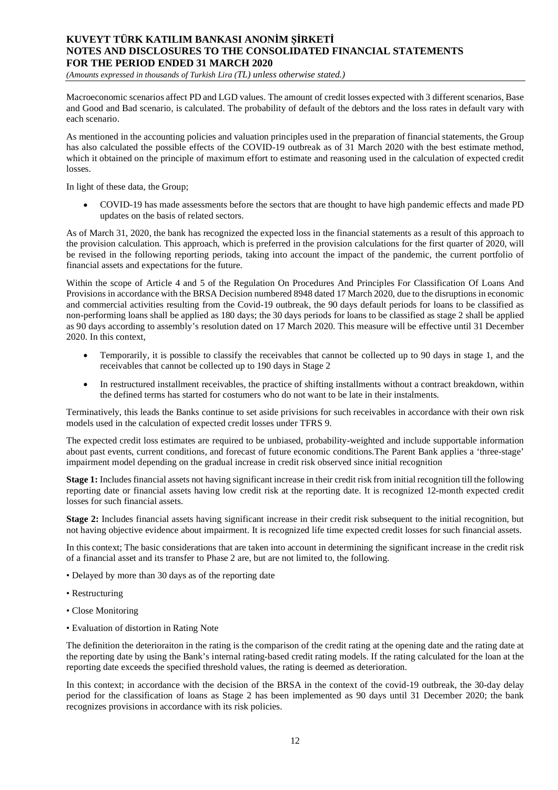*(Amounts expressed in thousands of Turkish Lira (TL) unless otherwise stated.)*

Macroeconomic scenarios affect PD and LGD values. The amount of credit losses expected with 3 different scenarios, Base and Good and Bad scenario, is calculated. The probability of default of the debtors and the loss rates in default vary with each scenario.

As mentioned in the accounting policies and valuation principles used in the preparation of financial statements, the Group has also calculated the possible effects of the COVID-19 outbreak as of 31 March 2020 with the best estimate method, which it obtained on the principle of maximum effort to estimate and reasoning used in the calculation of expected credit losses.

In light of these data, the Group;

COVID-19 has made assessments before the sectors that are thought to have high pandemic effects and made PD updates on the basis of related sectors.

As of March 31, 2020, the bank has recognized the expected loss in the financial statements as a result of this approach to the provision calculation. This approach, which is preferred in the provision calculations for the first quarter of 2020, will be revised in the following reporting periods, taking into account the impact of the pandemic, the current portfolio of financial assets and expectations for the future.

Within the scope of Article 4 and 5 of the Regulation On Procedures And Principles For Classification Of Loans And Provisions in accordance with the BRSA Decision numbered 8948 dated 17 March 2020, due to the disruptions in economic and commercial activities resulting from the Covid-19 outbreak, the 90 days default periods for loans to be classified as non-performing loans shall be applied as 180 days; the 30 days periods for loans to be classified as stage 2 shall be applied as 90 days according to assembly's resolution dated on 17 March 2020. This measure will be effective until 31 December 2020. In this context,

- Temporarily, it is possible to classify the receivables that cannot be collected up to 90 days in stage 1, and the receivables that cannot be collected up to 190 days in Stage 2
- In restructured installment receivables, the practice of shifting installments without a contract breakdown, within  $\bullet$ the defined terms has started for costumers who do not want to be late in their instalments.

Terminatively, this leads the Banks continue to set aside privisions for such receivables in accordance with their own risk models used in the calculation of expected credit losses under TFRS 9.

The expected credit loss estimates are required to be unbiased, probability-weighted and include supportable information about past events, current conditions, and forecast of future economic conditions.The Parent Bank applies a 'three-stage' impairment model depending on the gradual increase in credit risk observed since initial recognition

**Stage 1:** Includes financial assets not having significant increase in their credit risk from initial recognition till the following reporting date or financial assets having low credit risk at the reporting date. It is recognized 12-month expected credit losses for such financial assets.

**Stage 2:** Includes financial assets having significant increase in their credit risk subsequent to the initial recognition, but not having objective evidence about impairment. It is recognized life time expected credit losses for such financial assets.

In this context; The basic considerations that are taken into account in determining the significant increase in the credit risk of a financial asset and its transfer to Phase 2 are, but are not limited to, the following.

- Delayed by more than 30 days as of the reporting date
- Restructuring
- Close Monitoring
- Evaluation of distortion in Rating Note

The definition the deterioraiton in the rating is the comparison of the credit rating at the opening date and the rating date at the reporting date by using the Bank's internal rating-based credit rating models. If the rating calculated for the loan at the reporting date exceeds the specified threshold values, the rating is deemed as deterioration.

In this context; in accordance with the decision of the BRSA in the context of the covid-19 outbreak, the 30-day delay period for the classification of loans as Stage 2 has been implemented as 90 days until 31 December 2020; the bank recognizes provisions in accordance with its risk policies.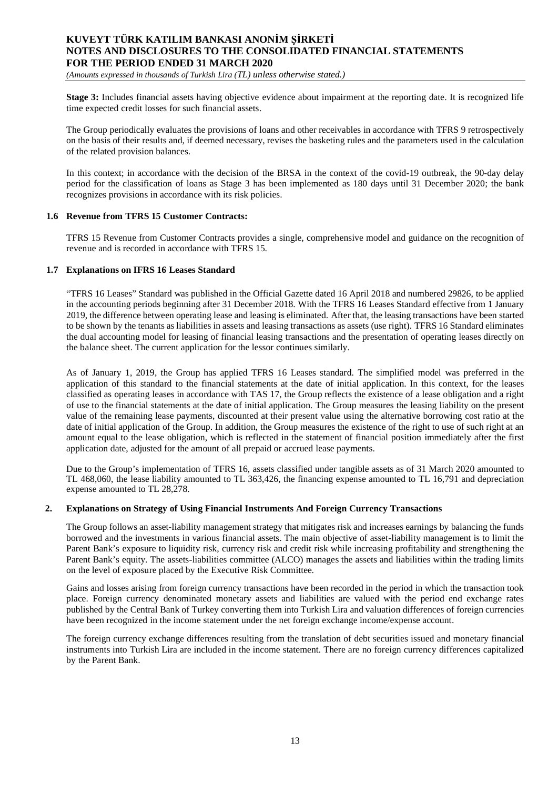*(Amounts expressed in thousands of Turkish Lira (TL) unless otherwise stated.)*

**Stage 3:** Includes financial assets having objective evidence about impairment at the reporting date. It is recognized life time expected credit losses for such financial assets.

The Group periodically evaluates the provisions of loans and other receivables in accordance with TFRS 9 retrospectively on the basis of their results and, if deemed necessary, revises the basketing rules and the parameters used in the calculation of the related provision balances.

In this context; in accordance with the decision of the BRSA in the context of the covid-19 outbreak, the 90-day delay period for the classification of loans as Stage 3 has been implemented as 180 days until 31 December 2020; the bank recognizes provisions in accordance with its risk policies.

#### **1.6 Revenue from TFRS 15 Customer Contracts:**

TFRS 15 Revenue from Customer Contracts provides a single, comprehensive model and guidance on the recognition of revenue and is recorded in accordance with TFRS 15.

#### **1.7 Explanations on IFRS 16 Leases Standard**

"TFRS 16 Leases" Standard was published in the Official Gazette dated 16 April 2018 and numbered 29826, to be applied in the accounting periods beginning after 31 December 2018. With the TFRS 16 Leases Standard effective from 1 January 2019, the difference between operating lease and leasing is eliminated. After that, the leasing transactions have been started to be shown by the tenants as liabilities in assets and leasing transactions as assets (use right). TFRS 16 Standard eliminates the dual accounting model for leasing of financial leasing transactions and the presentation of operating leases directly on the balance sheet. The current application for the lessor continues similarly.

As of January 1, 2019, the Group has applied TFRS 16 Leases standard. The simplified model was preferred in the application of this standard to the financial statements at the date of initial application. In this context, for the leases classified as operating leases in accordance with TAS 17, the Group reflects the existence of a lease obligation and a right of use to the financial statements at the date of initial application. The Group measures the leasing liability on the present value of the remaining lease payments, discounted at their present value using the alternative borrowing cost ratio at the date of initial application of the Group. In addition, the Group measures the existence of the right to use of such right at an amount equal to the lease obligation, which is reflected in the statement of financial position immediately after the first application date, adjusted for the amount of all prepaid or accrued lease payments.

Due to the Group's implementation of TFRS 16, assets classified under tangible assets as of 31 March 2020 amounted to TL 468,060, the lease liability amounted to TL 363,426, the financing expense amounted to TL 16,791 and depreciation expense amounted to TL 28,278.

#### **2. Explanations on Strategy of Using Financial Instruments And Foreign Currency Transactions**

The Group follows an asset-liability management strategy that mitigates risk and increases earnings by balancing the funds borrowed and the investments in various financial assets. The main objective of asset-liability management is to limit the Parent Bank's exposure to liquidity risk, currency risk and credit risk while increasing profitability and strengthening the Parent Bank's equity. The assets-liabilities committee (ALCO) manages the assets and liabilities within the trading limits on the level of exposure placed by the Executive Risk Committee.

Gains and losses arising from foreign currency transactions have been recorded in the period in which the transaction took place. Foreign currency denominated monetary assets and liabilities are valued with the period end exchange rates published by the Central Bank of Turkey converting them into Turkish Lira and valuation differences of foreign currencies have been recognized in the income statement under the net foreign exchange income/expense account.

The foreign currency exchange differences resulting from the translation of debt securities issued and monetary financial instruments into Turkish Lira are included in the income statement. There are no foreign currency differences capitalized by the Parent Bank.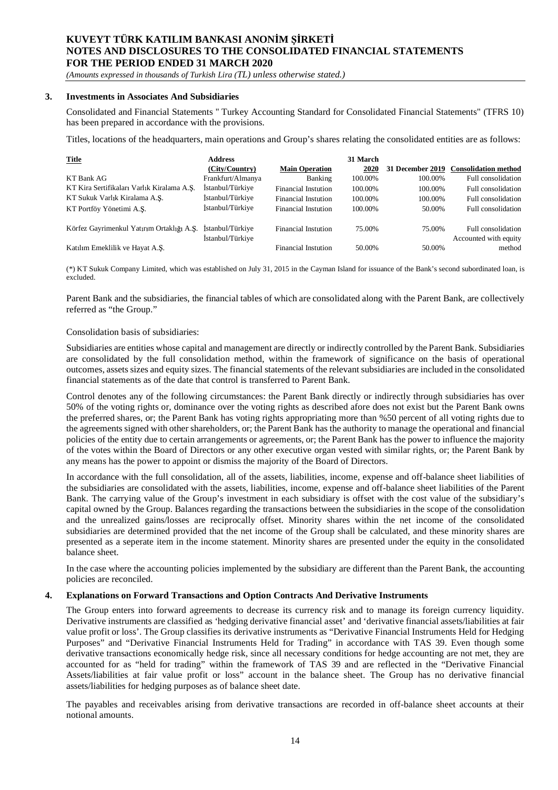*(Amounts expressed in thousands of Turkish Lira (TL) unless otherwise stated.)*

#### **3. Investments in Associates And Subsidiaries**

Consolidated and Financial Statements '' Turkey Accounting Standard for Consolidated Financial Statements" (TFRS 10) has been prepared in accordance with the provisions.

Titles, locations of the headquarters, main operations and Group's shares relating the consolidated entities are as follows:

| Title                                      | <b>Address</b><br>(City/Country)     | <b>Main Operation</b>      | 31 March<br>2020 |         | 31 December 2019 Consolidation method       |
|--------------------------------------------|--------------------------------------|----------------------------|------------------|---------|---------------------------------------------|
| KT Bank AG                                 | Frankfurt/Almanya                    | Banking                    | 100.00%          | 100.00% | Full consolidation                          |
| KT Kira Sertifikaları Varlık Kiralama A.S. | İstanbul/Türkiye                     | Financial Instution        | 100.00%          | 100.00% | Full consolidation                          |
| KT Sukuk Varlık Kiralama A.S.              | İstanbul/Türkiye                     | Financial Instution        | 100.00%          | 100.00% | Full consolidation                          |
| KT Portföy Yönetimi A.S.                   | İstanbul/Türkiye                     | Financial Instution        | 100.00%          | 50.00%  | Full consolidation                          |
| Körfez Gayrimenkul Yatırım Ortaklığı A.S.  | Istanbul/Türkive<br>İstanbul/Türkiye | <b>Financial Instution</b> | 75.00%           | 75.00%  | Full consolidation<br>Accounted with equity |
| Katılım Emeklilik ve Hayat A.S.            |                                      | <b>Financial Instution</b> | 50.00%           | 50.00%  | method                                      |

(\*) KT Sukuk Company Limited, which was established on July 31, 2015 in the Cayman Island for issuance of the Bank's second subordinated loan, is excluded.

Parent Bank and the subsidiaries, the financial tables of which are consolidated along with the Parent Bank, are collectively referred as "the Group."

#### Consolidation basis of subsidiaries:

Subsidiaries are entities whose capital and management are directly or indirectly controlled by the Parent Bank. Subsidiaries are consolidated by the full consolidation method, within the framework of significance on the basis of operational outcomes, assets sizes and equity sizes. The financial statements of the relevant subsidiaries are included in the consolidated financial statements as of the date that control is transferred to Parent Bank.

Control denotes any of the following circumstances: the Parent Bank directly or indirectly through subsidiaries has over 50% of the voting rights or, dominance over the voting rights as described afore does not exist but the Parent Bank owns the preferred shares, or; the Parent Bank has voting rights appropriating more than %50 percent of all voting rights due to the agreements signed with other shareholders, or; the Parent Bank has the authority to manage the operational and financial policies of the entity due to certain arrangements or agreements, or; the Parent Bank has the power to influence the majority of the votes within the Board of Directors or any other executive organ vested with similar rights, or; the Parent Bank by any means has the power to appoint or dismiss the majority of the Board of Directors.

In accordance with the full consolidation, all of the assets, liabilities, income, expense and off-balance sheet liabilities of the subsidiaries are consolidated with the assets, liabilities, income, expense and off-balance sheet liabilities of the Parent Bank. The carrying value of the Group's investment in each subsidiary is offset with the cost value of the subsidiary's capital owned by the Group. Balances regarding the transactions between the subsidiaries in the scope of the consolidation and the unrealized gains/losses are reciprocally offset. Minority shares within the net income of the consolidated subsidiaries are determined provided that the net income of the Group shall be calculated, and these minority shares are presented as a seperate item in the income statement. Minority shares are presented under the equity in the consolidated balance sheet.

In the case where the accounting policies implemented by the subsidiary are different than the Parent Bank, the accounting policies are reconciled.

#### **4. Explanations on Forward Transactions and Option Contracts And Derivative Instruments**

The Group enters into forward agreements to decrease its currency risk and to manage its foreign currency liquidity. Derivative instruments are classified as 'hedging derivative financial asset' and 'derivative financial assets/liabilities at fair value profit or loss'. The Group classifies its derivative instruments as "Derivative Financial Instruments Held for Hedging Purposes" and "Derivative Financial Instruments Held for Trading" in accordance with TAS 39. Even though some derivative transactions economically hedge risk, since all necessary conditions for hedge accounting are not met, they are accounted for as "held for trading" within the framework of TAS 39 and are reflected in the "Derivative Financial Assets/liabilities at fair value profit or loss" account in the balance sheet. The Group has no derivative financial assets/liabilities for hedging purposes as of balance sheet date.

The payables and receivables arising from derivative transactions are recorded in off-balance sheet accounts at their notional amounts.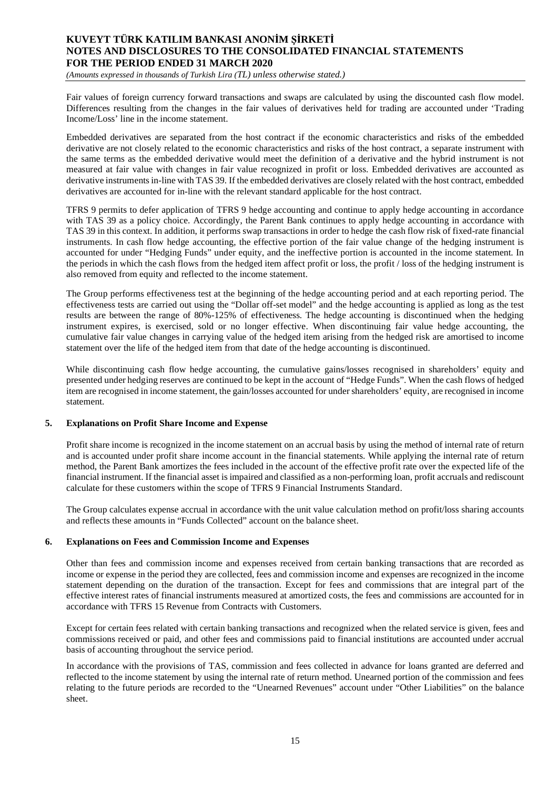*(Amounts expressed in thousands of Turkish Lira (TL) unless otherwise stated.)*

Fair values of foreign currency forward transactions and swaps are calculated by using the discounted cash flow model. Differences resulting from the changes in the fair values of derivatives held for trading are accounted under 'Trading Income/Loss' line in the income statement.

Embedded derivatives are separated from the host contract if the economic characteristics and risks of the embedded derivative are not closely related to the economic characteristics and risks of the host contract, a separate instrument with the same terms as the embedded derivative would meet the definition of a derivative and the hybrid instrument is not measured at fair value with changes in fair value recognized in profit or loss. Embedded derivatives are accounted as derivative instruments in-line with TAS 39. If the embedded derivatives are closely related with the host contract, embedded derivatives are accounted for in-line with the relevant standard applicable for the host contract.

TFRS 9 permits to defer application of TFRS 9 hedge accounting and continue to apply hedge accounting in accordance with TAS 39 as a policy choice. Accordingly, the Parent Bank continues to apply hedge accounting in accordance with TAS 39 in this context. In addition, it performs swap transactions in order to hedge the cash flow risk of fixed-rate financial instruments. In cash flow hedge accounting, the effective portion of the fair value change of the hedging instrument is accounted for under "Hedging Funds" under equity, and the ineffective portion is accounted in the income statement. In the periods in which the cash flows from the hedged item affect profit or loss, the profit / loss of the hedging instrument is also removed from equity and reflected to the income statement.

The Group performs effectiveness test at the beginning of the hedge accounting period and at each reporting period. The effectiveness tests are carried out using the "Dollar off-set model" and the hedge accounting is applied as long as the test results are between the range of 80%-125% of effectiveness. The hedge accounting is discontinued when the hedging instrument expires, is exercised, sold or no longer effective. When discontinuing fair value hedge accounting, the cumulative fair value changes in carrying value of the hedged item arising from the hedged risk are amortised to income statement over the life of the hedged item from that date of the hedge accounting is discontinued.

While discontinuing cash flow hedge accounting, the cumulative gains/losses recognised in shareholders' equity and presented under hedging reserves are continued to be kept in the account of "Hedge Funds". When the cash flows of hedged item are recognised in income statement, the gain/losses accounted for under shareholders' equity, are recognised in income statement.

#### **5. Explanations on Profit Share Income and Expense**

Profit share income is recognized in the income statement on an accrual basis by using the method of internal rate of return and is accounted under profit share income account in the financial statements. While applying the internal rate of return method, the Parent Bank amortizes the fees included in the account of the effective profit rate over the expected life of the financial instrument. If the financial asset is impaired and classified as a non-performing loan, profit accruals and rediscount calculate for these customers within the scope of TFRS 9 Financial Instruments Standard.

The Group calculates expense accrual in accordance with the unit value calculation method on profit/loss sharing accounts and reflects these amounts in "Funds Collected" account on the balance sheet.

#### **6. Explanations on Fees and Commission Income and Expenses**

Other than fees and commission income and expenses received from certain banking transactions that are recorded as income or expense in the period they are collected, fees and commission income and expenses are recognized in the income statement depending on the duration of the transaction. Except for fees and commissions that are integral part of the effective interest rates of financial instruments measured at amortized costs, the fees and commissions are accounted for in accordance with TFRS 15 Revenue from Contracts with Customers.

Except for certain fees related with certain banking transactions and recognized when the related service is given, fees and commissions received or paid, and other fees and commissions paid to financial institutions are accounted under accrual basis of accounting throughout the service period.

In accordance with the provisions of TAS, commission and fees collected in advance for loans granted are deferred and reflected to the income statement by using the internal rate of return method. Unearned portion of the commission and fees relating to the future periods are recorded to the "Unearned Revenues" account under "Other Liabilities" on the balance sheet.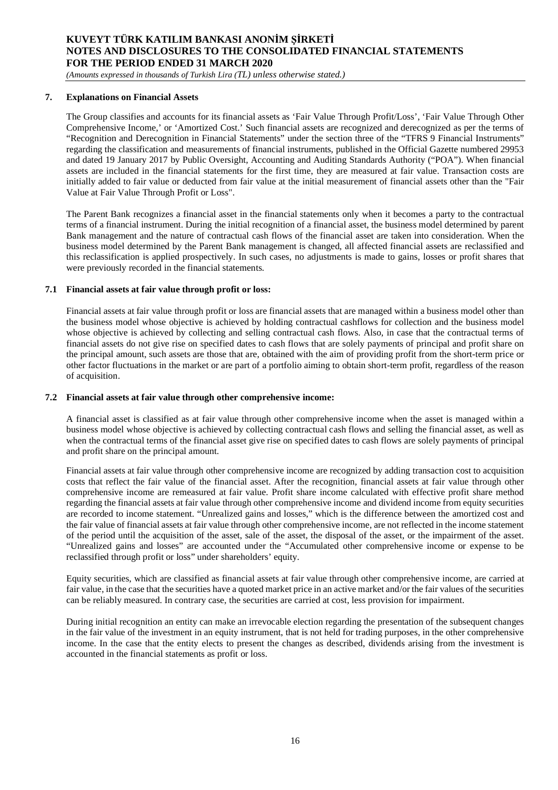*(Amounts expressed in thousands of Turkish Lira (TL) unless otherwise stated.)*

#### **7. Explanations on Financial Assets**

The Group classifies and accounts for its financial assets as 'Fair Value Through Profit/Loss', 'Fair Value Through Other Comprehensive Income,' or 'Amortized Cost.' Such financial assets are recognized and derecognized as per the terms of "Recognition and Derecognition in Financial Statements" under the section three of the "TFRS 9 Financial Instruments" regarding the classification and measurements of financial instruments, published in the Official Gazette numbered 29953 and dated 19 January 2017 by Public Oversight, Accounting and Auditing Standards Authority ("POA"). When financial assets are included in the financial statements for the first time, they are measured at fair value. Transaction costs are initially added to fair value or deducted from fair value at the initial measurement of financial assets other than the "Fair Value at Fair Value Through Profit or Loss".

The Parent Bank recognizes a financial asset in the financial statements only when it becomes a party to the contractual terms of a financial instrument. During the initial recognition of a financial asset, the business model determined by parent Bank management and the nature of contractual cash flows of the financial asset are taken into consideration. When the business model determined by the Parent Bank management is changed, all affected financial assets are reclassified and this reclassification is applied prospectively. In such cases, no adjustments is made to gains, losses or profit shares that were previously recorded in the financial statements.

#### **7.1 Financial assets at fair value through profit or loss:**

Financial assets at fair value through profit or loss are financial assets that are managed within a business model other than the business model whose objective is achieved by holding contractual cashflows for collection and the business model whose objective is achieved by collecting and selling contractual cash flows. Also, in case that the contractual terms of financial assets do not give rise on specified dates to cash flows that are solely payments of principal and profit share on the principal amount, such assets are those that are, obtained with the aim of providing profit from the short-term price or other factor fluctuations in the market or are part of a portfolio aiming to obtain short-term profit, regardless of the reason of acquisition.

#### **7.2 Financial assets at fair value through other comprehensive income:**

A financial asset is classified as at fair value through other comprehensive income when the asset is managed within a business model whose objective is achieved by collecting contractual cash flows and selling the financial asset, as well as when the contractual terms of the financial asset give rise on specified dates to cash flows are solely payments of principal and profit share on the principal amount.

Financial assets at fair value through other comprehensive income are recognized by adding transaction cost to acquisition costs that reflect the fair value of the financial asset. After the recognition, financial assets at fair value through other comprehensive income are remeasured at fair value. Profit share income calculated with effective profit share method regarding the financial assets at fair value through other comprehensive income and dividend income from equity securities are recorded to income statement. "Unrealized gains and losses," which is the difference between the amortized cost and the fair value of financial assets at fair value through other comprehensive income, are not reflected in the income statement of the period until the acquisition of the asset, sale of the asset, the disposal of the asset, or the impairment of the asset. "Unrealized gains and losses" are accounted under the "Accumulated other comprehensive income or expense to be reclassified through profit or loss" under shareholders' equity.

Equity securities, which are classified as financial assets at fair value through other comprehensive income, are carried at fair value, in the case that the securities have a quoted market price in an active market and/or the fair values of the securities can be reliably measured. In contrary case, the securities are carried at cost, less provision for impairment.

During initial recognition an entity can make an irrevocable election regarding the presentation of the subsequent changes in the fair value of the investment in an equity instrument, that is not held for trading purposes, in the other comprehensive income. In the case that the entity elects to present the changes as described, dividends arising from the investment is accounted in the financial statements as profit or loss.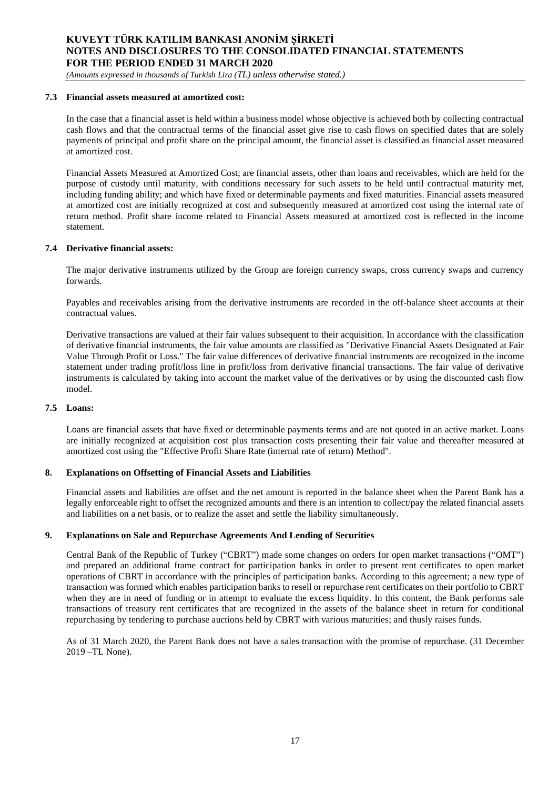*(Amounts expressed in thousands of Turkish Lira (TL) unless otherwise stated.)*

#### **7.3 Financial assets measured at amortized cost:**

In the case that a financial asset is held within a business model whose objective is achieved both by collecting contractual cash flows and that the contractual terms of the financial asset give rise to cash flows on specified dates that are solely payments of principal and profit share on the principal amount, the financial asset is classified as financial asset measured at amortized cost.

Financial Assets Measured at Amortized Cost; are financial assets, other than loans and receivables, which are held for the purpose of custody until maturity, with conditions necessary for such assets to be held until contractual maturity met, including funding ability; and which have fixed or determinable payments and fixed maturities. Financial assets measured at amortized cost are initially recognized at cost and subsequently measured at amortized cost using the internal rate of return method. Profit share income related to Financial Assets measured at amortized cost is reflected in the income statement.

#### **7.4 Derivative financial assets:**

The major derivative instruments utilized by the Group are foreign currency swaps, cross currency swaps and currency forwards.

Payables and receivables arising from the derivative instruments are recorded in the off-balance sheet accounts at their contractual values.

Derivative transactions are valued at their fair values subsequent to their acquisition. In accordance with the classification of derivative financial instruments, the fair value amounts are classified as "Derivative Financial Assets Designated at Fair Value Through Profit or Loss." The fair value differences of derivative financial instruments are recognized in the income statement under trading profit/loss line in profit/loss from derivative financial transactions. The fair value of derivative instruments is calculated by taking into account the market value of the derivatives or by using the discounted cash flow model.

#### **7.5 Loans:**

Loans are financial assets that have fixed or determinable payments terms and are not quoted in an active market. Loans are initially recognized at acquisition cost plus transaction costs presenting their fair value and thereafter measured at amortized cost using the "Effective Profit Share Rate (internal rate of return) Method".

#### **8. Explanations on Offsetting of Financial Assets and Liabilities**

Financial assets and liabilities are offset and the net amount is reported in the balance sheet when the Parent Bank has a legally enforceable right to offset the recognized amounts and there is an intention to collect/pay the related financial assets and liabilities on a net basis, or to realize the asset and settle the liability simultaneously.

#### **9. Explanations on Sale and Repurchase Agreements And Lending of Securities**

Central Bank of the Republic of Turkey ("CBRT") made some changes on orders for open market transactions ("OMT") and prepared an additional frame contract for participation banks in order to present rent certificates to open market operations of CBRT in accordance with the principles of participation banks. According to this agreement; a new type of transaction was formed which enables participation banks to resell or repurchase rent certificates on their portfolio to CBRT when they are in need of funding or in attempt to evaluate the excess liquidity. In this content, the Bank performs sale transactions of treasury rent certificates that are recognized in the assets of the balance sheet in return for conditional repurchasing by tendering to purchase auctions held by CBRT with various maturities; and thusly raises funds.

As of 31 March 2020, the Parent Bank does not have a sales transaction with the promise of repurchase. (31 December 2019 –TL None).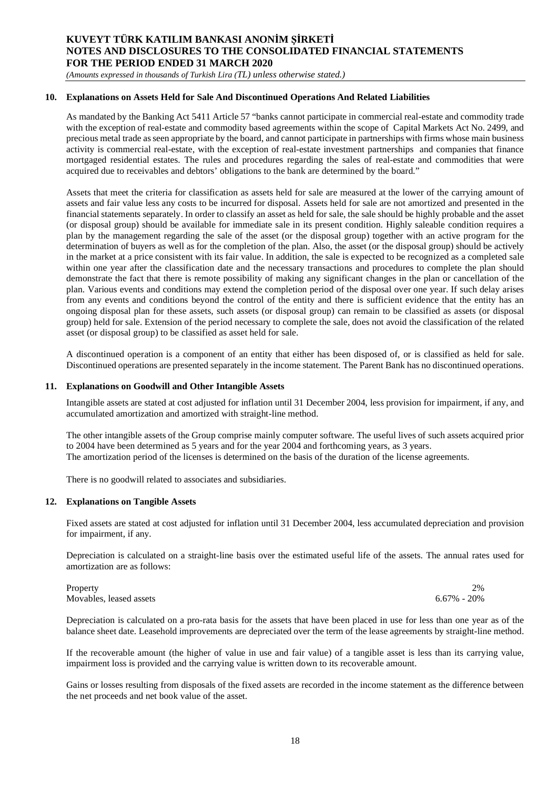*(Amounts expressed in thousands of Turkish Lira (TL) unless otherwise stated.)*

#### **10. Explanations on Assets Held for Sale And Discontinued Operations And Related Liabilities**

As mandated by the Banking Act 5411 Article 57 "banks cannot participate in commercial real-estate and commodity trade with the exception of real-estate and commodity based agreements within the scope of Capital Markets Act No. 2499, and precious metal trade as seen appropriate by the board, and cannot participate in partnerships with firms whose main business activity is commercial real-estate, with the exception of real-estate investment partnerships and companies that finance mortgaged residential estates. The rules and procedures regarding the sales of real-estate and commodities that were acquired due to receivables and debtors' obligations to the bank are determined by the board."

Assets that meet the criteria for classification as assets held for sale are measured at the lower of the carrying amount of assets and fair value less any costs to be incurred for disposal. Assets held for sale are not amortized and presented in the financial statements separately. In order to classify an asset as held for sale, the sale should be highly probable and the asset (or disposal group) should be available for immediate sale in its present condition. Highly saleable condition requires a plan by the management regarding the sale of the asset (or the disposal group) together with an active program for the determination of buyers as well as for the completion of the plan. Also, the asset (or the disposal group) should be actively in the market at a price consistent with its fair value. In addition, the sale is expected to be recognized as a completed sale within one year after the classification date and the necessary transactions and procedures to complete the plan should demonstrate the fact that there is remote possibility of making any significant changes in the plan or cancellation of the plan. Various events and conditions may extend the completion period of the disposal over one year. If such delay arises from any events and conditions beyond the control of the entity and there is sufficient evidence that the entity has an ongoing disposal plan for these assets, such assets (or disposal group) can remain to be classified as assets (or disposal group) held for sale. Extension of the period necessary to complete the sale, does not avoid the classification of the related asset (or disposal group) to be classified as asset held for sale.

A discontinued operation is a component of an entity that either has been disposed of, or is classified as held for sale. Discontinued operations are presented separately in the income statement. The Parent Bank has no discontinued operations.

#### **11. Explanations on Goodwill and Other Intangible Assets**

Intangible assets are stated at cost adjusted for inflation until 31 December 2004, less provision for impairment, if any, and accumulated amortization and amortized with straight-line method.

The other intangible assets of the Group comprise mainly computer software. The useful lives of such assets acquired prior to 2004 have been determined as 5 years and for the year 2004 and forthcoming years, as 3 years. The amortization period of the licenses is determined on the basis of the duration of the license agreements.

There is no goodwill related to associates and subsidiaries.

#### **12. Explanations on Tangible Assets**

Fixed assets are stated at cost adjusted for inflation until 31 December 2004, less accumulated depreciation and provision for impairment, if any.

Depreciation is calculated on a straight-line basis over the estimated useful life of the assets. The annual rates used for amortization are as follows:

Property 2% and 2% and 2% and 2% and 2% and 2% and 2% and 2% and 2% and 2% and 2% and 2% and 2% and 2% and 2% Movables, leased assets 6.67% - 20%

Depreciation is calculated on a pro-rata basis for the assets that have been placed in use for less than one year as of the balance sheet date. Leasehold improvements are depreciated over the term of the lease agreements by straight-line method.

If the recoverable amount (the higher of value in use and fair value) of a tangible asset is less than its carrying value, impairment loss is provided and the carrying value is written down to its recoverable amount.

Gains or losses resulting from disposals of the fixed assets are recorded in the income statement as the difference between the net proceeds and net book value of the asset.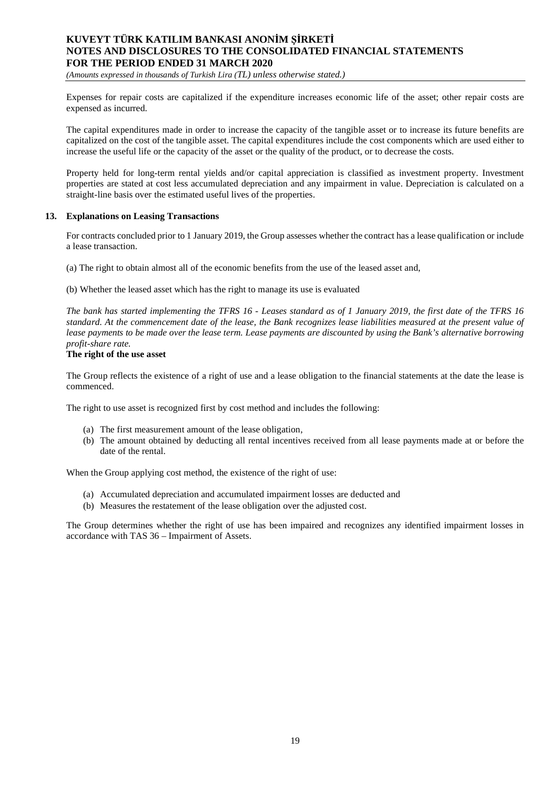*(Amounts expressed in thousands of Turkish Lira (TL) unless otherwise stated.)*

Expenses for repair costs are capitalized if the expenditure increases economic life of the asset; other repair costs are expensed as incurred.

The capital expenditures made in order to increase the capacity of the tangible asset or to increase its future benefits are capitalized on the cost of the tangible asset. The capital expenditures include the cost components which are used either to increase the useful life or the capacity of the asset or the quality of the product, or to decrease the costs.

Property held for long-term rental yields and/or capital appreciation is classified as investment property. Investment properties are stated at cost less accumulated depreciation and any impairment in value. Depreciation is calculated on a straight-line basis over the estimated useful lives of the properties.

#### **13. Explanations on Leasing Transactions**

For contracts concluded prior to 1 January 2019, the Group assesses whether the contract has a lease qualification or include a lease transaction.

(a) The right to obtain almost all of the economic benefits from the use of the leased asset and,

(b) Whether the leased asset which has the right to manage its use is evaluated

*The bank has started implementing the TFRS 16 - Leases standard as of 1 January 2019, the first date of the TFRS 16 standard. At the commencement date of the lease, the Bank recognizes lease liabilities measured at the present value of lease payments to be made over the lease term. Lease payments are discounted by using the Bank's alternative borrowing profit-share rate.*

#### **The right of the use asset**

The Group reflects the existence of a right of use and a lease obligation to the financial statements at the date the lease is commenced.

The right to use asset is recognized first by cost method and includes the following:

- (a) The first measurement amount of the lease obligation,
- (b) The amount obtained by deducting all rental incentives received from all lease payments made at or before the date of the rental.

When the Group applying cost method, the existence of the right of use:

- (a) Accumulated depreciation and accumulated impairment losses are deducted and
- (b) Measures the restatement of the lease obligation over the adjusted cost.

The Group determines whether the right of use has been impaired and recognizes any identified impairment losses in accordance with TAS 36 – Impairment of Assets.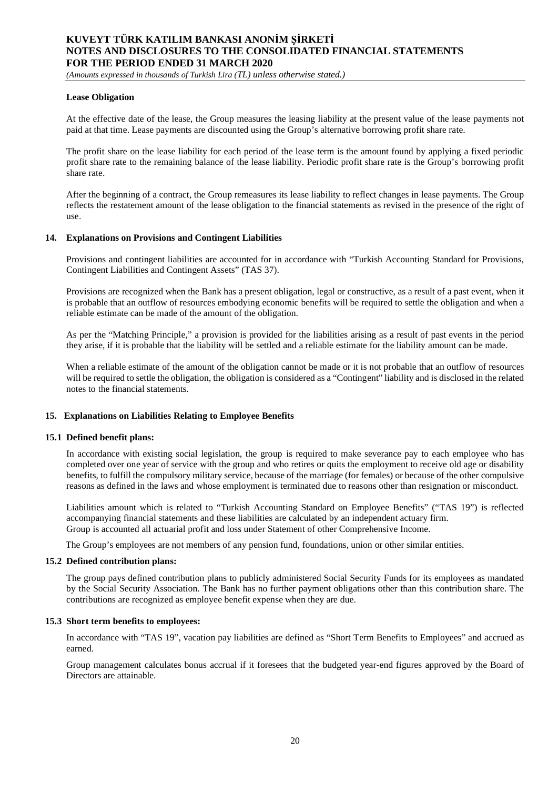*(Amounts expressed in thousands of Turkish Lira (TL) unless otherwise stated.)*

#### **Lease Obligation**

At the effective date of the lease, the Group measures the leasing liability at the present value of the lease payments not paid at that time. Lease payments are discounted using the Group's alternative borrowing profit share rate.

The profit share on the lease liability for each period of the lease term is the amount found by applying a fixed periodic profit share rate to the remaining balance of the lease liability. Periodic profit share rate is the Group's borrowing profit share rate.

After the beginning of a contract, the Group remeasures its lease liability to reflect changes in lease payments. The Group reflects the restatement amount of the lease obligation to the financial statements as revised in the presence of the right of use.

#### **14. Explanations on Provisions and Contingent Liabilities**

Provisions and contingent liabilities are accounted for in accordance with "Turkish Accounting Standard for Provisions, Contingent Liabilities and Contingent Assets" (TAS 37).

Provisions are recognized when the Bank has a present obligation, legal or constructive, as a result of a past event, when it is probable that an outflow of resources embodying economic benefits will be required to settle the obligation and when a reliable estimate can be made of the amount of the obligation.

As per the "Matching Principle," a provision is provided for the liabilities arising as a result of past events in the period they arise, if it is probable that the liability will be settled and a reliable estimate for the liability amount can be made.

When a reliable estimate of the amount of the obligation cannot be made or it is not probable that an outflow of resources will be required to settle the obligation, the obligation is considered as a "Contingent" liability and is disclosed in the related notes to the financial statements.

#### **15. Explanations on Liabilities Relating to Employee Benefits**

#### **15.1 Defined benefit plans:**

In accordance with existing social legislation, the group is required to make severance pay to each employee who has completed over one year of service with the group and who retires or quits the employment to receive old age or disability benefits, to fulfill the compulsory military service, because of the marriage (for females) or because of the other compulsive reasons as defined in the laws and whose employment is terminated due to reasons other than resignation or misconduct.

Liabilities amount which is related to "Turkish Accounting Standard on Employee Benefits" ("TAS 19") is reflected accompanying financial statements and these liabilities are calculated by an independent actuary firm. Group is accounted all actuarial profit and loss under Statement of other Comprehensive Income.

The Group's employees are not members of any pension fund, foundations, union or other similar entities.

#### **15.2 Defined contribution plans:**

The group pays defined contribution plans to publicly administered Social Security Funds for its employees as mandated by the Social Security Association. The Bank has no further payment obligations other than this contribution share. The contributions are recognized as employee benefit expense when they are due.

#### **15.3 Short term benefits to employees:**

In accordance with "TAS 19", vacation pay liabilities are defined as "Short Term Benefits to Employees" and accrued as earned.

Group management calculates bonus accrual if it foresees that the budgeted year-end figures approved by the Board of Directors are attainable.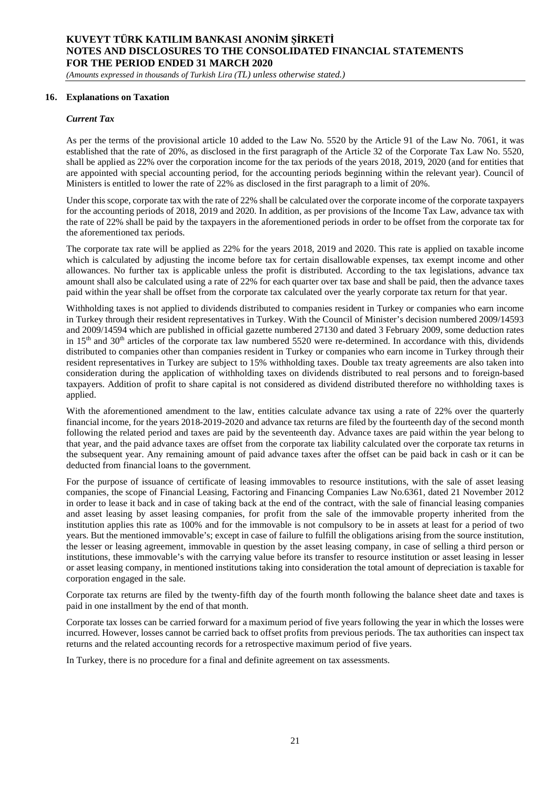*(Amounts expressed in thousands of Turkish Lira (TL) unless otherwise stated.)*

#### **16. Explanations on Taxation**

#### *Current Tax*

As per the terms of the provisional article 10 added to the Law No. 5520 by the Article 91 of the Law No. 7061, it was established that the rate of 20%, as disclosed in the first paragraph of the Article 32 of the Corporate Tax Law No. 5520, shall be applied as 22% over the corporation income for the tax periods of the years 2018, 2019, 2020 (and for entities that are appointed with special accounting period, for the accounting periods beginning within the relevant year). Council of Ministers is entitled to lower the rate of 22% as disclosed in the first paragraph to a limit of 20%.

Under this scope, corporate tax with the rate of 22% shall be calculated over the corporate income of the corporate taxpayers for the accounting periods of 2018, 2019 and 2020. In addition, as per provisions of the Income Tax Law, advance tax with the rate of 22% shall be paid by the taxpayers in the aforementioned periods in order to be offset from the corporate tax for the aforementioned tax periods.

The corporate tax rate will be applied as 22% for the years 2018, 2019 and 2020. This rate is applied on taxable income which is calculated by adjusting the income before tax for certain disallowable expenses, tax exempt income and other allowances. No further tax is applicable unless the profit is distributed. According to the tax legislations, advance tax amount shall also be calculated using a rate of 22% for each quarter over tax base and shall be paid, then the advance taxes paid within the year shall be offset from the corporate tax calculated over the yearly corporate tax return for that year.

Withholding taxes is not applied to dividends distributed to companies resident in Turkey or companies who earn income in Turkey through their resident representatives in Turkey. With the Council of Minister's decision numbered 2009/14593 and 2009/14594 which are published in official gazette numbered 27130 and dated 3 February 2009, some deduction rates in  $15<sup>th</sup>$  and  $30<sup>th</sup>$  articles of the corporate tax law numbered 5520 were re-determined. In accordance with this, dividends distributed to companies other than companies resident in Turkey or companies who earn income in Turkey through their resident representatives in Turkey are subject to 15% withholding taxes. Double tax treaty agreements are also taken into consideration during the application of withholding taxes on dividends distributed to real persons and to foreign-based taxpayers. Addition of profit to share capital is not considered as dividend distributed therefore no withholding taxes is applied.

With the aforementioned amendment to the law, entities calculate advance tax using a rate of 22% over the quarterly financial income, for the years 2018-2019-2020 and advance tax returns are filed by the fourteenth day of the second month following the related period and taxes are paid by the seventeenth day. Advance taxes are paid within the year belong to that year, and the paid advance taxes are offset from the corporate tax liability calculated over the corporate tax returns in the subsequent year. Any remaining amount of paid advance taxes after the offset can be paid back in cash or it can be deducted from financial loans to the government.

For the purpose of issuance of certificate of leasing immovables to resource institutions, with the sale of asset leasing companies, the scope of Financial Leasing, Factoring and Financing Companies Law No.6361, dated 21 November 2012 in order to lease it back and in case of taking back at the end of the contract, with the sale of financial leasing companies and asset leasing by asset leasing companies, for profit from the sale of the immovable property inherited from the institution applies this rate as 100% and for the immovable is not compulsory to be in assets at least for a period of two years. But the mentioned immovable's; except in case of failure to fulfill the obligations arising from the source institution, the lesser or leasing agreement, immovable in question by the asset leasing company, in case of selling a third person or institutions, these immovable's with the carrying value before its transfer to resource institution or asset leasing in lesser or asset leasing company, in mentioned institutions taking into consideration the total amount of depreciation is taxable for corporation engaged in the sale.

Corporate tax returns are filed by the twenty-fifth day of the fourth month following the balance sheet date and taxes is paid in one installment by the end of that month.

Corporate tax losses can be carried forward for a maximum period of five years following the year in which the losses were incurred. However, losses cannot be carried back to offset profits from previous periods. The tax authorities can inspect tax returns and the related accounting records for a retrospective maximum period of five years.

In Turkey, there is no procedure for a final and definite agreement on tax assessments.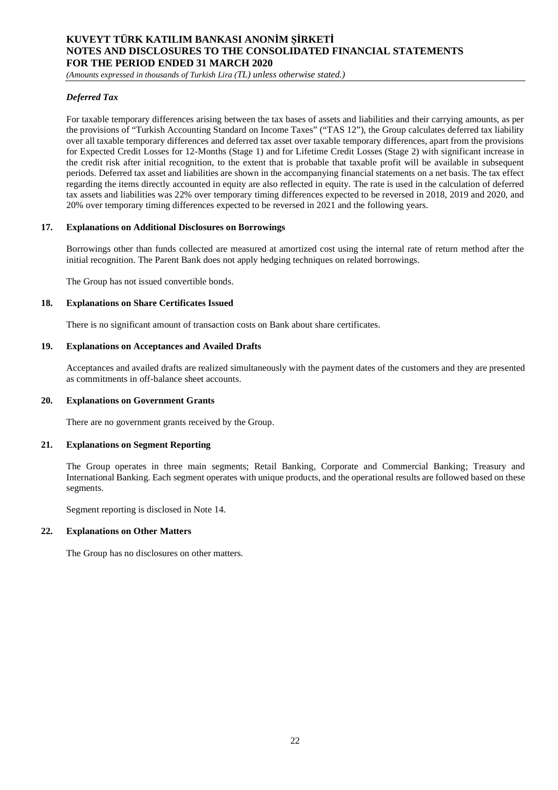*(Amounts expressed in thousands of Turkish Lira (TL) unless otherwise stated.)*

### *Deferred Tax*

For taxable temporary differences arising between the tax bases of assets and liabilities and their carrying amounts, as per the provisions of "Turkish Accounting Standard on Income Taxes" ("TAS 12"), the Group calculates deferred tax liability over all taxable temporary differences and deferred tax asset over taxable temporary differences, apart from the provisions for Expected Credit Losses for 12-Months (Stage 1) and for Lifetime Credit Losses (Stage 2) with significant increase in the credit risk after initial recognition, to the extent that is probable that taxable profit will be available in subsequent periods. Deferred tax asset and liabilities are shown in the accompanying financial statements on a net basis. The tax effect regarding the items directly accounted in equity are also reflected in equity. The rate is used in the calculation of deferred tax assets and liabilities was 22% over temporary timing differences expected to be reversed in 2018, 2019 and 2020, and 20% over temporary timing differences expected to be reversed in 2021 and the following years.

#### **17. Explanations on Additional Disclosures on Borrowings**

Borrowings other than funds collected are measured at amortized cost using the internal rate of return method after the initial recognition. The Parent Bank does not apply hedging techniques on related borrowings.

The Group has not issued convertible bonds.

#### **18. Explanations on Share Certificates Issued**

There is no significant amount of transaction costs on Bank about share certificates.

#### **19. Explanations on Acceptances and Availed Drafts**

Acceptances and availed drafts are realized simultaneously with the payment dates of the customers and they are presented as commitments in off-balance sheet accounts.

#### **20. Explanations on Government Grants**

There are no government grants received by the Group.

#### **21. Explanations on Segment Reporting**

The Group operates in three main segments; Retail Banking, Corporate and Commercial Banking; Treasury and International Banking. Each segment operates with unique products, and the operational results are followed based on these segments.

Segment reporting is disclosed in Note 14.

#### **22. Explanations on Other Matters**

The Group has no disclosures on other matters.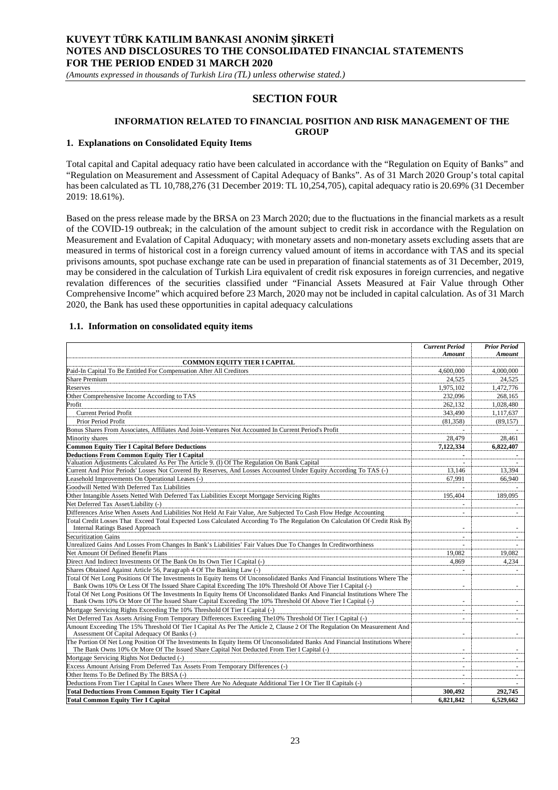*(Amounts expressed in thousands of Turkish Lira (TL) unless otherwise stated.)*

### **SECTION FOUR**

### **INFORMATION RELATED TO FINANCIAL POSITION AND RISK MANAGEMENT OF THE GROUP**

#### **1. Explanations on Consolidated Equity Items**

Total capital and Capital adequacy ratio have been calculated in accordance with the "Regulation on Equity of Banks" and "Regulation on Measurement and Assessment of Capital Adequacy of Banks". As of 31 March 2020 Group's total capital has been calculated as TL 10,788,276 (31 December 2019: TL 10,254,705), capital adequacy ratio is 20.69% (31 December 2019: 18.61%).

Based on the press release made by the BRSA on 23 March 2020; due to the fluctuations in the financial markets as a result of the COVID-19 outbreak; in the calculation of the amount subject to credit risk in accordance with the Regulation on Measurement and Evalation of Capital Aduquacy; with monetary assets and non-monetary assets excluding assets that are measured in terms of historical cost in a foreign currency valued amount of items in accordance with TAS and its special privisons amounts, spot puchase exchange rate can be used in preparation of financial statements as of 31 December, 2019, may be considered in the calculation of Turkish Lira equivalent of credit risk exposures in foreign currencies, and negative revalation differences of the securities classified under "Financial Assets Measured at Fair Value through Other Comprehensive Income" which acquired before 23 March, 2020 may not be included in capital calculation. As of 31 March 2020, the Bank has used these opportunities in capital adequacy calculations

#### **1.1. Information on consolidated equity items**

|                                                                                                                                                                                                                                          | <b>Current Period</b>    | <b>Prior Period</b>      |
|------------------------------------------------------------------------------------------------------------------------------------------------------------------------------------------------------------------------------------------|--------------------------|--------------------------|
|                                                                                                                                                                                                                                          | Amount                   | Amount                   |
| <b>COMMON EQUITY TIER I CAPITAL</b>                                                                                                                                                                                                      |                          |                          |
| Paid-In Capital To Be Entitled For Compensation After All Creditors                                                                                                                                                                      | 4,600,000                | 4,000,000                |
| <b>Share Premium</b>                                                                                                                                                                                                                     | 24.525                   | 24.525                   |
| Reserves                                                                                                                                                                                                                                 | 1,975,102                | 1,472,776                |
| Other Comprehensive Income According to TAS                                                                                                                                                                                              | 232,096                  | 268.165                  |
| Profit                                                                                                                                                                                                                                   | 262,132                  | 1,028,480                |
| <b>Current Period Profit</b>                                                                                                                                                                                                             | 343,490                  | 1,117,637                |
| Prior Period Profit                                                                                                                                                                                                                      | (81, 358)                | (89, 157)                |
| Bonus Shares From Associates, Affiliates And Joint-Ventures Not Accounted In Current Period's Profit                                                                                                                                     |                          |                          |
| Minority shares                                                                                                                                                                                                                          | 28,479                   | 28,461                   |
| <b>Common Equity Tier I Capital Before Deductions</b>                                                                                                                                                                                    | 7,122,334                | 6,822,407                |
| <b>Deductions From Common Equity Tier I Capital</b>                                                                                                                                                                                      |                          |                          |
| Valuation Adjustments Calculated As Per The Article 9. (I) Of The Regulation On Bank Capital                                                                                                                                             |                          |                          |
| Current And Prior Periods' Losses Not Covered By Reserves, And Losses Accounted Under Equity According To TAS (-)                                                                                                                        | 13.146                   | 13.394                   |
| Leasehold Improvements On Operational Leases (-)                                                                                                                                                                                         | 67.991                   | 66.940                   |
| Goodwill Netted With Deferred Tax Liabilities                                                                                                                                                                                            |                          |                          |
| Other Intangible Assets Netted With Deferred Tax Liabilities Except Mortgage Servicing Rights                                                                                                                                            | 195,404                  | 189,095                  |
| Net Deferred Tax Asset/Liability (-)                                                                                                                                                                                                     |                          |                          |
| Differences Arise When Assets And Liabilities Not Held At Fair Value, Are Subjected To Cash Flow Hedge Accounting                                                                                                                        | $\sim$                   | ٠                        |
| Total Credit Losses That Exceed Total Expected Loss Calculated According To The Regulation On Calculation Of Credit Risk By                                                                                                              |                          |                          |
| <b>Internal Ratings Based Approach</b>                                                                                                                                                                                                   |                          |                          |
| <b>Securitization Gains</b>                                                                                                                                                                                                              | $\sim$                   |                          |
| Unrealized Gains And Losses From Changes In Bank's Liabilities' Fair Values Due To Changes In Creditworthiness                                                                                                                           |                          |                          |
| Net Amount Of Defined Benefit Plans                                                                                                                                                                                                      | 19.082                   | 19.082                   |
| Direct And Indirect Investments Of The Bank On Its Own Tier I Capital (-)                                                                                                                                                                | 4.869                    | 4.234                    |
| Shares Obtained Against Article 56, Paragraph 4 Of The Banking Law (-)                                                                                                                                                                   |                          |                          |
| Total Of Net Long Positions Of The Investments In Equity Items Of Unconsolidated Banks And Financial Institutions Where The                                                                                                              |                          |                          |
| Bank Owns 10% Or Less Of The Issued Share Capital Exceeding The 10% Threshold Of Above Tier I Capital (-)                                                                                                                                |                          |                          |
| Total Of Net Long Positions Of The Investments In Equity Items Of Unconsolidated Banks And Financial Institutions Where The<br>Bank Owns 10% Or More Of The Issued Share Capital Exceeding The 10% Threshold Of Above Tier I Capital (-) | $\overline{\phantom{a}}$ | $\overline{\phantom{a}}$ |
| Mortgage Servicing Rights Exceeding The 10% Threshold Of Tier I Capital (-)                                                                                                                                                              |                          | $\overline{\phantom{a}}$ |
| Net Deferred Tax Assets Arising From Temporary Differences Exceeding The 10% Threshold Of Tier I Capital (-)                                                                                                                             |                          | $\sim$                   |
| Amount Exceeding The 15% Threshold Of Tier I Capital As Per The Article 2, Clause 2 Of The Regulation On Measurement And<br>Assessment Of Capital Adequacy Of Banks (-)                                                                  |                          |                          |
| The Portion Of Net Long Position Of The Investments In Equity Items Of Unconsolidated Banks And Financial Institutions Where                                                                                                             |                          |                          |
| The Bank Owns 10% Or More Of The Issued Share Capital Not Deducted From Tier I Capital (-)                                                                                                                                               | $\blacksquare$           | $\sim$                   |
| Mortgage Servicing Rights Not Deducted (-)                                                                                                                                                                                               |                          | $\sim$                   |
| Excess Amount Arising From Deferred Tax Assets From Temporary Differences (-)                                                                                                                                                            |                          |                          |
| Other Items To Be Defined By The BRSA (-)                                                                                                                                                                                                | $\sim$                   | $\sim$                   |
| Deductions From Tier I Capital In Cases Where There Are No Adequate Additional Tier I Or Tier II Capitals (-)                                                                                                                            |                          |                          |
| <b>Total Deductions From Common Equity Tier I Capital</b>                                                                                                                                                                                | 300,492                  | 292,745                  |
| <b>Total Common Equity Tier I Capital</b>                                                                                                                                                                                                | 6,821,842                | 6,529,662                |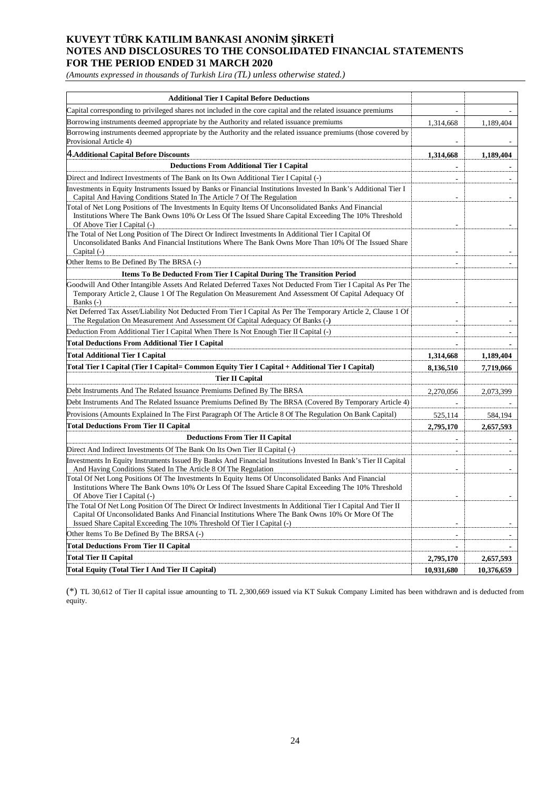*(Amounts expressed in thousands of Turkish Lira (TL) unless otherwise stated.)*

| <b>Additional Tier I Capital Before Deductions</b>                                                                                                                                                                                                                                           |                |            |
|----------------------------------------------------------------------------------------------------------------------------------------------------------------------------------------------------------------------------------------------------------------------------------------------|----------------|------------|
| Capital corresponding to privileged shares not included in the core capital and the related issuance premiums                                                                                                                                                                                |                |            |
| Borrowing instruments deemed appropriate by the Authority and related issuance premiums                                                                                                                                                                                                      | 1,314,668      | 1,189,404  |
| Borrowing instruments deemed appropriate by the Authority and the related issuance premiums (those covered by<br>Provisional Article 4)                                                                                                                                                      |                |            |
| 4. Additional Capital Before Discounts                                                                                                                                                                                                                                                       | 1,314,668      | 1,189,404  |
| <b>Deductions From Additional Tier I Capital</b>                                                                                                                                                                                                                                             |                |            |
| Direct and Indirect Investments of The Bank on Its Own Additional Tier I Capital (-)                                                                                                                                                                                                         | L.             |            |
| Investments in Equity Instruments Issued by Banks or Financial Institutions Invested In Bank's Additional Tier I<br>Capital And Having Conditions Stated In The Article 7 Of The Regulation                                                                                                  |                |            |
| Total of Net Long Positions of The Investments In Equity Items Of Unconsolidated Banks And Financial<br>Institutions Where The Bank Owns 10% Or Less Of The Issued Share Capital Exceeding The 10% Threshold<br>Of Above Tier I Capital (-)                                                  |                |            |
| The Total of Net Long Position of The Direct Or Indirect Investments In Additional Tier I Capital Of<br>Unconsolidated Banks And Financial Institutions Where The Bank Owns More Than 10% Of The Issued Share<br>Capital (-)                                                                 |                |            |
| Other Items to Be Defined By The BRSA (-)                                                                                                                                                                                                                                                    | $\overline{a}$ |            |
| <b>Items To Be Deducted From Tier I Capital During The Transition Period</b>                                                                                                                                                                                                                 |                |            |
| Goodwill And Other Intangible Assets And Related Deferred Taxes Not Deducted From Tier I Capital As Per The<br>Temporary Article 2, Clause 1 Of The Regulation On Measurement And Assessment Of Capital Adequacy Of<br>Banks $(-)$                                                           |                |            |
| Net Deferred Tax Asset/Liability Not Deducted From Tier I Capital As Per The Temporary Article 2, Clause 1 Of<br>The Regulation On Measurement And Assessment Of Capital Adequacy Of Banks (-)                                                                                               |                |            |
| Deduction From Additional Tier I Capital When There Is Not Enough Tier II Capital (-)                                                                                                                                                                                                        |                |            |
| <b>Total Deductions From Additional Tier I Capital</b>                                                                                                                                                                                                                                       |                |            |
| <b>Total Additional Tier I Capital</b>                                                                                                                                                                                                                                                       | 1,314,668      | 1,189,404  |
| Total Tier I Capital (Tier I Capital= Common Equity Tier I Capital + Additional Tier I Capital)                                                                                                                                                                                              | 8,136,510      | 7,719,066  |
| <b>Tier II Capital</b>                                                                                                                                                                                                                                                                       |                |            |
| Debt Instruments And The Related Issuance Premiums Defined By The BRSA                                                                                                                                                                                                                       | 2,270,056      | 2,073,399  |
| Debt Instruments And The Related Issuance Premiums Defined By The BRSA (Covered By Temporary Article 4)                                                                                                                                                                                      |                |            |
| Provisions (Amounts Explained In The First Paragraph Of The Article 8 Of The Regulation On Bank Capital)                                                                                                                                                                                     | 525,114        | 584,194    |
| <b>Total Deductions From Tier II Capital</b>                                                                                                                                                                                                                                                 | 2,795,170      | 2,657,593  |
| <b>Deductions From Tier II Capital</b>                                                                                                                                                                                                                                                       |                |            |
| Direct And Indirect Investments Of The Bank On Its Own Tier II Capital (-)                                                                                                                                                                                                                   |                |            |
| Investments In Equity Instruments Issued By Banks And Financial Institutions Invested In Bank's Tier II Capital<br>And Having Conditions Stated In The Article 8 Of The Regulation                                                                                                           |                |            |
| Total Of Net Long Positions Of The Investments In Equity Items Of Unconsolidated Banks And Financial<br>Institutions Where The Bank Owns 10% Or Less Of The Issued Share Capital Exceeding The 10% Threshold<br>Of Above Tier I Capital (-)                                                  |                |            |
| The Total Of Net Long Position Of The Direct Or Indirect Investments In Additional Tier I Capital And Tier II<br>Capital Of Unconsolidated Banks And Financial Institutions Where The Bank Owns 10% Or More Of The<br>Issued Share Capital Exceeding The 10% Threshold Of Tier I Capital (-) |                |            |
| Other Items To Be Defined By The BRSA (-)                                                                                                                                                                                                                                                    |                |            |
| <b>Total Deductions From Tier II Capital</b>                                                                                                                                                                                                                                                 | $\blacksquare$ |            |
| Total Tier II Capital                                                                                                                                                                                                                                                                        | 2,795,170      | 2,657,593  |
| Total Equity (Total Tier I And Tier II Capital)                                                                                                                                                                                                                                              | 10,931,680     | 10,376,659 |

(\*) TL 30,612 of Tier II capital issue amounting to TL 2,300,669 issued via KT Sukuk Company Limited has been withdrawn and is deducted from equity.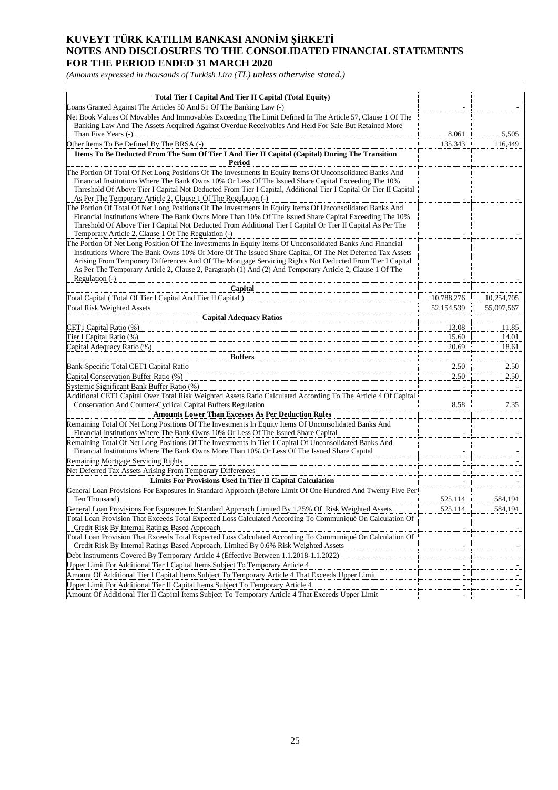*(Amounts expressed in thousands of Turkish Lira (TL) unless otherwise stated.)*

| <b>Total Tier I Capital And Tier II Capital (Total Equity)</b>                                                                                                                                                        |            |                          |
|-----------------------------------------------------------------------------------------------------------------------------------------------------------------------------------------------------------------------|------------|--------------------------|
| Loans Granted Against The Articles 50 And 51 Of The Banking Law (-)                                                                                                                                                   |            |                          |
| Net Book Values Of Movables And Immovables Exceeding The Limit Defined In The Article 57, Clause 1 Of The                                                                                                             |            |                          |
| Banking Law And The Assets Acquired Against Overdue Receivables And Held For Sale But Retained More                                                                                                                   |            |                          |
| Than Five Years (-)                                                                                                                                                                                                   | 8,061      | 5,505                    |
| Other Items To Be Defined By The BRSA (-)                                                                                                                                                                             | 135,343    | 116,449                  |
| Items To Be Deducted From The Sum Of Tier I And Tier II Capital (Capital) During The Transition<br>Period                                                                                                             |            |                          |
| The Portion Of Total Of Net Long Positions Of The Investments In Equity Items Of Unconsolidated Banks And                                                                                                             |            |                          |
| Financial Institutions Where The Bank Owns 10% Or Less Of The Issued Share Capital Exceeding The 10%                                                                                                                  |            |                          |
| Threshold Of Above Tier I Capital Not Deducted From Tier I Capital, Additional Tier I Capital Or Tier II Capital                                                                                                      |            |                          |
| As Per The Temporary Article 2, Clause 1 Of The Regulation (-)                                                                                                                                                        |            |                          |
| The Portion Of Total Of Net Long Positions Of The Investments In Equity Items Of Unconsolidated Banks And                                                                                                             |            |                          |
| Financial Institutions Where The Bank Owns More Than 10% Of The Issued Share Capital Exceeding The 10%<br>Threshold Of Above Tier I Capital Not Deducted From Additional Tier I Capital Or Tier II Capital As Per The |            |                          |
| Temporary Article 2, Clause 1 Of The Regulation (-)                                                                                                                                                                   |            |                          |
| The Portion Of Net Long Position Of The Investments In Equity Items Of Unconsolidated Banks And Financial                                                                                                             |            |                          |
| Institutions Where The Bank Owns 10% Or More Of The Issued Share Capital, Of The Net Deferred Tax Assets                                                                                                              |            |                          |
| Arising From Temporary Differences And Of The Mortgage Servicing Rights Not Deducted From Tier I Capital                                                                                                              |            |                          |
| As Per The Temporary Article 2, Clause 2, Paragraph (1) And (2) And Temporary Article 2, Clause 1 Of The                                                                                                              |            |                          |
| Regulation (-)                                                                                                                                                                                                        |            |                          |
| Capital                                                                                                                                                                                                               |            |                          |
| Total Capital (Total Of Tier I Capital And Tier II Capital)                                                                                                                                                           | 10,788,276 | 10,254,705               |
| <b>Total Risk Weighted Assets</b>                                                                                                                                                                                     | 52,154,539 | 55,097,567               |
| <b>Capital Adequacy Ratios</b>                                                                                                                                                                                        |            |                          |
| CET1 Capital Ratio (%)                                                                                                                                                                                                | 13.08      | 11.85                    |
| Tier I Capital Ratio (%)                                                                                                                                                                                              | 15.60      | 14.01                    |
| Capital Adequacy Ratio (%)                                                                                                                                                                                            | 20.69      | 18.61                    |
| <b>Buffers</b>                                                                                                                                                                                                        |            |                          |
| Bank-Specific Total CET1 Capital Ratio                                                                                                                                                                                | 2.50       | 2.50                     |
| Capital Conservation Buffer Ratio (%)                                                                                                                                                                                 | 2.50       | 2.50                     |
| Systemic Significant Bank Buffer Ratio (%)                                                                                                                                                                            |            |                          |
| Additional CET1 Capital Over Total Risk Weighted Assets Ratio Calculated According To The Article 4 Of Capital                                                                                                        |            |                          |
| Conservation And Counter-Cyclical Capital Buffers Regulation                                                                                                                                                          | 8.58       | 7.35                     |
| <b>Amounts Lower Than Excesses As Per Deduction Rules</b>                                                                                                                                                             |            |                          |
| Remaining Total Of Net Long Positions Of The Investments In Equity Items Of Unconsolidated Banks And<br>Financial Institutions Where The Bank Owns 10% Or Less Of The Issued Share Capital                            |            |                          |
| Remaining Total Of Net Long Positions Of The Investments In Tier I Capital Of Unconsolidated Banks And                                                                                                                |            |                          |
| Financial Institutions Where The Bank Owns More Than 10% Or Less Of The Issued Share Capital                                                                                                                          |            |                          |
| <b>Remaining Mortgage Servicing Rights</b>                                                                                                                                                                            |            |                          |
| Net Deferred Tax Assets Arising From Temporary Differences                                                                                                                                                            |            |                          |
| <b>Limits For Provisions Used In Tier II Capital Calculation</b>                                                                                                                                                      |            |                          |
| General Loan Provisions For Exposures In Standard Approach (Before Limit Of One Hundred And Twenty Five Per                                                                                                           |            |                          |
| Ten Thousand)                                                                                                                                                                                                         | 525.114    | 584,194                  |
| General Loan Provisions For Exposures In Standard Approach Limited By 1.25% Of Risk Weighted Assets                                                                                                                   | 525,114    | 584,194                  |
| Total Loan Provision That Exceeds Total Expected Loss Calculated According To Communiqué On Calculation Of                                                                                                            |            |                          |
| Credit Risk By Internal Ratings Based Approach                                                                                                                                                                        |            |                          |
| Total Loan Provision That Exceeds Total Expected Loss Calculated According To Communiqué On Calculation Of                                                                                                            |            |                          |
| Credit Risk By Internal Ratings Based Approach, Limited By 0.6% Risk Weighted Assets                                                                                                                                  |            | $\overline{\phantom{a}}$ |
| Debt Instruments Covered By Temporary Article 4 (Effective Between 1.1.2018-1.1.2022)                                                                                                                                 |            |                          |
| Upper Limit For Additional Tier I Capital Items Subject To Temporary Article 4                                                                                                                                        |            |                          |
| Amount Of Additional Tier I Capital Items Subject To Temporary Article 4 That Exceeds Upper Limit                                                                                                                     | ٠          |                          |
| Upper Limit For Additional Tier II Capital Items Subject To Temporary Article 4                                                                                                                                       |            | $\overline{\phantom{a}}$ |
| Amount Of Additional Tier II Capital Items Subject To Temporary Article 4 That Exceeds Upper Limit                                                                                                                    |            |                          |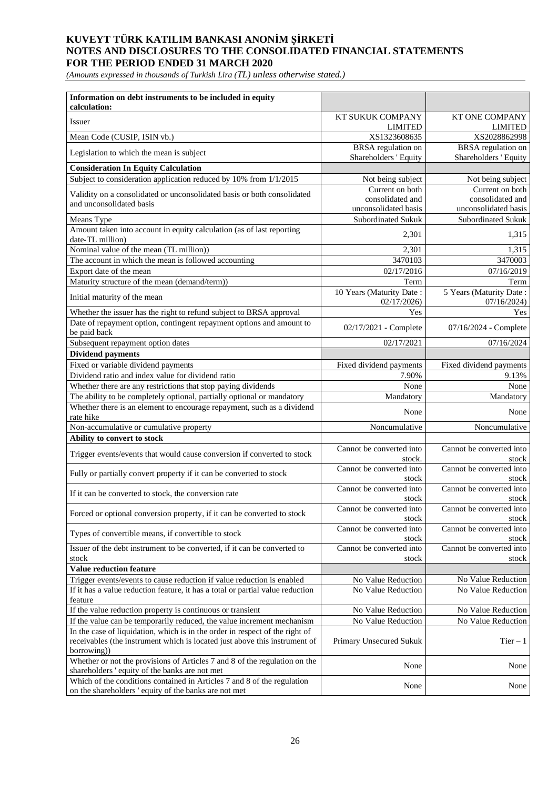*(Amounts expressed in thousands of Turkish Lira (TL) unless otherwise stated.)*

| Information on debt instruments to be included in equity<br>calculation:                                                                                                 |                                             |                                             |
|--------------------------------------------------------------------------------------------------------------------------------------------------------------------------|---------------------------------------------|---------------------------------------------|
| <b>Issuer</b>                                                                                                                                                            | <b>KT SUKUK COMPANY</b><br><b>LIMITED</b>   | <b>KT ONE COMPANY</b><br><b>LIMITED</b>     |
| Mean Code (CUSIP, ISIN vb.)                                                                                                                                              | XS1323608635                                | XS2028862998                                |
| Legislation to which the mean is subject                                                                                                                                 | BRSA regulation on<br>Shareholders ' Equity | BRSA regulation on<br>Shareholders ' Equity |
| <b>Consideration In Equity Calculation</b>                                                                                                                               |                                             |                                             |
| Subject to consideration application reduced by 10% from 1/1/2015                                                                                                        | Not being subject                           | Not being subject                           |
|                                                                                                                                                                          | Current on both                             | Current on both                             |
| Validity on a consolidated or unconsolidated basis or both consolidated<br>and unconsolidated basis                                                                      | consolidated and                            | consolidated and                            |
|                                                                                                                                                                          | unconsolidated basis                        | unconsolidated basis                        |
| Means Type                                                                                                                                                               | Subordinated Sukuk                          | Subordinated Sukuk                          |
| Amount taken into account in equity calculation (as of last reporting<br>date-TL million)                                                                                | 2,301                                       | 1,315                                       |
| Nominal value of the mean (TL million))                                                                                                                                  | 2,301                                       | 1,315                                       |
| The account in which the mean is followed accounting                                                                                                                     | 3470103                                     | 3470003                                     |
| Export date of the mean                                                                                                                                                  | 02/17/2016                                  | 07/16/2019                                  |
| Maturity structure of the mean (demand/term))                                                                                                                            | Term                                        | Term                                        |
| Initial maturity of the mean                                                                                                                                             | 10 Years (Maturity Date:<br>02/17/2026      | 5 Years (Maturity Date:<br>07/16/2024       |
| Whether the issuer has the right to refund subject to BRSA approval                                                                                                      | Yes                                         | Yes                                         |
| Date of repayment option, contingent repayment options and amount to<br>be paid back                                                                                     | 02/17/2021 - Complete                       | 07/16/2024 - Complete                       |
| Subsequent repayment option dates                                                                                                                                        | 02/17/2021                                  | 07/16/2024                                  |
| <b>Dividend payments</b>                                                                                                                                                 |                                             |                                             |
| Fixed or variable dividend payments                                                                                                                                      | Fixed dividend payments                     | Fixed dividend payments                     |
| Dividend ratio and index value for dividend ratio                                                                                                                        | 7.90%                                       | 9.13%                                       |
| Whether there are any restrictions that stop paying dividends                                                                                                            | None                                        | None                                        |
| The ability to be completely optional, partially optional or mandatory                                                                                                   | Mandatory                                   | Mandatory                                   |
| Whether there is an element to encourage repayment, such as a dividend<br>rate hike                                                                                      | None                                        | None                                        |
| Non-accumulative or cumulative property                                                                                                                                  | Noncumulative                               | Noncumulative                               |
| Ability to convert to stock                                                                                                                                              |                                             |                                             |
| Trigger events/events that would cause conversion if converted to stock                                                                                                  | Cannot be converted into<br>stock.          | Cannot be converted into<br>stock           |
| Fully or partially convert property if it can be converted to stock                                                                                                      | Cannot be converted into<br>stock           | Cannot be converted into<br>stock           |
| If it can be converted to stock, the conversion rate                                                                                                                     | Cannot be converted into<br>stock           | Cannot be converted into<br>stock           |
| Forced or optional conversion property, if it can be converted to stock                                                                                                  | Cannot be converted into<br>stock           | Cannot be converted into<br>stock           |
| Types of convertible means, if convertible to stock                                                                                                                      | Cannot be converted into<br>stock           | Cannot be converted into<br>stock           |
| Issuer of the debt instrument to be converted, if it can be converted to                                                                                                 | Cannot be converted into                    | Cannot be converted into                    |
| stock                                                                                                                                                                    | stock                                       | stock                                       |
| <b>Value reduction feature</b>                                                                                                                                           |                                             |                                             |
| Trigger events/events to cause reduction if value reduction is enabled                                                                                                   | No Value Reduction                          | No Value Reduction                          |
| If it has a value reduction feature, it has a total or partial value reduction<br>feature                                                                                | No Value Reduction                          | No Value Reduction                          |
| If the value reduction property is continuous or transient                                                                                                               | No Value Reduction                          | No Value Reduction                          |
| If the value can be temporarily reduced, the value increment mechanism                                                                                                   | No Value Reduction                          | No Value Reduction                          |
| In the case of liquidation, which is in the order in respect of the right of<br>receivables (the instrument which is located just above this instrument of<br>borrowing) | Primary Unsecured Sukuk                     | $Tier - 1$                                  |
| Whether or not the provisions of Articles 7 and 8 of the regulation on the<br>shareholders 'equity of the banks are not met                                              | None                                        | None                                        |
| Which of the conditions contained in Articles 7 and 8 of the regulation<br>on the shareholders 'equity of the banks are not met                                          | None                                        | None                                        |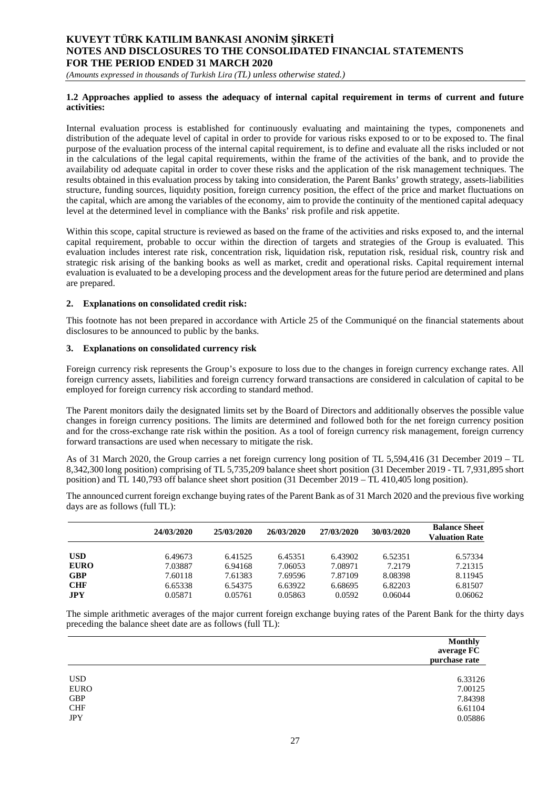*(Amounts expressed in thousands of Turkish Lira (TL) unless otherwise stated.)*

#### **1.2 Approaches applied to assess the adequacy of internal capital requirement in terms of current and future activities:**

Internal evaluation process is established for continuously evaluating and maintaining the types, componenets and distribution of the adequate level of capital in order to provide for various risks exposed to or to be exposed to. The final purpose of the evaluation process of the internal capital requirement, is to define and evaluate all the risks included or not in the calculations of the legal capital requirements, within the frame of the activities of the bank, and to provide the availability od adequate capital in order to cover these risks and the application of the risk management techniques. The results obtained in this evaluation process by taking into consideration, the Parent Banks' growth strategy, assets-liabilities structure, funding sources, liquidity position, foreign currency position, the effect of the price and market fluctuations on the capital, which are among the variables of the economy, aim to provide the continuity of the mentioned capital adequacy level at the determined level in compliance with the Banks' risk profile and risk appetite.

Within this scope, capital structure is reviewed as based on the frame of the activities and risks exposed to, and the internal capital requirement, probable to occur within the direction of targets and strategies of the Group is evaluated. This evaluation includes interest rate risk, concentration risk, liquidation risk, reputation risk, residual risk, country risk and strategic risk arising of the banking books as well as market, credit and operational risks. Capital requirement internal evaluation is evaluated to be a developing process and the development areas for the future period are determined and plans are prepared.

#### **2. Explanations on consolidated credit risk:**

This footnote has not been prepared in accordance with Article 25 of the Communiqué on the financial statements about disclosures to be announced to public by the banks.

#### **3. Explanations on consolidated currency risk**

Foreign currency risk represents the Group's exposure to loss due to the changes in foreign currency exchange rates. All foreign currency assets, liabilities and foreign currency forward transactions are considered in calculation of capital to be employed for foreign currency risk according to standard method.

The Parent monitors daily the designated limits set by the Board of Directors and additionally observes the possible value changes in foreign currency positions. The limits are determined and followed both for the net foreign currency position and for the cross-exchange rate risk within the position. As a tool of foreign currency risk management, foreign currency forward transactions are used when necessary to mitigate the risk.

As of 31 March 2020, the Group carries a net foreign currency long position of TL 5,594,416 (31 December 2019 – TL 8,342,300 long position) comprising of TL 5,735,209 balance sheet short position (31 December 2019 - TL 7,931,895 short position) and TL 140,793 off balance sheet short position (31 December 2019 – TL 410,405 long position).

The announced current foreign exchange buying rates of the Parent Bank as of 31 March 2020 and the previous five working days are as follows (full TL):

|             | 24/03/2020 | 25/03/2020 | 26/03/2020 | 27/03/2020 | 30/03/2020 | <b>Balance Sheet</b><br><b>Valuation Rate</b> |
|-------------|------------|------------|------------|------------|------------|-----------------------------------------------|
| <b>USD</b>  | 6.49673    | 6.41525    | 6.45351    | 6.43902    | 6.52351    | 6.57334                                       |
| <b>EURO</b> | 7.03887    | 6.94168    | 7.06053    | 7.08971    | 7.2179     | 7.21315                                       |
| <b>GBP</b>  | 7.60118    | 7.61383    | 7.69596    | 7.87109    | 8.08398    | 8.11945                                       |
| <b>CHF</b>  | 6.65338    | 6.54375    | 6.63922    | 6.68695    | 6.82203    | 6.81507                                       |
| JPY         | 0.05871    | 0.05761    | 0.05863    | 0.0592     | 0.06044    | 0.06062                                       |

The simple arithmetic averages of the major current foreign exchange buying rates of the Parent Bank for the thirty days preceding the balance sheet date are as follows (full TL):

|            | <b>Monthly</b><br>average FC<br>purchase rate |
|------------|-----------------------------------------------|
| <b>USD</b> | 6.33126                                       |
| EURO       | 7.00125                                       |
| GBP        | 7.84398                                       |
| <b>CHF</b> | 6.61104                                       |
| <b>JPY</b> | 0.05886                                       |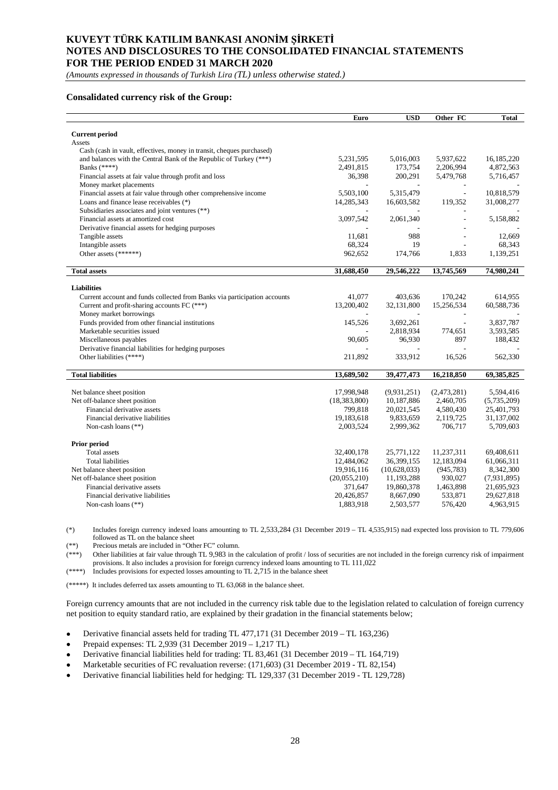*(Amounts expressed in thousands of Turkish Lira (TL) unless otherwise stated.)*

#### **Consalidated currency risk of the Group:**

|                                                                           | Euro           | <b>USD</b>   | Other FC                 | <b>Total</b> |
|---------------------------------------------------------------------------|----------------|--------------|--------------------------|--------------|
|                                                                           |                |              |                          |              |
| <b>Current period</b><br>Assets                                           |                |              |                          |              |
| Cash (cash in vault, effectives, money in transit, cheques purchased)     |                |              |                          |              |
| and balances with the Central Bank of the Republic of Turkey (***)        | 5,231,595      | 5,016,003    | 5,937,622                | 16,185,220   |
| Banks $(****)$                                                            | 2,491,815      | 173,754      | 2,206,994                | 4,872,563    |
| Financial assets at fair value through profit and loss                    | 36,398         | 200,291      | 5,479,768                | 5,716,457    |
| Money market placements                                                   |                |              |                          |              |
| Financial assets at fair value through other comprehensive income         | 5,503,100      | 5,315,479    | $\overline{\phantom{a}}$ | 10,818,579   |
| Loans and finance lease receivables (*)                                   | 14,285,343     | 16,603,582   | 119,352                  | 31,008,277   |
| Subsidiaries associates and joint ventures (**)                           |                |              |                          |              |
| Financial assets at amortized cost                                        | 3,097,542      | 2,061,340    |                          | 5,158,882    |
| Derivative financial assets for hedging purposes                          |                |              |                          |              |
| Tangible assets                                                           | 11,681         | 988          |                          | 12,669       |
| Intangible assets                                                         | 68,324         | 19           |                          | 68,343       |
| Other assets (******)                                                     | 962,652        | 174,766      | 1,833                    | 1,139,251    |
|                                                                           |                |              |                          |              |
| <b>Total assets</b>                                                       | 31,688,450     | 29,546,222   | 13,745,569               | 74,980,241   |
|                                                                           |                |              |                          |              |
| <b>Liabilities</b>                                                        |                |              |                          |              |
| Current account and funds collected from Banks via participation accounts | 41,077         | 403,636      | 170,242                  | 614,955      |
| Current and profit-sharing accounts FC (***)                              | 13,200,402     | 32,131,800   | 15,256,534               | 60,588,736   |
| Money market borrowings                                                   |                |              |                          |              |
| Funds provided from other financial institutions                          | 145,526        | 3,692,261    |                          | 3,837,787    |
| Marketable securities issued                                              |                | 2,818,934    | 774,651                  | 3,593,585    |
| Miscellaneous payables                                                    | 90,605         | 96,930       | 897                      | 188,432      |
| Derivative financial liabilities for hedging purposes                     |                |              |                          |              |
| Other liabilities (****)                                                  | 211,892        | 333,912      | 16,526                   | 562,330      |
| <b>Total liabilities</b>                                                  | 13,689,502     | 39,477,473   | 16,218,850               | 69,385,825   |
|                                                                           |                |              |                          |              |
| Net balance sheet position                                                | 17,998,948     | (9,931,251)  | (2,473,281)              | 5,594,416    |
| Net off-balance sheet position                                            | (18, 383, 800) | 10,187,886   | 2,460,705                | (5,735,209)  |
| Financial derivative assets                                               | 799,818        | 20,021,545   | 4,580,430                | 25,401,793   |
| Financial derivative liabilities                                          | 19,183,618     | 9,833,659    | 2,119,725                | 31,137,002   |
| Non-cash loans (**)                                                       | 2,003,524      | 2,999,362    | 706,717                  | 5,709,603    |
|                                                                           |                |              |                          |              |
| Prior period                                                              |                |              |                          |              |
| <b>Total</b> assets                                                       | 32,400,178     | 25,771,122   | 11,237,311               | 69,408,611   |
| <b>Total liabilities</b>                                                  | 12,484,062     | 36,399,155   | 12,183,094               | 61,066,311   |
| Net balance sheet position                                                | 19,916,116     | (10,628,033) | (945, 783)               | 8,342,300    |
| Net off-balance sheet position                                            | (20,055,210)   | 11,193,288   | 930,027                  | (7,931,895)  |
| Financial derivative assets                                               | 371,647        | 19,860,378   | 1,463,898                | 21,695,923   |
| Financial derivative liabilities                                          | 20,426,857     | 8,667,090    | 533,871                  | 29,627,818   |
| Non-cash loans $(**)$                                                     | 1,883,918      | 2,503,577    | 576,420                  | 4,963,915    |

(\*) Includes foreign currency indexed loans amounting to TL 2,533,284 (31 December 2019 – TL 4,535,915) nad expected loss provision to TL 779,606 followed as TL on the balance sheet

(\*\*) Precious metals are included in "Other FC" column.

(\*\*\*) Other liabilities at fair value through TL 9,983 in the calculation of profit / loss of securities are not included in the foreign currency risk of impairment provisions. It also includes a provision for foreign currency indexed loans amounting to TL 111,022

 $(****)$  Includes provisions for expected losses amounting to TL 2,715 in the balance sheet

(\*\*\*\*\*) It includes deferred tax assets amounting to TL 63,068 in the balance sheet.

Foreign currency amounts that are not included in the currency risk table due to the legislation related to calculation of foreign currency net position to equity standard ratio, are explained by their gradation in the financial statements below;

- Derivative financial assets held for trading TL 477,171 (31 December 2019 TL 163,236)  $\bullet$
- Prepaid expenses: TL 2,939 (31 December 2019 1,217 TL)  $\bullet$
- Derivative financial liabilities held for trading: TL 83,461 (31 December 2019 TL 164,719)  $\bullet$
- Marketable securities of FC revaluation reverse: (171,603) (31 December 2019 TL 82,154)  $\bullet$
- Derivative financial liabilities held for hedging: TL 129,337 (31 December 2019 TL 129,728) $\bullet$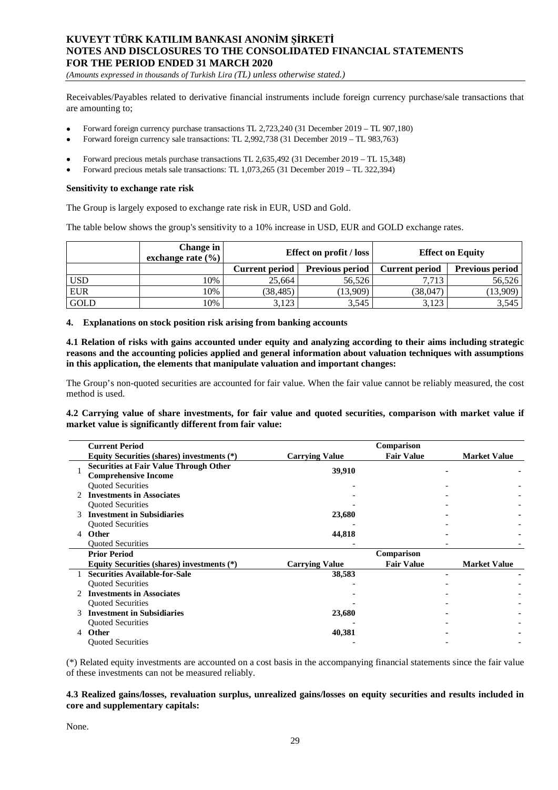*(Amounts expressed in thousands of Turkish Lira (TL) unless otherwise stated.)*

Receivables/Payables related to derivative financial instruments include foreign currency purchase/sale transactions that are amounting to;

- Forward foreign currency purchase transactions TL 2,723,240 (31 December 2019 TL 907,180)
- Forward foreign currency sale transactions: TL 2,992,738 (31 December 2019 TL 983,763)
- Forward precious metals purchase transactions TL 2,635,492 (31 December 2019 TL 15,348)
- Forward precious metals sale transactions: TL 1,073,265 (31 December 2019 TL 322,394)

#### **Sensitivity to exchange rate risk**

The Group is largely exposed to exchange rate risk in EUR, USD and Gold.

The table below shows the group's sensitivity to a 10% increase in USD, EUR and GOLD exchange rates.

|            | Change in<br>exchange rate $(\% )$ | <b>Effect on profit / loss</b> |                        |                       | <b>Effect on Equity</b> |
|------------|------------------------------------|--------------------------------|------------------------|-----------------------|-------------------------|
|            |                                    | <b>Current period</b>          | <b>Previous period</b> | <b>Current period</b> | <b>Previous period</b>  |
| <b>USD</b> | 10%                                | 25.664                         | 56.526                 | 7.713                 | 56,526                  |
| <b>EUR</b> | 10%                                | (38, 485)                      | (13,909)               | (38,047)              | (13,909)                |
| GOLD       | 10%                                | 3,123                          | 3,545                  | 3,123                 | 3,545                   |

#### **4. Explanations on stock position risk arising from banking accounts**

**4.1 Relation of risks with gains accounted under equity and analyzing according to their aims including strategic reasons and the accounting policies applied and general information about valuation techniques with assumptions in this application, the elements that manipulate valuation and important changes:**

The Group's non-quoted securities are accounted for fair value. When the fair value cannot be reliably measured, the cost method is used.

**4.2 Carrying value of share investments, for fair value and quoted securities, comparison with market value if market value is significantly different from fair value:**

|   | <b>Current Period</b>                                                        |                       | Comparison        |                     |
|---|------------------------------------------------------------------------------|-----------------------|-------------------|---------------------|
|   | Equity Securities (shares) investments (*)                                   | <b>Carrying Value</b> | <b>Fair Value</b> | <b>Market Value</b> |
|   | <b>Securities at Fair Value Through Other</b><br><b>Comprehensive Income</b> | 39,910                |                   |                     |
|   | <b>Ouoted Securities</b>                                                     |                       |                   |                     |
|   | <b>Investments in Associates</b>                                             |                       |                   |                     |
|   | <b>Ouoted Securities</b>                                                     |                       |                   |                     |
|   | <b>Investment in Subsidiaries</b>                                            | 23,680                |                   |                     |
|   | <b>Quoted Securities</b>                                                     |                       |                   |                     |
| 4 | Other                                                                        | 44,818                |                   |                     |
|   | <b>Ouoted Securities</b>                                                     |                       |                   |                     |
|   | <b>Prior Period</b>                                                          |                       | Comparison        |                     |
|   | Equity Securities (shares) investments (*)                                   | <b>Carrying Value</b> | <b>Fair Value</b> | <b>Market Value</b> |
|   | <b>Securities Available-for-Sale</b>                                         | 38,583                |                   |                     |
|   | <b>Ouoted Securities</b>                                                     |                       |                   |                     |
|   | <b>Investments in Associates</b>                                             |                       |                   |                     |
|   | <b>Quoted Securities</b>                                                     |                       |                   |                     |
|   | <b>Investment in Subsidiaries</b>                                            | 23,680                |                   |                     |
|   | <b>Ouoted Securities</b>                                                     |                       |                   |                     |
| 4 | <b>Other</b>                                                                 | 40,381                |                   |                     |
|   | <b>Ouoted Securities</b>                                                     |                       |                   |                     |

(\*) Related equity investments are accounted on a cost basis in the accompanying financial statements since the fair value of these investments can not be measured reliably.

#### **4.3 Realized gains/losses, revaluation surplus, unrealized gains/losses on equity securities and results included in core and supplementary capitals:**

None.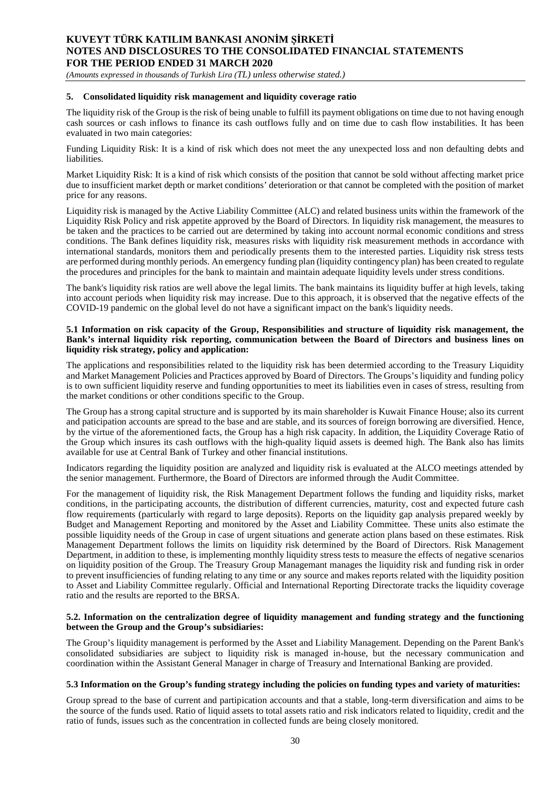*(Amounts expressed in thousands of Turkish Lira (TL) unless otherwise stated.)*

#### **5. Consolidated liquidity risk management and liquidity coverage ratio**

The liquidity risk of the Group is the risk of being unable to fulfill its payment obligations on time due to not having enough cash sources or cash inflows to finance its cash outflows fully and on time due to cash flow instabilities. It has been evaluated in two main categories:

Funding Liquidity Risk: It is a kind of risk which does not meet the any unexpected loss and non defaulting debts and liabilities.

Market Liquidity Risk: It is a kind of risk which consists of the position that cannot be sold without affecting market price due to insufficient market depth or market conditions' deterioration or that cannot be completed with the position of market price for any reasons.

Liquidity risk is managed by the Active Liability Committee (ALC) and related business units within the framework of the Liquidity Risk Policy and risk appetite approved by the Board of Directors. In liquidity risk management, the measures to be taken and the practices to be carried out are determined by taking into account normal economic conditions and stress conditions. The Bank defines liquidity risk, measures risks with liquidity risk measurement methods in accordance with international standards, monitors them and periodically presents them to the interested parties. Liquidity risk stress tests are performed during monthly periods. An emergency funding plan (liquidity contingency plan) has been created to regulate the procedures and principles for the bank to maintain and maintain adequate liquidity levels under stress conditions.

The bank's liquidity risk ratios are well above the legal limits. The bank maintains its liquidity buffer at high levels, taking into account periods when liquidity risk may increase. Due to this approach, it is observed that the negative effects of the COVID-19 pandemic on the global level do not have a significant impact on the bank's liquidity needs.

#### **5.1 Information on risk capacity of the Group, Responsibilities and structure of liquidity risk management, the Bank's internal liquidity risk reporting, communication between the Board of Directors and business lines on liquidity risk strategy, policy and application:**

The applications and responsibilities related to the liquidity risk has been determied according to the Treasury Liquidity and Market Management Policies and Practices approved by Board of Directors. The Groups's liquidity and funding policy is to own sufficient liquidity reserve and funding opportunities to meet its liabilities even in cases of stress, resulting from the market conditions or other conditions specific to the Group.

The Group has a strong capital structure and is supported by its main shareholder is Kuwait Finance House; also its current and paticipation accounts are spread to the base and are stable, and its sources of foreign borrowing are diversified. Hence, by the virtue of the aforementioned facts, the Group has a high risk capacity. In addition, the Liquidity Coverage Ratio of the Group which insures its cash outflows with the high-quality liquid assets is deemed high. The Bank also has limits available for use at Central Bank of Turkey and other financial institutions.

Indicators regarding the liquidity position are analyzed and liquidity risk is evaluated at the ALCO meetings attended by the senior management. Furthermore, the Board of Directors are informed through the Audit Committee.

For the management of liquidity risk, the Risk Management Department follows the funding and liquidity risks, market conditions, in the participating accounts, the distribution of different currencies, maturity, cost and expected future cash flow requirements (particularly with regard to large deposits). Reports on the liquidity gap analysis prepared weekly by Budget and Management Reporting and monitored by the Asset and Liability Committee. These units also estimate the possible liquidity needs of the Group in case of urgent situations and generate action plans based on these estimates. Risk Management Department follows the limits on liquidity risk determined by the Board of Directors. Risk Management Department, in addition to these, is implementing monthly liquidity stress tests to measure the effects of negative scenarios on liquidity position of the Group. The Treasury Group Managemant manages the liquidity risk and funding risk in order to prevent insufficiencies of funding relating to any time or any source and makes reports related with the liquidity position to Asset and Liability Committee regularly. Official and International Reporting Directorate tracks the liquidity coverage ratio and the results are reported to the BRSA.

#### **5.2. Information on the centralization degree of liquidity management and funding strategy and the functioning between the Group and the Group's subsidiaries:**

The Group's liquidity management is performed by the Asset and Liability Management. Depending on the Parent Bank's consolidated subsidiaries are subject to liquidity risk is managed in-house, but the necessary communication and coordination within the Assistant General Manager in charge of Treasury and International Banking are provided.

#### **5.3 Information on the Group's funding strategy including the policies on funding types and variety of maturities:**

Group spread to the base of current and partipication accounts and that a stable, long-term diversification and aims to be the source of the funds used. Ratio of liquid assets to total assets ratio and risk indicators related to liquidity, credit and the ratio of funds, issues such as the concentration in collected funds are being closely monitored.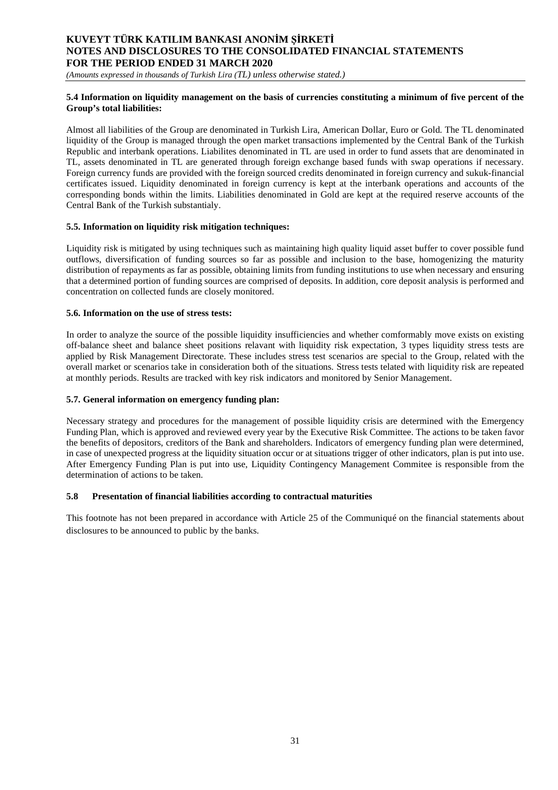*(Amounts expressed in thousands of Turkish Lira (TL) unless otherwise stated.)*

### **5.4 Information on liquidity management on the basis of currencies constituting a minimum of five percent of the Group's total liabilities:**

Almost all liabilities of the Group are denominated in Turkish Lira, American Dollar, Euro or Gold. The TL denominated liquidity of the Group is managed through the open market transactions implemented by the Central Bank of the Turkish Republic and interbank operations. Liabilites denominated in TL are used in order to fund assets that are denominated in TL, assets denominated in TL are generated through foreign exchange based funds with swap operations if necessary. Foreign currency funds are provided with the foreign sourced credits denominated in foreign currency and sukuk-financial certificates issued. Liquidity denominated in foreign currency is kept at the interbank operations and accounts of the corresponding bonds within the limits. Liabilities denominated in Gold are kept at the required reserve accounts of the Central Bank of the Turkish substantialy.

## **5.5. Information on liquidity risk mitigation techniques:**

Liquidity risk is mitigated by using techniques such as maintaining high quality liquid asset buffer to cover possible fund outflows, diversification of funding sources so far as possible and inclusion to the base, homogenizing the maturity distribution of repayments as far as possible, obtaining limits from funding institutions to use when necessary and ensuring that a determined portion of funding sources are comprised of deposits. In addition, core deposit analysis is performed and concentration on collected funds are closely monitored.

### **5.6. Information on the use of stress tests:**

In order to analyze the source of the possible liquidity insufficiencies and whether comformably move exists on existing off-balance sheet and balance sheet positions relavant with liquidity risk expectation, 3 types liquidity stress tests are applied by Risk Management Directorate. These includes stress test scenarios are special to the Group, related with the overall market or scenarios take in consideration both of the situations. Stress tests telated with liquidity risk are repeated at monthly periods. Results are tracked with key risk indicators and monitored by Senior Management.

### **5.7. General information on emergency funding plan:**

Necessary strategy and procedures for the management of possible liquidity crisis are determined with the Emergency Funding Plan, which is approved and reviewed every year by the Executive Risk Committee. The actions to be taken favor the benefits of depositors, creditors of the Bank and shareholders. Indicators of emergency funding plan were determined, in case of unexpected progress at the liquidity situation occur or at situations trigger of other indicators, plan is put into use. After Emergency Funding Plan is put into use, Liquidity Contingency Management Commitee is responsible from the determination of actions to be taken.

### **5.8 Presentation of financial liabilities according to contractual maturities**

This footnote has not been prepared in accordance with Article 25 of the Communiqué on the financial statements about disclosures to be announced to public by the banks.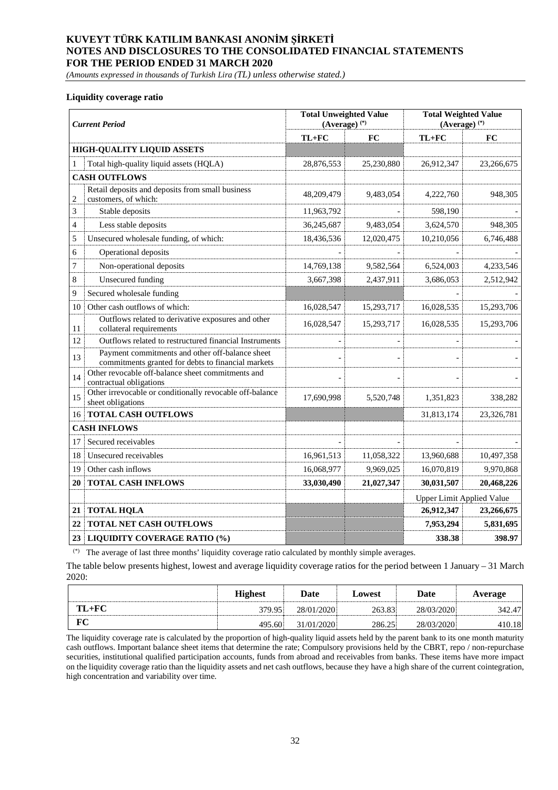*(Amounts expressed in thousands of Turkish Lira (TL) unless otherwise stated.)*

#### **Liquidity coverage ratio**

|                | <b>Current Period</b>                                                                                 | <b>Total Unweighted Value</b><br>$(Average)$ <sup>(*)</sup> |            | <b>Total Weighted Value</b><br>$(Average)$ <sup>(*)</sup> |            |
|----------------|-------------------------------------------------------------------------------------------------------|-------------------------------------------------------------|------------|-----------------------------------------------------------|------------|
|                |                                                                                                       | $TL+FC$                                                     | FC         | $TL+FC$                                                   | <b>FC</b>  |
|                | <b>HIGH-QUALITY LIQUID ASSETS</b>                                                                     |                                                             |            |                                                           |            |
|                | Total high-quality liquid assets (HQLA)                                                               | 28,876,553                                                  | 25,230,880 | 26,912,347                                                | 23,266,675 |
|                | <b>CASH OUTFLOWS</b>                                                                                  |                                                             |            |                                                           |            |
| 2              | Retail deposits and deposits from small business<br>customers, of which:                              | 48,209,479                                                  | 9,483,054  | 4,222,760                                                 | 948,305    |
| 3              | Stable deposits                                                                                       | 11,963,792                                                  |            | 598,190                                                   |            |
| $\overline{4}$ | Less stable deposits                                                                                  | 36,245,687                                                  | 9,483,054  | 3,624,570                                                 | 948,305    |
| 5              | Unsecured wholesale funding, of which:                                                                | 18,436,536                                                  | 12,020,475 | 10,210,056                                                | 6,746,488  |
| 6              | Operational deposits                                                                                  |                                                             |            |                                                           |            |
| 7              | Non-operational deposits                                                                              | 14,769,138                                                  | 9,582,564  | 6,524,003                                                 | 4,233,546  |
| 8              | <b>Unsecured</b> funding                                                                              | 3,667,398                                                   | 2,437,911  | 3,686,053                                                 | 2,512,942  |
| 9              | Secured wholesale funding                                                                             |                                                             |            |                                                           |            |
| 10             | Other cash outflows of which:                                                                         | 16,028,547                                                  | 15,293,717 | 16,028,535                                                | 15,293,706 |
| 11             | Outflows related to derivative exposures and other<br>collateral requirements                         | 16,028,547                                                  | 15,293,717 | 16,028,535                                                | 15,293,706 |
| 12             | Outflows related to restructured financial Instruments                                                |                                                             |            |                                                           |            |
| 13             | Payment commitments and other off-balance sheet<br>commitments granted for debts to financial markets |                                                             |            |                                                           |            |
| 14             | Other revocable off-balance sheet commitments and<br>contractual obligations                          |                                                             |            |                                                           |            |
| 15             | Other irrevocable or conditionally revocable off-balance<br>sheet obligations                         | 17,690,998                                                  | 5,520,748  | 1,351,823                                                 | 338,282    |
| 16             | <b>TOTAL CASH OUTFLOWS</b>                                                                            |                                                             |            | 31,813,174                                                | 23,326,781 |
|                | <b>CASH INFLOWS</b>                                                                                   |                                                             |            |                                                           |            |
| 17             | Secured receivables                                                                                   |                                                             |            |                                                           |            |
| 18             | Unsecured receivables                                                                                 | 16,961,513                                                  | 11,058,322 | 13,960,688                                                | 10,497,358 |
| 19             | Other cash inflows                                                                                    | 16,068,977                                                  | 9,969,025  | 16,070,819                                                | 9,970,868  |
| 20             | <b>TOTAL CASH INFLOWS</b>                                                                             | 33,030,490                                                  | 21,027,347 | 30,031,507                                                | 20,468,226 |
|                |                                                                                                       |                                                             |            | Upper Limit Applied Value                                 |            |
| 21             | <b>TOTAL HQLA</b>                                                                                     |                                                             |            | 26,912,347                                                | 23,266,675 |
| 22             | <b>TOTAL NET CASH OUTFLOWS</b>                                                                        |                                                             |            | 7,953,294                                                 | 5,831,695  |
| 23             | <b>LIQUIDITY COVERAGE RATIO (%)</b>                                                                   |                                                             |            | 338.38                                                    | 398.97     |

(\*) The average of last three months' liquidity coverage ratio calculated by monthly simple averages.

The table below presents highest, lowest and average liquidity coverage ratios for the period between 1 January – 31 March 2020:

|         | <b>Highest</b> | Date       | Lowest | Date       | Average |
|---------|----------------|------------|--------|------------|---------|
| $TL+FC$ | 379.95         | 28/01/2020 | 263.83 | 28/03/2020 | 342.47  |
|         | 495.60         | 31/01/2020 | 286.25 | 28/03/2020 | 410.18  |

The liquidity coverage rate is calculated by the proportion of high-quality liquid assets held by the parent bank to its one month maturity cash outflows. Important balance sheet items that determine the rate; Compulsory provisions held by the CBRT, repo / non-repurchase securities, institutional qualified participation accounts, funds from abroad and receivables from banks. These items have more impact on the liquidity coverage ratio than the liquidity assets and net cash outflows, because they have a high share of the current cointegration, high concentration and variability over time.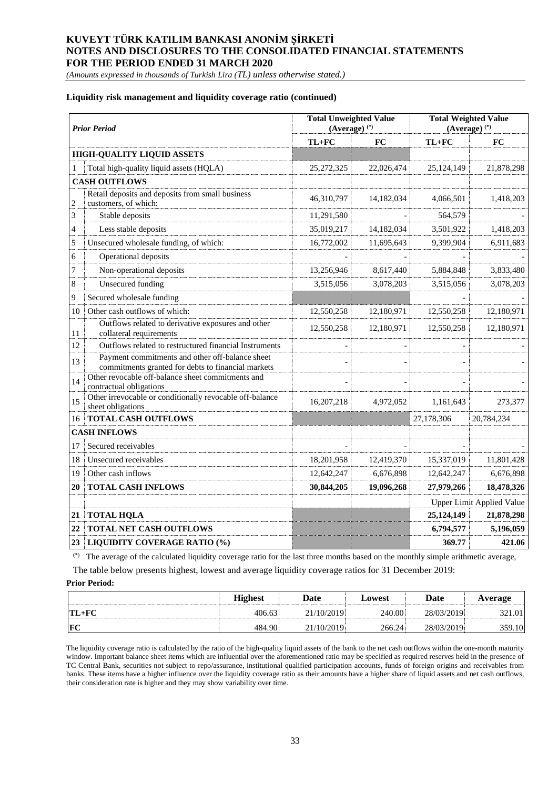*(Amounts expressed in thousands of Turkish Lira (TL) unless otherwise stated.)*

#### **Liquidity risk management and liquidity coverage ratio (continued)**

|                | <b>Prior Period</b>                                                                                   | <b>Total Unweighted Value</b><br>$(Average)$ <sup>(*)</sup> |            |            | <b>Total Weighted Value</b><br>$(Average)$ <sup>(*)</sup> |
|----------------|-------------------------------------------------------------------------------------------------------|-------------------------------------------------------------|------------|------------|-----------------------------------------------------------|
|                |                                                                                                       | $TL+FC$                                                     | FC         | TL+FC      | FC                                                        |
|                | <b>HIGH-QUALITY LIQUID ASSETS</b>                                                                     |                                                             |            |            |                                                           |
|                | Total high-quality liquid assets (HQLA)                                                               | 25, 272, 325                                                | 22,026,474 | 25,124,149 | 21,878,298                                                |
|                | <b>CASH OUTFLOWS</b>                                                                                  |                                                             |            |            |                                                           |
| $\overline{c}$ | Retail deposits and deposits from small business<br>customers, of which:                              | 46,310,797                                                  | 14,182,034 | 4,066,501  | 1,418,203                                                 |
| 3              | Stable deposits                                                                                       | 11,291,580                                                  |            | 564,579    |                                                           |
| $\overline{4}$ | Less stable deposits                                                                                  | 35,019,217                                                  | 14,182,034 | 3,501,922  | 1,418,203                                                 |
| 5              | Unsecured wholesale funding, of which:                                                                | 16,772,002                                                  | 11,695,643 | 9,399,904  | 6,911,683                                                 |
| 6              | Operational deposits                                                                                  |                                                             |            |            |                                                           |
| 7              | Non-operational deposits                                                                              | 13,256,946                                                  | 8,617,440  | 5,884,848  | 3,833,480                                                 |
| 8              | <b>Unsecured</b> funding                                                                              | 3,515,056                                                   | 3,078,203  | 3,515,056  | 3,078,203                                                 |
| 9              | Secured wholesale funding                                                                             |                                                             |            |            |                                                           |
| 10             | Other cash outflows of which:                                                                         | 12,550,258                                                  | 12,180,971 | 12,550,258 | 12,180,971                                                |
| 11             | Outflows related to derivative exposures and other<br>collateral requirements                         | 12,550,258                                                  | 12,180,971 | 12,550,258 | 12,180,971                                                |
| 12             | Outflows related to restructured financial Instruments                                                |                                                             |            |            |                                                           |
| 13             | Payment commitments and other off-balance sheet<br>commitments granted for debts to financial markets |                                                             |            |            |                                                           |
| 14             | Other revocable off-balance sheet commitments and<br>contractual obligations                          |                                                             |            |            |                                                           |
| 15             | Other irrevocable or conditionally revocable off-balance<br>sheet obligations                         | 16,207,218                                                  | 4,972,052  | 1,161,643  | 273,377                                                   |
| 16             | <b>TOTAL CASH OUTFLOWS</b>                                                                            |                                                             |            | 27,178,306 | 20,784,234                                                |
|                | <b>CASH INFLOWS</b>                                                                                   |                                                             |            |            |                                                           |
| 17             | Secured receivables                                                                                   |                                                             |            |            |                                                           |
| 18             | Unsecured receivables                                                                                 | 18,201,958                                                  | 12,419,370 | 15,337,019 | 11,801,428                                                |
| 19             | Other cash inflows                                                                                    | 12,642,247                                                  | 6,676,898  | 12,642,247 | 6,676,898                                                 |
| 20             | <b>TOTAL CASH INFLOWS</b>                                                                             | 30,844,205                                                  | 19,096,268 | 27,979,266 | 18,478,326                                                |
|                |                                                                                                       |                                                             |            |            | <b>Upper Limit Applied Value</b>                          |
| 21             | <b>TOTAL HQLA</b>                                                                                     |                                                             |            | 25,124,149 | 21,878,298                                                |
| 22             | TOTAL NET CASH OUTFLOWS                                                                               |                                                             |            | 6,794,577  | 5,196,059                                                 |
| 23             | <b>LIQUIDITY COVERAGE RATIO (%)</b>                                                                   |                                                             |            | 369.77     | 421.06                                                    |

(\*) The average of the calculated liquidity coverage ratio for the last three months based on the monthly simple arithmetic average, The table below presents highest, lowest and average liquidity coverage ratios for 31 December 2019:

#### **Prior Period:**

|            | <b>Highest</b> | Date       | Lowest | Date       | Average |
|------------|----------------|------------|--------|------------|---------|
| $TL+FC$    | 406.63         | 21/10/2019 | 240.00 | 28/03/2019 | 321.01  |
| <b>IFC</b> | 484.90         | 21/10/2019 | 266.24 | 28/03/2019 | 359.10  |

The liquidity coverage ratio is calculated by the ratio of the high-quality liquid assets of the bank to the net cash outflows within the one-month maturity window. Important balance sheet items which are influential over the aforementioned ratio may be specified as required reserves held in the presence of TC Central Bank, securities not subject to repo/assurance, institutional qualified participation accounts, funds of foreign origins and receivables from banks. These items have a higher influence over the liquidity coverage ratio as their amounts have a higher share of liquid assets and net cash outflows, their consideration rate is higher and they may show variability over time.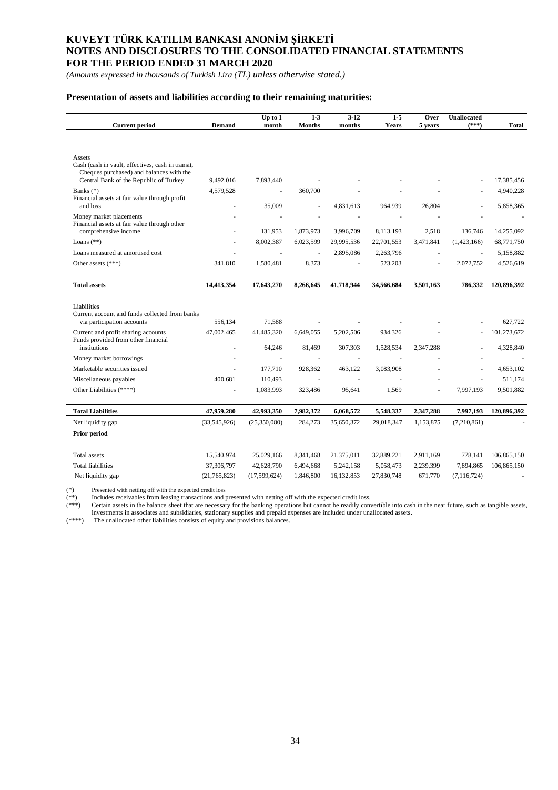*(Amounts expressed in thousands of Turkish Lira (TL) unless otherwise stated.)*

### **Presentation of assets and liabilities according to their remaining maturities:**

| <b>Current period</b>                                                                                                                   | <b>Demand</b>                | Up to 1<br>month     | $1-3$<br><b>Months</b> | $3-12$<br>months        | $1 - 5$<br><b>Years</b> | Over<br>5 years    | <b>Unallocated</b><br>$(***)$ | Total                    |
|-----------------------------------------------------------------------------------------------------------------------------------------|------------------------------|----------------------|------------------------|-------------------------|-------------------------|--------------------|-------------------------------|--------------------------|
| Assets                                                                                                                                  |                              |                      |                        |                         |                         |                    |                               |                          |
| Cash (cash in vault, effectives, cash in transit,<br>Cheques purchased) and balances with the<br>Central Bank of the Republic of Turkey | 9,492,016                    | 7,893,440            |                        |                         |                         |                    |                               | 17,385,456               |
| Banks $(*)$<br>Financial assets at fair value through profit<br>and loss                                                                | 4,579,528                    | ä,<br>35,009         | 360,700<br>ä,          | 4,831,613               | 964,939                 | 26,804             |                               | 4,940,228<br>5,858,365   |
| Money market placements<br>Financial assets at fair value through other                                                                 |                              |                      |                        |                         |                         |                    |                               |                          |
| comprehensive income<br>Loans $(**)$                                                                                                    |                              | 131,953<br>8,002,387 | 1,873,973<br>6,023,599 | 3,996,709<br>29,995,536 | 8,113,193<br>22,701,553 | 2,518<br>3,471,841 | 136,746<br>(1,423,166)        | 14,255,092<br>68,771,750 |
| Loans measured at amortised cost                                                                                                        |                              |                      |                        | 2,895,086               | 2,263,796               |                    | ä,                            | 5,158,882                |
| Other assets $(***")$                                                                                                                   | 341,810                      | 1,580,481            | 8,373                  |                         | 523,203                 | ä,                 | 2,072,752                     | 4,526,619                |
| <b>Total assets</b>                                                                                                                     | 14,413,354                   | 17,643,270           | 8,266,645              | 41,718,944              | 34,566,684              | 3,501,163          | 786,332                       | 120,896,392              |
|                                                                                                                                         |                              |                      |                        |                         |                         |                    |                               |                          |
| Liabilities<br>Current account and funds collected from banks                                                                           |                              |                      |                        |                         |                         |                    |                               |                          |
| via participation accounts                                                                                                              | 556,134                      | 71,588               |                        |                         |                         |                    |                               | 627.722                  |
| Current and profit sharing accounts<br>Funds provided from other financial<br>institutions                                              | 47,002,465<br>$\overline{a}$ | 41,485,320<br>64,246 | 6,649,055<br>81,469    | 5,202,506<br>307,303    | 934,326<br>1,528,534    | 2,347,288          |                               | 101,273,672<br>4,328,840 |
| Money market borrowings                                                                                                                 |                              | ÷,                   |                        | $\sim$                  | ÷                       |                    |                               |                          |
| Marketable securities issued                                                                                                            |                              | 177,710              | 928,362                | 463,122                 | 3,083,908               |                    |                               | 4,653,102                |
| Miscellaneous payables                                                                                                                  | 400,681                      | 110,493              |                        |                         |                         |                    |                               | 511,174                  |
| Other Liabilities (****)                                                                                                                |                              | 1,083,993            | 323,486                | 95,641                  | 1,569                   |                    | 7,997,193                     | 9,501,882                |
| <b>Total Liabilities</b>                                                                                                                | 47,959,280                   | 42,993,350           | 7,982,372              | 6,068,572               | 5,548,337               | 2,347,288          | 7,997,193                     | 120,896,392              |
| Net liquidity gap                                                                                                                       | (33,545,926)                 | (25,350,080)         | 284,273                | 35,650,372              | 29,018,347              | 1,153,875          | (7,210,861)                   |                          |
| Prior period                                                                                                                            |                              |                      |                        |                         |                         |                    |                               |                          |
| Total assets                                                                                                                            | 15,540,974                   | 25,029,166           | 8,341,468              | 21,375,011              | 32,889,221              | 2,911,169          | 778,141                       | 106,865,150              |
| <b>Total liabilities</b>                                                                                                                | 37,306,797                   | 42,628,790           | 6,494,668              | 5,242,158               | 5,058,473               | 2,239,399          | 7,894,865                     | 106,865,150              |
| Net liquidity gap                                                                                                                       | (21, 765, 823)               | (17,599,624)         | 1,846,800              | 16,132,853              | 27,830,748              | 671,770            | (7, 116, 724)                 |                          |

(\*) Presented with netting off with the expected credit loss (\*\*) Includes receivables from leasing transactions and presented with netting off with the expected credit loss.

(\*\*\*) Certain assets in the balance sheet that are necessary for the banking operations but cannot be readily convertible into cash in the near future, such as tangible assets,

investments in associates and subsidiaries, stationary supplies and prepaid expenses are included under unallocated assets.

(\*\*\*\*) The unallocated other liabilities consists of equity and provisions balances.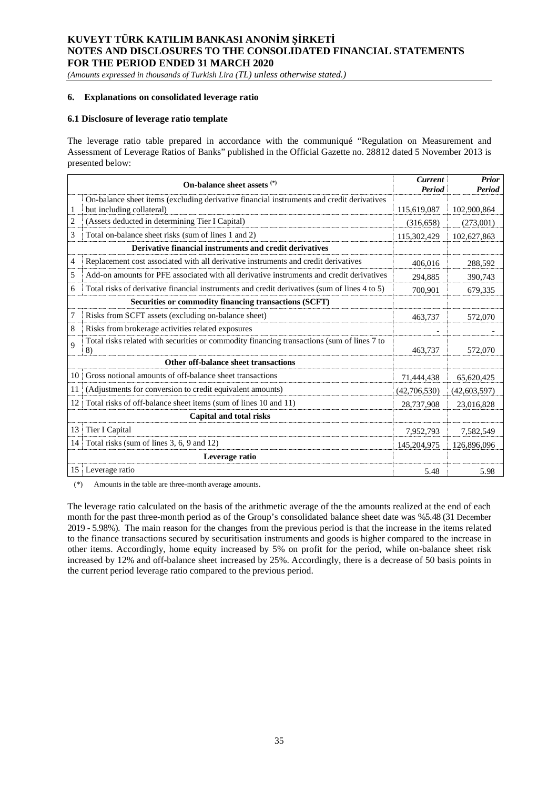*(Amounts expressed in thousands of Turkish Lira (TL) unless otherwise stated.)*

#### **6. Explanations on consolidated leverage ratio**

#### **6.1 Disclosure of leverage ratio template**

The leverage ratio table prepared in accordance with the communiqué "Regulation on Measurement and Assessment of Leverage Ratios of Banks" published in the Official Gazette no. 28812 dated 5 November 2013 is presented below:

|    | On-balance sheet assets (*)                                                                                            | <b>Current</b><br>Period | <b>Prior</b><br>Period |
|----|------------------------------------------------------------------------------------------------------------------------|--------------------------|------------------------|
| 1  | On-balance sheet items (excluding derivative financial instruments and credit derivatives<br>but including collateral) | 115,619,087              | 102,900,864            |
| 2  | (Assets deducted in determining Tier I Capital)                                                                        | (316, 658)               | (273,001)              |
| 3  | Total on-balance sheet risks (sum of lines 1 and 2)                                                                    | 115,302,429              | 102,627,863            |
|    | Derivative financial instruments and credit derivatives                                                                |                          |                        |
| 4  | Replacement cost associated with all derivative instruments and credit derivatives                                     | 406.016                  | 288.592                |
| 5  | Add-on amounts for PFE associated with all derivative instruments and credit derivatives                               | 294,885                  | 390,743                |
| 6  | Total risks of derivative financial instruments and credit derivatives (sum of lines 4 to 5)                           | 700.901                  | 679.335                |
|    | Securities or commodity financing transactions (SCFT)                                                                  |                          |                        |
| 7  | Risks from SCFT assets (excluding on-balance sheet)                                                                    | 463,737                  | 572,070                |
| 8  | Risks from brokerage activities related exposures                                                                      |                          |                        |
| 9  | Total risks related with securities or commodity financing transactions (sum of lines 7 to<br>8)                       | 463,737                  | 572,070                |
|    | Other off-balance sheet transactions                                                                                   |                          |                        |
| 10 | Gross notional amounts of off-balance sheet transactions                                                               | 71,444,438               | 65,620,425             |
| 11 | (Adjustments for conversion to credit equivalent amounts)                                                              | (42,706,530)             | (42, 603, 597)         |
| 12 | Total risks of off-balance sheet items (sum of lines 10 and 11)                                                        | 28,737,908               | 23,016,828             |
|    | Capital and total risks                                                                                                |                          |                        |
| 13 | Tier I Capital                                                                                                         | 7,952,793                | 7,582,549              |
| 14 | Total risks (sum of lines 3, 6, 9 and 12)                                                                              | 145,204,975              | 126,896,096            |
|    | Leverage ratio                                                                                                         |                          |                        |
| 15 | Leverage ratio                                                                                                         | 5.48                     | 5.98                   |

(\*) Amounts in the table are three-month average amounts.

The leverage ratio calculated on the basis of the arithmetic average of the the amounts realized at the end of each month for the past three-month period as of the Group's consolidated balance sheet date was %5.48 (31 December 2019 - 5.98%). The main reason for the changes from the previous period is that the increase in the items related to the finance transactions secured by securitisation instruments and goods is higher compared to the increase in other items. Accordingly, home equity increased by 5% on profit for the period, while on-balance sheet risk increased by 12% and off-balance sheet increased by 25%. Accordingly, there is a decrease of 50 basis points in the current period leverage ratio compared to the previous period.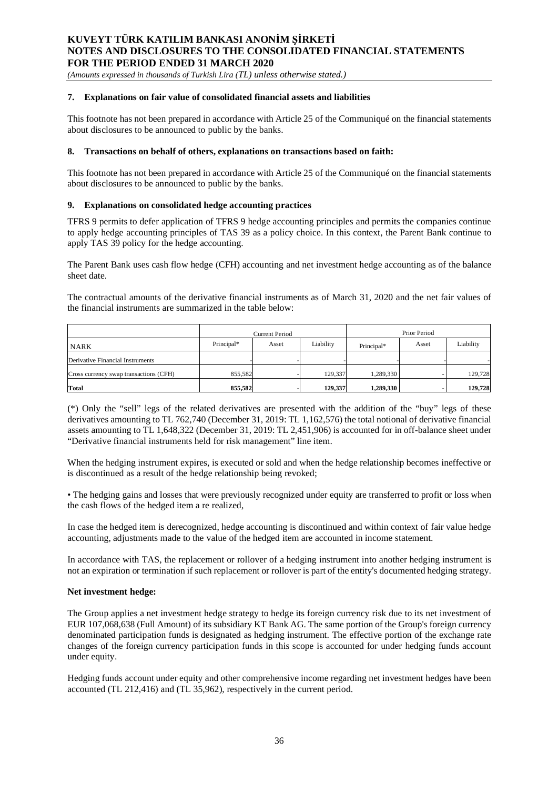*(Amounts expressed in thousands of Turkish Lira (TL) unless otherwise stated.)*

#### **7. Explanations on fair value of consolidated financial assets and liabilities**

This footnote has not been prepared in accordance with Article 25 of the Communiqué on the financial statements about disclosures to be announced to public by the banks.

#### **8. Transactions on behalf of others, explanations on transactions based on faith:**

This footnote has not been prepared in accordance with Article 25 of the Communiqué on the financial statements about disclosures to be announced to public by the banks.

### **9. Explanations on consolidated hedge accounting practices**

TFRS 9 permits to defer application of TFRS 9 hedge accounting principles and permits the companies continue to apply hedge accounting principles of TAS 39 as a policy choice. In this context, the Parent Bank continue to apply TAS 39 policy for the hedge accounting.

The Parent Bank uses cash flow hedge (CFH) accounting and net investment hedge accounting as of the balance sheet date.

The contractual amounts of the derivative financial instruments as of March 31, 2020 and the net fair values of the financial instruments are summarized in the table below:

|                                        | Current Period |       |           | Prior Period |       |           |  |
|----------------------------------------|----------------|-------|-----------|--------------|-------|-----------|--|
| <b>NARK</b>                            | Principal*     | Asset | Liability | Principal*   | Asset | Liability |  |
| Derivative Financial Instruments       |                |       |           |              |       |           |  |
| Cross currency swap transactions (CFH) | 855,582        |       | 129,337   | 1,289,330    |       | 129,728   |  |
| Total                                  | 855,582        |       | 129,337   | 1,289,330    |       | 129,728   |  |

(\*) Only the "sell" legs of the related derivatives are presented with the addition of the "buy" legs of these derivatives amounting to TL 762,740 (December 31, 2019: TL 1,162,576) the total notional of derivative financial assets amounting to TL 1,648,322 (December 31, 2019: TL 2,451,906) is accounted for in off-balance sheet under "Derivative financial instruments held for risk management" line item.

When the hedging instrument expires, is executed or sold and when the hedge relationship becomes ineffective or is discontinued as a result of the hedge relationship being revoked;

• The hedging gains and losses that were previously recognized under equity are transferred to profit or loss when the cash flows of the hedged item a re realized,

In case the hedged item is derecognized, hedge accounting is discontinued and within context of fair value hedge accounting, adjustments made to the value of the hedged item are accounted in income statement.

In accordance with TAS, the replacement or rollover of a hedging instrument into another hedging instrument is not an expiration or termination if such replacement or rollover is part of the entity's documented hedging strategy.

### **Net investment hedge:**

The Group applies a net investment hedge strategy to hedge its foreign currency risk due to its net investment of EUR 107,068,638 (Full Amount) of its subsidiary KT Bank AG. The same portion of the Group's foreign currency denominated participation funds is designated as hedging instrument. The effective portion of the exchange rate changes of the foreign currency participation funds in this scope is accounted for under hedging funds account under equity.

Hedging funds account under equity and other comprehensive income regarding net investment hedges have been accounted (TL 212,416) and (TL 35,962), respectively in the current period.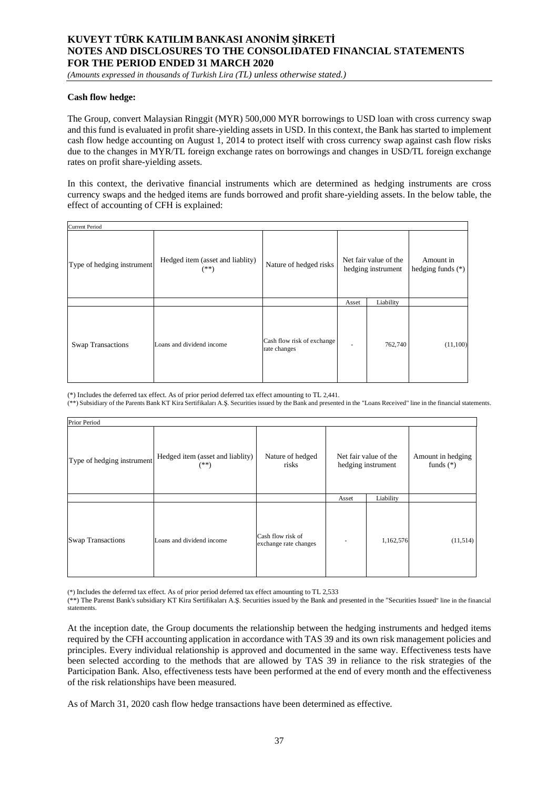*(Amounts expressed in thousands of Turkish Lira (TL) unless otherwise stated.)*

#### **Cash flow hedge:**

The Group, convert Malaysian Ringgit (MYR) 500,000 MYR borrowings to USD loan with cross currency swap and this fund is evaluated in profit share-yielding assets in USD. In this context, the Bank has started to implement cash flow hedge accounting on August 1, 2014 to protect itself with cross currency swap against cash flow risks due to the changes in MYR/TL foreign exchange rates on borrowings and changes in USD/TL foreign exchange rates on profit share-yielding assets.

In this context, the derivative financial instruments which are determined as hedging instruments are cross currency swaps and the hedged items are funds borrowed and profit share-yielding assets. In the below table, the effect of accounting of CFH is explained:

| <b>Current Period</b>      |                                            |                                            |       |                                             |                                  |  |  |  |  |
|----------------------------|--------------------------------------------|--------------------------------------------|-------|---------------------------------------------|----------------------------------|--|--|--|--|
| Type of hedging instrument | Hedged item (asset and liablity)<br>$(**)$ | Nature of hedged risks                     |       | Net fair value of the<br>hedging instrument | Amount in<br>hedging funds $(*)$ |  |  |  |  |
|                            |                                            |                                            | Asset | Liability                                   |                                  |  |  |  |  |
| Swap Transactions          | Loans and dividend income                  | Cash flow risk of exchange<br>rate changes |       | 762,740                                     | (11,100)                         |  |  |  |  |

(\*) Includes the deferred tax effect. As of prior period deferred tax effect amounting to TL 2,441.

(\*\*) Subsidiary of the Parents Bank KT Kira Sertifikaları A.Ş. Securities issued by the Bank and presented in the "Loans Received" line in the financial statements.

| Prior Period               |                                            |                                            |                                             |           |                                  |  |  |  |  |  |
|----------------------------|--------------------------------------------|--------------------------------------------|---------------------------------------------|-----------|----------------------------------|--|--|--|--|--|
| Type of hedging instrument | Hedged item (asset and liablity)<br>$(**)$ | Nature of hedged<br>risks                  | Net fair value of the<br>hedging instrument |           | Amount in hedging<br>funds $(*)$ |  |  |  |  |  |
|                            |                                            |                                            | Asset                                       | Liability |                                  |  |  |  |  |  |
| <b>Swap Transactions</b>   | Loans and dividend income                  | Cash flow risk of<br>exchange rate changes |                                             | 1,162,576 | (11,514)                         |  |  |  |  |  |

(\*) Includes the deferred tax effect. As of prior period deferred tax effect amounting to TL 2,533

(\*\*) The Parenst Bank's subsidiary KT Kira Sertifikaları A.Ş. Securities issued by the Bank and presented in the "Securities Issued" line in the financial statements.

At the inception date, the Group documents the relationship between the hedging instruments and hedged items required by the CFH accounting application in accordance with TAS 39 and its own risk management policies and principles. Every individual relationship is approved and documented in the same way. Effectiveness tests have been selected according to the methods that are allowed by TAS 39 in reliance to the risk strategies of the Participation Bank. Also, effectiveness tests have been performed at the end of every month and the effectiveness of the risk relationships have been measured.

As of March 31, 2020 cash flow hedge transactions have been determined as effective.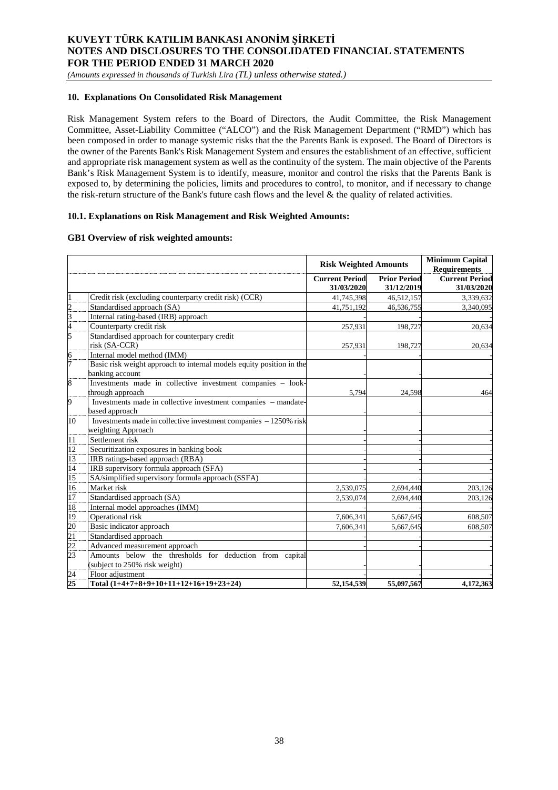*(Amounts expressed in thousands of Turkish Lira (TL) unless otherwise stated.)*

### **10. Explanations On Consolidated Risk Management**

Risk Management System refers to the Board of Directors, the Audit Committee, the Risk Management Committee, Asset-Liability Committee ("ALCO") and the Risk Management Department ("RMD") which has been composed in order to manage systemic risks that the the Parents Bank is exposed. The Board of Directors is the owner of the Parents Bank's Risk Management System and ensures the establishment of an effective, sufficient and appropriate risk management system as well as the continuity of the system. The main objective of the Parents Bank's Risk Management System is to identify, measure, monitor and control the risks that the Parents Bank is exposed to, by determining the policies, limits and procedures to control, to monitor, and if necessary to change the risk-return structure of the Bank's future cash flows and the level & the quality of related activities.

### **10.1. Explanations on Risk Management and Risk Weighted Amounts:**

### **GB1 Overview of risk weighted amounts:**

|                  |                                                                      | <b>Risk Weighted Amounts</b> |                     | <b>Minimum Capital</b><br><b>Requirements</b> |
|------------------|----------------------------------------------------------------------|------------------------------|---------------------|-----------------------------------------------|
|                  |                                                                      | <b>Current Period</b>        | <b>Prior Period</b> | <b>Current Period</b>                         |
|                  |                                                                      | 31/03/2020                   | 31/12/2019          | 31/03/2020                                    |
|                  | Credit risk (excluding counterparty credit risk) (CCR)               | 41,745,398                   | 46,512,157          | 3,339,632                                     |
|                  | Standardised approach (SA)                                           | 41,751,192                   | 46,536,755          | 3,340,095                                     |
| $\frac{2}{3}$    | Internal rating-based (IRB) approach                                 |                              |                     |                                               |
| $\overline{4}$   | Counterparty credit risk                                             | 257,931                      | 198,727             | 20,634                                        |
| 5                | Standardised approach for counterpary credit                         |                              |                     |                                               |
|                  | risk (SA-CCR)                                                        | 257,931                      | 198,727             | 20,634                                        |
| $\frac{6}{7}$    | Internal model method (IMM)                                          |                              |                     |                                               |
|                  | Basic risk weight approach to internal models equity position in the |                              |                     |                                               |
|                  | banking account                                                      |                              |                     |                                               |
| 8                | Investments made in collective investment companies - look-          |                              |                     |                                               |
|                  | through approach                                                     | 5,794                        | 24,598              | 464                                           |
| 9                | Investments made in collective investment companies – mandate-       |                              |                     |                                               |
|                  | based approach                                                       |                              |                     |                                               |
| 10               | Investments made in collective investment companies - 1250% risk     |                              |                     |                                               |
|                  | weighting Approach                                                   |                              |                     |                                               |
| 11               | Settlement risk                                                      |                              |                     |                                               |
| 12               | Securitization exposures in banking book                             |                              |                     |                                               |
| 13               | IRB ratings-based approach (RBA)                                     |                              |                     |                                               |
| 14               | IRB supervisory formula approach (SFA)                               |                              |                     |                                               |
| $\overline{15}$  | SA/simplified supervisory formula approach (SSFA)                    |                              |                     |                                               |
| 16               | Market risk                                                          | 2,539,075                    | 2,694,440           | 203,126                                       |
| 17               | Standardised approach (SA)                                           | 2,539,074                    | 2,694,440           | 203,126                                       |
| 18               | Internal model approaches (IMM)                                      |                              |                     |                                               |
| 19               | Operational risk                                                     | 7,606,341                    | 5,667,645           | 608,507                                       |
| $20\overline{)}$ | Basic indicator approach                                             | 7,606,341                    | 5,667,645           | 608,507                                       |
| $\overline{21}$  | Standardised approach                                                |                              |                     |                                               |
| $\frac{1}{22}$   | Advanced measurement approach                                        |                              |                     |                                               |
| 23               | Amounts below the thresholds for deduction from capital              |                              |                     |                                               |
|                  | (subject to 250% risk weight)                                        |                              |                     |                                               |
| $\frac{24}{25}$  | Floor adjustment                                                     |                              |                     |                                               |
|                  | Total $(1+4+7+8+9+10+11+12+16+19+23+24)$                             | 52,154,539                   | 55,097,567          | 4,172,363                                     |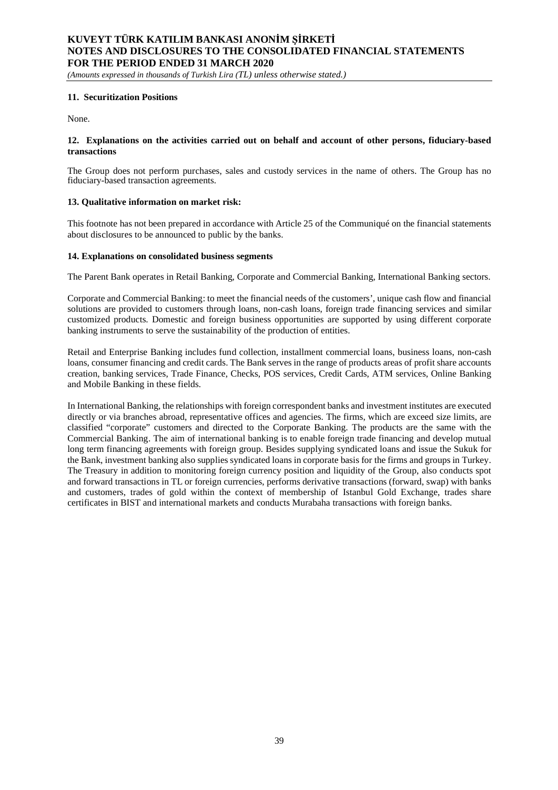*(Amounts expressed in thousands of Turkish Lira (TL) unless otherwise stated.)*

#### **11. Securitization Positions**

None.

### **12. Explanations on the activities carried out on behalf and account of other persons, fiduciary-based transactions**

The Group does not perform purchases, sales and custody services in the name of others. The Group has no fiduciary-based transaction agreements.

### **13. Qualitative information on market risk:**

This footnote has not been prepared in accordance with Article 25 of the Communiqué on the financial statements about disclosures to be announced to public by the banks.

### **14. Explanations on consolidated business segments**

The Parent Bank operates in Retail Banking, Corporate and Commercial Banking, International Banking sectors.

Corporate and Commercial Banking: to meet the financial needs of the customers', unique cash flow and financial solutions are provided to customers through loans, non-cash loans, foreign trade financing services and similar customized products. Domestic and foreign business opportunities are supported by using different corporate banking instruments to serve the sustainability of the production of entities.

Retail and Enterprise Banking includes fund collection, installment commercial loans, business loans, non-cash loans, consumer financing and credit cards. The Bank serves in the range of products areas of profit share accounts creation, banking services, Trade Finance, Checks, POS services, Credit Cards, ATM services, Online Banking and Mobile Banking in these fields.

In International Banking, the relationships with foreign correspondent banks and investment institutes are executed directly or via branches abroad, representative offices and agencies. The firms, which are exceed size limits, are classified "corporate" customers and directed to the Corporate Banking. The products are the same with the Commercial Banking. The aim of international banking is to enable foreign trade financing and develop mutual long term financing agreements with foreign group. Besides supplying syndicated loans and issue the Sukuk for the Bank, investment banking also supplies syndicated loans in corporate basis for the firms and groups in Turkey. The Treasury in addition to monitoring foreign currency position and liquidity of the Group, also conducts spot and forward transactions in TL or foreign currencies, performs derivative transactions (forward, swap) with banks and customers, trades of gold within the context of membership of Istanbul Gold Exchange, trades share certificates in BIST and international markets and conducts Murabaha transactions with foreign banks.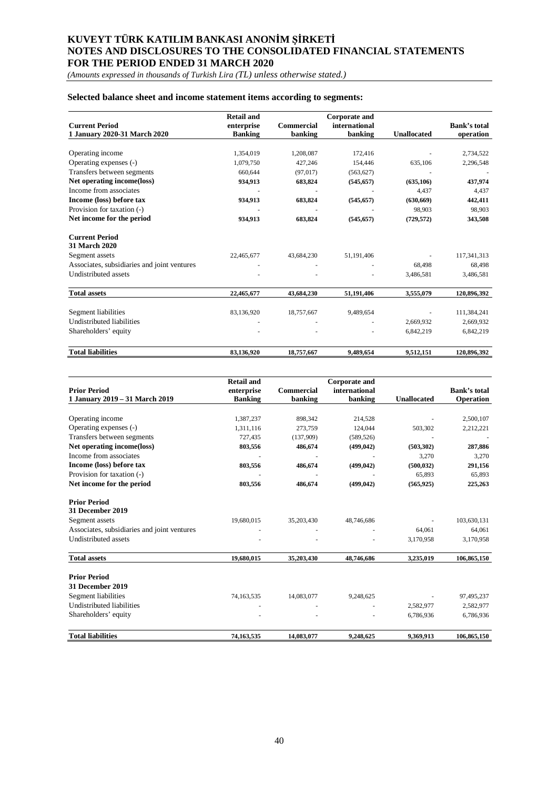*(Amounts expressed in thousands of Turkish Lira (TL) unless otherwise stated.)*

### **Selected balance sheet and income statement items according to segments:**

|                                             | <b>Retail and</b> |                   | <b>Corporate and</b> |                    |              |
|---------------------------------------------|-------------------|-------------------|----------------------|--------------------|--------------|
| <b>Current Period</b>                       | enterprise        | <b>Commercial</b> | international        |                    | Bank's total |
| 1 January 2020-31 March 2020                | <b>Banking</b>    | banking           | banking              | <b>Unallocated</b> | operation    |
|                                             |                   |                   |                      |                    |              |
| Operating income                            | 1,354,019         | 1,208,087         | 172,416              |                    | 2,734,522    |
| Operating expenses (-)                      | 1,079,750         | 427,246           | 154,446              | 635,106            | 2,296,548    |
| Transfers between segments                  | 660,644           | (97, 017)         | (563, 627)           |                    |              |
| Net operating income(loss)                  | 934,913           | 683,824           | (545, 657)           | (635, 106)         | 437,974      |
| Income from associates                      |                   |                   |                      | 4,437              | 4,437        |
| Income (loss) before tax                    | 934,913           | 683,824           | (545, 657)           | (630, 669)         | 442,411      |
| Provision for taxation (-)                  |                   |                   |                      | 98,903             | 98,903       |
| Net income for the period                   | 934,913           | 683,824           | (545, 657)           | (729, 572)         | 343,508      |
| <b>Current Period</b><br>31 March 2020      |                   |                   |                      |                    |              |
| Segment assets                              | 22,465,677        | 43,684,230        | 51,191,406           |                    | 117,341,313  |
| Associates, subsidiaries and joint ventures |                   |                   |                      | 68,498             | 68,498       |
| <b>Undistributed assets</b>                 |                   |                   |                      | 3,486,581          | 3,486,581    |
| <b>Total assets</b>                         | 22,465,677        | 43,684,230        | 51,191,406           | 3,555,079          | 120,896,392  |
| Segment liabilities                         | 83,136,920        | 18,757,667        | 9,489,654            |                    | 111,384,241  |
| Undistributed liabilities                   |                   |                   |                      |                    |              |
|                                             |                   |                   |                      | 2,669,932          | 2,669,932    |
| Shareholders' equity                        |                   |                   |                      | 6,842,219          | 6,842,219    |
| <b>Total liabilities</b>                    | 83,136,920        | 18,757,667        | 9,489,654            | 9,512,151          | 120,896,392  |

|                                             | <b>Retail and</b> |                   | <b>Corporate and</b> |                    |                     |
|---------------------------------------------|-------------------|-------------------|----------------------|--------------------|---------------------|
| <b>Prior Period</b>                         | enterprise        | <b>Commercial</b> | international        |                    | <b>Bank's total</b> |
| 1 January 2019 – 31 March 2019              | <b>Banking</b>    | banking           | banking              | <b>Unallocated</b> | Operation           |
|                                             |                   |                   |                      |                    |                     |
| Operating income                            | 1,387,237         | 898,342           | 214,528              |                    | 2,500,107           |
| Operating expenses (-)                      | 1,311,116         | 273,759           | 124,044              | 503,302            | 2,212,221           |
| Transfers between segments                  | 727,435           | (137,909)         | (589, 526)           |                    |                     |
| Net operating income(loss)                  | 803,556           | 486,674           | (499, 042)           | (503, 302)         | 287,886             |
| Income from associates                      |                   |                   |                      | 3,270              | 3,270               |
| Income (loss) before tax                    | 803,556           | 486,674           | (499, 042)           | (500, 032)         | 291,156             |
| Provision for taxation (-)                  |                   |                   |                      | 65,893             | 65,893              |
| Net income for the period                   | 803,556           | 486,674           | (499, 042)           | (565, 925)         | 225,263             |
| <b>Prior Period</b>                         |                   |                   |                      |                    |                     |
| 31 December 2019                            |                   |                   |                      |                    |                     |
| Segment assets                              | 19,680,015        | 35,203,430        | 48,746,686           |                    | 103,630,131         |
| Associates, subsidiaries and joint ventures |                   |                   |                      | 64,061             | 64,061              |
| <b>Undistributed assets</b>                 |                   |                   |                      | 3,170,958          | 3,170,958           |
| <b>Total assets</b>                         | 19,680,015        | 35,203,430        | 48,746,686           | 3,235,019          | 106,865,150         |
| <b>Prior Period</b>                         |                   |                   |                      |                    |                     |
| <b>31 December 2019</b>                     |                   |                   |                      |                    |                     |
|                                             |                   |                   |                      |                    |                     |
| Segment liabilities                         | 74,163,535        | 14,083,077        | 9,248,625            |                    | 97,495,237          |
| <b>Undistributed liabilities</b>            |                   |                   |                      | 2,582,977          | 2,582,977           |
| Shareholders' equity                        |                   |                   |                      | 6,786,936          | 6,786,936           |
| <b>Total liabilities</b>                    | 74,163,535        | 14,083,077        | 9,248,625            | 9,369,913          | 106,865,150         |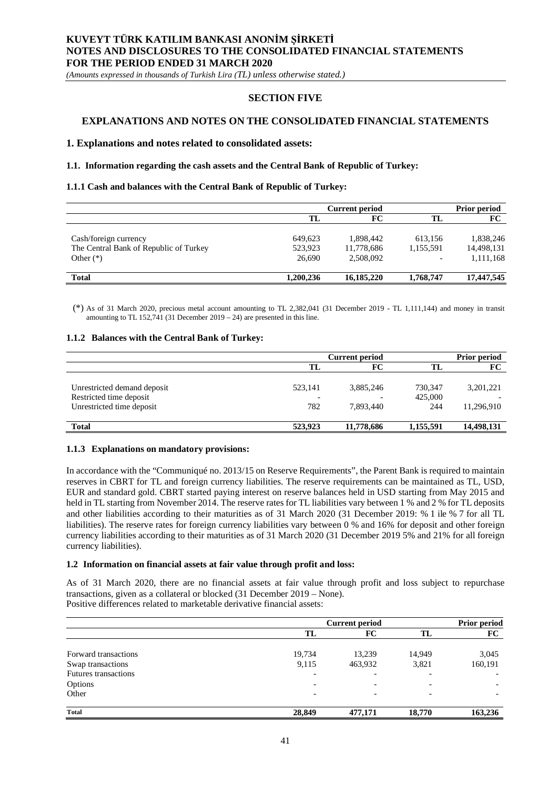*(Amounts expressed in thousands of Turkish Lira (TL) unless otherwise stated.)*

## **SECTION FIVE**

## **EXPLANATIONS AND NOTES ON THE CONSOLIDATED FINANCIAL STATEMENTS**

#### **1. Explanations and notes related to consolidated assets:**

#### **1.1. Information regarding the cash assets and the Central Bank of Republic of Turkey:**

#### **1.1.1 Cash and balances with the Central Bank of Republic of Turkey:**

|                                                                                |                              | <b>Current period</b>                |                      | <b>Prior period</b>                  |
|--------------------------------------------------------------------------------|------------------------------|--------------------------------------|----------------------|--------------------------------------|
|                                                                                | TL                           | FC                                   | TL                   | FC                                   |
| Cash/foreign currency<br>The Central Bank of Republic of Turkey<br>Other $(*)$ | 649.623<br>523.923<br>26,690 | 1,898,442<br>11,778,686<br>2,508,092 | 613.156<br>1,155,591 | 1,838,246<br>14,498,131<br>1,111,168 |
| <b>Total</b>                                                                   | 1.200.236                    | 16,185,220                           | 1,768,747            | 17,447,545                           |

(\*) As of 31 March 2020, precious metal account amounting to TL 2,382,041 (31 December 2019 - TL 1,111,144) and money in transit amounting to TL 152,741 (31 December 2019 – 24) are presented in this line.

#### **1.1.2 Balances with the Central Bank of Turkey:**

|                             |         | <b>Current period</b>    |           | <b>Prior period</b> |
|-----------------------------|---------|--------------------------|-----------|---------------------|
|                             | TL      | FC                       | TL        | FC                  |
|                             |         |                          |           |                     |
| Unrestricted demand deposit | 523,141 | 3,885,246                | 730,347   | 3, 201, 221         |
| Restricted time deposit     |         | $\overline{\phantom{a}}$ | 425,000   |                     |
| Unrestricted time deposit   | 782     | 7.893.440                | 244       | 11,296,910          |
| <b>Total</b>                | 523,923 | 11,778,686               | 1,155,591 | 14,498,131          |

#### **1.1.3 Explanations on mandatory provisions:**

In accordance with the "Communiqué no. 2013/15 on Reserve Requirements", the Parent Bank is required to maintain reserves in CBRT for TL and foreign currency liabilities. The reserve requirements can be maintained as TL, USD, EUR and standard gold. CBRT started paying interest on reserve balances held in USD starting from May 2015 and held in TL starting from November 2014. The reserve rates for TL liabilities vary between 1 % and 2 % for TL deposits and other liabilities according to their maturities as of 31 March 2020 (31 December 2019: % 1 ile % 7 for all TL liabilities). The reserve rates for foreign currency liabilities vary between 0 % and 16% for deposit and other foreign currency liabilities according to their maturities as of 31 March 2020 (31 December 2019 5% and 21% for all foreign currency liabilities).

#### **1.2 Information on financial assets at fair value through profit and loss:**

As of 31 March 2020, there are no financial assets at fair value through profit and loss subject to repurchase transactions, given as a collateral or blocked (31 December 2019 – None). Positive differences related to marketable derivative financial assets:

|                             | <b>Current period</b>    |         |                          | <b>Prior period</b> |  |
|-----------------------------|--------------------------|---------|--------------------------|---------------------|--|
|                             | TL                       | FC      | TL                       | FC                  |  |
| Forward transactions        | 19,734                   | 13,239  | 14,949                   | 3,045               |  |
| Swap transactions           | 9,115                    | 463,932 | 3,821                    | 160,191             |  |
| <b>Futures transactions</b> | $\overline{\phantom{0}}$ |         | $\overline{\phantom{0}}$ |                     |  |
| Options                     | $\overline{\phantom{0}}$ |         |                          |                     |  |
| Other                       | $\overline{\phantom{a}}$ |         | $\overline{\phantom{0}}$ |                     |  |
| <b>Total</b>                | 28,849                   | 477,171 | 18,770                   | 163,236             |  |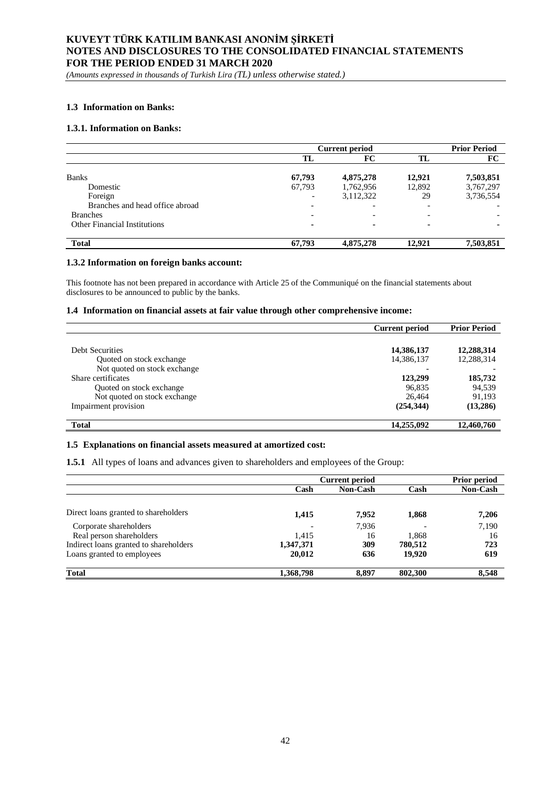*(Amounts expressed in thousands of Turkish Lira (TL) unless otherwise stated.)*

### **1.3 Information on Banks:**

#### **1.3.1. Information on Banks:**

|                                     | <b>Current period</b> |                          |                          | <b>Prior Period</b> |
|-------------------------------------|-----------------------|--------------------------|--------------------------|---------------------|
|                                     | TL                    | FC                       | TL                       | FC                  |
|                                     |                       |                          |                          |                     |
| <b>Banks</b>                        | 67,793                | 4,875,278                | 12.921                   | 7,503,851           |
| Domestic                            | 67,793                | 1,762,956                | 12,892                   | 3,767,297           |
| Foreign                             |                       | 3,112,322                | 29                       | 3,736,554           |
| Branches and head office abroad     |                       | $\overline{\phantom{0}}$ |                          |                     |
| <b>Branches</b>                     |                       | $\overline{\phantom{a}}$ | $\overline{\phantom{0}}$ |                     |
| <b>Other Financial Institutions</b> |                       | $\sim$                   |                          | $\blacksquare$      |
| <b>Total</b>                        | 67,793                | 4,875,278                | 12.921                   | 7,503,851           |

#### **1.3.2 Information on foreign banks account:**

This footnote has not been prepared in accordance with Article 25 of the Communiqué on the financial statements about disclosures to be announced to public by the banks.

#### **1.4 Information on financial assets at fair value through other comprehensive income:**

|                              | <b>Current period</b> | <b>Prior Period</b> |
|------------------------------|-----------------------|---------------------|
|                              |                       |                     |
| Debt Securities              | 14,386,137            | 12,288,314          |
| Quoted on stock exchange     | 14,386,137            | 12,288,314          |
| Not quoted on stock exchange |                       |                     |
| Share certificates           | 123,299               | 185,732             |
| Quoted on stock exchange     | 96,835                | 94,539              |
| Not quoted on stock exchange | 26.464                | 91,193              |
| Impairment provision         | (254, 344)            | (13,286)            |
| <b>Total</b>                 | 14,255,092            | 12,460,760          |

### **1.5 Explanations on financial assets measured at amortized cost:**

**1.5.1** All types of loans and advances given to shareholders and employees of the Group:

|                                        | <b>Current period</b> |          |         | Prior period    |
|----------------------------------------|-----------------------|----------|---------|-----------------|
|                                        | Cash                  | Non-Cash | Cash    | <b>Non-Cash</b> |
|                                        |                       |          |         |                 |
| Direct loans granted to shareholders   | 1,415                 | 7,952    | 1,868   | 7,206           |
| Corporate shareholders                 |                       | 7.936    |         | 7,190           |
| Real person shareholders               | 1.415                 | 16       | 1.868   | 16              |
| Indirect loans granted to shareholders | 1,347,371             | 309      | 780,512 | 723             |
| Loans granted to employees             | 20,012                | 636      | 19,920  | 619             |
| <b>Total</b>                           | 1,368,798             | 8,897    | 802,300 | 8,548           |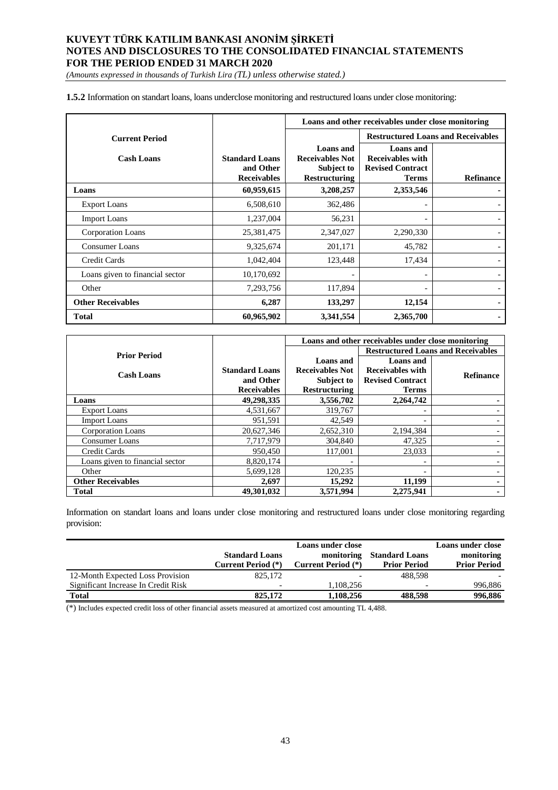*(Amounts expressed in thousands of Turkish Lira (TL) unless otherwise stated.)*

**1.5.2** Information on standart loans, loans underclose monitoring and restructured loans under close monitoring:

|                                 |                                                          | Loans and other receivables under close monitoring                               |                                                                                        |                          |
|---------------------------------|----------------------------------------------------------|----------------------------------------------------------------------------------|----------------------------------------------------------------------------------------|--------------------------|
| <b>Current Period</b>           |                                                          |                                                                                  | <b>Restructured Loans and Receivables</b>                                              |                          |
| <b>Cash Loans</b>               | <b>Standard Loans</b><br>and Other<br><b>Receivables</b> | <b>Loans</b> and<br><b>Receivables Not</b><br>Subject to<br><b>Restructuring</b> | <b>Loans</b> and<br><b>Receivables with</b><br><b>Revised Contract</b><br><b>Terms</b> | <b>Refinance</b>         |
| Loans                           | 60,959,615                                               | 3,208,257                                                                        | 2,353,546                                                                              |                          |
| <b>Export Loans</b>             | 6,508,610                                                | 362,486                                                                          | -                                                                                      |                          |
| <b>Import Loans</b>             | 1,237,004                                                | 56,231                                                                           |                                                                                        |                          |
| <b>Corporation Loans</b>        | 25,381,475                                               | 2,347,027                                                                        | 2,290,330                                                                              |                          |
| <b>Consumer Loans</b>           | 9,325,674                                                | 201,171                                                                          | 45,782                                                                                 |                          |
| Credit Cards                    | 1,042,404                                                | 123,448                                                                          | 17,434                                                                                 |                          |
| Loans given to financial sector | 10,170,692                                               |                                                                                  | -                                                                                      | $\overline{\phantom{a}}$ |
| Other                           | 7,293,756                                                | 117,894                                                                          | -                                                                                      |                          |
| <b>Other Receivables</b>        | 6,287                                                    | 133,297                                                                          | 12,154                                                                                 |                          |
| Total                           | 60,965,902                                               | 3,341,554                                                                        | 2,365,700                                                                              |                          |

|                                 |                       | Loans and other receivables under close monitoring |                                           |                  |  |
|---------------------------------|-----------------------|----------------------------------------------------|-------------------------------------------|------------------|--|
| <b>Prior Period</b>             |                       |                                                    | <b>Restructured Loans and Receivables</b> |                  |  |
|                                 |                       | Loans and                                          | Loans and                                 |                  |  |
| <b>Cash Loans</b>               | <b>Standard Loans</b> | <b>Receivables Not</b>                             | <b>Receivables with</b>                   | <b>Refinance</b> |  |
|                                 | and Other             | <b>Subject to</b>                                  | <b>Revised Contract</b>                   |                  |  |
|                                 | <b>Receivables</b>    | <b>Restructuring</b>                               | <b>Terms</b>                              |                  |  |
| Loans                           | 49,298,335            | 3,556,702                                          | 2,264,742                                 |                  |  |
| <b>Export Loans</b>             | 4.531.667             | 319,767                                            |                                           |                  |  |
| <b>Import Loans</b>             | 951,591               | 42.549                                             |                                           |                  |  |
| Corporation Loans               | 20,627,346            | 2,652,310                                          | 2,194,384                                 |                  |  |
| <b>Consumer Loans</b>           | 7,717,979             | 304,840                                            | 47,325                                    |                  |  |
| Credit Cards                    | 950,450               | 117,001                                            | 23,033                                    |                  |  |
| Loans given to financial sector | 8,820,174             |                                                    |                                           |                  |  |
| Other                           | 5,699,128             | 120,235                                            |                                           |                  |  |
| <b>Other Receivables</b>        | 2,697                 | 15,292                                             | 11,199                                    |                  |  |
| <b>Total</b>                    | 49.301.032            | 3.571.994                                          | 2.275.941                                 |                  |  |

Information on standart loans and loans under close monitoring and restructured loans under close monitoring regarding provision:

|                                     |                       | <b>Loans under close</b> |                       | Loans under close   |
|-------------------------------------|-----------------------|--------------------------|-----------------------|---------------------|
|                                     | <b>Standard Loans</b> | monitoring               | <b>Standard Loans</b> | monitoring          |
|                                     | Current Period (*)    | Current Period (*)       | <b>Prior Period</b>   | <b>Prior Period</b> |
| 12-Month Expected Loss Provision    | 825,172               | $\overline{\phantom{0}}$ | 488.598               |                     |
| Significant Increase In Credit Risk |                       | 1.108.256                |                       | 996,886             |
| <b>Total</b>                        | 825,172               | 1.108.256                | 488.598               | 996,886             |

(\*) Includes expected credit loss of other financial assets measured at amortized cost amounting TL 4,488.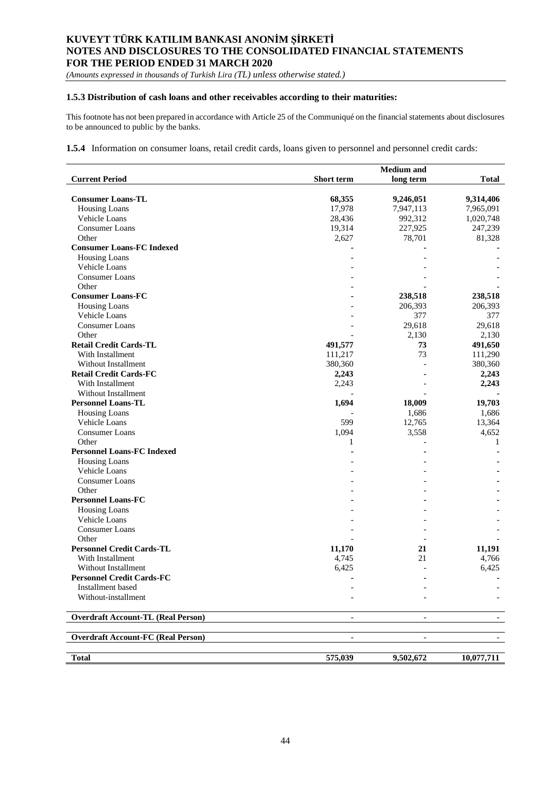*(Amounts expressed in thousands of Turkish Lira (TL) unless otherwise stated.)*

## **1.5.3 Distribution of cash loans and other receivables according to their maturities:**

This footnote has not been prepared in accordance with Article 25 of the Communiqué on the financial statements about disclosures to be announced to public by the banks.

#### **1.5.4** Information on consumer loans, retail credit cards, loans given to personnel and personnel credit cards:

|                                           |                          | <b>Medium</b> and        |              |
|-------------------------------------------|--------------------------|--------------------------|--------------|
| <b>Current Period</b>                     | <b>Short term</b>        | long term                | <b>Total</b> |
|                                           |                          |                          |              |
| <b>Consumer Loans-TL</b>                  | 68,355                   | 9,246,051                | 9,314,406    |
| <b>Housing Loans</b>                      | 17,978                   | 7,947,113                | 7,965,091    |
| Vehicle Loans                             | 28,436                   | 992,312                  | 1,020,748    |
| <b>Consumer Loans</b>                     | 19,314                   | 227,925                  | 247,239      |
| Other                                     | 2,627                    | 78,701                   | 81,328       |
| <b>Consumer Loans-FC Indexed</b>          |                          |                          |              |
| <b>Housing Loans</b>                      |                          |                          |              |
| Vehicle Loans                             |                          |                          |              |
| <b>Consumer Loans</b>                     |                          |                          |              |
| Other                                     |                          |                          |              |
| <b>Consumer Loans-FC</b>                  |                          | 238,518                  | 238,518      |
| <b>Housing Loans</b>                      |                          | 206,393                  | 206,393      |
| Vehicle Loans                             |                          | 377                      | 377          |
| <b>Consumer Loans</b>                     |                          | 29,618                   | 29,618       |
| Other                                     |                          | 2,130                    | 2,130        |
| <b>Retail Credit Cards-TL</b>             | 491,577                  | 73                       | 491,650      |
| With Installment                          | 111,217                  | 73                       | 111,290      |
| <b>Without Installment</b>                | 380,360                  |                          | 380,360      |
| <b>Retail Credit Cards-FC</b>             | 2,243                    |                          | 2,243        |
| With Installment                          | 2,243                    |                          | 2,243        |
| <b>Without Installment</b>                |                          |                          |              |
| <b>Personnel Loans-TL</b>                 | 1,694                    | 18,009                   | 19,703       |
| <b>Housing Loans</b>                      |                          | 1,686                    | 1,686        |
| Vehicle Loans                             | 599                      | 12,765                   | 13,364       |
| <b>Consumer Loans</b>                     | 1,094                    | 3,558                    | 4,652        |
| Other                                     | 1                        |                          | 1            |
| <b>Personnel Loans-FC Indexed</b>         |                          |                          |              |
| <b>Housing Loans</b>                      |                          |                          |              |
| Vehicle Loans                             |                          |                          |              |
| <b>Consumer Loans</b>                     |                          |                          |              |
| Other                                     |                          |                          |              |
| <b>Personnel Loans-FC</b>                 |                          |                          |              |
| <b>Housing Loans</b>                      |                          |                          |              |
| Vehicle Loans                             |                          |                          |              |
| <b>Consumer Loans</b>                     |                          |                          |              |
| Other                                     |                          |                          |              |
| <b>Personnel Credit Cards-TL</b>          | 11,170                   | 21                       | 11,191       |
| With Installment                          | 4,745                    | 21                       | 4,766        |
| Without Installment                       | 6,425                    |                          | 6,425        |
|                                           |                          |                          |              |
| <b>Personnel Credit Cards-FC</b>          |                          |                          |              |
| Installment based<br>Without-installment  |                          |                          |              |
|                                           |                          |                          |              |
| <b>Overdraft Account-TL (Real Person)</b> | $\overline{\phantom{a}}$ | $\overline{\phantom{a}}$ |              |
| <b>Overdraft Account-FC (Real Person)</b> | $\overline{\phantom{a}}$ | $\overline{\phantom{a}}$ |              |
|                                           |                          |                          |              |
| <b>Total</b>                              | 575,039                  | 9,502,672                | 10,077,711   |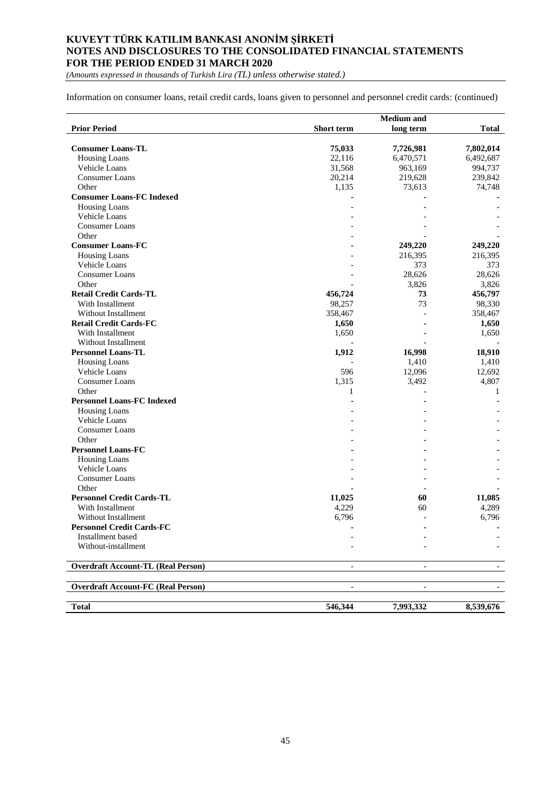*(Amounts expressed in thousands of Turkish Lira (TL) unless otherwise stated.)*

Information on consumer loans, retail credit cards, loans given to personnel and personnel credit cards: (continued)

|                                           |                          | <b>Medium</b> and        |                          |
|-------------------------------------------|--------------------------|--------------------------|--------------------------|
| <b>Prior Period</b>                       | Short term               | long term                | <b>Total</b>             |
|                                           |                          |                          |                          |
| <b>Consumer Loans-TL</b>                  | 75,033                   | 7,726,981                | 7,802,014                |
| <b>Housing Loans</b>                      | 22,116                   | 6,470,571                | 6,492,687                |
| Vehicle Loans                             | 31,568                   | 963,169                  | 994,737                  |
| Consumer Loans                            | 20,214                   | 219,628                  | 239,842                  |
| Other                                     | 1,135                    | 73,613                   | 74,748                   |
| <b>Consumer Loans-FC Indexed</b>          |                          |                          |                          |
| <b>Housing Loans</b>                      |                          |                          |                          |
| Vehicle Loans                             |                          |                          |                          |
| <b>Consumer Loans</b>                     |                          |                          |                          |
| Other                                     |                          |                          |                          |
| <b>Consumer Loans-FC</b>                  |                          | 249,220                  | 249,220                  |
| <b>Housing Loans</b>                      |                          | 216,395                  | 216,395                  |
| Vehicle Loans                             |                          | 373                      | 373                      |
| Consumer Loans                            |                          | 28,626                   | 28,626                   |
| Other                                     |                          | 3,826                    | 3,826                    |
| <b>Retail Credit Cards-TL</b>             | 456,724                  | 73                       | 456,797                  |
| With Installment                          | 98,257                   | 73                       | 98,330                   |
| <b>Without Installment</b>                | 358,467                  |                          | 358,467                  |
| <b>Retail Credit Cards-FC</b>             | 1,650                    |                          | 1,650                    |
| With Installment                          | 1,650                    |                          | 1,650                    |
| <b>Without Installment</b>                |                          |                          |                          |
| <b>Personnel Loans-TL</b>                 | 1,912                    | 16,998                   | 18,910                   |
| <b>Housing Loans</b>                      |                          | 1,410                    | 1,410                    |
| Vehicle Loans                             | 596                      | 12,096                   | 12,692                   |
| <b>Consumer Loans</b>                     | 1,315                    | 3,492                    | 4,807                    |
| Other                                     | 1                        |                          | 1                        |
| <b>Personnel Loans-FC Indexed</b>         |                          |                          |                          |
|                                           |                          |                          |                          |
| <b>Housing Loans</b><br>Vehicle Loans     |                          |                          |                          |
|                                           |                          |                          |                          |
| <b>Consumer Loans</b>                     |                          |                          |                          |
| Other                                     |                          |                          |                          |
| <b>Personnel Loans-FC</b>                 |                          |                          |                          |
| <b>Housing Loans</b>                      |                          |                          |                          |
| Vehicle Loans                             |                          |                          |                          |
| Consumer Loans                            |                          |                          |                          |
| Other                                     |                          |                          |                          |
| <b>Personnel Credit Cards-TL</b>          | 11,025                   | 60                       | 11,085                   |
| With Installment                          | 4,229                    | 60                       | 4,289                    |
| Without Installment                       | 6,796                    |                          | 6,796                    |
| <b>Personnel Credit Cards-FC</b>          |                          | ۰                        |                          |
| Installment based                         |                          |                          |                          |
| Without-installment                       |                          |                          |                          |
| <b>Overdraft Account-TL (Real Person)</b> |                          |                          |                          |
| <b>Overdraft Account-FC (Real Person)</b> | $\overline{\phantom{a}}$ | $\overline{\phantom{a}}$ | $\overline{\phantom{a}}$ |
| <b>Total</b>                              | 546,344                  | 7,993,332                | 8,539,676                |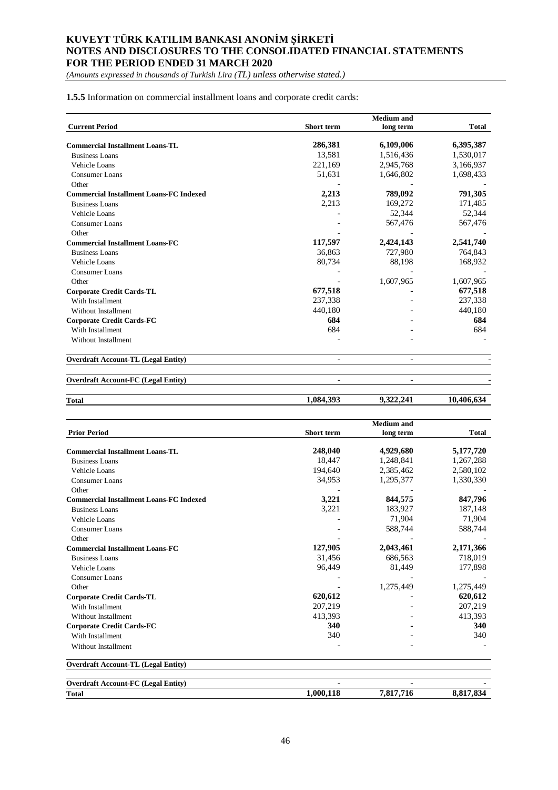*(Amounts expressed in thousands of Turkish Lira (TL) unless otherwise stated.)*

**1.5.5** Information on commercial installment loans and corporate credit cards:

|                                                |                          | <b>Medium</b> and        |              |
|------------------------------------------------|--------------------------|--------------------------|--------------|
| <b>Current Period</b>                          | Short term               | long term                | <b>Total</b> |
| <b>Commercial Installment Loans-TL</b>         | 286,381                  | 6,109,006                | 6,395,387    |
| <b>Business Loans</b>                          | 13,581                   | 1,516,436                | 1,530,017    |
| Vehicle Loans                                  | 221,169                  | 2,945,768                | 3,166,937    |
| Consumer Loans                                 | 51,631                   | 1,646,802                | 1,698,433    |
| Other                                          |                          |                          |              |
| <b>Commercial Installment Loans-FC Indexed</b> | 2,213                    | 789,092                  | 791,305      |
| <b>Business Loans</b>                          | 2,213                    | 169,272                  | 171,485      |
| Vehicle Loans                                  |                          | 52,344                   | 52,344       |
| Consumer Loans                                 |                          | 567,476                  | 567,476      |
| Other                                          |                          |                          |              |
| <b>Commercial Installment Loans-FC</b>         | 117,597                  | 2,424,143                | 2,541,740    |
| <b>Business Loans</b>                          | 36,863                   | 727,980                  | 764,843      |
| Vehicle Loans                                  | 80,734                   | 88,198                   | 168,932      |
| Consumer Loans                                 |                          |                          |              |
| Other                                          |                          | 1,607,965                | 1,607,965    |
| <b>Corporate Credit Cards-TL</b>               | 677,518                  |                          | 677,518      |
| With Installment                               | 237,338                  |                          | 237,338      |
| Without Installment                            | 440,180                  |                          | 440,180      |
| <b>Corporate Credit Cards-FC</b>               | 684                      |                          | 684          |
| With Installment                               | 684                      |                          | 684          |
| Without Installment                            |                          |                          |              |
| <b>Overdraft Account-TL (Legal Entity)</b>     |                          |                          |              |
| <b>Overdraft Account-FC (Legal Entity)</b>     | $\overline{\phantom{0}}$ | $\overline{\phantom{a}}$ |              |

| <b>Total</b> | 1,084,393 | 322.241<br>.322.241 | 40,<br>10.<br>,,,,,,, |
|--------------|-----------|---------------------|-----------------------|
|              |           |                     |                       |

|                                                |                   | <b>Medium</b> and |              |
|------------------------------------------------|-------------------|-------------------|--------------|
| <b>Prior Period</b>                            | <b>Short</b> term | long term         | <b>Total</b> |
| <b>Commercial Installment Loans-TL</b>         | 248,040           | 4,929,680         | 5,177,720    |
| <b>Business Loans</b>                          | 18.447            | 1,248,841         | 1,267,288    |
| Vehicle Loans                                  | 194,640           | 2,385,462         | 2,580,102    |
| Consumer Loans                                 | 34,953            | 1,295,377         | 1,330,330    |
| Other                                          |                   |                   |              |
| <b>Commercial Installment Loans-FC Indexed</b> | 3,221             | 844,575           | 847,796      |
| <b>Business Loans</b>                          | 3,221             | 183,927           | 187,148      |
| Vehicle Loans                                  |                   | 71,904            | 71,904       |
| Consumer Loans                                 |                   | 588,744           | 588,744      |
| Other                                          |                   |                   |              |
| <b>Commercial Installment Loans-FC</b>         | 127,905           | 2,043,461         | 2,171,366    |
| <b>Business Loans</b>                          | 31,456            | 686,563           | 718,019      |
| Vehicle Loans                                  | 96,449            | 81,449            | 177,898      |
| Consumer Loans                                 |                   |                   |              |
| Other                                          |                   | 1,275,449         | 1,275,449    |
| <b>Corporate Credit Cards-TL</b>               | 620,612           |                   | 620,612      |
| With Installment                               | 207,219           |                   | 207,219      |
| Without Installment                            | 413,393           |                   | 413,393      |
| <b>Corporate Credit Cards-FC</b>               | 340               |                   | 340          |
| With Installment                               | 340               |                   | 340          |
| <b>Without Installment</b>                     |                   |                   |              |
| <b>Overdraft Account-TL (Legal Entity)</b>     |                   |                   |              |
| <b>Overdraft Account-FC (Legal Entity)</b>     |                   |                   |              |
| <b>Total</b>                                   | 1,000,118         | 7,817,716         | 8,817,834    |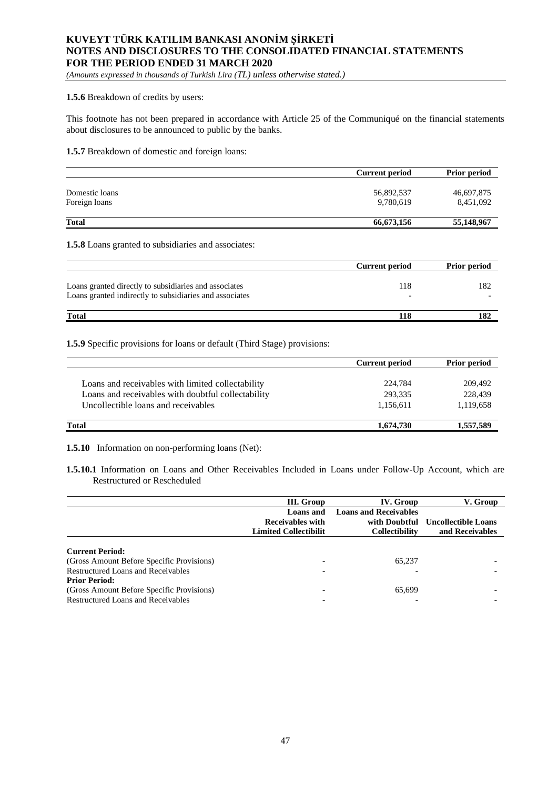*(Amounts expressed in thousands of Turkish Lira (TL) unless otherwise stated.)*

#### **1.5.6** Breakdown of credits by users:

This footnote has not been prepared in accordance with Article 25 of the Communiqué on the financial statements about disclosures to be announced to public by the banks.

## **1.5.7** Breakdown of domestic and foreign loans:

|                | <b>Current period</b> | <b>Prior period</b> |
|----------------|-----------------------|---------------------|
| Domestic loans | 56,892,537            | 46,697,875          |
| Foreign loans  | 9.780.619             | 8,451,092           |
| <b>Total</b>   | 66,673,156            | 55,148,967          |

#### **1.5.8** Loans granted to subsidiaries and associates:

|                                                                                                                  | <b>Current period</b> | <b>Prior period</b> |
|------------------------------------------------------------------------------------------------------------------|-----------------------|---------------------|
| Loans granted directly to subsidiaries and associates<br>Loans granted indirectly to subsidiaries and associates | 118                   | 182                 |
| <b>Total</b>                                                                                                     | 118                   |                     |

## **1.5.9** Specific provisions for loans or default (Third Stage) provisions:

| <b>Current period</b> | Prior period |
|-----------------------|--------------|
|                       |              |
| 224,784               | 209,492      |
| 293,335               | 228,439      |
| 1,156,611             | 1,119,658    |
| 1,674,730             | 1,557,589    |
|                       |              |

**1.5.10** Information on non-performing loans (Net):

**1.5.10.1** Information on Loans and Other Receivables Included in Loans under Follow-Up Account, which are Restructured or Rescheduled

|                                                                                                                                                                                                                      | III. Group                   | IV. Group                    | V. Group                   |
|----------------------------------------------------------------------------------------------------------------------------------------------------------------------------------------------------------------------|------------------------------|------------------------------|----------------------------|
|                                                                                                                                                                                                                      | Loans and                    | <b>Loans and Receivables</b> |                            |
|                                                                                                                                                                                                                      | <b>Receivables with</b>      | with Doubtful                | <b>Uncollectible Loans</b> |
|                                                                                                                                                                                                                      | <b>Limited Collectibilit</b> | <b>Collectibility</b>        | and Receivables            |
| <b>Current Period:</b><br>(Gross Amount Before Specific Provisions)<br>Restructured Loans and Receivables<br><b>Prior Period:</b><br>(Gross Amount Before Specific Provisions)<br>Restructured Loans and Receivables |                              | 65.237<br>65,699             |                            |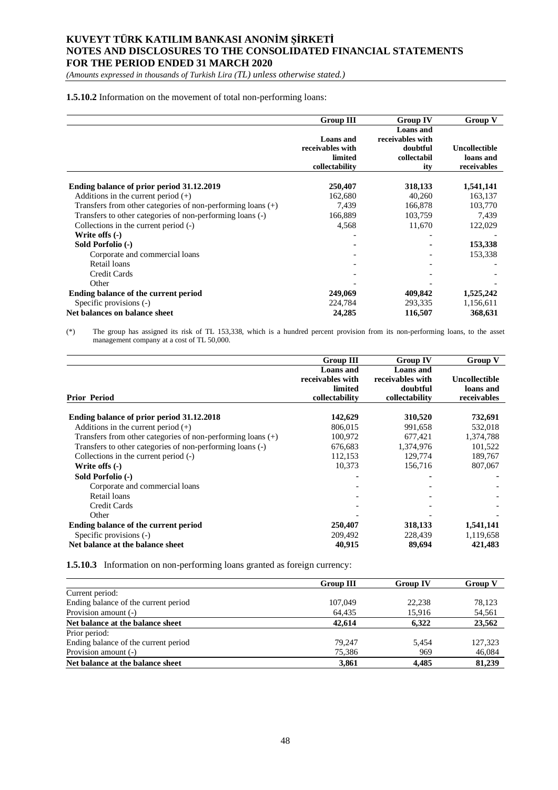*(Amounts expressed in thousands of Turkish Lira (TL) unless otherwise stated.)*

#### **1.5.10.2** Information on the movement of total non-performing loans:

|                                                               | <b>Group III</b>                                | <b>Group IV</b>                                                 | Group V                           |
|---------------------------------------------------------------|-------------------------------------------------|-----------------------------------------------------------------|-----------------------------------|
|                                                               | <b>Loans</b> and<br>receivables with<br>limited | <b>Loans</b> and<br>receivables with<br>doubtful<br>collectabil | <b>Uncollectible</b><br>loans and |
|                                                               | collectability                                  | ity                                                             | receivables                       |
| Ending balance of prior period 31.12.2019                     | 250,407                                         | 318,133                                                         | 1,541,141                         |
| Additions in the current period $(+)$                         | 162,680                                         | 40,260                                                          | 163,137                           |
| Transfers from other categories of non-performing loans $(+)$ | 7,439                                           | 166,878                                                         | 103,770                           |
| Transfers to other categories of non-performing loans (-)     | 166,889                                         | 103,759                                                         | 7,439                             |
| Collections in the current period (-)                         | 4,568                                           | 11,670                                                          | 122,029                           |
| Write offs (-)                                                |                                                 |                                                                 |                                   |
| Sold Porfolio (-)                                             |                                                 |                                                                 | 153,338                           |
| Corporate and commercial loans                                |                                                 |                                                                 | 153,338                           |
| Retail loans                                                  |                                                 |                                                                 |                                   |
| Credit Cards                                                  |                                                 |                                                                 |                                   |
| Other                                                         |                                                 |                                                                 |                                   |
| Ending balance of the current period                          | 249,069                                         | 409,842                                                         | 1,525,242                         |
| Specific provisions (-)                                       | 224,784                                         | 293,335                                                         | 1,156,611                         |
| Net balances on balance sheet                                 | 24,285                                          | 116,507                                                         | 368,631                           |

(\*) The group has assigned its risk of TL 153,338, which is a hundred percent provision from its non-performing loans, to the asset management company at a cost of TL 50,000.

|                                                               | <b>Group III</b>                                                  | <b>Group IV</b>                                             | Group V                                   |
|---------------------------------------------------------------|-------------------------------------------------------------------|-------------------------------------------------------------|-------------------------------------------|
| <b>Prior Period</b>                                           | <b>Loans</b> and<br>receivables with<br>limited<br>collectability | Loans and<br>receivables with<br>doubtful<br>collectability | Uncollectible<br>loans and<br>receivables |
|                                                               |                                                                   |                                                             |                                           |
| Ending balance of prior period 31.12.2018                     | 142,629                                                           | 310,520                                                     | 732,691                                   |
| Additions in the current period $(+)$                         | 806,015                                                           | 991,658                                                     | 532,018                                   |
| Transfers from other categories of non-performing loans $(+)$ | 100,972                                                           | 677,421                                                     | 1,374,788                                 |
| Transfers to other categories of non-performing loans (-)     | 676,683                                                           | 1,374,976                                                   | 101,522                                   |
| Collections in the current period (-)                         | 112,153                                                           | 129,774                                                     | 189,767                                   |
| Write offs $(-)$                                              | 10,373                                                            | 156,716                                                     | 807,067                                   |
| Sold Porfolio (-)                                             |                                                                   |                                                             |                                           |
| Corporate and commercial loans                                |                                                                   |                                                             |                                           |
| Retail loans                                                  |                                                                   |                                                             |                                           |
| Credit Cards                                                  |                                                                   |                                                             |                                           |
| Other                                                         |                                                                   |                                                             |                                           |
| Ending balance of the current period                          | 250,407                                                           | 318,133                                                     | 1,541,141                                 |
| Specific provisions (-)                                       | 209,492                                                           | 228,439                                                     | 1,119,658                                 |
| Net balance at the balance sheet                              | 40,915                                                            | 89,694                                                      | 421,483                                   |

**1.5.10.3** Information on non-performing loans granted as foreign currency:

|                                      | <b>Group III</b> | <b>Group IV</b> | <b>Group V</b> |
|--------------------------------------|------------------|-----------------|----------------|
| Current period:                      |                  |                 |                |
| Ending balance of the current period | 107,049          | 22.238          | 78.123         |
| Provision amount (-)                 | 64,435           | 15,916          | 54,561         |
| Net balance at the balance sheet     | 42,614           | 6.322           | 23,562         |
| Prior period:                        |                  |                 |                |
| Ending balance of the current period | 79.247           | 5.454           | 127,323        |
| Provision amount (-)                 | 75,386           | 969             | 46,084         |
| Net balance at the balance sheet     | 3,861            | 4.485           | 81,239         |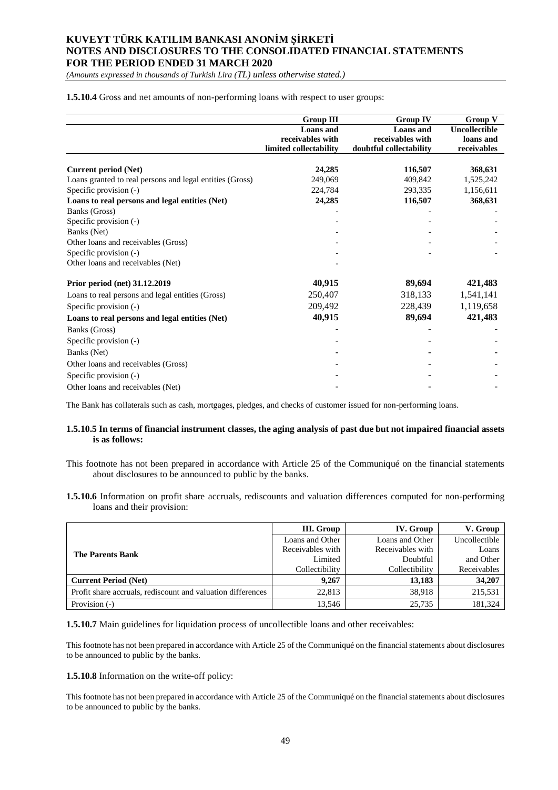*(Amounts expressed in thousands of Turkish Lira (TL) unless otherwise stated.)*

**1.5.10.4** Gross and net amounts of non-performing loans with respect to user groups:

|                                                          | <b>Group III</b>       | <b>Group IV</b>         | <b>Group V</b> |
|----------------------------------------------------------|------------------------|-------------------------|----------------|
|                                                          | <b>Loans</b> and       | <b>Loans</b> and        | Uncollectible  |
|                                                          | receivables with       | receivables with        | loans and      |
|                                                          | limited collectability | doubtful collectability | receivables    |
| <b>Current period (Net)</b>                              | 24,285                 | 116,507                 | 368,631        |
| Loans granted to real persons and legal entities (Gross) | 249,069                | 409,842                 | 1,525,242      |
| Specific provision (-)                                   | 224,784                | 293,335                 | 1,156,611      |
| Loans to real persons and legal entities (Net)           | 24,285                 | 116,507                 | 368,631        |
| Banks (Gross)                                            |                        |                         |                |
| Specific provision (-)                                   |                        |                         |                |
| Banks (Net)                                              |                        |                         |                |
| Other loans and receivables (Gross)                      |                        |                         |                |
| Specific provision (-)                                   |                        |                         |                |
| Other loans and receivables (Net)                        |                        |                         |                |
| Prior period (net) 31.12.2019                            | 40,915                 | 89,694                  | 421,483        |
| Loans to real persons and legal entities (Gross)         | 250,407                | 318,133                 | 1,541,141      |
| Specific provision (-)                                   | 209,492                | 228,439                 | 1,119,658      |
| Loans to real persons and legal entities (Net)           | 40,915                 | 89,694                  | 421,483        |
| Banks (Gross)                                            |                        |                         |                |
| Specific provision (-)                                   |                        |                         |                |
| Banks (Net)                                              |                        |                         |                |
| Other loans and receivables (Gross)                      |                        |                         |                |
| Specific provision (-)                                   |                        |                         |                |
| Other loans and receivables (Net)                        |                        |                         |                |

The Bank has collaterals such as cash, mortgages, pledges, and checks of customer issued for non-performing loans.

#### **1.5.10.5 In terms of financial instrument classes, the aging analysis of past due but not impaired financial assets is as follows:**

This footnote has not been prepared in accordance with Article 25 of the Communiqué on the financial statements about disclosures to be announced to public by the banks.

**1.5.10.6** Information on profit share accruals, rediscounts and valuation differences computed for non-performing loans and their provision:

|                                                             | III. Group       | IV. Group        | V. Group      |
|-------------------------------------------------------------|------------------|------------------|---------------|
|                                                             | Loans and Other  | Loans and Other  | Uncollectible |
| <b>The Parents Bank</b>                                     | Receivables with | Receivables with | Loans         |
|                                                             | Limited          | Doubtful         | and Other     |
|                                                             | Collectibility   | Collectibility   | Receivables   |
| <b>Current Period (Net)</b>                                 | 9.267            | 13,183           | 34,207        |
| Profit share accruals, rediscount and valuation differences | 22,813           | 38.918           | 215,531       |
| Provision (-)                                               | 13.546           | 25,735           | 181,324       |

**1.5.10.7** Main guidelines for liquidation process of uncollectible loans and other receivables:

This footnote has not been prepared in accordance with Article 25 of the Communiqué on the financial statements about disclosures to be announced to public by the banks.

#### **1.5.10.8** Information on the write-off policy:

This footnote has not been prepared in accordance with Article 25 of the Communiqué on the financial statements about disclosures to be announced to public by the banks.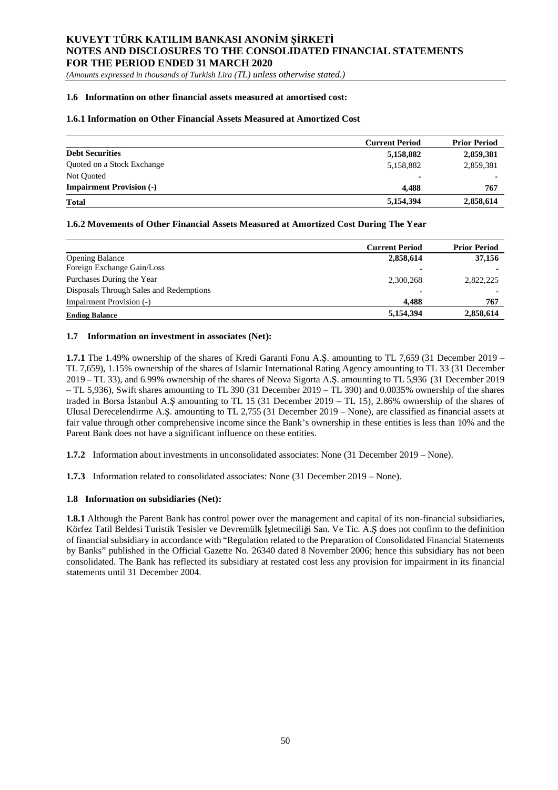*(Amounts expressed in thousands of Turkish Lira (TL) unless otherwise stated.)*

#### **1.6 Information on other financial assets measured at amortised cost:**

### **1.6.1 Information on Other Financial Assets Measured at Amortized Cost**

|                                 | <b>Current Period</b> | <b>Prior Period</b> |
|---------------------------------|-----------------------|---------------------|
| <b>Debt Securities</b>          | 5,158,882             | 2,859,381           |
| Quoted on a Stock Exchange      | 5,158,882             | 2,859,381           |
| Not Quoted                      | ۰                     |                     |
| <b>Impairment Provision (-)</b> | 4.488                 | 767                 |
| <b>Total</b>                    | 5,154,394             | 2,858,614           |

### **1.6.2 Movements of Other Financial Assets Measured at Amortized Cost During The Year**

|                                         | <b>Current Period</b> | <b>Prior Period</b> |
|-----------------------------------------|-----------------------|---------------------|
| <b>Opening Balance</b>                  | 2,858,614             | 37,156              |
| Foreign Exchange Gain/Loss              | ۰                     |                     |
| Purchases During the Year               | 2,300,268             | 2,822,225           |
| Disposals Through Sales and Redemptions | ۰                     | $\blacksquare$      |
| Impairment Provision (-)                | 4.488                 | 767                 |
| <b>Ending Balance</b>                   | 5,154,394             | 2,858,614           |

### **1.7 Information on investment in associates (Net):**

**1.7.1** The 1.49% ownership of the shares of Kredi Garanti Fonu A.S. amounting to TL 7,659 (31 December 2019 – TL 7,659), 1.15% ownership of the shares of Islamic International Rating Agency amounting to TL 33 (31 December 2019 – TL 33), and 6.99% ownership of the shares of Neova Sigorta A. . amounting to TL 5,936 (31 December 2019 – TL 5,936), Swift shares amounting to TL 390 (31 December 2019 – TL 390) and 0.0035% ownership of the shares traded in Borsa Istanbul A. Samounting to TL 15 (31 December 2019 – TL 15), 2.86% ownership of the shares of Ulusal Derecelendirme A.S. amounting to TL 2,755 (31 December 2019 – None), are classified as financial assets at fair value through other comprehensive income since the Bank's ownership in these entities is less than 10% and the Parent Bank does not have a significant influence on these entities.

**1.7.2** Information about investments in unconsolidated associates: None (31 December 2019 – None).

**1.7.3** Information related to consolidated associates: None (31 December 2019 – None).

### **1.8 Information on subsidiaries (Net):**

**1.8.1** Although the Parent Bank has control power over the management and capital of its non-financial subsidiaries, Körfez Tatil Beldesi Turistik Tesisler ve Devremülk İsletmeciliği San. Ve Tic. A.S does not confirm to the definition of financial subsidiary in accordance with "Regulation related to the Preparation of Consolidated Financial Statements by Banks" published in the Official Gazette No. 26340 dated 8 November 2006; hence this subsidiary has not been consolidated. The Bank has reflected its subsidiary at restated cost less any provision for impairment in its financial statements until 31 December 2004.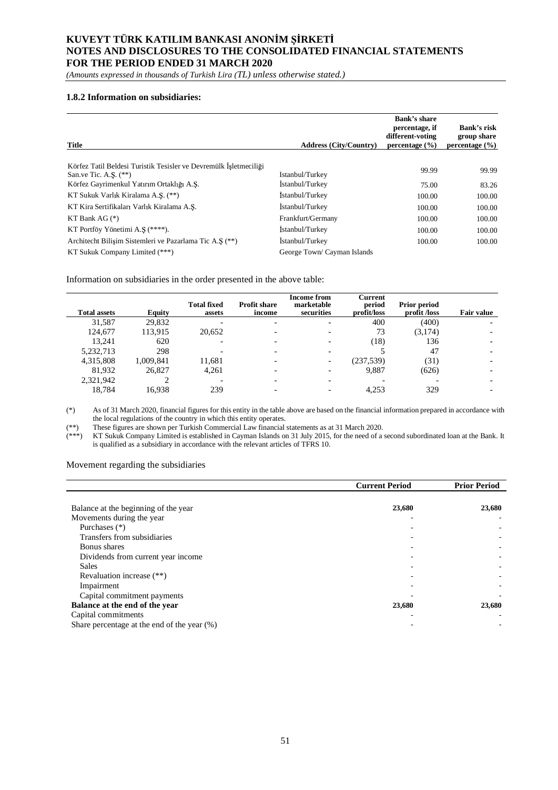*(Amounts expressed in thousands of Turkish Lira (TL) unless otherwise stated.)*

#### **1.8.2 Information on subsidiaries:**

| <b>Title</b>                                                      | <b>Address (City/Country)</b> | <b>Bank's share</b><br>percentage, if<br>different-voting<br>percentage $(\% )$ | Bank's risk<br>group share<br>percentage $(\% )$ |
|-------------------------------------------------------------------|-------------------------------|---------------------------------------------------------------------------------|--------------------------------------------------|
|                                                                   |                               |                                                                                 |                                                  |
| Körfez Tatil Beldesi Turistik Tesisler ve Devremülk İsletmeciliği |                               | 99.99                                                                           | 99.99                                            |
| San.ve Tic. A.S. $(**)$                                           | Istanbul/Turkey               |                                                                                 |                                                  |
| Körfez Gayrimenkul Yatırım Ortaklığı A.S.                         | İstanbul/Turkey               | 75.00                                                                           | 83.26                                            |
| KT Sukuk Varlık Kiralama A.S. (**)                                | İstanbul/Turkey               | 100.00                                                                          | 100.00                                           |
| KT Kira Sertifikaları Varlık Kiralama A.S.                        | İstanbul/Turkey               | 100.00                                                                          | 100.00                                           |
| KT Bank AG $(*)$                                                  | Frankfurt/Germany             | 100.00                                                                          | 100.00                                           |
| KT Portföy Yönetimi A.S (****).                                   | Istanbul/Turkey               | 100.00                                                                          | 100.00                                           |
| Architecht Bilisim Sistemleri ve Pazarlama Tic A.S (**)           | İstanbul/Turkey               | 100.00                                                                          | 100.00                                           |
| KT Sukuk Company Limited (***)                                    | George Town/ Cayman Islands   |                                                                                 |                                                  |

Information on subsidiaries in the order presented in the above table:

| <b>Total assets</b> | Equity    | <b>Total fixed</b><br>assets | <b>Profit share</b><br>income | <b>Income from</b><br>marketable<br>securities | Current<br>period<br>profit/loss | <b>Prior period</b><br>profit /loss | Fair value |
|---------------------|-----------|------------------------------|-------------------------------|------------------------------------------------|----------------------------------|-------------------------------------|------------|
| 31,587              | 29,832    |                              |                               |                                                | 400                              | (400)                               |            |
| 124,677             | 113,915   | 20,652                       |                               |                                                | 73                               | (3,174)                             |            |
| 13.241              | 620       |                              |                               |                                                | (18)                             | 136                                 |            |
| 5,232,713           | 298       |                              |                               |                                                |                                  | 47                                  |            |
| 4,315,808           | 1,009,841 | 11,681                       |                               | $\overline{\phantom{0}}$                       | (237, 539)                       | (31)                                |            |
| 81,932              | 26.827    | 4,261                        |                               |                                                | 9,887                            | (626)                               |            |
| 2,321,942           |           |                              |                               |                                                |                                  |                                     |            |
| 18,784              | 16.938    | 239                          |                               |                                                | 4.253                            | 329                                 |            |

(\*) As of 31 March 2020, financial figures for this entity in the table above are based on the financial information prepared in accordance with the local regulations of the country in which this entity operates.

(\*\*) These figures are shown per Turkish Commercial Law financial statements as at 31 March 2020.

(\*\*\*) KT Sukuk Company Limited is established in Cayman Islands on 31 July 2015, for the need of a second subordinated loan at the Bank. It is qualified as a subsidiary in accordance with the relevant articles of TFRS 10.

Movement regarding the subsidiaries

|                                             | <b>Current Period</b> | <b>Prior Period</b> |
|---------------------------------------------|-----------------------|---------------------|
|                                             |                       |                     |
| Balance at the beginning of the year        | 23,680                | 23,680              |
| Movements during the year                   |                       |                     |
| Purchases (*)                               |                       |                     |
| Transfers from subsidiaries                 |                       |                     |
| Bonus shares                                |                       |                     |
| Dividends from current year income          |                       |                     |
| <b>Sales</b>                                |                       |                     |
| Revaluation increase (**)                   |                       |                     |
| Impairment                                  |                       |                     |
| Capital commitment payments                 |                       |                     |
| Balance at the end of the year              | 23,680                | 23,680              |
| Capital commitments                         |                       |                     |
| Share percentage at the end of the year (%) |                       |                     |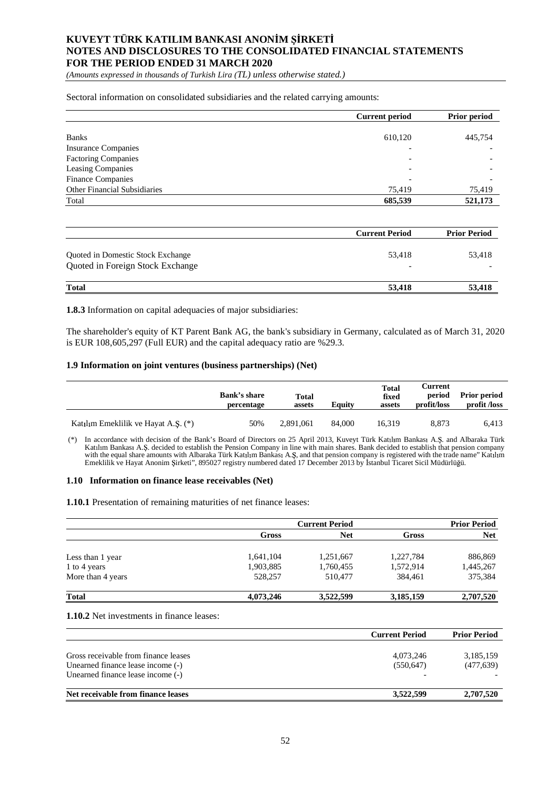*(Amounts expressed in thousands of Turkish Lira (TL) unless otherwise stated.)*

Sectoral information on consolidated subsidiaries and the related carrying amounts:

|                              | <b>Current period</b>    | <b>Prior period</b> |
|------------------------------|--------------------------|---------------------|
|                              |                          |                     |
| <b>Banks</b>                 | 610,120                  | 445,754             |
| <b>Insurance Companies</b>   | $\overline{\phantom{0}}$ |                     |
| <b>Factoring Companies</b>   | $\overline{\phantom{0}}$ |                     |
| Leasing Companies            | $\overline{\phantom{0}}$ |                     |
| <b>Finance Companies</b>     | $\overline{\phantom{0}}$ |                     |
| Other Financial Subsidiaries | 75,419                   | 75,419              |
| Total                        | 685,539                  | 521,173             |

|                                                                       | <b>Current Period</b>              | <b>Prior Period</b> |
|-----------------------------------------------------------------------|------------------------------------|---------------------|
| Quoted in Domestic Stock Exchange<br>Quoted in Foreign Stock Exchange | 53,418<br>$\overline{\phantom{a}}$ | 53,418<br>-         |
| <b>Total</b>                                                          | 53,418                             | 53,418              |

**1.8.3** Information on capital adequacies of major subsidiaries:

The shareholder's equity of KT Parent Bank AG, the bank's subsidiary in Germany, calculated as of March 31, 2020 is EUR 108,605,297 (Full EUR) and the capital adequacy ratio are %29.3.

#### **1.9 Information on joint ventures (business partnerships) (Net)**

|                                     | <b>Bank's share</b><br>percentage | <b>Total</b><br>assets | Eauitv | <b>Total</b><br>fixed<br>assets | Current<br>period<br>profit/loss | <b>Prior period</b><br>profit /loss |
|-------------------------------------|-----------------------------------|------------------------|--------|---------------------------------|----------------------------------|-------------------------------------|
| Katılım Emeklilik ve Hayat A.Ş. (*) | 50%                               | 2,891,061              | 84.000 | 16.319                          | 8.873                            | 6.413                               |

(\*) In accordance with decision of the Bank's Board of Directors on 25 April 2013, Kuveyt Türk Katılım Bankası A.Ş. and Albaraka Türk Katılım Bankası A.Ş. decided to establish the Pension Company in line with main shares. Bank decided to establish that pension company with the equal share amounts with Albaraka Türk Katılım Bankası A.Ş, and that pension company is registered with the trade name" Katılım Emeklilik ve Hayat Anonim Şirketi", 895027 registry numbered dated 17 December 2013 by İstanbul Ticaret Sicil Müdürlüğü.

#### **1.10 Information on finance lease receivables (Net)**

**1.10.1** Presentation of remaining maturities of net finance leases:

|                   | <b>Current Period</b> |            |           | <b>Prior Period</b> |  |
|-------------------|-----------------------|------------|-----------|---------------------|--|
|                   | Gross                 | <b>Net</b> | Gross     | <b>Net</b>          |  |
| Less than 1 year  | 1,641,104             | 1,251,667  | 1,227,784 | 886,869             |  |
| 1 to 4 years      | 1,903,885             | 1,760,455  | 1,572,914 | 1,445,267           |  |
| More than 4 years | 528,257               | 510,477    | 384.461   | 375,384             |  |
| <b>Total</b>      | 4,073,246             | 3,522,599  | 3,185,159 | 2,707,520           |  |

**1.10.2** Net investments in finance leases:

|                                                                                                                | <b>Current Period</b>   | <b>Prior Period</b>     |
|----------------------------------------------------------------------------------------------------------------|-------------------------|-------------------------|
| Gross receivable from finance leases<br>Unearned finance lease income (-)<br>Unearned finance lease income (-) | 4,073,246<br>(550, 647) | 3,185,159<br>(477, 639) |
| Net receivable from finance leases                                                                             | 3,522,599               | 2,707,520               |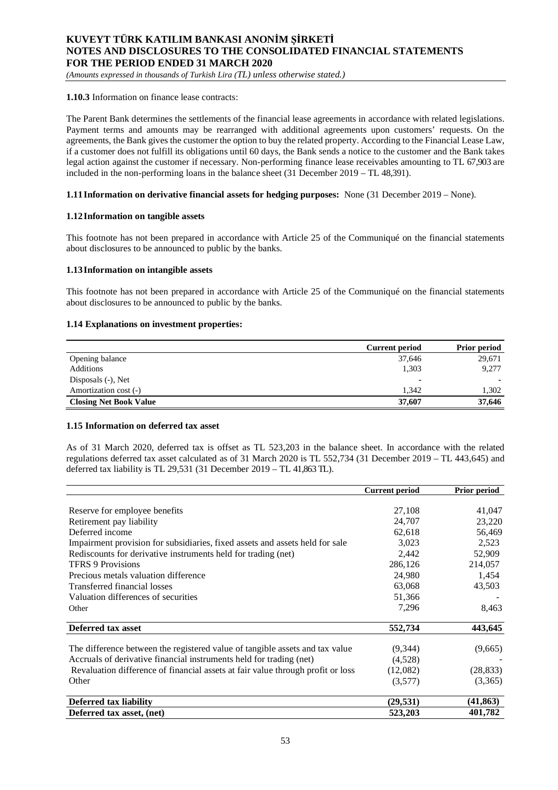*(Amounts expressed in thousands of Turkish Lira (TL) unless otherwise stated.)*

### **1.10.3** Information on finance lease contracts:

The Parent Bank determines the settlements of the financial lease agreements in accordance with related legislations. Payment terms and amounts may be rearranged with additional agreements upon customers' requests. On the agreements, the Bank gives the customer the option to buy the related property. According to the Financial Lease Law, if a customer does not fulfill its obligations until 60 days, the Bank sends a notice to the customer and the Bank takes legal action against the customer if necessary. Non-performing finance lease receivables amounting to TL 67,903 are included in the non-performing loans in the balance sheet (31 December 2019 – TL 48,391).

### **1.11Information on derivative financial assets for hedging purposes:** None (31 December 2019 – None).

#### **1.12Information on tangible assets**

This footnote has not been prepared in accordance with Article 25 of the Communiqué on the financial statements about disclosures to be announced to public by the banks.

#### **1.13Information on intangible assets**

This footnote has not been prepared in accordance with Article 25 of the Communiqué on the financial statements about disclosures to be announced to public by the banks.

### **1.14 Explanations on investment properties:**

|                               | <b>Current period</b> | <b>Prior period</b> |
|-------------------------------|-----------------------|---------------------|
| Opening balance               | 37,646                | 29,671              |
| Additions                     | 1,303                 | 9,277               |
| Disposals (-), Net            | ٠                     | $\blacksquare$      |
| Amortization cost (-)         | 1.342                 | 1,302               |
| <b>Closing Net Book Value</b> | 37,607                | 37,646              |

#### **1.15 Information on deferred tax asset**

As of 31 March 2020, deferred tax is offset as TL 523,203 in the balance sheet. In accordance with the related regulations deferred tax asset calculated as of 31 March 2020 is TL 552,734 (31 December 2019 – TL 443,645) and deferred tax liability is TL 29,531 (31 December 2019 – TL 41,863 TL).

|                                                                                 | <b>Current period</b> | Prior period |
|---------------------------------------------------------------------------------|-----------------------|--------------|
|                                                                                 |                       |              |
| Reserve for employee benefits                                                   | 27,108                | 41,047       |
| Retirement pay liability                                                        | 24,707                | 23,220       |
| Deferred income                                                                 | 62,618                | 56,469       |
| Impairment provision for subsidiaries, fixed assets and assets held for sale    | 3,023                 | 2,523        |
| Rediscounts for derivative instruments held for trading (net)                   | 2,442                 | 52,909       |
| <b>TFRS 9 Provisions</b>                                                        | 286,126               | 214,057      |
| Precious metals valuation difference                                            | 24,980                | 1,454        |
| Transferred financial losses                                                    | 63,068                | 43,503       |
| Valuation differences of securities                                             | 51,366                |              |
| Other                                                                           | 7,296                 | 8,463        |
| Deferred tax asset                                                              | 552,734               | 443,645      |
| The difference between the registered value of tangible assets and tax value    | (9,344)               | (9,665)      |
| Accruals of derivative financial instruments held for trading (net)             | (4,528)               |              |
| Revaluation difference of financial assets at fair value through profit or loss | (12,082)              | (28, 833)    |
| Other                                                                           | (3,577)               | (3,365)      |
| <b>Deferred tax liability</b>                                                   | (29, 531)             | (41, 863)    |
| Deferred tax asset, (net)                                                       | 523,203               | 401,782      |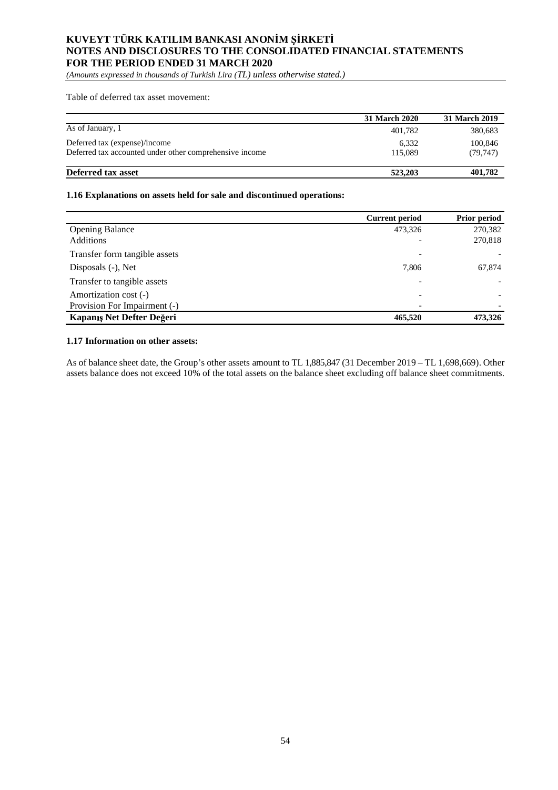*(Amounts expressed in thousands of Turkish Lira (TL) unless otherwise stated.)*

Table of deferred tax asset movement:

|                                                                                          | 31 March 2020    | 31 March 2019       |
|------------------------------------------------------------------------------------------|------------------|---------------------|
| As of January, 1                                                                         | 401.782          | 380,683             |
| Deferred tax (expense)/income<br>Deferred tax accounted under other comprehensive income | 6,332<br>115,089 | 100,846<br>(79.747) |
| Deferred tax asset                                                                       | 523,203          | 401,782             |

### **1.16 Explanations on assets held for sale and discontinued operations:**

|                               | <b>Current period</b>    | <b>Prior period</b> |
|-------------------------------|--------------------------|---------------------|
| <b>Opening Balance</b>        | 473,326                  | 270,382             |
| <b>Additions</b>              |                          | 270,818             |
| Transfer form tangible assets |                          |                     |
| Disposals (-), Net            | 7,806                    | 67,874              |
| Transfer to tangible assets   |                          |                     |
| Amortization cost (-)         | $\overline{\phantom{0}}$ |                     |
| Provision For Impairment (-)  | $\overline{\phantom{0}}$ |                     |
| Kapanış Net Defter Değeri     | 465,520                  | 473,326             |

#### **1.17 Information on other assets:**

As of balance sheet date, the Group's other assets amount to TL 1,885,847 (31 December 2019 – TL 1,698,669). Other assets balance does not exceed 10% of the total assets on the balance sheet excluding off balance sheet commitments.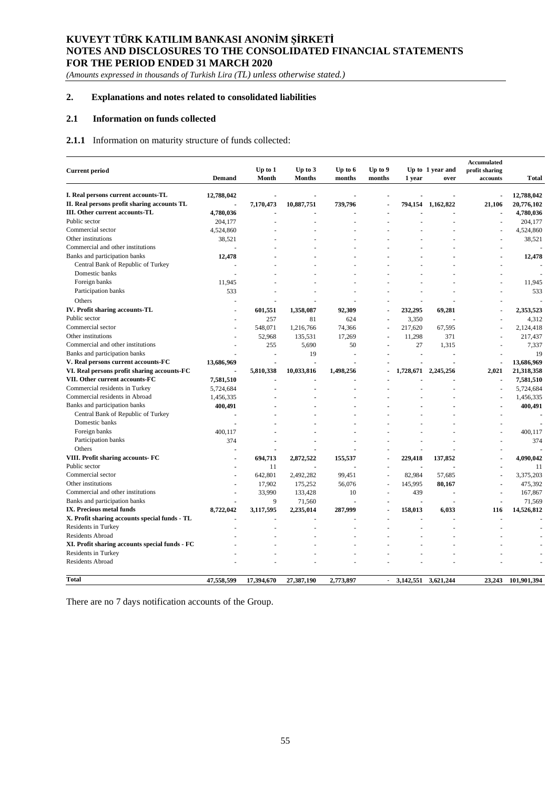*(Amounts expressed in thousands of Turkish Lira (TL) unless otherwise stated.)*

## **2. Explanations and notes related to consolidated liabilities**

### **2.1 Information on funds collected**

## **2.1.1** Information on maturity structure of funds collected:

|                                                |                |                |               |           |           |           |                  | Accumulated    |              |
|------------------------------------------------|----------------|----------------|---------------|-----------|-----------|-----------|------------------|----------------|--------------|
| <b>Current period</b>                          |                | Up to 1        | Up to $3$     | Up to 6   | Up to $9$ |           | Up to 1 year and | profit sharing |              |
|                                                | <b>Demand</b>  | Month          | <b>Months</b> | months    | months    | 1 year    | over             | accounts       | <b>Total</b> |
| I. Real persons current accounts-TL            | 12,788,042     |                |               |           |           |           |                  | $\overline{a}$ | 12,788,042   |
| II. Real persons profit sharing accounts TL    |                | 7,170,473      | 10,887,751    | 739,796   | J.        | 794,154   | 1,162,822        | 21,106         | 20,776,102   |
| III. Other current accounts-TL                 | 4,780,036      |                |               |           |           |           |                  |                | 4,780,036    |
| Public sector                                  | 204,177        |                | $\sim$        |           |           |           |                  | ٠              | 204,177      |
| Commercial sector                              | 4,524,860      |                |               |           |           |           |                  |                | 4,524,860    |
| Other institutions                             | 38,521         |                |               |           |           |           |                  | ä,             | 38,521       |
| Commercial and other institutions              |                |                |               |           |           |           |                  |                |              |
| Banks and participation banks                  | 12,478         |                |               |           |           |           |                  |                | 12,478       |
| Central Bank of Republic of Turkey             |                |                |               |           |           |           |                  |                |              |
| Domestic banks                                 |                |                |               |           |           |           |                  |                |              |
| Foreign banks                                  | 11,945         |                |               |           |           |           |                  |                | 11,945       |
| Participation banks                            | 533            |                |               |           |           |           |                  |                | 533          |
|                                                |                |                |               |           |           |           |                  |                |              |
| Others                                         |                |                |               |           |           |           |                  |                |              |
| IV. Profit sharing accounts-TL                 |                | 601,551        | 1,358,087     | 92,309    | ÷,        | 232,295   | 69,281           | ÷,             | 2,353,523    |
| Public sector                                  |                | 257            | 81            | 624       | Ĭ.        | 3,350     |                  | ä,             | 4,312        |
| Commercial sector                              |                | 548.071        | 1,216,766     | 74,366    | Ĩ.        | 217,620   | 67,595           |                | 2,124,418    |
| Other institutions                             |                | 52.968         | 135,531       | 17,269    | Ĭ.        | 11,298    | 371              |                | 217,437      |
| Commercial and other institutions              |                | 255            | 5,690         | 50        |           | 27        | 1,315            |                | 7,337        |
| Banks and participation banks                  |                |                | 19            | ä,        |           | Ĩ.        |                  |                | 19           |
| V. Real persons current accounts-FC            | 13,686,969     |                |               |           |           |           |                  | ÷,             | 13,686,969   |
| VI. Real persons profit sharing accounts-FC    |                | 5,810,338      | 10,033,816    | 1,498,256 | Ĭ.        | 1,728,671 | 2,245,256        | 2,021          | 21,318,358   |
| VII. Other current accounts-FC                 | 7,581,510      |                |               |           |           |           |                  |                | 7,581,510    |
| Commercial residents in Turkey                 | 5,724,684      |                |               |           |           |           |                  | ÷,             | 5,724,684    |
| Commercial residents in Abroad                 | 1,456,335      |                |               |           |           |           |                  |                | 1,456,335    |
| Banks and participation banks                  | 400,491        |                |               |           |           |           |                  |                | 400,491      |
| Central Bank of Republic of Turkey             |                |                |               |           |           |           |                  |                |              |
| Domestic banks                                 | $\blacksquare$ |                |               |           |           |           |                  |                |              |
| Foreign banks                                  | 400,117        |                |               |           |           |           |                  |                | 400,117      |
| Participation banks                            | 374            | $\overline{a}$ | ÷             |           |           |           |                  |                | 374          |
| Others                                         |                |                |               |           |           |           |                  |                |              |
| VIII. Profit sharing accounts- FC              |                | 694,713        | 2,872,522     | 155,537   |           | 229,418   | 137,852          |                | 4.090.042    |
| Public sector                                  |                | 11             |               |           |           |           |                  |                | 11           |
| Commercial sector                              |                | 642,801        | 2,492,282     | 99,451    | Î,        | 82,984    | 57,685           |                | 3,375,203    |
| Other institutions                             |                | 17,902         | 175,252       | 56,076    | ł,        | 145,995   | 80,167           |                | 475,392      |
| Commercial and other institutions              |                | 33.990         | 133,428       | 10        |           | 439       |                  |                | 167,867      |
| Banks and participation banks                  |                | $\mathbf{Q}$   | 71.560        |           |           |           |                  |                | 71.569       |
| IX. Precious metal funds                       | 8,722,042      | 3,117,595      | 2,235,014     | 287,999   | Ĭ.        | 158,013   | 6,033            | 116            | 14,526,812   |
| X. Profit sharing accounts special funds - TL  |                |                |               |           | ÷.        |           |                  |                |              |
| Residents in Turkey                            |                |                |               |           |           |           |                  |                |              |
| <b>Residents Abroad</b>                        |                |                |               |           |           |           |                  |                |              |
| XI. Profit sharing accounts special funds - FC |                |                |               |           |           |           |                  |                |              |
| Residents in Turkey                            |                |                |               |           |           |           |                  |                |              |
| Residents Abroad                               |                |                |               |           |           |           |                  |                |              |
| <b>Total</b>                                   | 47,558,599     | 17,394,670     | 27,387,190    |           |           | 3,142,551 |                  |                | 101,901,394  |
|                                                |                |                |               | 2,773,897 |           |           | 3,621,244        | 23,243         |              |

There are no 7 days notification accounts of the Group.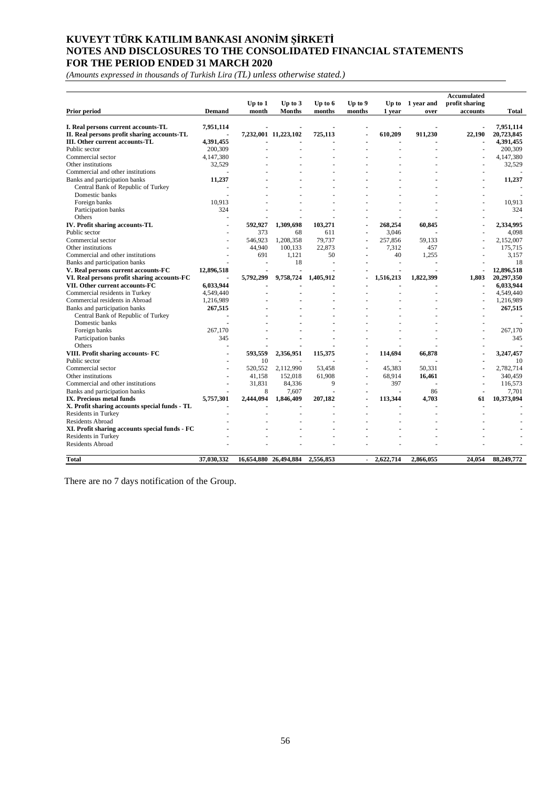*(Amounts expressed in thousands of Turkish Lira (TL) unless otherwise stated.)*

| Prior period                                   | <b>Demand</b> | $Up$ to $1$<br>month | Up to $3$<br><b>Months</b> | Up to 6<br>months | Up to 9<br>months        | 1 year    | Up to 1 year and<br>over | profit sharing<br>accounts | Total      |
|------------------------------------------------|---------------|----------------------|----------------------------|-------------------|--------------------------|-----------|--------------------------|----------------------------|------------|
|                                                |               |                      |                            |                   |                          |           |                          |                            |            |
| I. Real persons current accounts-TL            | 7,951,114     |                      |                            |                   |                          |           |                          |                            | 7,951,114  |
| II. Real persons profit sharing accounts-TL    |               |                      | 7,232,001 11,223,102       | 725,113           |                          | 610,209   | 911,230                  | 22,190                     | 20,723,845 |
| III. Other current accounts-TL                 | 4.391.455     |                      |                            |                   |                          |           |                          |                            | 4.391.455  |
| Public sector                                  | 200,309       |                      |                            |                   |                          |           |                          |                            | 200,309    |
| Commercial sector                              | 4.147.380     |                      |                            |                   |                          |           |                          |                            | 4.147.380  |
| Other institutions                             | 32,529        |                      |                            |                   |                          |           |                          |                            | 32,529     |
| Commercial and other institutions              |               |                      |                            |                   |                          |           |                          |                            |            |
| Banks and participation banks                  | 11,237        |                      |                            |                   |                          |           |                          |                            | 11,237     |
| Central Bank of Republic of Turkey             |               |                      |                            |                   |                          |           |                          |                            |            |
| Domestic banks                                 |               |                      |                            |                   |                          |           |                          |                            |            |
| Foreign banks                                  | 10.913        |                      |                            |                   |                          |           |                          |                            | 10,913     |
| Participation banks                            | 324           |                      |                            |                   |                          |           |                          |                            | 324        |
| Others                                         |               |                      |                            |                   |                          |           |                          |                            |            |
| IV. Profit sharing accounts-TL                 |               | 592.927              | 1,309,698                  | 103,271           |                          | 268,254   | 60.845                   |                            | 2.334.995  |
| Public sector                                  |               | 373                  | 68                         | 611               |                          | 3,046     |                          |                            | 4,098      |
| Commercial sector                              |               | 546.923              | 1.208.358                  | 79.737            |                          | 257,856   | 59.133                   |                            | 2,152,007  |
| Other institutions                             |               | 44,940               | 100,133                    | 22.873            |                          | 7,312     | 457                      |                            | 175,715    |
| Commercial and other institutions              |               | 691                  | 1.121                      | 50                |                          | 40        | 1,255                    |                            | 3.157      |
| Banks and participation banks                  |               |                      | 18                         | $\overline{a}$    |                          |           |                          |                            | 18         |
| V. Real persons current accounts-FC            | 12,896,518    |                      |                            |                   |                          |           |                          |                            | 12,896,518 |
| VI. Real persons profit sharing accounts-FC    |               | 5,792,299            | 9,758,724                  | 1,405,912         |                          | 1,516,213 | 1,822,399                | 1.803                      | 20.297.350 |
| VII. Other current accounts-FC                 | 6,033,944     |                      |                            |                   |                          |           |                          |                            | 6,033,944  |
| Commercial residents in Turkey                 | 4,549,440     |                      |                            |                   |                          |           |                          |                            | 4,549,440  |
| Commercial residents in Abroad                 | 1,216,989     |                      |                            |                   |                          |           |                          |                            | 1,216,989  |
| Banks and participation banks                  | 267,515       |                      |                            |                   |                          |           |                          |                            | 267,515    |
| Central Bank of Republic of Turkey             |               |                      |                            |                   |                          |           |                          |                            |            |
| Domestic banks                                 |               |                      |                            |                   |                          |           |                          |                            |            |
| Foreign banks                                  | 267,170       |                      |                            |                   |                          |           |                          |                            | 267,170    |
| Participation banks                            | 345           |                      |                            |                   |                          |           |                          |                            | 345        |
| Others                                         |               |                      |                            |                   |                          |           |                          |                            |            |
| VIII. Profit sharing accounts- FC              |               | 593,559              | 2,356,951                  | 115,375           |                          | 114,694   | 66,878                   |                            | 3,247,457  |
| Public sector                                  |               | 10                   |                            |                   |                          |           |                          |                            | 10         |
| Commercial sector                              |               | 520,552              | 2,112,990                  | 53,458            |                          | 45,383    | 50,331                   |                            | 2,782,714  |
| Other institutions                             |               | 41,158               | 152,018                    | 61,908            | ÷.                       | 68,914    | 16,461                   |                            | 340,459    |
| Commercial and other institutions              |               | 31.831               | 84.336                     | 9                 |                          | 397       |                          |                            | 116.573    |
| Banks and participation banks                  |               | 8                    | 7.607                      |                   |                          |           | 86                       |                            | 7.701      |
| IX. Precious metal funds                       | 5,757,301     | 2.444.094            | 1,846,409                  | 207,182           | ä,                       | 113,344   | 4.703                    | 61                         | 10,373,094 |
| X. Profit sharing accounts special funds - TL  |               |                      |                            |                   |                          |           |                          |                            |            |
| Residents in Turkey                            |               |                      |                            |                   |                          |           |                          |                            |            |
| <b>Residents Abroad</b>                        |               |                      |                            |                   |                          |           |                          |                            |            |
| XI. Profit sharing accounts special funds - FC |               |                      |                            |                   |                          |           |                          |                            |            |
| Residents in Turkey                            |               |                      |                            |                   |                          |           |                          |                            |            |
| <b>Residents Abroad</b>                        |               |                      |                            |                   |                          |           |                          |                            |            |
| Total                                          | 37,030,332    |                      | 16,654,880 26,494,884      | 2,556,853         | $\overline{\phantom{0}}$ | 2,622,714 | 2,866,055                | 24,054                     | 88,249,772 |

There are no 7 days notification of the Group.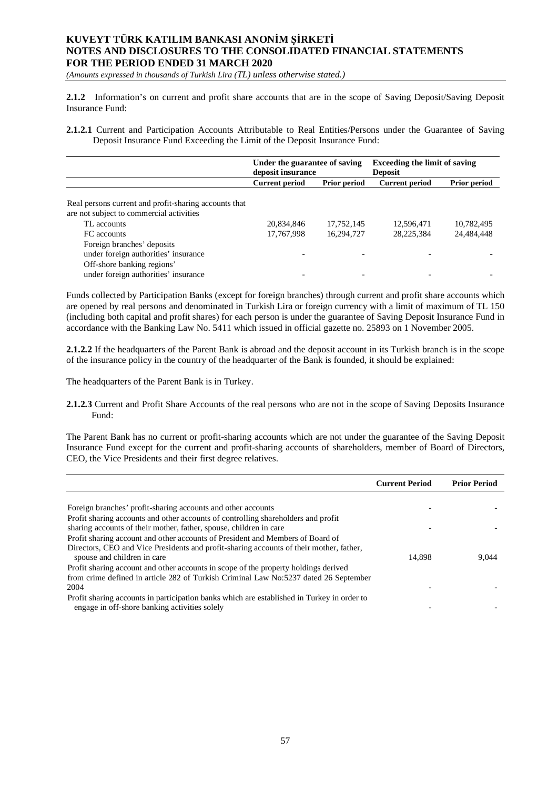*(Amounts expressed in thousands of Turkish Lira (TL) unless otherwise stated.)*

**2.1.2** Information's on current and profit share accounts that are in the scope of Saving Deposit/Saving Deposit Insurance Fund:

**2.1.2.1** Current and Participation Accounts Attributable to Real Entities/Persons under the Guarantee of Saving Deposit Insurance Fund Exceeding the Limit of the Deposit Insurance Fund:

|                                                                                                   | Under the guarantee of saving<br>deposit insurance |                     | <b>Exceeding the limit of saving</b><br><b>Deposit</b> |                     |
|---------------------------------------------------------------------------------------------------|----------------------------------------------------|---------------------|--------------------------------------------------------|---------------------|
|                                                                                                   | <b>Current period</b>                              | <b>Prior period</b> | <b>Current period</b>                                  | <b>Prior period</b> |
| Real persons current and profit-sharing accounts that<br>are not subject to commercial activities |                                                    |                     |                                                        |                     |
| TL accounts                                                                                       | 20,834,846                                         | 17,752,145          | 12,596,471                                             | 10,782,495          |
| FC accounts                                                                                       | 17,767,998                                         | 16,294,727          | 28,225,384                                             | 24,484,448          |
| Foreign branches' deposits<br>under foreign authorities' insurance<br>Off-shore banking regions'  |                                                    |                     |                                                        |                     |
| under foreign authorities' insurance                                                              |                                                    |                     |                                                        |                     |

Funds collected by Participation Banks (except for foreign branches) through current and profit share accounts which are opened by real persons and denominated in Turkish Lira or foreign currency with a limit of maximum of TL 150 (including both capital and profit shares) for each person is under the guarantee of Saving Deposit Insurance Fund in accordance with the Banking Law No. 5411 which issued in official gazette no. 25893 on 1 November 2005.

**2.1.2.2** If the headquarters of the Parent Bank is abroad and the deposit account in its Turkish branch is in the scope of the insurance policy in the country of the headquarter of the Bank is founded, it should be explained:

The headquarters of the Parent Bank is in Turkey.

**2.1.2.3** Current and Profit Share Accounts of the real persons who are not in the scope of Saving Deposits Insurance Fund:

The Parent Bank has no current or profit-sharing accounts which are not under the guarantee of the Saving Deposit Insurance Fund except for the current and profit-sharing accounts of shareholders, member of Board of Directors, CEO, the Vice Presidents and their first degree relatives.

|                                                                                                                                                                                                                                                                                                           | <b>Current Period</b> | <b>Prior Period</b> |
|-----------------------------------------------------------------------------------------------------------------------------------------------------------------------------------------------------------------------------------------------------------------------------------------------------------|-----------------------|---------------------|
| Foreign branches' profit-sharing accounts and other accounts<br>Profit sharing accounts and other accounts of controlling shareholders and profit<br>sharing accounts of their mother, father, spouse, children in care<br>Profit sharing account and other accounts of President and Members of Board of |                       |                     |
| Directors, CEO and Vice Presidents and profit-sharing accounts of their mother, father,<br>spouse and children in care<br>Profit sharing account and other accounts in scope of the property holdings derived                                                                                             | 14.898                | 9.044               |
| from crime defined in article 282 of Turkish Criminal Law No:5237 dated 26 September<br>2004<br>Profit sharing accounts in participation banks which are established in Turkey in order to<br>engage in off-shore banking activities solely                                                               |                       |                     |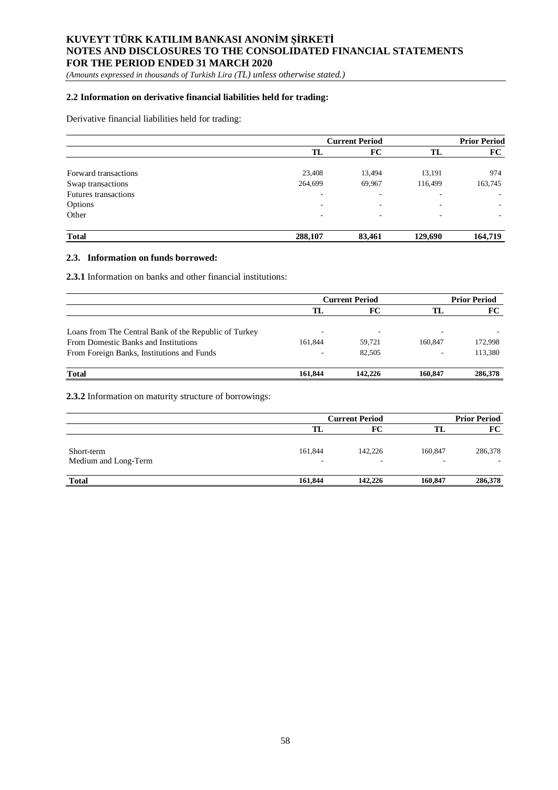*(Amounts expressed in thousands of Turkish Lira (TL) unless otherwise stated.)*

## **2.2 Information on derivative financial liabilities held for trading:**

## Derivative financial liabilities held for trading:

|                             | <b>Current Period</b> |                          |                          | <b>Prior Period</b>      |
|-----------------------------|-----------------------|--------------------------|--------------------------|--------------------------|
|                             | TL                    | FC                       | TL                       | FC                       |
| Forward transactions        | 23,408                | 13,494                   | 13,191                   | 974                      |
| Swap transactions           | 264,699               | 69,967                   | 116,499                  | 163,745                  |
| <b>Futures transactions</b> | ۰                     | $\overline{\phantom{a}}$ |                          |                          |
| Options                     | ۰                     | ٠                        | $\overline{\phantom{a}}$ | $\overline{\phantom{a}}$ |
| Other                       | ٠                     | ٠                        |                          | $\overline{\phantom{a}}$ |
| <b>Total</b>                | 288,107               | 83,461                   | 129,690                  | 164,719                  |

#### **2.3. Information on funds borrowed:**

**2.3.1** Information on banks and other financial institutions:

|                                                       | <b>Current Period</b> |                          |                          | <b>Prior Period</b> |  |
|-------------------------------------------------------|-----------------------|--------------------------|--------------------------|---------------------|--|
|                                                       | TL                    | FC                       | TL                       | FC                  |  |
|                                                       |                       |                          |                          |                     |  |
| Loans from The Central Bank of the Republic of Turkey |                       | $\overline{\phantom{a}}$ | $\overline{\phantom{a}}$ |                     |  |
| From Domestic Banks and Institutions                  | 161.844               | 59.721                   | 160,847                  | 172,998             |  |
| From Foreign Banks, Institutions and Funds            |                       | 82.505                   | $\overline{\phantom{a}}$ | 113,380             |  |
| <b>Total</b>                                          | 161.844               | 142,226                  | 160,847                  | 286,378             |  |

**2.3.2** Information on maturity structure of borrowings:

|                                    | <b>Current Period</b> |         |         | <b>Prior Period</b> |
|------------------------------------|-----------------------|---------|---------|---------------------|
|                                    |                       | FC      | TL      | FC                  |
| Short-term<br>Medium and Long-Term | 161,844<br>-          | 142,226 | 160,847 | 286,378             |
| <b>Total</b>                       | 161,844               | 142,226 | 160,847 | 286,378             |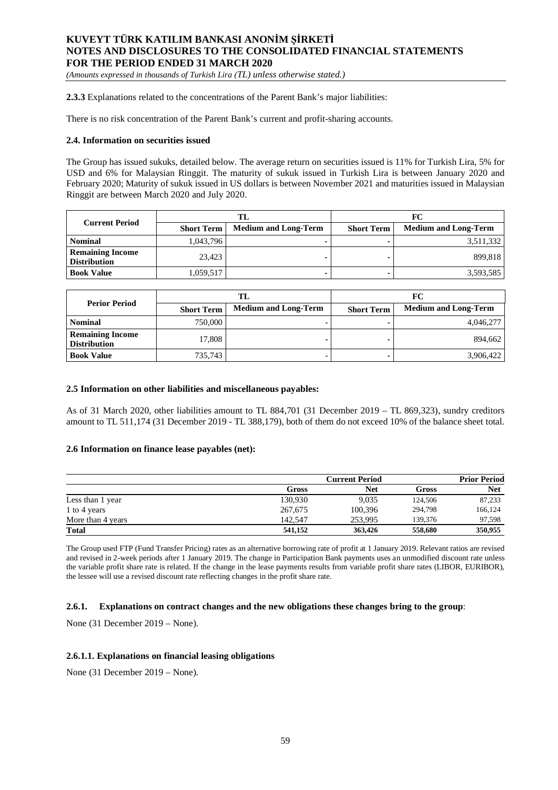*(Amounts expressed in thousands of Turkish Lira (TL) unless otherwise stated.)*

**2.3.3** Explanations related to the concentrations of the Parent Bank's major liabilities:

There is no risk concentration of the Parent Bank's current and profit-sharing accounts.

#### **2.4. Information on securities issued**

The Group has issued sukuks, detailed below. The average return on securities issued is 11% for Turkish Lira, 5% for USD and 6% for Malaysian Ringgit. The maturity of sukuk issued in Turkish Lira is between January 2020 and February 2020; Maturity of sukuk issued in US dollars is between November 2021 and maturities issued in Malaysian Ringgit are between March 2020 and July 2020.

|                                                | TL                |                             |                   | FC                          |
|------------------------------------------------|-------------------|-----------------------------|-------------------|-----------------------------|
| <b>Current Period</b>                          | <b>Short Term</b> | <b>Medium and Long-Term</b> | <b>Short Term</b> | <b>Medium and Long-Term</b> |
| <b>Nominal</b>                                 | 1,043,796         |                             |                   | 3,511,332                   |
| <b>Remaining Income</b><br><b>Distribution</b> | 23.423            |                             |                   | 899.818                     |
| <b>Book Value</b>                              | 1,059,517         |                             |                   | 3,593,585                   |

| <b>Perior Period</b>                           |         | TL                          |                   | FC                          |  |
|------------------------------------------------|---------|-----------------------------|-------------------|-----------------------------|--|
| <b>Short Term</b>                              |         | <b>Medium and Long-Term</b> | <b>Short Term</b> | <b>Medium and Long-Term</b> |  |
| <b>Nominal</b>                                 | 750,000 |                             |                   | 4,046,277                   |  |
| <b>Remaining Income</b><br><b>Distribution</b> | 17.808  |                             |                   | 894.662                     |  |
| <b>Book Value</b>                              | 735.743 |                             |                   | 3,906,422                   |  |

#### **2.5 Information on other liabilities and miscellaneous payables:**

As of 31 March 2020, other liabilities amount to TL 884,701 (31 December 2019 – TL 869,323), sundry creditors amount to TL 511,174 (31 December 2019 - TL 388,179), both of them do not exceed 10% of the balance sheet total.

#### **2.6 Information on finance lease payables (net):**

|                   | <b>Current Period</b> |         |         | <b>Prior Period</b> |
|-------------------|-----------------------|---------|---------|---------------------|
|                   | <b>Gross</b>          | Net     | Gross   | <b>Net</b>          |
| Less than 1 year  | 130,930               | 9.035   | 124,506 | 87,233              |
| 1 to 4 years      | 267,675               | 100.396 | 294.798 | 166.124             |
| More than 4 years | 142,547               | 253.995 | 139,376 | 97,598              |
| <b>Total</b>      | 541,152               | 363,426 | 558,680 | 350,955             |

The Group used FTP (Fund Transfer Pricing) rates as an alternative borrowing rate of profit at 1 January 2019. Relevant ratios are revised and revised in 2-week periods after 1 January 2019. The change in Participation Bank payments uses an unmodified discount rate unless the variable profit share rate is related. If the change in the lease payments results from variable profit share rates (LIBOR, EURIBOR), the lessee will use a revised discount rate reflecting changes in the profit share rate.

### **2.6.1. Explanations on contract changes and the new obligations these changes bring to the group**:

None (31 December 2019 – None).

### **2.6.1.1. Explanations on financial leasing obligations**

None (31 December 2019 – None).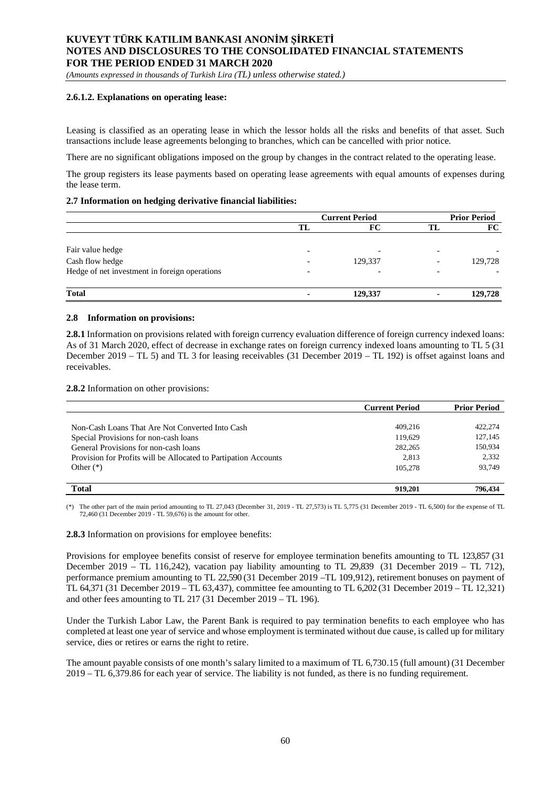*(Amounts expressed in thousands of Turkish Lira (TL) unless otherwise stated.)*

### **2.6.1.2. Explanations on operating lease:**

Leasing is classified as an operating lease in which the lessor holds all the risks and benefits of that asset. Such transactions include lease agreements belonging to branches, which can be cancelled with prior notice.

There are no significant obligations imposed on the group by changes in the contract related to the operating lease.

The group registers its lease payments based on operating lease agreements with equal amounts of expenses during the lease term.

### **2.7 Information on hedging derivative financial liabilities:**

|                                               | <b>Current Period</b> |         |    | <b>Prior Period</b> |
|-----------------------------------------------|-----------------------|---------|----|---------------------|
|                                               | TL                    | FC      | TІ | FC.                 |
| Fair value hedge                              |                       |         |    |                     |
| Cash flow hedge                               |                       | 129,337 |    | 129,728             |
| Hedge of net investment in foreign operations |                       |         |    |                     |
| <b>Total</b>                                  |                       | 129,337 |    | 129,728             |

#### **2.8 Information on provisions:**

**2.8.1** Information on provisions related with foreign currency evaluation difference of foreign currency indexed loans: As of 31 March 2020, effect of decrease in exchange rates on foreign currency indexed loans amounting to TL 5 (31 December 2019 – TL 5) and TL 3 for leasing receivables (31 December 2019 – TL 192) is offset against loans and receivables.

**2.8.2** Information on other provisions:

|                                                                 | <b>Current Period</b> | <b>Prior Period</b> |
|-----------------------------------------------------------------|-----------------------|---------------------|
|                                                                 |                       |                     |
| Non-Cash Loans That Are Not Converted Into Cash                 | 409.216               | 422,274             |
| Special Provisions for non-cash loans                           | 119.629               | 127,145             |
| General Provisions for non-cash loans                           | 282,265               | 150,934             |
| Provision for Profits will be Allocated to Partipation Accounts | 2.813                 | 2,332               |
| Other $(*)$                                                     | 105.278               | 93,749              |
|                                                                 |                       |                     |
| <b>Total</b>                                                    | 919.201               | 796,434             |

(\*) The other part of the main period amounting to TL 27,043 (December 31, 2019 - TL 27,573) is TL 5,775 (31 December 2019 - TL 6,500) for the expense of TL 72,460 (31 December 2019 - TL 59,676) is the amount for other.

#### **2.8.3** Information on provisions for employee benefits:

Provisions for employee benefits consist of reserve for employee termination benefits amounting to TL 123,857 (31 December 2019 – TL 116,242), vacation pay liability amounting to TL 29,839 (31 December 2019 – TL 712), performance premium amounting to TL 22,590 (31 December 2019 –TL 109,912), retirement bonuses on payment of TL 64,371 (31 December 2019 – TL 63,437), committee fee amounting to TL 6,202 (31 December 2019 – TL 12,321) and other fees amounting to TL 217 (31 December 2019 – TL 196).

Under the Turkish Labor Law, the Parent Bank is required to pay termination benefits to each employee who has completed at least one year of service and whose employment is terminated without due cause, is called up for military service, dies or retires or earns the right to retire.

The amount payable consists of one month's salary limited to a maximum of TL 6,730.15 (full amount) (31 December 2019 – TL 6,379.86 for each year of service. The liability is not funded, as there is no funding requirement.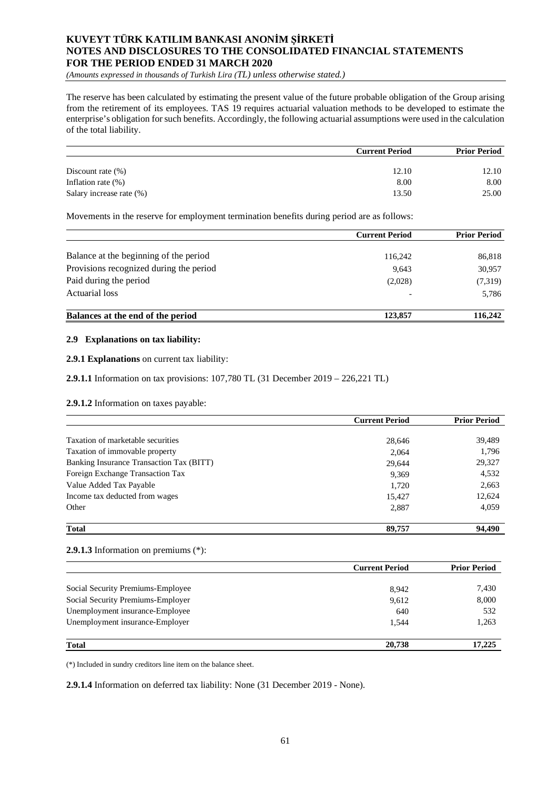*(Amounts expressed in thousands of Turkish Lira (TL) unless otherwise stated.)*

The reserve has been calculated by estimating the present value of the future probable obligation of the Group arising from the retirement of its employees. TAS 19 requires actuarial valuation methods to be developed to estimate the enterprise's obligation for such benefits. Accordingly, the following actuarial assumptions were used in the calculation of the total liability.

|                          | <b>Current Period</b> | <b>Prior Period</b> |
|--------------------------|-----------------------|---------------------|
| Discount rate $(\% )$    | 12.10                 | 12.10               |
| Inflation rate $(\%)$    | 8.00                  | 8.00                |
| Salary increase rate (%) | 13.50                 | 25.00               |

Movements in the reserve for employment termination benefits during period are as follows:

|                                         | <b>Current Period</b>    | <b>Prior Period</b> |
|-----------------------------------------|--------------------------|---------------------|
|                                         |                          |                     |
| Balance at the beginning of the period  | 116,242                  | 86,818              |
| Provisions recognized during the period | 9,643                    | 30,957              |
| Paid during the period                  | (2,028)                  | (7,319)             |
| Actuarial loss                          | $\overline{\phantom{0}}$ | 5,786               |
| Balances at the end of the period       | 123,857                  | 116,242             |

### **2.9 Explanations on tax liability:**

**2.9.1 Explanations** on current tax liability:

**2.9.1.1** Information on tax provisions: 107,780 TL (31 December 2019 – 226,221 TL)

**2.9.1.2** Information on taxes payable:

|                                          | <b>Current Period</b> | <b>Prior Period</b> |  |
|------------------------------------------|-----------------------|---------------------|--|
|                                          |                       |                     |  |
| Taxation of marketable securities        | 28,646                | 39,489              |  |
| Taxation of immovable property           | 2,064                 | 1,796               |  |
| Banking Insurance Transaction Tax (BITT) | 29,644                | 29,327              |  |
| Foreign Exchange Transaction Tax         | 9,369                 | 4,532               |  |
| Value Added Tax Payable                  | 1,720                 | 2,663               |  |
| Income tax deducted from wages           | 15,427                | 12,624              |  |
| Other                                    | 2,887                 | 4,059               |  |
| <b>Total</b>                             | 89,757                | 94.490              |  |

### **2.9.1.3** Information on premiums (\*):

|                                   | <b>Current Period</b> | <b>Prior Period</b> |
|-----------------------------------|-----------------------|---------------------|
|                                   |                       |                     |
| Social Security Premiums-Employee | 8,942                 | 7,430               |
| Social Security Premiums-Employer | 9,612                 | 8,000               |
| Unemployment insurance-Employee   | 640                   | 532                 |
| Unemployment insurance-Employer   | 1.544                 | 1,263               |
| <b>Total</b>                      | 20,738                | 17,225              |

(\*) Included in sundry creditors line item on the balance sheet.

**2.9.1.4** Information on deferred tax liability: None (31 December 2019 - None).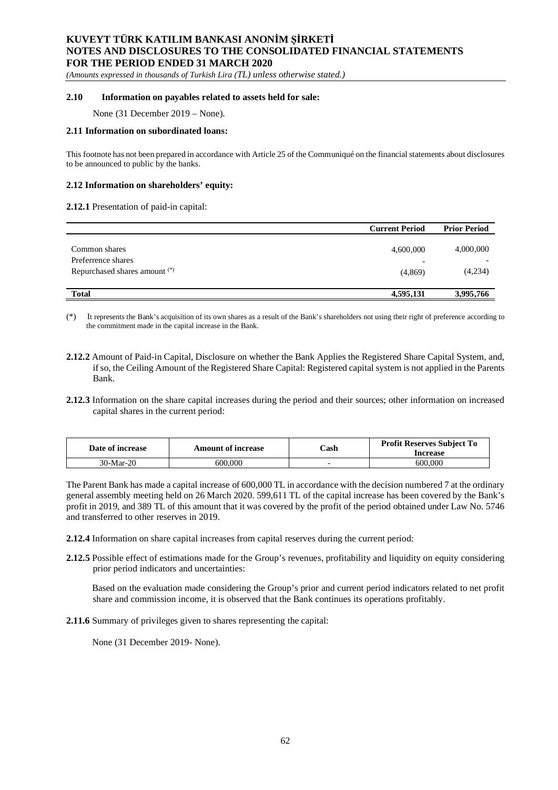*(Amounts expressed in thousands of Turkish Lira (TL) unless otherwise stated.)*

#### **2.10 Information on payables related to assets held for sale:**

None (31 December 2019 – None).

#### **2.11 Information on subordinated loans:**

This footnote has not been prepared in accordance with Article 25 of the Communiqué on the financial statements about disclosures to be announced to public by the banks.

#### **2.12 Information on shareholders' equity:**

#### **2.12.1** Presentation of paid-in capital:

|                               | <b>Current Period</b> | <b>Prior Period</b> |
|-------------------------------|-----------------------|---------------------|
|                               |                       |                     |
| Common shares                 | 4,600,000             | 4,000,000           |
| Preferrence shares            | ۰                     |                     |
| Repurchased shares amount (*) | (4,869)               | (4,234)             |
|                               |                       |                     |
| <b>Total</b>                  | 4,595,131             | 3,995,766           |

(\*) It represents the Bank's acquisition of its own shares as a result of the Bank's shareholders not using their right of preference according to the commitment made in the capital increase in the Bank.

- **2.12.2** Amount of Paid-in Capital, Disclosure on whether the Bank Applies the Registered Share Capital System, and, if so, the Ceiling Amount of the Registered Share Capital: Registered capital system is not applied in the Parents Bank.
- **2.12.3** Information on the share capital increases during the period and their sources; other information on increased capital shares in the current period:

| Date of increase | Amount of increase | $\mathbb C$ ash | <b>Profit Reserves Subject To</b><br>Increase |
|------------------|--------------------|-----------------|-----------------------------------------------|
| 30-Mar-20        | 600.000            |                 | 600 000                                       |

The Parent Bank has made a capital increase of 600,000 TL in accordance with the decision numbered 7 at the ordinary general assembly meeting held on 26 March 2020. 599,611 TL of the capital increase has been covered by the Bank's profit in 2019, and 389 TL of this amount that it was covered by the profit of the period obtained under Law No. 5746 and transferred to other reserves in 2019.

- **2.12.4** Information on share capital increases from capital reserves during the current period:
- **2.12.5** Possible effect of estimations made for the Group's revenues, profitability and liquidity on equity considering prior period indicators and uncertainties:

Based on the evaluation made considering the Group's prior and current period indicators related to net profit share and commission income, it is observed that the Bank continues its operations profitably.

**2.11.6** Summary of privileges given to shares representing the capital:

None (31 December 2019- None).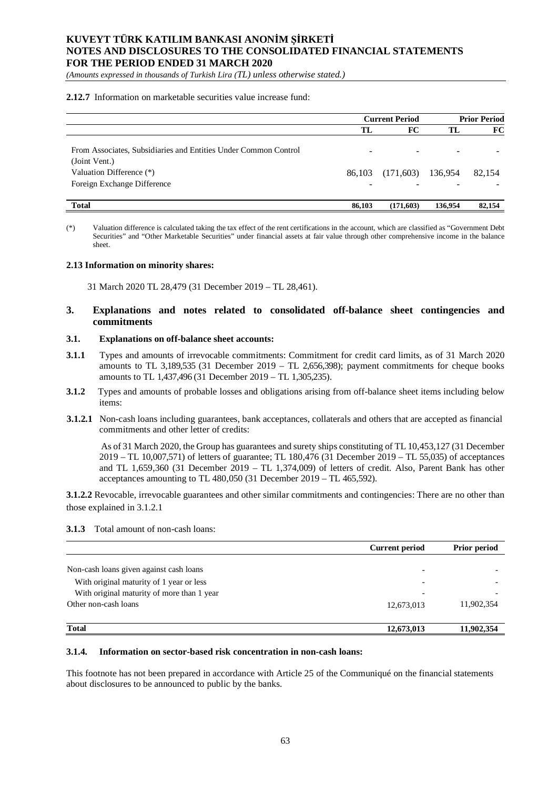*(Amounts expressed in thousands of Turkish Lira (TL) unless otherwise stated.)*

#### **2.12.7** Information on marketable securities value increase fund:

|                                                                                                                                             | <b>Current Period</b> |           | <b>Prior Period</b> |        |
|---------------------------------------------------------------------------------------------------------------------------------------------|-----------------------|-----------|---------------------|--------|
|                                                                                                                                             | TL                    | FC        | TL                  | FC     |
| From Associates, Subsidiaries and Entities Under Common Control<br>(Joint Vent.)<br>Valuation Difference (*)<br>Foreign Exchange Difference | 86.103                | (171,603) | 136,954             | 82.154 |
| <b>Total</b>                                                                                                                                | 86,103                | (171,603) | 136,954             | 82,154 |

(\*) Valuation difference is calculated taking the tax effect of the rent certifications in the account, which are classified as "Government Debt Securities" and "Other Marketable Securities" under financial assets at fair value through other comprehensive income in the balance sheet.

#### **2.13 Information on minority shares:**

31 March 2020 TL 28,479 (31 December 2019 – TL 28,461).

## **3. Explanations and notes related to consolidated off-balance sheet contingencies and commitments**

#### **3.1. Explanations on off-balance sheet accounts:**

- **3.1.1** Types and amounts of irrevocable commitments: Commitment for credit card limits, as of 31 March 2020 amounts to TL 3,189,535 (31 December 2019 – TL 2,656,398); payment commitments for cheque books amounts to TL 1,437,496 (31 December 2019 – TL 1,305,235).
- **3.1.2** Types and amounts of probable losses and obligations arising from off-balance sheet items including below items:
- **3.1.2.1** Non-cash loans including guarantees, bank acceptances, collaterals and others that are accepted as financial commitments and other letter of credits:

As of 31 March 2020, the Group has guarantees and surety ships constituting of TL 10,453,127 (31 December 2019 – TL 10,007,571) of letters of guarantee; TL 180,476 (31 December 2019 – TL 55,035) of acceptances and TL 1,659,360 (31 December 2019 – TL 1,374,009) of letters of credit. Also, Parent Bank has other acceptances amounting to TL 480,050 (31 December 2019 – TL 465,592).

**3.1.2.2** Revocable, irrevocable guarantees and other similar commitments and contingencies: There are no other than those explained in 3.1.2.1

#### **3.1.3** Total amount of non-cash loans:

|                                            | <b>Current period</b>    | <b>Prior period</b> |
|--------------------------------------------|--------------------------|---------------------|
|                                            |                          |                     |
| Non-cash loans given against cash loans    |                          |                     |
| With original maturity of 1 year or less   | -                        |                     |
| With original maturity of more than 1 year | $\overline{\phantom{0}}$ |                     |
| Other non-cash loans                       | 12,673,013               | 11,902,354          |
| <b>Total</b>                               | 12,673,013               | 11,902,354          |

#### **3.1.4. Information on sector-based risk concentration in non-cash loans:**

This footnote has not been prepared in accordance with Article 25 of the Communiqué on the financial statements about disclosures to be announced to public by the banks.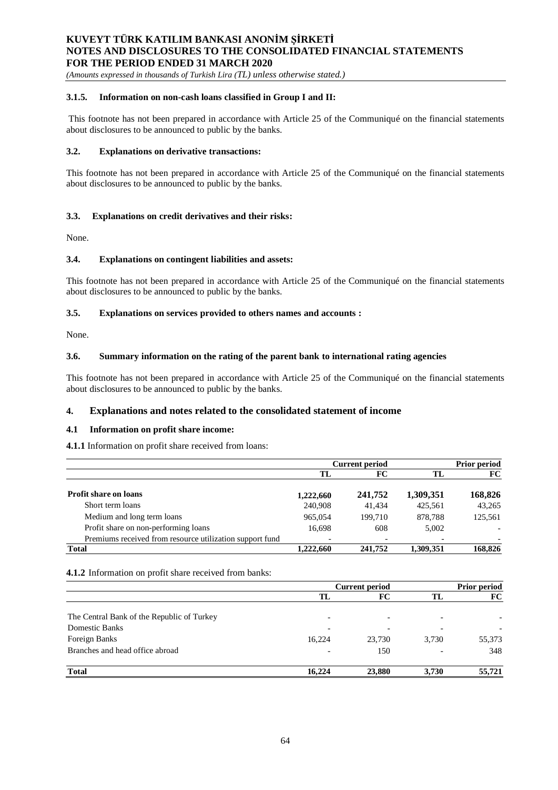*(Amounts expressed in thousands of Turkish Lira (TL) unless otherwise stated.)*

#### **3.1.5. Information on non-cash loans classified in Group I and II:**

This footnote has not been prepared in accordance with Article 25 of the Communiqué on the financial statements about disclosures to be announced to public by the banks.

#### **3.2. Explanations on derivative transactions:**

This footnote has not been prepared in accordance with Article 25 of the Communiqué on the financial statements about disclosures to be announced to public by the banks.

### **3.3. Explanations on credit derivatives and their risks:**

None.

#### **3.4. Explanations on contingent liabilities and assets:**

This footnote has not been prepared in accordance with Article 25 of the Communiqué on the financial statements about disclosures to be announced to public by the banks.

### **3.5. Explanations on services provided to others names and accounts :**

None.

#### **3.6. Summary information on the rating of the parent bank to international rating agencies**

This footnote has not been prepared in accordance with Article 25 of the Communiqué on the financial statements about disclosures to be announced to public by the banks.

### **4. Explanations and notes related to the consolidated statement of income**

### **4.1 Information on profit share income:**

**4.1.1** Information on profit share received from loans:

|                                                          | <b>Current period</b> |         |                          | <b>Prior period</b> |  |
|----------------------------------------------------------|-----------------------|---------|--------------------------|---------------------|--|
|                                                          | TL                    | FC      | TL                       | FC                  |  |
| <b>Profit share on loans</b>                             | 1,222,660             | 241,752 | 1,309,351                | 168,826             |  |
| Short term loans                                         | 240,908               | 41.434  | 425,561                  | 43,265              |  |
| Medium and long term loans                               | 965,054               | 199.710 | 878.788                  | 125,561             |  |
| Profit share on non-performing loans                     | 16.698                | 608     | 5,002                    |                     |  |
| Premiums received from resource utilization support fund |                       |         | $\overline{\phantom{0}}$ |                     |  |
| <b>Total</b>                                             | 1.222.660             | 241,752 | 1.309.351                | 168,826             |  |

#### **4.1.2** Information on profit share received from banks:

|                                            | <b>Current period</b>    |                          |       | <b>Prior period</b> |  |
|--------------------------------------------|--------------------------|--------------------------|-------|---------------------|--|
|                                            | TL                       | FC                       | TL.   | FC                  |  |
| The Central Bank of the Republic of Turkey | $\overline{\phantom{0}}$ | $\overline{\phantom{0}}$ |       |                     |  |
| Domestic Banks                             |                          |                          |       |                     |  |
| Foreign Banks                              | 16.224                   | 23.730                   | 3.730 | 55,373              |  |
| Branches and head office abroad            |                          | 150                      |       | 348                 |  |
| <b>Total</b>                               | 16,224                   | 23,880                   | 3,730 | 55,721              |  |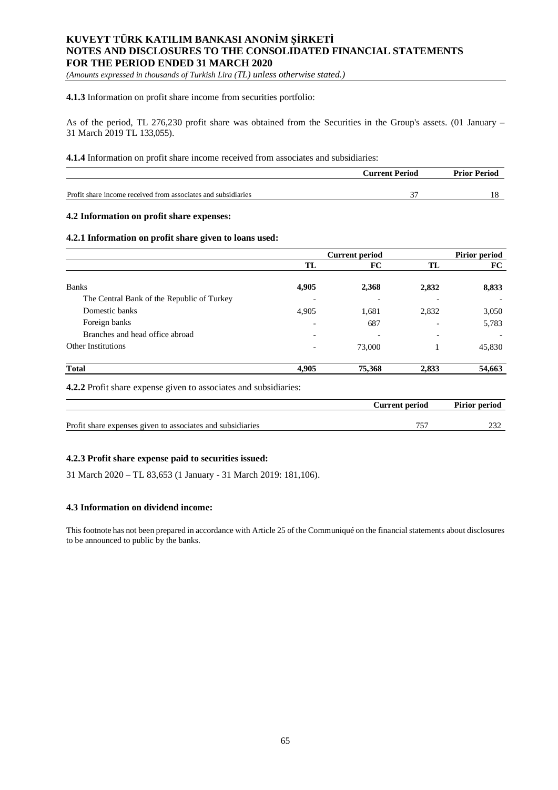*(Amounts expressed in thousands of Turkish Lira (TL) unless otherwise stated.)*

#### **4.1.3** Information on profit share income from securities portfolio:

As of the period, TL 276,230 profit share was obtained from the Securities in the Group's assets. (01 January – 31 March 2019 TL 133,055).

#### **4.1.4** Information on profit share income received from associates and subsidiaries:

|                                                               | <b>Current Period</b> | <b>Prior Period</b> |
|---------------------------------------------------------------|-----------------------|---------------------|
|                                                               |                       |                     |
| Profit share income received from associates and subsidiaries |                       |                     |

### **4.2 Information on profit share expenses:**

### **4.2.1 Information on profit share given to loans used:**

|                                            | <b>Current period</b>    |        |                          | Pirior period |  |
|--------------------------------------------|--------------------------|--------|--------------------------|---------------|--|
|                                            | TL                       | FC     | TL                       | FC            |  |
| <b>Banks</b>                               | 4,905                    | 2,368  | 2,832                    | 8,833         |  |
| The Central Bank of the Republic of Turkey | $\overline{\phantom{0}}$ |        |                          |               |  |
| Domestic banks                             | 4,905                    | 1,681  | 2,832                    | 3,050         |  |
| Foreign banks                              | $\overline{\phantom{0}}$ | 687    |                          | 5,783         |  |
| Branches and head office abroad            | $\overline{\phantom{0}}$ | -      | $\overline{\phantom{0}}$ |               |  |
| <b>Other Institutions</b>                  | $\overline{\phantom{a}}$ | 73,000 |                          | 45,830        |  |
| <b>Total</b>                               | 4,905                    | 75,368 | 2,833                    | 54,663        |  |

**4.2.2** Profit share expense given to associates and subsidiaries:

|                                                            | Current period | Pirior period |
|------------------------------------------------------------|----------------|---------------|
| Profit share expenses given to associates and subsidiaries |                |               |
|                                                            |                |               |

### **4.2.3 Profit share expense paid to securities issued:**

31 March 2020 – TL 83,653 (1 January - 31 March 2019: 181,106).

### **4.3 Information on dividend income:**

This footnote has not been prepared in accordance with Article 25 of the Communiqué on the financial statements about disclosures to be announced to public by the banks.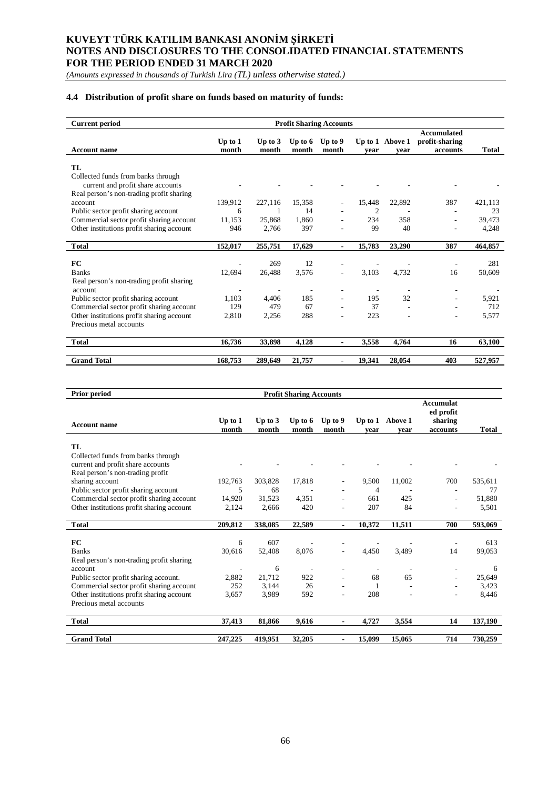*(Amounts expressed in thousands of Turkish Lira (TL) unless otherwise stated.)*

## **4.4 Distribution of profit share on funds based on maturity of funds:**

| <b>Current period</b>                               | <b>Profit Sharing Accounts</b> |           |                          |                          |                          |                 |                                      |              |
|-----------------------------------------------------|--------------------------------|-----------|--------------------------|--------------------------|--------------------------|-----------------|--------------------------------------|--------------|
|                                                     | Up to $1$                      | Up to $3$ | Up to $6$                | Up to 9                  |                          | Up to 1 Above 1 | <b>Accumulated</b><br>profit-sharing |              |
| <b>Account name</b>                                 | month                          | month     | month                    | month                    | vear                     | vear            | accounts                             | <b>Total</b> |
| TL.<br>Collected funds from banks through           |                                |           |                          |                          |                          |                 |                                      |              |
| current and profit share accounts                   |                                |           |                          |                          |                          |                 |                                      |              |
| Real person's non-trading profit sharing<br>account | 139,912                        | 227,116   | 15,358                   |                          | 15,448                   | 22,892          | 387                                  | 421,113      |
| Public sector profit sharing account                | 6                              |           | 14                       |                          | 2                        |                 |                                      | 23           |
| Commercial sector profit sharing account            | 11,153                         | 25,868    | 1.860                    |                          | 234                      | 358             |                                      | 39,473       |
| Other institutions profit sharing account           | 946                            | 2,766     | 397                      |                          | 99                       | 40              |                                      | 4,248        |
|                                                     |                                |           |                          |                          |                          |                 |                                      |              |
| <b>Total</b>                                        | 152,017                        | 255,751   | 17,629                   | ۰.                       | 15,783                   | 23,290          | 387                                  | 464,857      |
| FC                                                  |                                | 269       | 12                       |                          |                          |                 |                                      | 281          |
| <b>Banks</b>                                        | 12,694                         | 26,488    | 3,576                    | $\overline{\phantom{0}}$ | 3,103                    | 4,732           | 16                                   | 50,609       |
| Real person's non-trading profit sharing            |                                |           |                          |                          |                          |                 |                                      |              |
| account                                             |                                |           | $\overline{\phantom{a}}$ | $\overline{\phantom{0}}$ | $\overline{\phantom{a}}$ | ٠               |                                      |              |
| Public sector profit sharing account                | 1.103                          | 4,406     | 185                      |                          | 195                      | 32              |                                      | 5,921        |
| Commercial sector profit sharing account            | 129                            | 479       | 67                       | ۰                        | 37                       |                 |                                      | 712          |
| Other institutions profit sharing account           | 2,810                          | 2,256     | 288                      |                          | 223                      |                 |                                      | 5,577        |
| Precious metal accounts                             |                                |           |                          |                          |                          |                 |                                      |              |
|                                                     |                                |           |                          |                          |                          |                 |                                      |              |
| <b>Total</b>                                        | 16,736                         | 33,898    | 4,128                    | $\blacksquare$           | 3,558                    | 4,764           | 16                                   | 63,100       |
|                                                     |                                |           |                          |                          |                          |                 |                                      |              |
| <b>Grand Total</b>                                  | 168,753                        | 289,649   | 21,757                   | -                        | 19,341                   | 28,054          | 403                                  | 527,957      |

| Prior period                              | <b>Profit Sharing Accounts</b> |                    |                    |                          |                          |                         |                                                      |              |
|-------------------------------------------|--------------------------------|--------------------|--------------------|--------------------------|--------------------------|-------------------------|------------------------------------------------------|--------------|
| <b>Account name</b>                       | Up to $1$<br>month             | Up to $3$<br>month | Up to $6$<br>month | Up to 9<br>month         | year                     | Up to 1 Above 1<br>year | <b>Accumulat</b><br>ed profit<br>sharing<br>accounts | <b>Total</b> |
| TL.                                       |                                |                    |                    |                          |                          |                         |                                                      |              |
| Collected funds from banks through        |                                |                    |                    |                          |                          |                         |                                                      |              |
| current and profit share accounts         |                                |                    |                    |                          |                          |                         |                                                      |              |
| Real person's non-trading profit          |                                |                    |                    |                          |                          |                         |                                                      |              |
| sharing account                           | 192,763                        | 303,828            | 17,818             | $\overline{\phantom{a}}$ | 9,500                    | 11,002                  | 700                                                  | 535,611      |
| Public sector profit sharing account      | 5                              | 68                 |                    |                          | 4                        |                         |                                                      | 77           |
| Commercial sector profit sharing account  | 14,920                         | 31,523             | 4,351              | ٠                        | 661                      | 425                     |                                                      | 51,880       |
| Other institutions profit sharing account | 2,124                          | 2,666              | 420                |                          | 207                      | 84                      |                                                      | 5,501        |
| <b>Total</b>                              | 209,812                        | 338,085            | 22,589             | $\blacksquare$           | 10,372                   | 11,511                  | 700                                                  | 593,069      |
| FC                                        | 6                              | 607                |                    |                          |                          |                         |                                                      | 613          |
| <b>Banks</b>                              | 30,616                         | 52,408             | 8,076              | $\overline{\phantom{a}}$ | 4,450                    | 3,489                   | 14                                                   | 99,053       |
| Real person's non-trading profit sharing  |                                |                    |                    |                          |                          |                         |                                                      |              |
| account                                   |                                | 6                  |                    |                          | $\overline{\phantom{a}}$ |                         |                                                      | 6            |
| Public sector profit sharing account.     | 2,882                          | 21,712             | 922                |                          | 68                       | 65                      |                                                      | 25,649       |
| Commercial sector profit sharing account  | 252                            | 3,144              | 26                 |                          | 1                        |                         |                                                      | 3,423        |
| Other institutions profit sharing account | 3,657                          | 3,989              | 592                |                          | 208                      |                         |                                                      | 8,446        |
| Precious metal accounts                   |                                |                    |                    |                          |                          |                         |                                                      |              |
| <b>Total</b>                              | 37.413                         | 81,866             | 9.616              | $\blacksquare$           | 4,727                    | 3.554                   | 14                                                   | 137,190      |
| <b>Grand Total</b>                        | 247,225                        | 419.951            | 32,205             |                          | 15,099                   | 15,065                  | 714                                                  | 730,259      |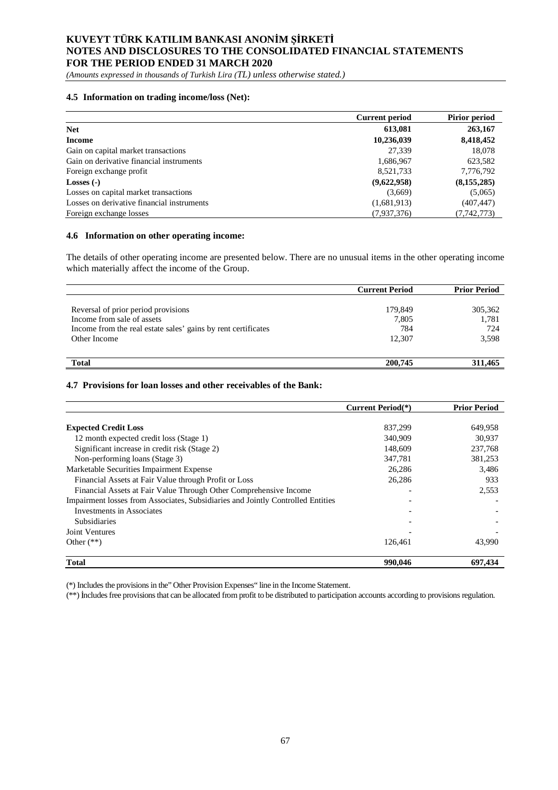*(Amounts expressed in thousands of Turkish Lira (TL) unless otherwise stated.)*

## **4.5 Information on trading income/loss (Net):**

|                                            | <b>Current period</b> | <b>Pirior period</b> |
|--------------------------------------------|-----------------------|----------------------|
| <b>Net</b>                                 | 613,081               | 263,167              |
| <b>Income</b>                              | 10,236,039            | 8,418,452            |
| Gain on capital market transactions        | 27.339                | 18.078               |
| Gain on derivative financial instruments   | 1,686,967             | 623,582              |
| Foreign exchange profit                    | 8,521,733             | 7,776,792            |
| Losses $(-)$                               | (9,622,958)           | (8, 155, 285)        |
| Losses on capital market transactions      | (3,669)               | (5,065)              |
| Losses on derivative financial instruments | (1,681,913)           | (407, 447)           |
| Foreign exchange losses                    | (7,937,376)           | (7,742,773)          |

#### **4.6 Information on other operating income:**

The details of other operating income are presented below. There are no unusual items in the other operating income which materially affect the income of the Group.

|                                                               | <b>Current Period</b> | <b>Prior Period</b> |
|---------------------------------------------------------------|-----------------------|---------------------|
|                                                               |                       |                     |
| Reversal of prior period provisions                           | 179,849               | 305,362             |
| Income from sale of assets                                    | 7,805                 | 1,781               |
| Income from the real estate sales' gains by rent certificates | 784                   | 724                 |
| Other Income                                                  | 12.307                | 3,598               |
|                                                               |                       |                     |
| <b>Total</b>                                                  | 200,745               | 311.465             |

## **4.7 Provisions for loan losses and other receivables of the Bank:**

|                                                                                 | <b>Current Period</b> <sup>(*)</sup> | <b>Prior Period</b> |
|---------------------------------------------------------------------------------|--------------------------------------|---------------------|
|                                                                                 |                                      |                     |
| <b>Expected Credit Loss</b>                                                     | 837,299                              | 649,958             |
| 12 month expected credit loss (Stage 1)                                         | 340,909                              | 30.937              |
| Significant increase in credit risk (Stage 2)                                   | 148,609                              | 237,768             |
| Non-performing loans (Stage 3)                                                  | 347,781                              | 381,253             |
| Marketable Securities Impairment Expense                                        | 26,286                               | 3,486               |
| Financial Assets at Fair Value through Profit or Loss                           | 26,286                               | 933                 |
| Financial Assets at Fair Value Through Other Comprehensive Income               |                                      | 2,553               |
| Impairment losses from Associates, Subsidiaries and Jointly Controlled Entities |                                      |                     |
| Investments in Associates                                                       |                                      |                     |
| <b>Subsidiaries</b>                                                             |                                      |                     |
| Joint Ventures                                                                  |                                      |                     |
| Other $(**)$                                                                    | 126,461                              | 43,990              |
| <b>Total</b>                                                                    | 990,046                              | 697,434             |

(\*) Includes the provisions in the" Other Provision Expenses" line in the Income Statement.

(\*\*) ncludes free provisions that can be allocated from profit to be distributed to participation accounts according to provisions regulation.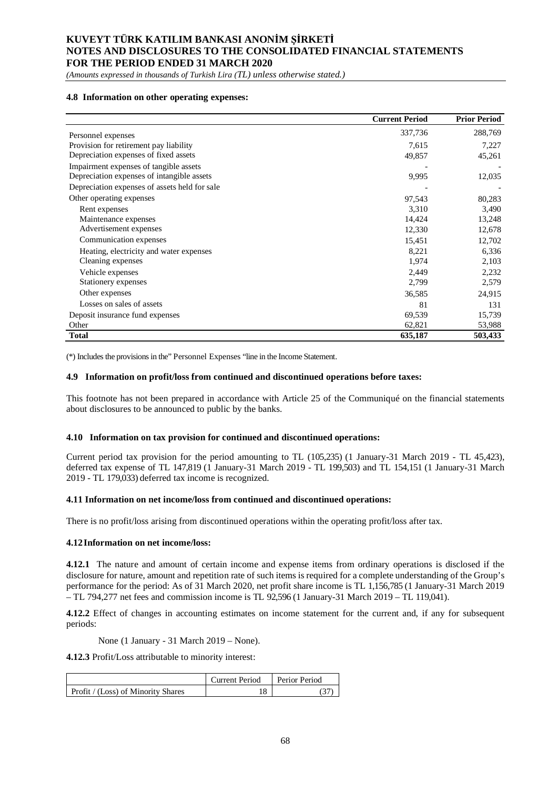*(Amounts expressed in thousands of Turkish Lira (TL) unless otherwise stated.)*

## **4.8 Information on other operating expenses:**

|                                               | <b>Current Period</b> | <b>Prior Period</b> |
|-----------------------------------------------|-----------------------|---------------------|
| Personnel expenses                            | 337,736               | 288,769             |
| Provision for retirement pay liability        | 7,615                 | 7,227               |
| Depreciation expenses of fixed assets         | 49,857                | 45,261              |
| Impairment expenses of tangible assets        |                       |                     |
| Depreciation expenses of intangible assets    | 9,995                 | 12,035              |
| Depreciation expenses of assets held for sale |                       |                     |
| Other operating expenses                      | 97,543                | 80,283              |
| Rent expenses                                 | 3,310                 | 3,490               |
| Maintenance expenses                          | 14,424                | 13,248              |
| Advertisement expenses                        | 12,330                | 12,678              |
| Communication expenses                        | 15,451                | 12,702              |
| Heating, electricity and water expenses       | 8,221                 | 6,336               |
| Cleaning expenses                             | 1,974                 | 2,103               |
| Vehicle expenses                              | 2,449                 | 2,232               |
| Stationery expenses                           | 2,799                 | 2,579               |
| Other expenses                                | 36,585                | 24,915              |
| Losses on sales of assets                     | 81                    | 131                 |
| Deposit insurance fund expenses               | 69,539                | 15,739              |
| Other                                         | 62,821                | 53,988              |
| <b>Total</b>                                  | 635,187               | 503,433             |

(\*) Includes the provisions in the" Personnel Expenses "line in the Income Statement.

#### **4.9 Information on profit/loss from continued and discontinued operations before taxes:**

This footnote has not been prepared in accordance with Article 25 of the Communiqué on the financial statements about disclosures to be announced to public by the banks.

#### **4.10 Information on tax provision for continued and discontinued operations:**

Current period tax provision for the period amounting to TL (105,235) (1 January-31 March 2019 - TL 45,423), deferred tax expense of TL 147,819 (1 January-31 March 2019 - TL 199,503) and TL 154,151 (1 January-31 March 2019 - TL 179,033) deferred tax income is recognized.

#### **4.11 Information on net income/loss from continued and discontinued operations:**

There is no profit/loss arising from discontinued operations within the operating profit/loss after tax.

#### **4.12Information on net income/loss:**

**4.12.1** The nature and amount of certain income and expense items from ordinary operations is disclosed if the disclosure for nature, amount and repetition rate of such items is required for a complete understanding of the Group's performance for the period: As of 31 March 2020, net profit share income is TL 1,156,785 (1 January-31 March 2019 – TL 794,277 net fees and commission income is TL 92,596 (1 January-31 March 2019 – TL 119,041).

**4.12.2** Effect of changes in accounting estimates on income statement for the current and, if any for subsequent periods:

None (1 January - 31 March 2019 – None).

**4.12.3** Profit/Loss attributable to minority interest:

|                                    | Current Period | Perior Period |
|------------------------------------|----------------|---------------|
| Profit / (Loss) of Minority Shares | 18             |               |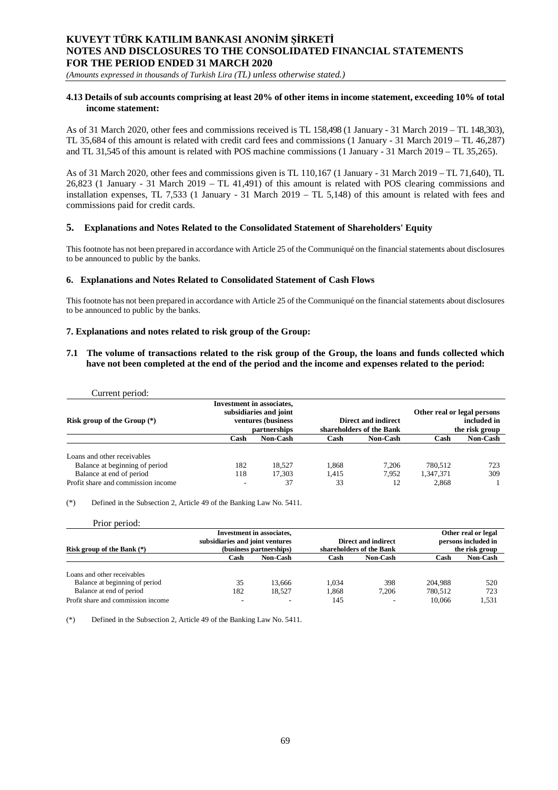*(Amounts expressed in thousands of Turkish Lira (TL) unless otherwise stated.)*

## **4.13 Details of sub accounts comprising at least 20% of other items in income statement, exceeding 10% of total income statement:**

As of 31 March 2020, other fees and commissions received is TL 158,498 (1 January - 31 March 2019 – TL 148,303), TL 35,684 of this amount is related with credit card fees and commissions (1 January - 31 March 2019 – TL 46,287) and TL 31,545 of this amount is related with POS machine commissions (1 January - 31 March 2019 – TL 35,265).

As of 31 March 2020, other fees and commissions given is TL 110,167 (1 January - 31 March 2019 – TL 71,640), TL 26,823 (1 January - 31 March 2019 – TL 41,491) of this amount is related with POS clearing commissions and installation expenses, TL 7,533 (1 January - 31 March 2019 – TL 5,148) of this amount is related with fees and commissions paid for credit cards.

## **5. Explanations and Notes Related to the Consolidated Statement of Shareholders' Equity**

This footnote has not been prepared in accordance with Article 25 of the Communiqué on the financial statements about disclosures to be announced to public by the banks.

## **6. Explanations and Notes Related to Consolidated Statement of Cash Flows**

This footnote has not been prepared in accordance with Article 25 of the Communiqué on the financial statements about disclosures to be announced to public by the banks.

## **7. Explanations and notes related to risk group of the Group:**

### **7.1 The volume of transactions related to the risk group of the Group, the loans and funds collected which have not been completed at the end of the period and the income and expenses related to the period:**

| Current period:                    |                                                                                                   |                 |                                                 |                 |                                                              |                 |
|------------------------------------|---------------------------------------------------------------------------------------------------|-----------------|-------------------------------------------------|-----------------|--------------------------------------------------------------|-----------------|
| Risk group of the Group $(*)$      | <b>Investment in associates,</b><br>subsidiaries and joint<br>ventures (business)<br>partnerships |                 | Direct and indirect<br>shareholders of the Bank |                 | Other real or legal persons<br>included in<br>the risk group |                 |
|                                    | Cash                                                                                              | <b>Non-Cash</b> | Cash                                            | <b>Non-Cash</b> | Cash                                                         | <b>Non-Cash</b> |
| Loans and other receivables        |                                                                                                   |                 |                                                 |                 |                                                              |                 |
| Balance at beginning of period     | 182                                                                                               | 18.527          | 1.868                                           | 7.206           | 780.512                                                      | 723             |
| Balance at end of period           | 118                                                                                               | 17.303          | 1.415                                           | 7.952           | 1,347,371                                                    | 309             |
| Profit share and commission income | $\overline{\phantom{a}}$                                                                          | 37              | 33                                              | 12              | 2.868                                                        |                 |

(\*) Defined in the Subsection 2, Article 49 of the Banking Law No. 5411.

| Prior period:                      |                                 |                                  |       |                          |         |                     |
|------------------------------------|---------------------------------|----------------------------------|-------|--------------------------|---------|---------------------|
|                                    |                                 | <b>Investment</b> in associates, |       |                          |         | Other real or legal |
|                                    | subsidiaries and joint ventures |                                  |       | Direct and indirect      |         | persons included in |
| Risk group of the Bank $(*)$       |                                 | (business partnerships)          |       | shareholders of the Bank |         | the risk group      |
|                                    | Cash                            | <b>Non-Cash</b>                  | Cash  | <b>Non-Cash</b>          | Cash    | <b>Non-Cash</b>     |
|                                    |                                 |                                  |       |                          |         |                     |
| Loans and other receivables        |                                 |                                  |       |                          |         |                     |
| Balance at beginning of period     | 35                              | 13.666                           | 1.034 | 398                      | 204.988 | 520                 |
| Balance at end of period           | 182                             | 18.527                           | 1.868 | 7.206                    | 780.512 | 723                 |
| Profit share and commission income | -                               |                                  | 145   |                          | 10,066  | 1.531               |

(\*) Defined in the Subsection 2, Article 49 of the Banking Law No. 5411.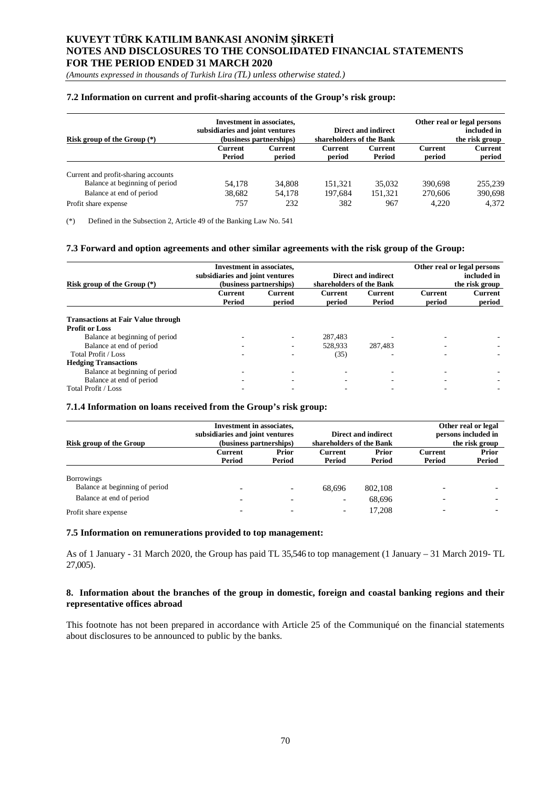*(Amounts expressed in thousands of Turkish Lira (TL) unless otherwise stated.)*

## **7.2 Information on current and profit-sharing accounts of the Group's risk group:**

| Risk group of the Group $(*)$       | <b>Investment in associates,</b><br>subsidiaries and joint ventures<br><b>Direct and indirect</b><br>shareholders of the Bank<br>(business partnerships) |                   |                   | Other real or legal persons<br>included in<br>the risk group |                   |                   |
|-------------------------------------|----------------------------------------------------------------------------------------------------------------------------------------------------------|-------------------|-------------------|--------------------------------------------------------------|-------------------|-------------------|
|                                     | Current<br>Period                                                                                                                                        | Current<br>period | Current<br>period | Current<br>Period                                            | Current<br>period | Current<br>period |
| Current and profit-sharing accounts |                                                                                                                                                          |                   |                   |                                                              |                   |                   |
| Balance at beginning of period      | 54.178                                                                                                                                                   | 34,808            | 151.321           | 35,032                                                       | 390.698           | 255,239           |
| Balance at end of period            | 38.682                                                                                                                                                   | 54.178            | 197.684           | 151.321                                                      | 270,606           | 390,698           |
| Profit share expense                | 757                                                                                                                                                      | 232               | 382               | 967                                                          | 4.220             | 4.372             |

(\*) Defined in the Subsection 2, Article 49 of the Banking Law No. 541

### **7.3 Forward and option agreements and other similar agreements with the risk group of the Group:**

| Risk group of the Group $(*)$             | <b>Investment in associates,</b><br>subsidiaries and joint ventures<br>(business partnerships) |                          | <b>Direct and indirect</b><br>shareholders of the Bank |                   | Other real or legal persons<br>included in<br>the risk group |                   |
|-------------------------------------------|------------------------------------------------------------------------------------------------|--------------------------|--------------------------------------------------------|-------------------|--------------------------------------------------------------|-------------------|
|                                           | Current<br>Period                                                                              | <b>Current</b><br>period | Current<br>period                                      | Current<br>Period | <b>Current</b><br>period                                     | Current<br>period |
| <b>Transactions at Fair Value through</b> |                                                                                                |                          |                                                        |                   |                                                              |                   |
| <b>Profit or Loss</b>                     |                                                                                                |                          |                                                        |                   |                                                              |                   |
| Balance at beginning of period            |                                                                                                |                          | 287.483                                                |                   |                                                              |                   |
| Balance at end of period                  |                                                                                                |                          | 528,933                                                | 287,483           |                                                              |                   |
| Total Profit / Loss                       |                                                                                                |                          | (35)                                                   |                   |                                                              |                   |
| <b>Hedging Transactions</b>               |                                                                                                |                          |                                                        |                   |                                                              |                   |
| Balance at beginning of period            |                                                                                                |                          |                                                        |                   |                                                              |                   |
| Balance at end of period                  |                                                                                                |                          |                                                        |                   |                                                              |                   |
| Total Profit / Loss                       |                                                                                                |                          |                                                        |                   |                                                              |                   |

## **7.1.4 Information on loans received from the Group's risk group:**

| Risk group of the Group                             | <b>Investment in associates,</b><br>subsidiaries and joint ventures | (business partnerships)  | shareholders of the Bank | Direct and indirect |                          | Other real or legal<br>persons included in<br>the risk group |
|-----------------------------------------------------|---------------------------------------------------------------------|--------------------------|--------------------------|---------------------|--------------------------|--------------------------------------------------------------|
|                                                     | Current<br>Period                                                   | Prior<br>Period          | Current<br>Period        | Prior<br>Period     | Current<br>Period        | Prior<br>Period                                              |
| <b>Borrowings</b><br>Balance at beginning of period |                                                                     | $\overline{\phantom{a}}$ | 68.696                   | 802.108             | $\overline{\phantom{0}}$ |                                                              |
| Balance at end of period                            |                                                                     |                          | $\overline{\phantom{a}}$ | 68,696              |                          |                                                              |
| Profit share expense                                |                                                                     |                          | $\overline{\phantom{a}}$ | 17.208              |                          |                                                              |

#### **7.5 Information on remunerations provided to top management:**

As of 1 January - 31 March 2020, the Group has paid TL 35,546 to top management (1 January – 31 March 2019- TL 27,005).

## **8. Information about the branches of the group in domestic, foreign and coastal banking regions and their representative offices abroad**

This footnote has not been prepared in accordance with Article 25 of the Communiqué on the financial statements about disclosures to be announced to public by the banks.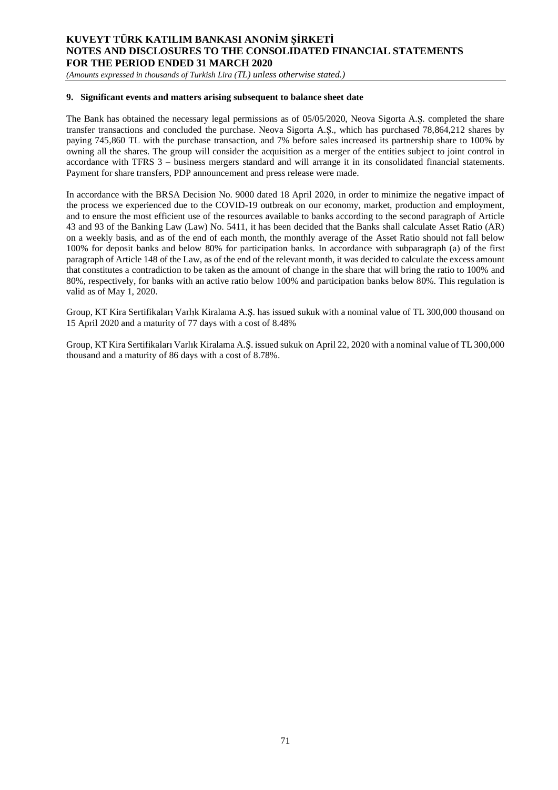*(Amounts expressed in thousands of Turkish Lira (TL) unless otherwise stated.)*

## **9. Significant events and matters arising subsequent to balance sheet date**

The Bank has obtained the necessary legal permissions as of 05/05/2020, Neova Sigorta A. S. completed the share transfer transactions and concluded the purchase. Neova Sigorta A.S., which has purchased 78,864,212 shares by paying 745,860 TL with the purchase transaction, and 7% before sales increased its partnership share to 100% by owning all the shares. The group will consider the acquisition as a merger of the entities subject to joint control in accordance with TFRS 3 – business mergers standard and will arrange it in its consolidated financial statements. Payment for share transfers, PDP announcement and press release were made.

In accordance with the BRSA Decision No. 9000 dated 18 April 2020, in order to minimize the negative impact of the process we experienced due to the COVID-19 outbreak on our economy, market, production and employment, and to ensure the most efficient use of the resources available to banks according to the second paragraph of Article 43 and 93 of the Banking Law (Law) No. 5411, it has been decided that the Banks shall calculate Asset Ratio (AR) on a weekly basis, and as of the end of each month, the monthly average of the Asset Ratio should not fall below 100% for deposit banks and below 80% for participation banks. In accordance with subparagraph (a) of the first paragraph of Article 148 of the Law, as of the end of the relevant month, it was decided to calculate the excess amount that constitutes a contradiction to be taken as the amount of change in the share that will bring the ratio to 100% and 80%, respectively, for banks with an active ratio below 100% and participation banks below 80%. This regulation is valid as of May 1, 2020.

Group, KT Kira Sertifikaları Varlık Kiralama A.Ş. has issued sukuk with a nominal value of TL 300,000 thousand on 15 April 2020 and a maturity of 77 days with a cost of 8.48%

Group, KT Kira Sertifikaları Varlık Kiralama A.S. issued sukuk on April 22, 2020 with a nominal value of TL 300,000 thousand and a maturity of 86 days with a cost of 8.78%.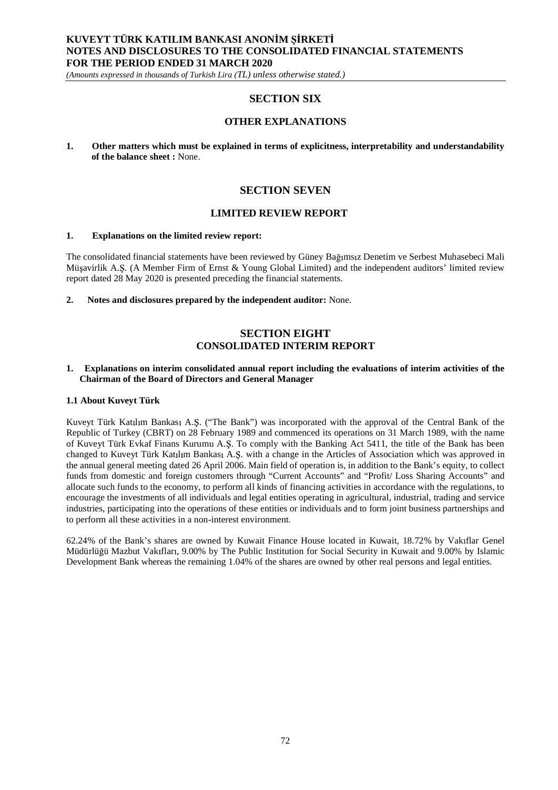*(Amounts expressed in thousands of Turkish Lira (TL) unless otherwise stated.)*

# **SECTION SIX**

# **OTHER EXPLANATIONS**

**1. Other matters which must be explained in terms of explicitness, interpretability and understandability of the balance sheet :** None.

# **SECTION SEVEN**

## **LIMITED REVIEW REPORT**

### **1. Explanations on the limited review report:**

The consolidated financial statements have been reviewed by Güney Bağımsız Denetim ve Serbest Muhasebeci Mali Müşavirlik A.Ş. (A Member Firm of Ernst & Young Global Limited) and the independent auditors' limited review report dated 28 May 2020 is presented preceding the financial statements.

**2. Notes and disclosures prepared by the independent auditor:** None.

# **SECTION EIGHT CONSOLIDATED INTERIM REPORT**

#### **1. Explanations on interim consolidated annual report including the evaluations of interim activities of the Chairman of the Board of Directors and General Manager**

#### **1.1 About Kuveyt Türk**

Kuveyt Türk Katılım Bankası A.Ş. ("The Bank") was incorporated with the approval of the Central Bank of the Republic of Turkey (CBRT) on 28 February 1989 and commenced its operations on 31 March 1989, with the name of Kuveyt Türk Evkaf Finans Kurumu A.Ş. To comply with the Banking Act 5411, the title of the Bank has been changed to Kuveyt Türk Katılım Bankası A.Ş. with a change in the Articles of Association which was approved in the annual general meeting dated 26 April 2006. Main field of operation is, in addition to the Bank's equity, to collect funds from domestic and foreign customers through "Current Accounts" and "Profit/ Loss Sharing Accounts" and allocate such funds to the economy, to perform all kinds of financing activities in accordance with the regulations, to encourage the investments of all individuals and legal entities operating in agricultural, industrial, trading and service industries, participating into the operations of these entities or individuals and to form joint business partnerships and to perform all these activities in a non-interest environment.

62.24% of the Bank's shares are owned by Kuwait Finance House located in Kuwait, 18.72% by Vak flar Genel Müdürlüğü Mazbut Vakıfları, 9.00% by The Public Institution for Social Security in Kuwait and 9.00% by Islamic Development Bank whereas the remaining 1.04% of the shares are owned by other real persons and legal entities.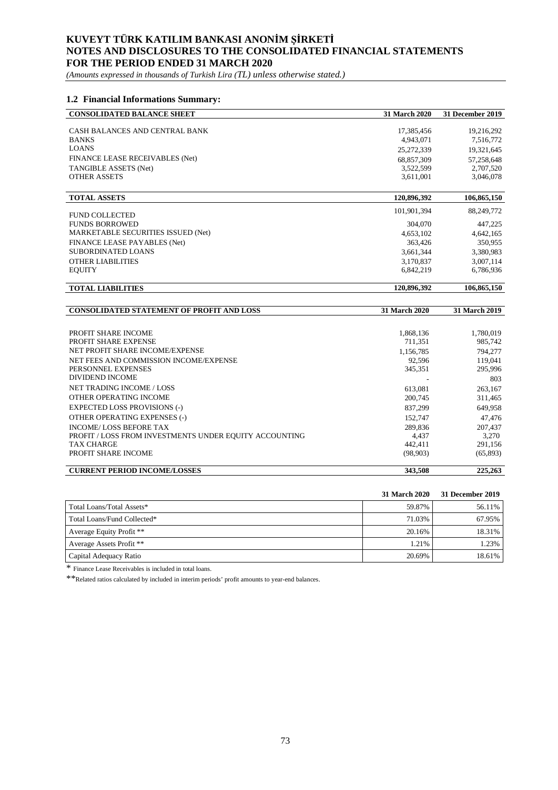*(Amounts expressed in thousands of Turkish Lira (TL) unless otherwise stated.)*

## **1.2 Financial Informations Summary:**

| <b>CONSOLIDATED BALANCE SHEET</b> | 31 March 2020 | 31 December 2019 |
|-----------------------------------|---------------|------------------|
|                                   |               |                  |
| CASH BALANCES AND CENTRAL BANK    | 17.385.456    | 19.216.292       |
| <b>BANKS</b>                      | 4.943.071     | 7,516,772        |
| <b>LOANS</b>                      | 25.272.339    | 19,321,645       |
| FINANCE LEASE RECEIVABLES (Net)   | 68.857.309    | 57,258,648       |
| TANGIBLE ASSETS (Net)             | 3.522.599     | 2,707,520        |
| <b>OTHER ASSETS</b>               | 3.611.001     | 3.046.078        |

| <b>TOTAL ASSETS</b>                | 120,896,392 | 106,865,150 |
|------------------------------------|-------------|-------------|
| <b>FUND COLLECTED</b>              | 101.901.394 | 88,249,772  |
| <b>FUNDS BORROWED</b>              | 304,070     | 447,225     |
| MARKETABLE SECURITIES ISSUED (Net) | 4,653,102   | 4.642.165   |
| FINANCE LEASE PAYABLES (Net)       | 363.426     | 350,955     |
| SUBORDINATED LOANS                 | 3,661,344   | 3,380,983   |
| <b>OTHER LIABILITIES</b>           | 3,170,837   | 3,007,114   |
| <b>EQUITY</b>                      | 6.842.219   | 6,786,936   |
|                                    |             |             |

| <b>.ITIES</b><br>. | 396.392<br>. വെ.<br>$\sim$<br>$\blacksquare$ | 50<br>- 106.865. |
|--------------------|----------------------------------------------|------------------|
|                    |                                              |                  |

| <b>CONSOLIDATED STATEMENT OF PROFIT AND LOSS</b>       | <b>31 March 2020</b> | <b>31 March 2019</b> |
|--------------------------------------------------------|----------------------|----------------------|
|                                                        |                      |                      |
| PROFIT SHARE INCOME                                    | 1,868,136            | 1,780,019            |
| <b>PROFIT SHARE EXPENSE</b>                            | 711,351              | 985,742              |
| NET PROFIT SHARE INCOME/EXPENSE                        | 1,156,785            | 794,277              |
| NET FEES AND COMMISSION INCOME/EXPENSE                 | 92,596               | 119,041              |
| PERSONNEL EXPENSES                                     | 345,351              | 295,996              |
| DIVIDEND INCOME                                        |                      | 803                  |
| NET TRADING INCOME / LOSS                              | 613,081              | 263,167              |
| OTHER OPERATING INCOME                                 | 200,745              | 311,465              |
| <b>EXPECTED LOSS PROVISIONS (-)</b>                    | 837,299              | 649.958              |
| OTHER OPERATING EXPENSES (-)                           | 152,747              | 47.476               |
| <b>INCOME/LOSS BEFORE TAX</b>                          | 289.836              | 207,437              |
| PROFIT / LOSS FROM INVESTMENTS UNDER EQUITY ACCOUNTING | 4.437                | 3.270                |
| <b>TAX CHARGE</b>                                      | 442,411              | 291,156              |
| PROFIT SHARE INCOME                                    | (98,903)             | (65,893)             |
| <b>CURRENT PERIOD INCOME/LOSSES</b>                    | 343,508              | 225,263              |

|                             | <b>31 March 2020</b> | 31 December 2019 |
|-----------------------------|----------------------|------------------|
| Total Loans/Total Assets*   | 59.87%               | 56.11%           |
| Total Loans/Fund Collected* | 71.03%               | 67.95%           |
| Average Equity Profit **    | 20.16%               | 18.31%           |
| Average Assets Profit **    | 1.21%                | 1.23%            |
| Capital Adequacy Ratio      | 20.69%               | 18.61%           |

\* Finance Lease Receivables is included in total loans.

\*\*Related ratios calculated by included in interim periods' profit amounts to year-end balances.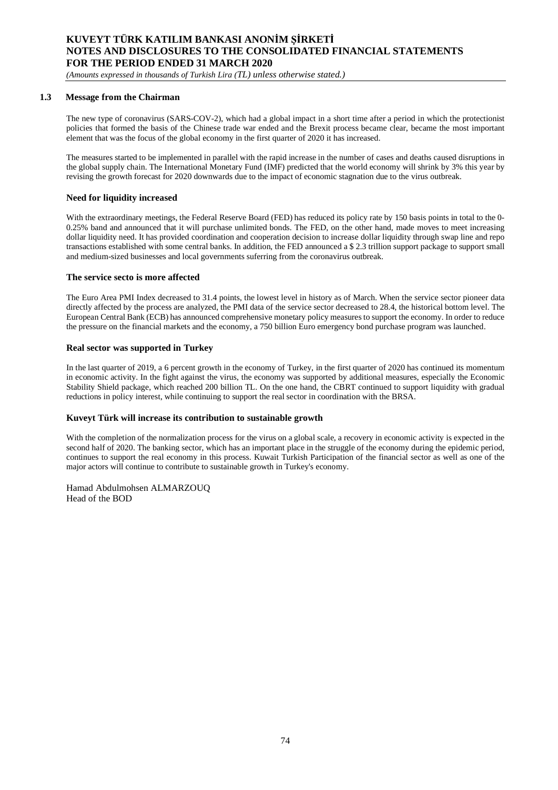*(Amounts expressed in thousands of Turkish Lira (TL) unless otherwise stated.)*

### **1.3 Message from the Chairman**

The new type of coronavirus (SARS-COV-2), which had a global impact in a short time after a period in which the protectionist policies that formed the basis of the Chinese trade war ended and the Brexit process became clear, became the most important element that was the focus of the global economy in the first quarter of 2020 it has increased.

The measures started to be implemented in parallel with the rapid increase in the number of cases and deaths caused disruptions in the global supply chain. The International Monetary Fund (IMF) predicted that the world economy will shrink by 3% this year by revising the growth forecast for 2020 downwards due to the impact of economic stagnation due to the virus outbreak.

### **Need for liquidity increased**

With the extraordinary meetings, the Federal Reserve Board (FED) has reduced its policy rate by 150 basis points in total to the 0-0.25% band and announced that it will purchase unlimited bonds. The FED, on the other hand, made moves to meet increasing dollar liquidity need. It has provided coordination and cooperation decision to increase dollar liquidity through swap line and repo transactions established with some central banks. In addition, the FED announced a \$ 2.3 trillion support package to support small and medium-sized businesses and local governments suferring from the coronavirus outbreak.

### **The service secto is more affected**

The Euro Area PMI Index decreased to 31.4 points, the lowest level in history as of March. When the service sector pioneer data directly affected by the process are analyzed, the PMI data of the service sector decreased to 28.4, the historical bottom level. The European Central Bank (ECB) has announced comprehensive monetary policy measures to support the economy. In order to reduce the pressure on the financial markets and the economy, a 750 billion Euro emergency bond purchase program was launched.

### **Real sector was supported in Turkey**

In the last quarter of 2019, a 6 percent growth in the economy of Turkey, in the first quarter of 2020 has continued its momentum in economic activity. In the fight against the virus, the economy was supported by additional measures, especially the Economic Stability Shield package, which reached 200 billion TL. On the one hand, the CBRT continued to support liquidity with gradual reductions in policy interest, while continuing to support the real sector in coordination with the BRSA.

## **Kuveyt Türk will increase its contribution to sustainable growth**

With the completion of the normalization process for the virus on a global scale, a recovery in economic activity is expected in the second half of 2020. The banking sector, which has an important place in the struggle of the economy during the epidemic period, continues to support the real economy in this process. Kuwait Turkish Participation of the financial sector as well as one of the major actors will continue to contribute to sustainable growth in Turkey's economy.

Hamad Abdulmohsen ALMARZOUQ Head of the BOD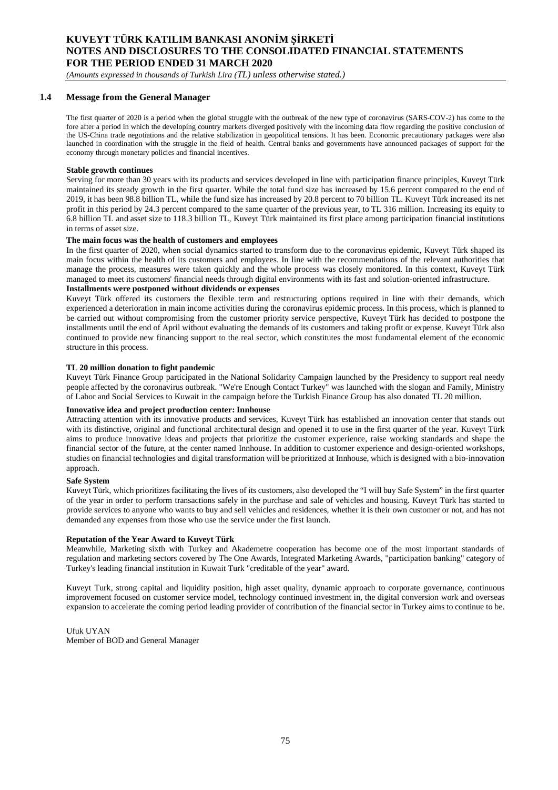*(Amounts expressed in thousands of Turkish Lira (TL) unless otherwise stated.)*

### **1.4 Message from the General Manager**

The first quarter of 2020 is a period when the global struggle with the outbreak of the new type of coronavirus (SARS-COV-2) has come to the fore after a period in which the developing country markets diverged positively with the incoming data flow regarding the positive conclusion of the US-China trade negotiations and the relative stabilization in geopolitical tensions. It has been. Economic precautionary packages were also launched in coordination with the struggle in the field of health. Central banks and governments have announced packages of support for the economy through monetary policies and financial incentives.

#### **Stable growth continues**

Serving for more than 30 years with its products and services developed in line with participation finance principles, Kuveyt Türk maintained its steady growth in the first quarter. While the total fund size has increased by 15.6 percent compared to the end of 2019, it has been 98.8 billion TL, while the fund size has increased by 20.8 percent to 70 billion TL. Kuveyt Türk increased its net profit in this period by 24.3 percent compared to the same quarter of the previous year, to TL 316 million. Increasing its equity to 6.8 billion TL and asset size to 118.3 billion TL, Kuveyt Türk maintained its first place among participation financial institutions in terms of asset size.

### **The main focus was the health of customers and employees**

In the first quarter of 2020, when social dynamics started to transform due to the coronavirus epidemic, Kuveyt Türk shaped its main focus within the health of its customers and employees. In line with the recommendations of the relevant authorities that manage the process, measures were taken quickly and the whole process was closely monitored. In this context, Kuveyt Türk managed to meet its customers' financial needs through digital environments with its fast and solution-oriented infrastructure.

## **Installments were postponed without dividends or expenses**

Kuveyt Türk offered its customers the flexible term and restructuring options required in line with their demands, which experienced a deterioration in main income activities during the coronavirus epidemic process. In this process, which is planned to be carried out without compromising from the customer priority service perspective, Kuveyt Türk has decided to postpone the installments until the end of April without evaluating the demands of its customers and taking profit or expense. Kuveyt Türk also continued to provide new financing support to the real sector, which constitutes the most fundamental element of the economic structure in this process.

#### **TL 20 million donation to fight pandemic**

Kuveyt Türk Finance Group participated in the National Solidarity Campaign launched by the Presidency to support real needy people affected by the coronavirus outbreak. "We're Enough Contact Turkey" was launched with the slogan and Family, Ministry of Labor and Social Services to Kuwait in the campaign before the Turkish Finance Group has also donated TL 20 million.

#### **Innovative idea and project production center: Innhouse**

Attracting attention with its innovative products and services, Kuveyt Türk has established an innovation center that stands out with its distinctive, original and functional architectural design and opened it to use in the first quarter of the year. Kuveyt Türk aims to produce innovative ideas and projects that prioritize the customer experience, raise working standards and shape the financial sector of the future, at the center named Innhouse. In addition to customer experience and design-oriented workshops, studies on financial technologies and digital transformation will be prioritized at Innhouse, which is designed with a bio-innovation approach.

#### **Safe System**

Kuveyt Türk, which prioritizes facilitating the lives of its customers, also developed the "I will buy Safe System" in the first quarter of the year in order to perform transactions safely in the purchase and sale of vehicles and housing. Kuveyt Türk has started to provide services to anyone who wants to buy and sell vehicles and residences, whether it is their own customer or not, and has not demanded any expenses from those who use the service under the first launch.

#### **Reputation of the Year Award to Kuveyt Türk**

Meanwhile, Marketing sixth with Turkey and Akademetre cooperation has become one of the most important standards of regulation and marketing sectors covered by The One Awards, Integrated Marketing Awards, "participation banking" category of Turkey's leading financial institution in Kuwait Turk "creditable of the year" award.

Kuveyt Turk, strong capital and liquidity position, high asset quality, dynamic approach to corporate governance, continuous improvement focused on customer service model, technology continued investment in, the digital conversion work and overseas expansion to accelerate the coming period leading provider of contribution of the financial sector in Turkey aims to continue to be.

Ufuk UYAN Member of BOD and General Manager